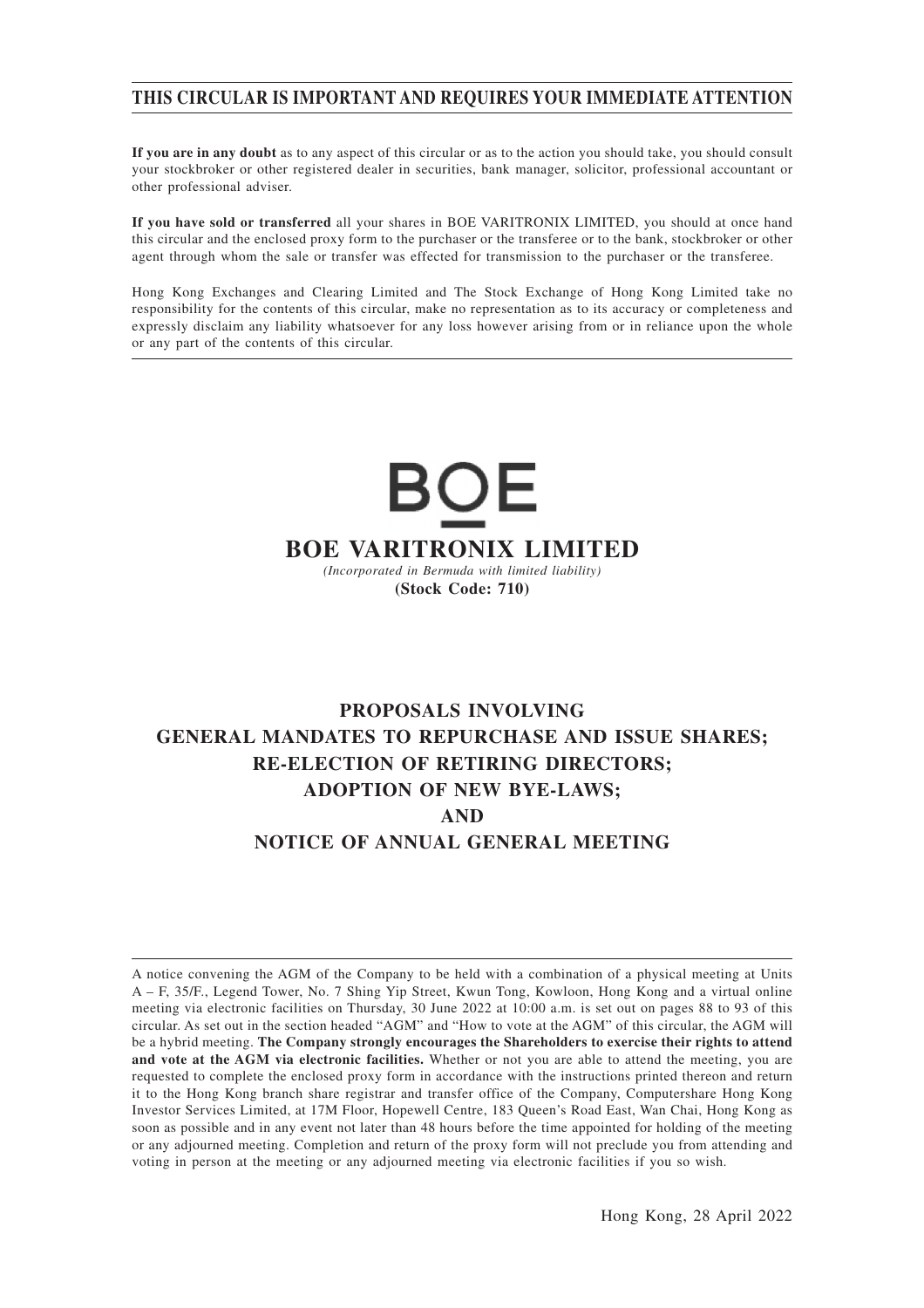#### **THIS CIRCULAR IS IMPORTANT AND REQUIRES YOUR IMMEDIATE ATTENTION**

**If you are in any doubt** as to any aspect of this circular or as to the action you should take, you should consult your stockbroker or other registered dealer in securities, bank manager, solicitor, professional accountant or other professional adviser.

**If you have sold or transferred** all your shares in BOE VARITRONIX LIMITED, you should at once hand this circular and the enclosed proxy form to the purchaser or the transferee or to the bank, stockbroker or other agent through whom the sale or transfer was effected for transmission to the purchaser or the transferee.

Hong Kong Exchanges and Clearing Limited and The Stock Exchange of Hong Kong Limited take no responsibility for the contents of this circular, make no representation as to its accuracy or completeness and expressly disclaim any liability whatsoever for any loss however arising from or in reliance upon the whole or any part of the contents of this circular.

## BOE **BOE VARITRONIX LIMITED** *(Incorporated in Bermuda with limited liability)* **(Stock Code: 710)**

### **PROPOSALS INVOLVING GENERAL MANDATES TO REPURCHASE AND ISSUE SHARES; RE-ELECTION OF RETIRING DIRECTORS; ADOPTION OF NEW BYE-LAWS; AND NOTICE OF ANNUAL GENERAL MEETING**

A notice convening the AGM of the Company to be held with a combination of a physical meeting at Units A – F, 35/F., Legend Tower, No. 7 Shing Yip Street, Kwun Tong, Kowloon, Hong Kong and a virtual online meeting via electronic facilities on Thursday, 30 June 2022 at 10:00 a.m. is set out on pages 88 to 93 of this circular. As set out in the section headed "AGM" and "How to vote at the AGM" of this circular, the AGM will be a hybrid meeting. **The Company strongly encourages the Shareholders to exercise their rights to attend and vote at the AGM via electronic facilities.** Whether or not you are able to attend the meeting, you are requested to complete the enclosed proxy form in accordance with the instructions printed thereon and return it to the Hong Kong branch share registrar and transfer office of the Company, Computershare Hong Kong Investor Services Limited, at 17M Floor, Hopewell Centre, 183 Queen's Road East, Wan Chai, Hong Kong as soon as possible and in any event not later than 48 hours before the time appointed for holding of the meeting or any adjourned meeting. Completion and return of the proxy form will not preclude you from attending and voting in person at the meeting or any adjourned meeting via electronic facilities if you so wish.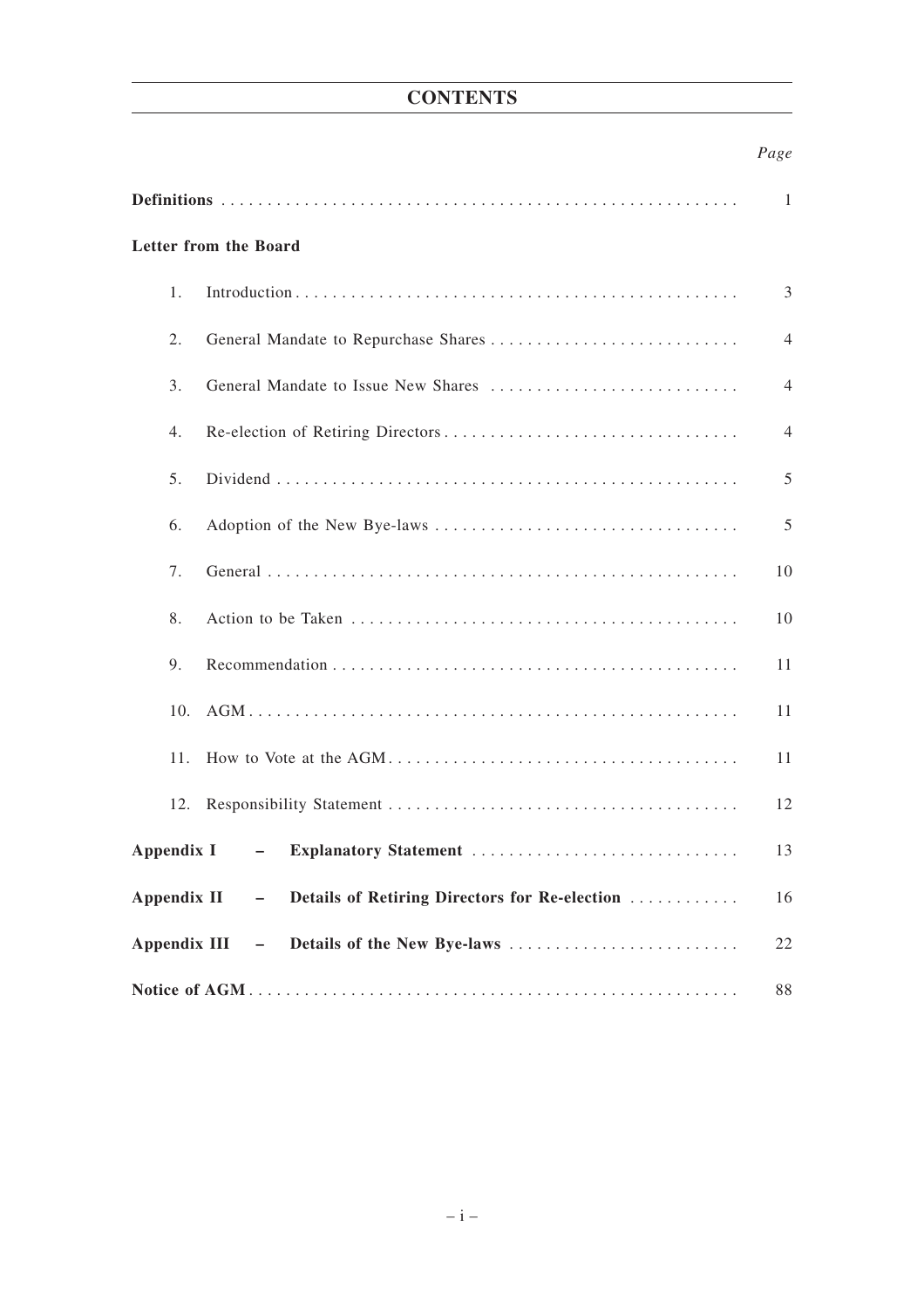### **CONTENTS**

#### *Page*

|                     | Letter from the Board                                   |    |
|---------------------|---------------------------------------------------------|----|
| 1.                  |                                                         | 3  |
| 2.                  |                                                         | 4  |
| 3.                  | General Mandate to Issue New Shares                     | 4  |
| 4.                  |                                                         | 4  |
| 5.                  |                                                         | 5  |
| 6.                  |                                                         | 5  |
| 7.                  |                                                         | 10 |
| 8.                  |                                                         | 10 |
| 9.                  |                                                         | 11 |
| 10.                 |                                                         | 11 |
| 11.                 |                                                         | 11 |
| 12.                 |                                                         | 12 |
| Appendix I          | Explanatory Statement<br>$\sim$ $-$                     | 13 |
| Appendix II         | - Details of Retiring Directors for Re-election         | 16 |
| <b>Appendix III</b> | Details of the New Bye-laws<br>$\overline{\phantom{m}}$ | 22 |
|                     |                                                         | 88 |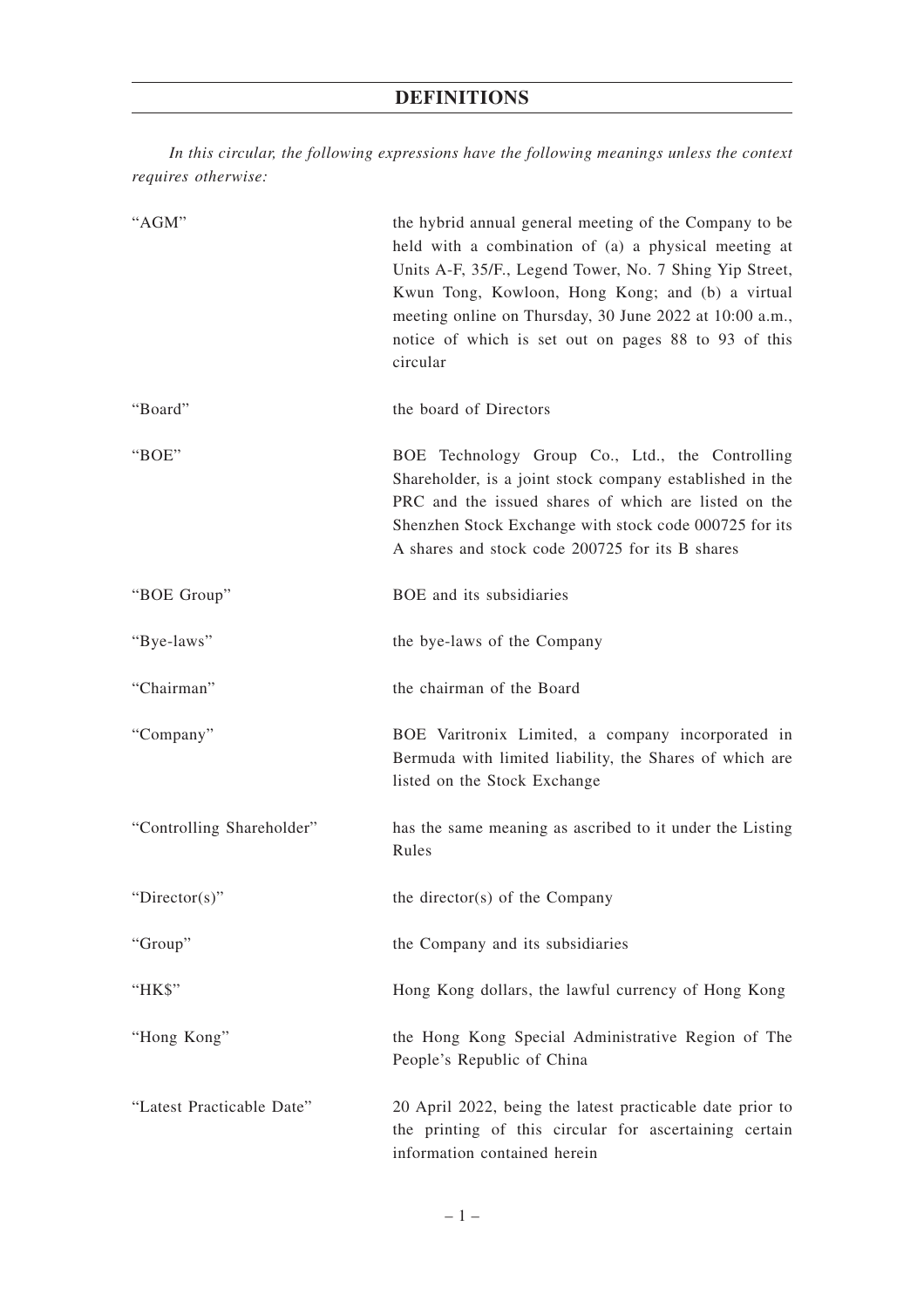*In this circular, the following expressions have the following meanings unless the context requires otherwise:*

| "AGM"                     | the hybrid annual general meeting of the Company to be<br>held with a combination of (a) a physical meeting at<br>Units A-F, 35/F., Legend Tower, No. 7 Shing Yip Street,<br>Kwun Tong, Kowloon, Hong Kong; and (b) a virtual<br>meeting online on Thursday, 30 June 2022 at 10:00 a.m.,<br>notice of which is set out on pages 88 to 93 of this<br>circular |
|---------------------------|--------------------------------------------------------------------------------------------------------------------------------------------------------------------------------------------------------------------------------------------------------------------------------------------------------------------------------------------------------------|
| "Board"                   | the board of Directors                                                                                                                                                                                                                                                                                                                                       |
| "BOE"                     | BOE Technology Group Co., Ltd., the Controlling<br>Shareholder, is a joint stock company established in the<br>PRC and the issued shares of which are listed on the<br>Shenzhen Stock Exchange with stock code 000725 for its<br>A shares and stock code 200725 for its B shares                                                                             |
| "BOE Group"               | BOE and its subsidiaries                                                                                                                                                                                                                                                                                                                                     |
| "Bye-laws"                | the bye-laws of the Company                                                                                                                                                                                                                                                                                                                                  |
| "Chairman"                | the chairman of the Board                                                                                                                                                                                                                                                                                                                                    |
| "Company"                 | BOE Varitronix Limited, a company incorporated in<br>Bermuda with limited liability, the Shares of which are<br>listed on the Stock Exchange                                                                                                                                                                                                                 |
| "Controlling Shareholder" | has the same meaning as ascribed to it under the Listing<br>Rules                                                                                                                                                                                                                                                                                            |
| "Director(s)"             | the director(s) of the Company                                                                                                                                                                                                                                                                                                                               |
| "Group"                   | the Company and its subsidiaries                                                                                                                                                                                                                                                                                                                             |
| "HK\$"                    | Hong Kong dollars, the lawful currency of Hong Kong                                                                                                                                                                                                                                                                                                          |
| "Hong Kong"               | the Hong Kong Special Administrative Region of The<br>People's Republic of China                                                                                                                                                                                                                                                                             |
| "Latest Practicable Date" | 20 April 2022, being the latest practicable date prior to<br>the printing of this circular for ascertaining certain<br>information contained herein                                                                                                                                                                                                          |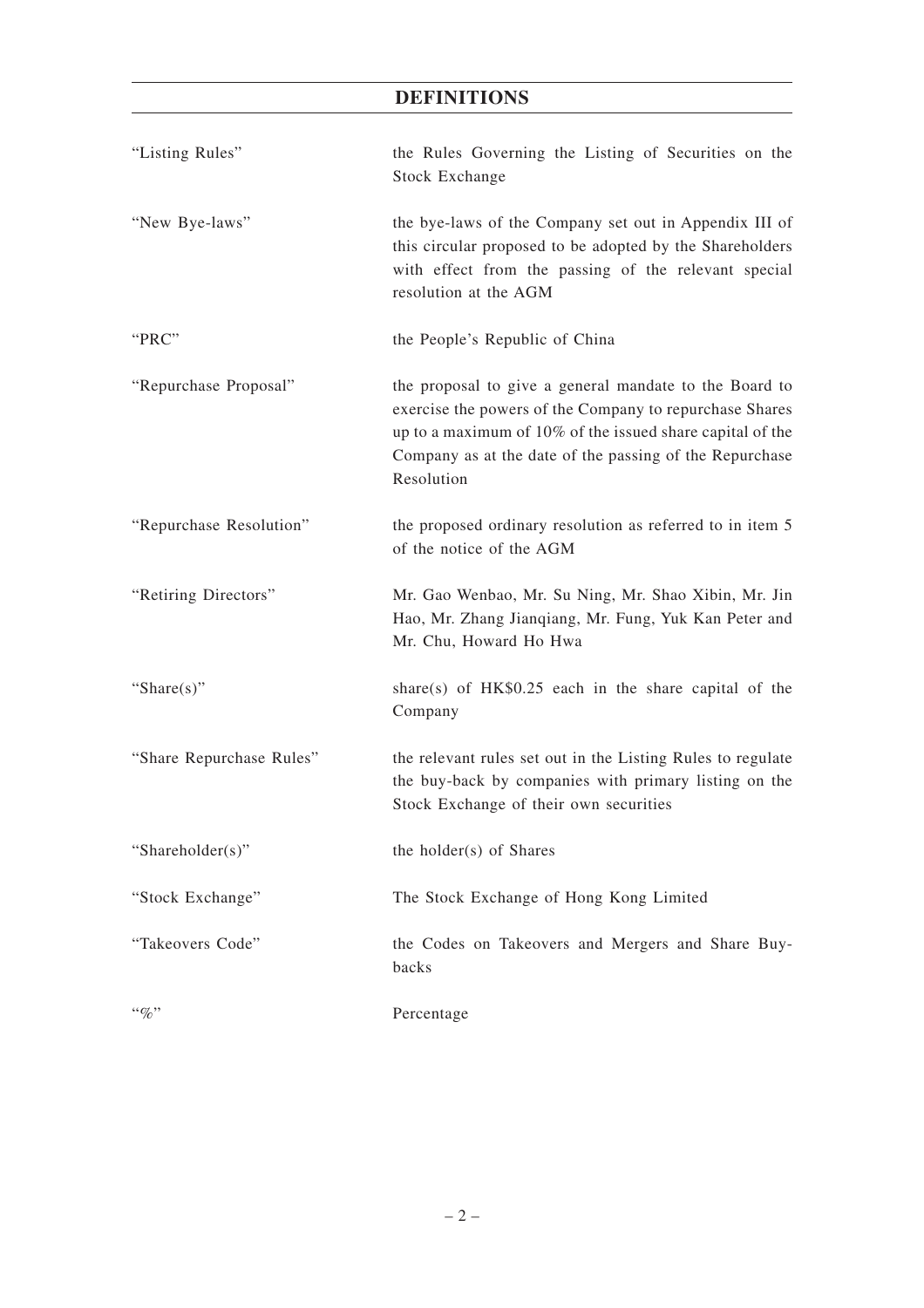### **DEFINITIONS**

| "Listing Rules"          | the Rules Governing the Listing of Securities on the<br><b>Stock Exchange</b>                                                                                                                                                                           |
|--------------------------|---------------------------------------------------------------------------------------------------------------------------------------------------------------------------------------------------------------------------------------------------------|
| "New Bye-laws"           | the bye-laws of the Company set out in Appendix III of<br>this circular proposed to be adopted by the Shareholders<br>with effect from the passing of the relevant special<br>resolution at the AGM                                                     |
| "PRC"                    | the People's Republic of China                                                                                                                                                                                                                          |
| "Repurchase Proposal"    | the proposal to give a general mandate to the Board to<br>exercise the powers of the Company to repurchase Shares<br>up to a maximum of 10% of the issued share capital of the<br>Company as at the date of the passing of the Repurchase<br>Resolution |
| "Repurchase Resolution"  | the proposed ordinary resolution as referred to in item 5<br>of the notice of the AGM                                                                                                                                                                   |
| "Retiring Directors"     | Mr. Gao Wenbao, Mr. Su Ning, Mr. Shao Xibin, Mr. Jin<br>Hao, Mr. Zhang Jianqiang, Mr. Fung, Yuk Kan Peter and<br>Mr. Chu, Howard Ho Hwa                                                                                                                 |
| "Share $(s)$ "           | share(s) of $HK$0.25$ each in the share capital of the<br>Company                                                                                                                                                                                       |
| "Share Repurchase Rules" | the relevant rules set out in the Listing Rules to regulate<br>the buy-back by companies with primary listing on the<br>Stock Exchange of their own securities                                                                                          |
| "Shareholder(s)"         | the holder(s) of Shares                                                                                                                                                                                                                                 |
| "Stock Exchange"         | The Stock Exchange of Hong Kong Limited                                                                                                                                                                                                                 |
| "Takeovers Code"         | the Codes on Takeovers and Mergers and Share Buy-<br>backs                                                                                                                                                                                              |
| $``\%"$                  | Percentage                                                                                                                                                                                                                                              |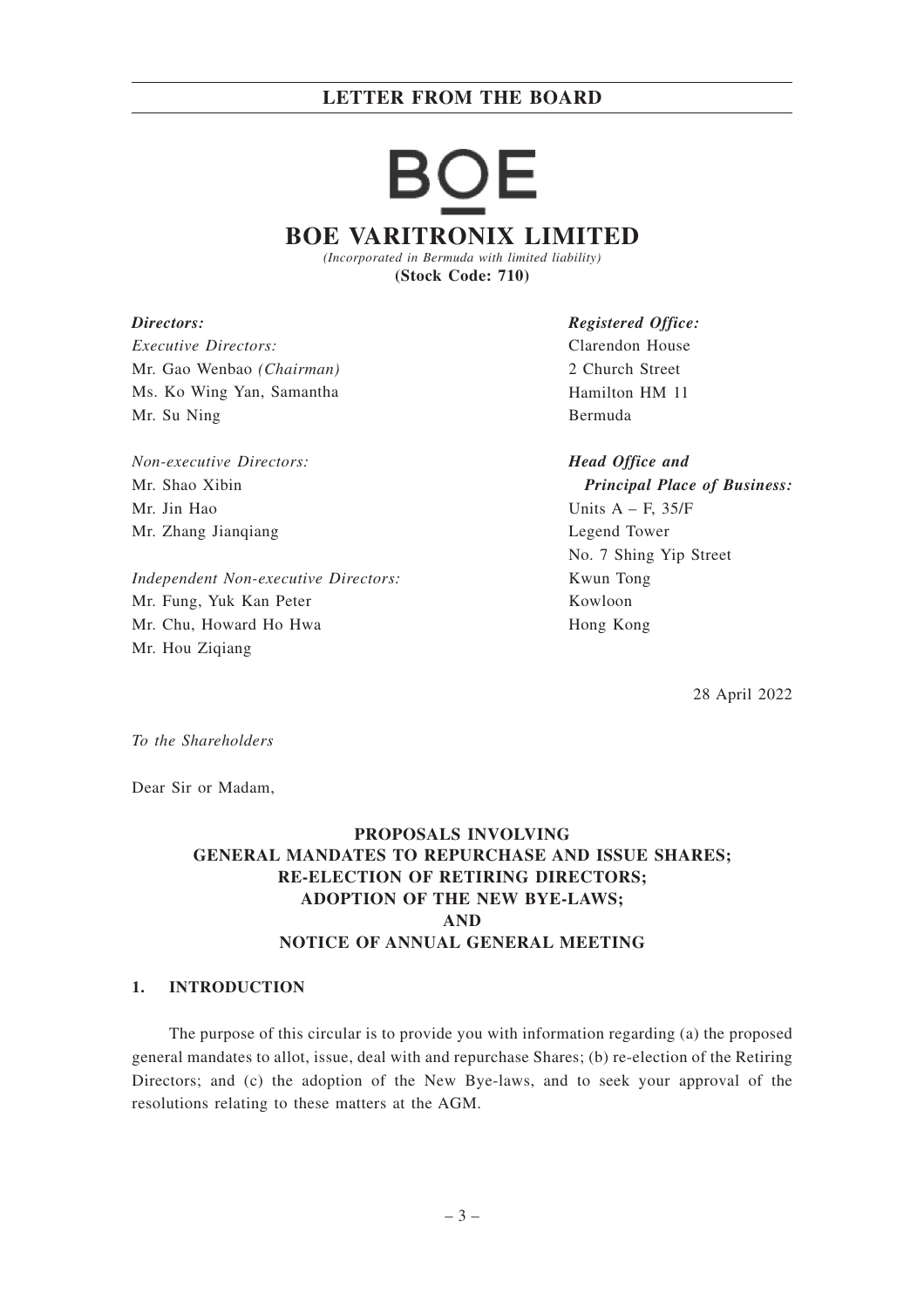# JE **BOE VARITRONIX LIMITED**

*(Incorporated in Bermuda with limited liability)* **(Stock Code: 710)**

*Directors: Executive Directors:* Mr. Gao Wenbao *(Chairman)* Ms. Ko Wing Yan, Samantha Mr. Su Ning

*Non-executive Directors:* Mr. Shao Xibin Mr. Jin Hao Mr. Zhang Jianqiang

*Independent Non-executive Directors:* Mr. Fung, Yuk Kan Peter Mr. Chu, Howard Ho Hwa Mr. Hou Ziqiang

*Registered Office:* Clarendon House 2 Church Street Hamilton HM 11 Bermuda

*Head Office and Principal Place of Business:* Units  $A - F$ , 35/F Legend Tower No. 7 Shing Yip Street Kwun Tong Kowloon Hong Kong

28 April 2022

*To the Shareholders*

Dear Sir or Madam,

#### **PROPOSALS INVOLVING GENERAL MANDATES TO REPURCHASE AND ISSUE SHARES; RE-ELECTION OF RETIRING DIRECTORS; ADOPTION OF THE NEW BYE-LAWS; AND NOTICE OF ANNUAL GENERAL MEETING**

#### **1. INTRODUCTION**

The purpose of this circular is to provide you with information regarding (a) the proposed general mandates to allot, issue, deal with and repurchase Shares; (b) re-election of the Retiring Directors; and (c) the adoption of the New Bye-laws, and to seek your approval of the resolutions relating to these matters at the AGM.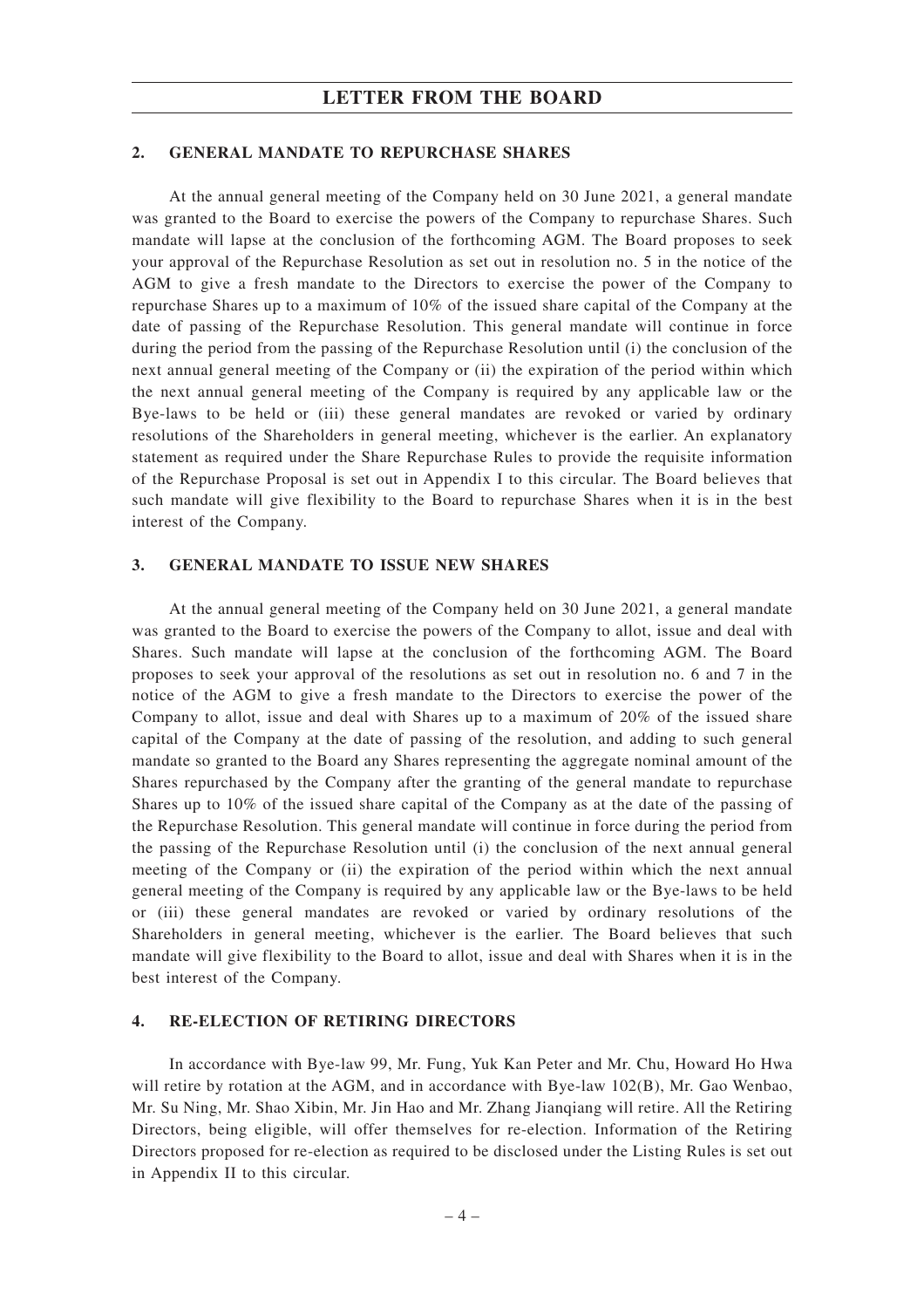#### **2. GENERAL MANDATE TO REPURCHASE SHARES**

At the annual general meeting of the Company held on 30 June 2021, a general mandate was granted to the Board to exercise the powers of the Company to repurchase Shares. Such mandate will lapse at the conclusion of the forthcoming AGM. The Board proposes to seek your approval of the Repurchase Resolution as set out in resolution no. 5 in the notice of the AGM to give a fresh mandate to the Directors to exercise the power of the Company to repurchase Shares up to a maximum of 10% of the issued share capital of the Company at the date of passing of the Repurchase Resolution. This general mandate will continue in force during the period from the passing of the Repurchase Resolution until (i) the conclusion of the next annual general meeting of the Company or (ii) the expiration of the period within which the next annual general meeting of the Company is required by any applicable law or the Bye-laws to be held or (iii) these general mandates are revoked or varied by ordinary resolutions of the Shareholders in general meeting, whichever is the earlier. An explanatory statement as required under the Share Repurchase Rules to provide the requisite information of the Repurchase Proposal is set out in Appendix I to this circular. The Board believes that such mandate will give flexibility to the Board to repurchase Shares when it is in the best interest of the Company.

#### **3. GENERAL MANDATE TO ISSUE NEW SHARES**

At the annual general meeting of the Company held on 30 June 2021, a general mandate was granted to the Board to exercise the powers of the Company to allot, issue and deal with Shares. Such mandate will lapse at the conclusion of the forthcoming AGM. The Board proposes to seek your approval of the resolutions as set out in resolution no. 6 and 7 in the notice of the AGM to give a fresh mandate to the Directors to exercise the power of the Company to allot, issue and deal with Shares up to a maximum of 20% of the issued share capital of the Company at the date of passing of the resolution, and adding to such general mandate so granted to the Board any Shares representing the aggregate nominal amount of the Shares repurchased by the Company after the granting of the general mandate to repurchase Shares up to 10% of the issued share capital of the Company as at the date of the passing of the Repurchase Resolution. This general mandate will continue in force during the period from the passing of the Repurchase Resolution until (i) the conclusion of the next annual general meeting of the Company or (ii) the expiration of the period within which the next annual general meeting of the Company is required by any applicable law or the Bye-laws to be held or (iii) these general mandates are revoked or varied by ordinary resolutions of the Shareholders in general meeting, whichever is the earlier. The Board believes that such mandate will give flexibility to the Board to allot, issue and deal with Shares when it is in the best interest of the Company.

#### **4. RE-ELECTION OF RETIRING DIRECTORS**

In accordance with Bye-law 99, Mr. Fung, Yuk Kan Peter and Mr. Chu, Howard Ho Hwa will retire by rotation at the AGM, and in accordance with Bye-law 102(B), Mr. Gao Wenbao, Mr. Su Ning, Mr. Shao Xibin, Mr. Jin Hao and Mr. Zhang Jianqiang will retire. All the Retiring Directors, being eligible, will offer themselves for re-election. Information of the Retiring Directors proposed for re-election as required to be disclosed under the Listing Rules is set out in Appendix II to this circular.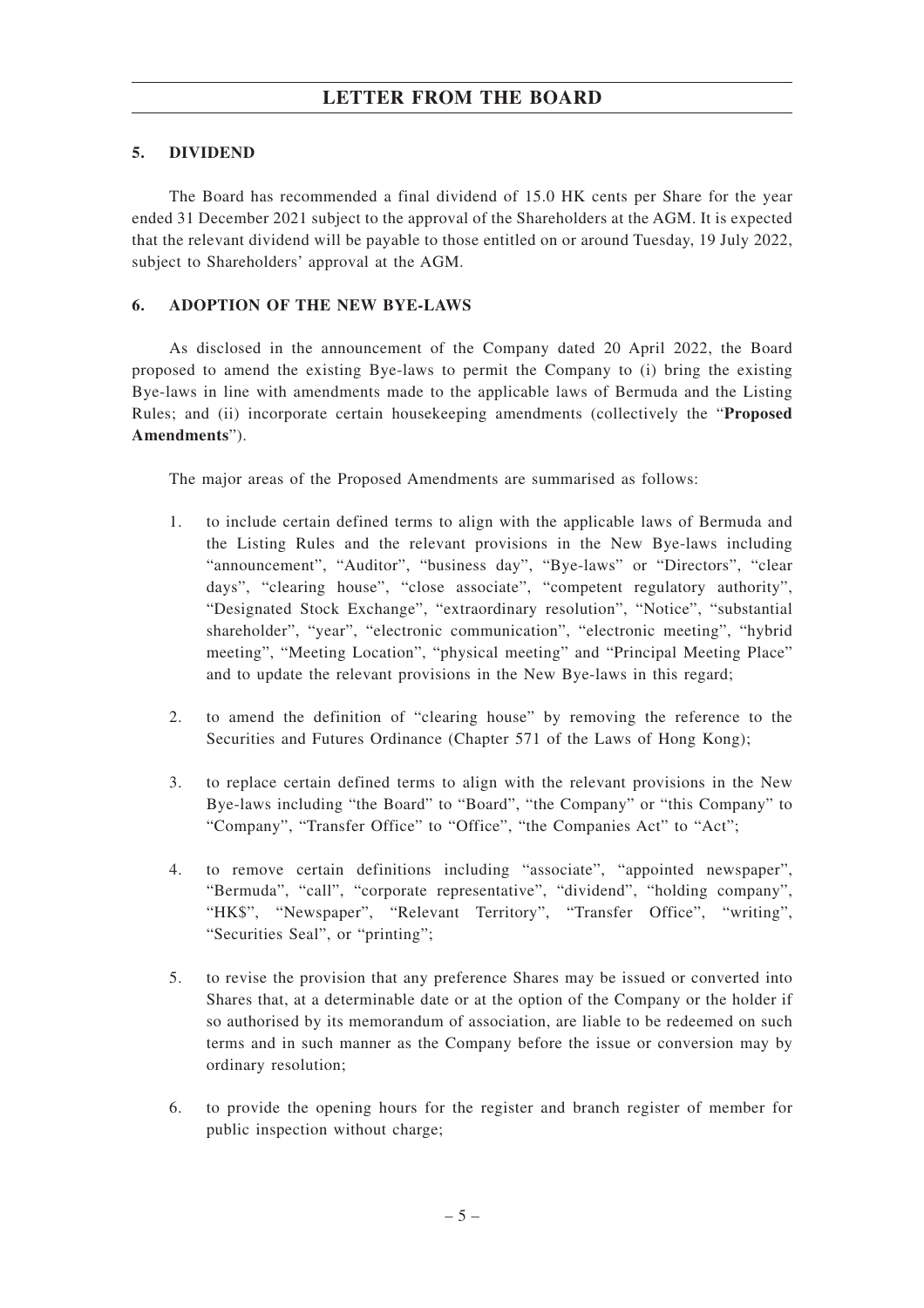#### **5. DIVIDEND**

The Board has recommended a final dividend of 15.0 HK cents per Share for the year ended 31 December 2021 subject to the approval of the Shareholders at the AGM. It is expected that the relevant dividend will be payable to those entitled on or around Tuesday, 19 July 2022, subject to Shareholders' approval at the AGM.

#### **6. ADOPTION OF THE NEW BYE-LAWS**

As disclosed in the announcement of the Company dated 20 April 2022, the Board proposed to amend the existing Bye-laws to permit the Company to (i) bring the existing Bye-laws in line with amendments made to the applicable laws of Bermuda and the Listing Rules; and (ii) incorporate certain housekeeping amendments (collectively the "**Proposed Amendments**").

The major areas of the Proposed Amendments are summarised as follows:

- 1. to include certain defined terms to align with the applicable laws of Bermuda and the Listing Rules and the relevant provisions in the New Bye-laws including "announcement", "Auditor", "business day", "Bye-laws" or "Directors", "clear days", "clearing house", "close associate", "competent regulatory authority", "Designated Stock Exchange", "extraordinary resolution", "Notice", "substantial shareholder", "year", "electronic communication", "electronic meeting", "hybrid meeting", "Meeting Location", "physical meeting" and "Principal Meeting Place" and to update the relevant provisions in the New Bye-laws in this regard;
- 2. to amend the definition of "clearing house" by removing the reference to the Securities and Futures Ordinance (Chapter 571 of the Laws of Hong Kong);
- 3. to replace certain defined terms to align with the relevant provisions in the New Bye-laws including "the Board" to "Board", "the Company" or "this Company" to "Company", "Transfer Office" to "Office", "the Companies Act" to "Act";
- 4. to remove certain definitions including "associate", "appointed newspaper", "Bermuda", "call", "corporate representative", "dividend", "holding company", "HK\$", "Newspaper", "Relevant Territory", "Transfer Office", "writing", "Securities Seal", or "printing";
- 5. to revise the provision that any preference Shares may be issued or converted into Shares that, at a determinable date or at the option of the Company or the holder if so authorised by its memorandum of association, are liable to be redeemed on such terms and in such manner as the Company before the issue or conversion may by ordinary resolution;
- 6. to provide the opening hours for the register and branch register of member for public inspection without charge;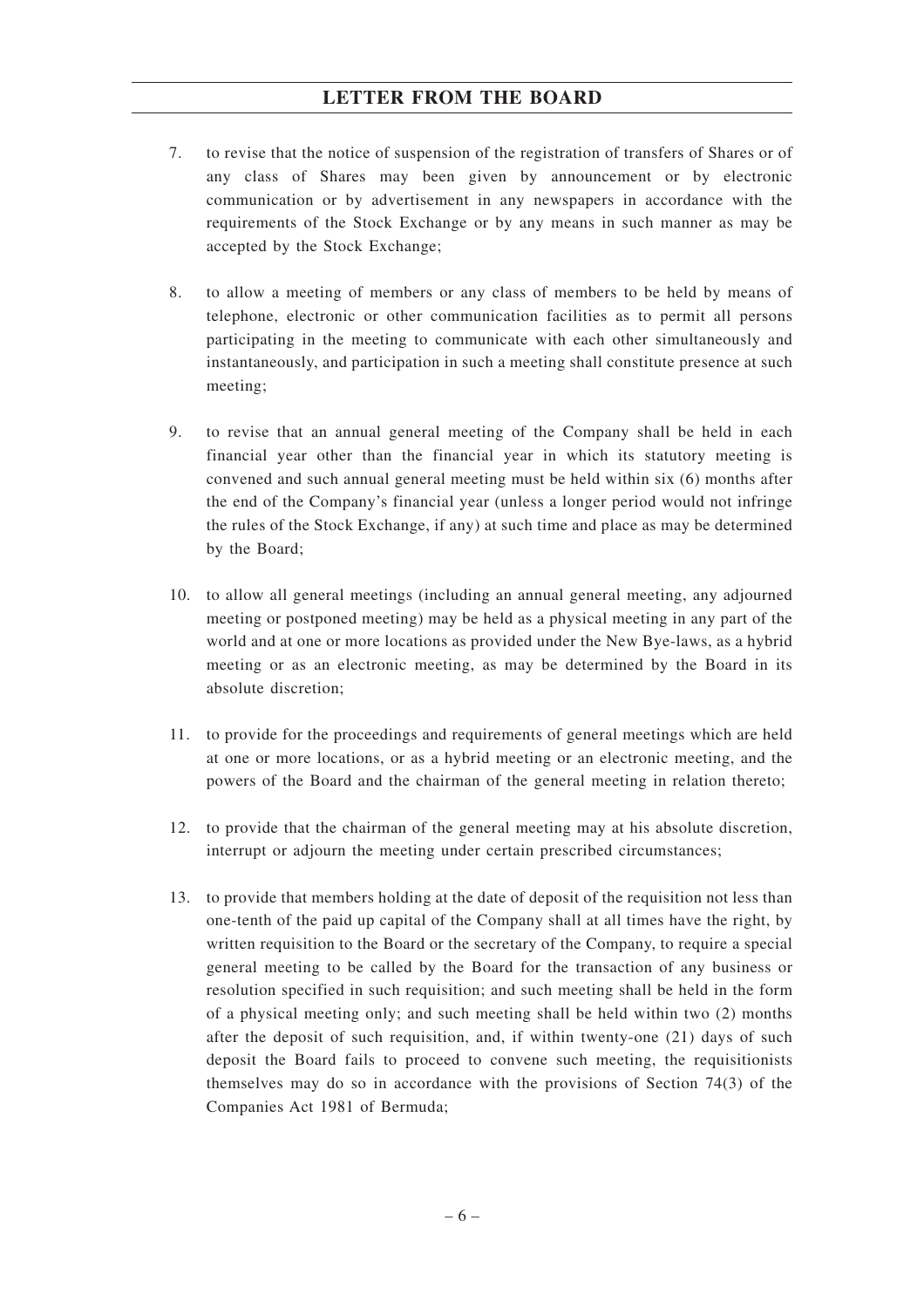- 7. to revise that the notice of suspension of the registration of transfers of Shares or of any class of Shares may been given by announcement or by electronic communication or by advertisement in any newspapers in accordance with the requirements of the Stock Exchange or by any means in such manner as may be accepted by the Stock Exchange;
- 8. to allow a meeting of members or any class of members to be held by means of telephone, electronic or other communication facilities as to permit all persons participating in the meeting to communicate with each other simultaneously and instantaneously, and participation in such a meeting shall constitute presence at such meeting;
- 9. to revise that an annual general meeting of the Company shall be held in each financial year other than the financial year in which its statutory meeting is convened and such annual general meeting must be held within six (6) months after the end of the Company's financial year (unless a longer period would not infringe the rules of the Stock Exchange, if any) at such time and place as may be determined by the Board;
- 10. to allow all general meetings (including an annual general meeting, any adjourned meeting or postponed meeting) may be held as a physical meeting in any part of the world and at one or more locations as provided under the New Bye-laws, as a hybrid meeting or as an electronic meeting, as may be determined by the Board in its absolute discretion;
- 11. to provide for the proceedings and requirements of general meetings which are held at one or more locations, or as a hybrid meeting or an electronic meeting, and the powers of the Board and the chairman of the general meeting in relation thereto;
- 12. to provide that the chairman of the general meeting may at his absolute discretion, interrupt or adjourn the meeting under certain prescribed circumstances;
- 13. to provide that members holding at the date of deposit of the requisition not less than one-tenth of the paid up capital of the Company shall at all times have the right, by written requisition to the Board or the secretary of the Company, to require a special general meeting to be called by the Board for the transaction of any business or resolution specified in such requisition; and such meeting shall be held in the form of a physical meeting only; and such meeting shall be held within two (2) months after the deposit of such requisition, and, if within twenty-one (21) days of such deposit the Board fails to proceed to convene such meeting, the requisitionists themselves may do so in accordance with the provisions of Section 74(3) of the Companies Act 1981 of Bermuda;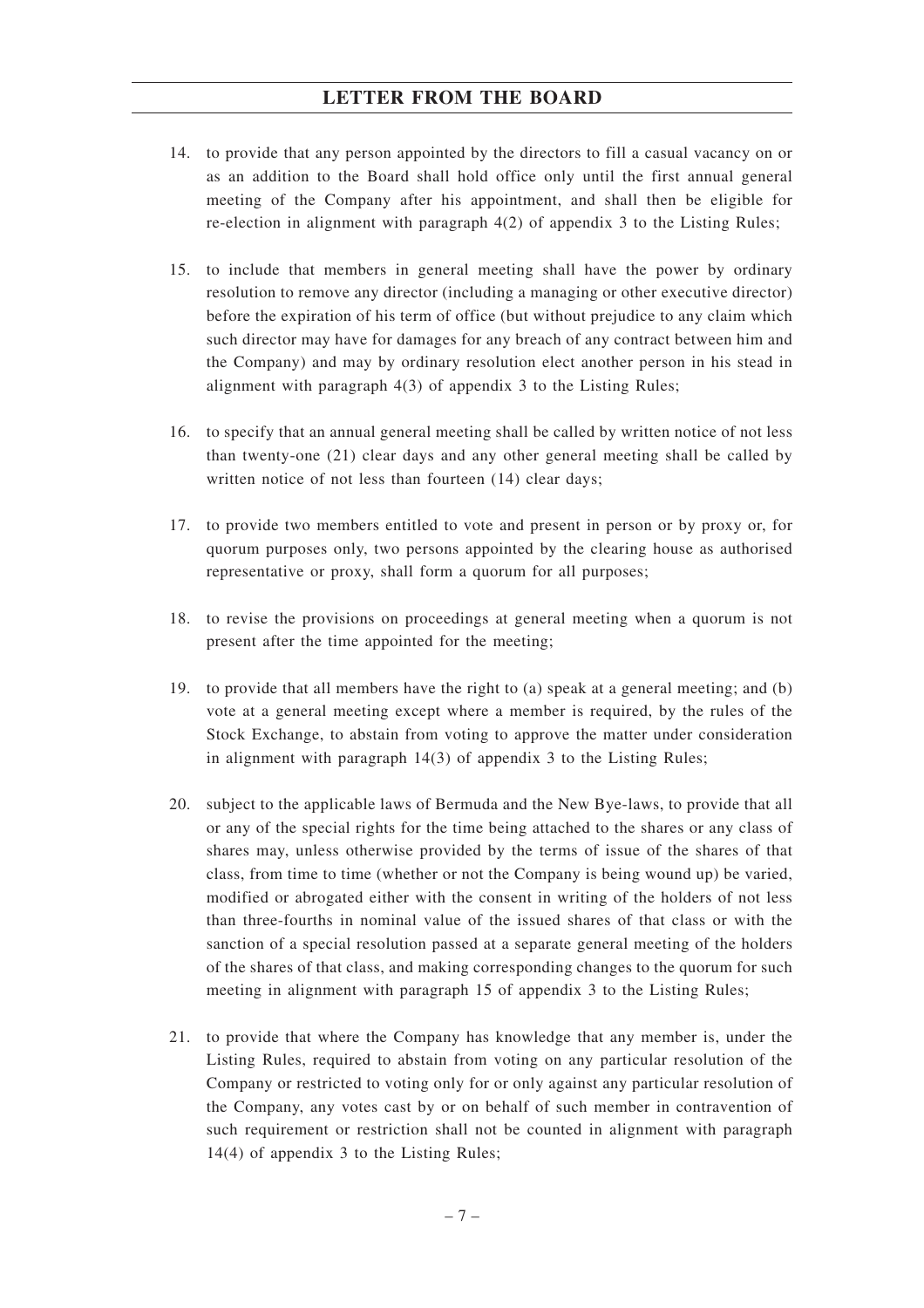- 14. to provide that any person appointed by the directors to fill a casual vacancy on or as an addition to the Board shall hold office only until the first annual general meeting of the Company after his appointment, and shall then be eligible for re-election in alignment with paragraph 4(2) of appendix 3 to the Listing Rules;
- 15. to include that members in general meeting shall have the power by ordinary resolution to remove any director (including a managing or other executive director) before the expiration of his term of office (but without prejudice to any claim which such director may have for damages for any breach of any contract between him and the Company) and may by ordinary resolution elect another person in his stead in alignment with paragraph 4(3) of appendix 3 to the Listing Rules;
- 16. to specify that an annual general meeting shall be called by written notice of not less than twenty-one (21) clear days and any other general meeting shall be called by written notice of not less than fourteen (14) clear days;
- 17. to provide two members entitled to vote and present in person or by proxy or, for quorum purposes only, two persons appointed by the clearing house as authorised representative or proxy, shall form a quorum for all purposes;
- 18. to revise the provisions on proceedings at general meeting when a quorum is not present after the time appointed for the meeting;
- 19. to provide that all members have the right to (a) speak at a general meeting; and (b) vote at a general meeting except where a member is required, by the rules of the Stock Exchange, to abstain from voting to approve the matter under consideration in alignment with paragraph 14(3) of appendix 3 to the Listing Rules;
- 20. subject to the applicable laws of Bermuda and the New Bye-laws, to provide that all or any of the special rights for the time being attached to the shares or any class of shares may, unless otherwise provided by the terms of issue of the shares of that class, from time to time (whether or not the Company is being wound up) be varied, modified or abrogated either with the consent in writing of the holders of not less than three-fourths in nominal value of the issued shares of that class or with the sanction of a special resolution passed at a separate general meeting of the holders of the shares of that class, and making corresponding changes to the quorum for such meeting in alignment with paragraph 15 of appendix 3 to the Listing Rules;
- 21. to provide that where the Company has knowledge that any member is, under the Listing Rules, required to abstain from voting on any particular resolution of the Company or restricted to voting only for or only against any particular resolution of the Company, any votes cast by or on behalf of such member in contravention of such requirement or restriction shall not be counted in alignment with paragraph 14(4) of appendix 3 to the Listing Rules;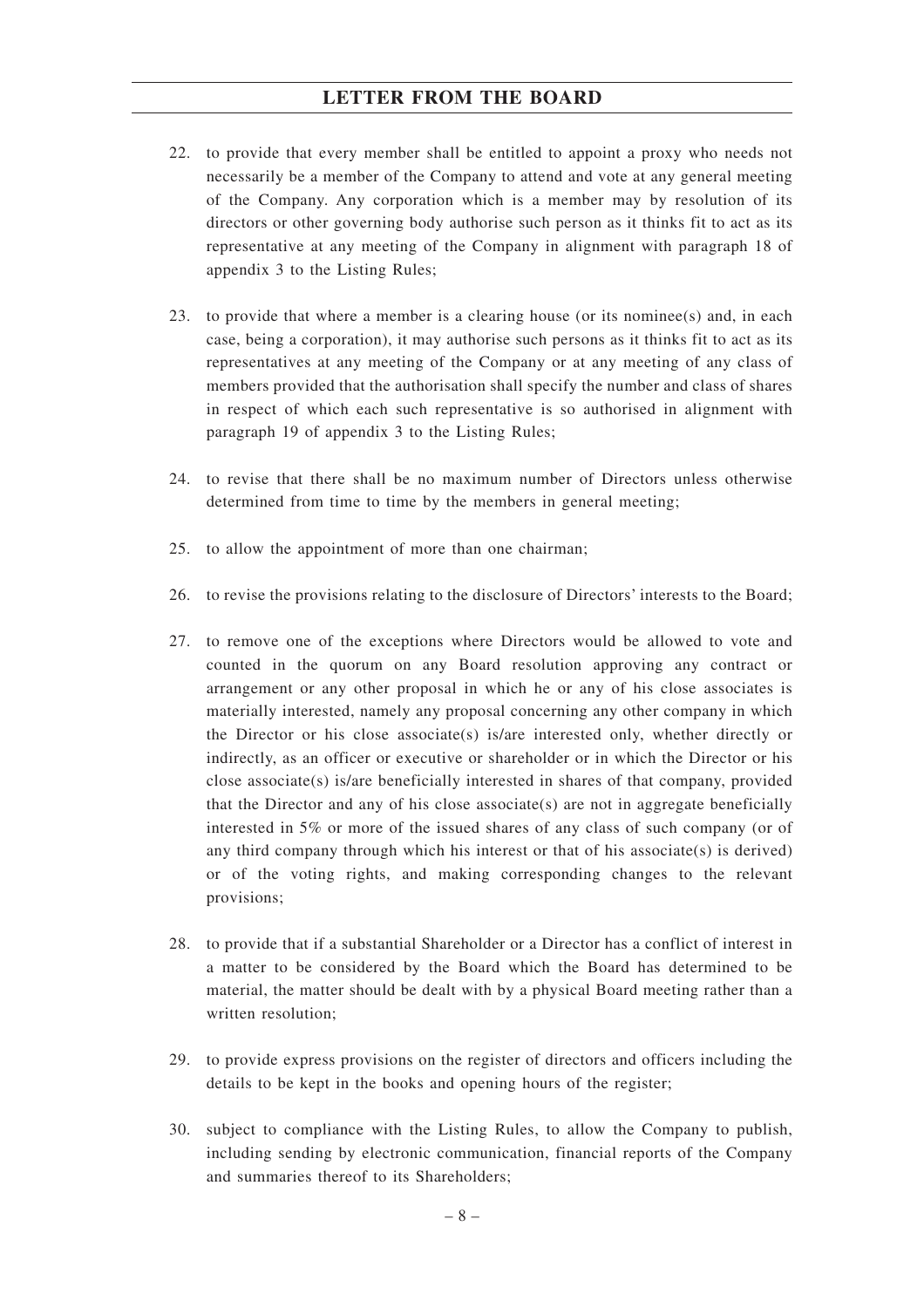- 22. to provide that every member shall be entitled to appoint a proxy who needs not necessarily be a member of the Company to attend and vote at any general meeting of the Company. Any corporation which is a member may by resolution of its directors or other governing body authorise such person as it thinks fit to act as its representative at any meeting of the Company in alignment with paragraph 18 of appendix 3 to the Listing Rules;
- 23. to provide that where a member is a clearing house (or its nominee(s) and, in each case, being a corporation), it may authorise such persons as it thinks fit to act as its representatives at any meeting of the Company or at any meeting of any class of members provided that the authorisation shall specify the number and class of shares in respect of which each such representative is so authorised in alignment with paragraph 19 of appendix 3 to the Listing Rules;
- 24. to revise that there shall be no maximum number of Directors unless otherwise determined from time to time by the members in general meeting;
- 25. to allow the appointment of more than one chairman;
- 26. to revise the provisions relating to the disclosure of Directors' interests to the Board;
- 27. to remove one of the exceptions where Directors would be allowed to vote and counted in the quorum on any Board resolution approving any contract or arrangement or any other proposal in which he or any of his close associates is materially interested, namely any proposal concerning any other company in which the Director or his close associate(s) is/are interested only, whether directly or indirectly, as an officer or executive or shareholder or in which the Director or his close associate(s) is/are beneficially interested in shares of that company, provided that the Director and any of his close associate(s) are not in aggregate beneficially interested in 5% or more of the issued shares of any class of such company (or of any third company through which his interest or that of his associate(s) is derived) or of the voting rights, and making corresponding changes to the relevant provisions;
- 28. to provide that if a substantial Shareholder or a Director has a conflict of interest in a matter to be considered by the Board which the Board has determined to be material, the matter should be dealt with by a physical Board meeting rather than a written resolution;
- 29. to provide express provisions on the register of directors and officers including the details to be kept in the books and opening hours of the register;
- 30. subject to compliance with the Listing Rules, to allow the Company to publish, including sending by electronic communication, financial reports of the Company and summaries thereof to its Shareholders;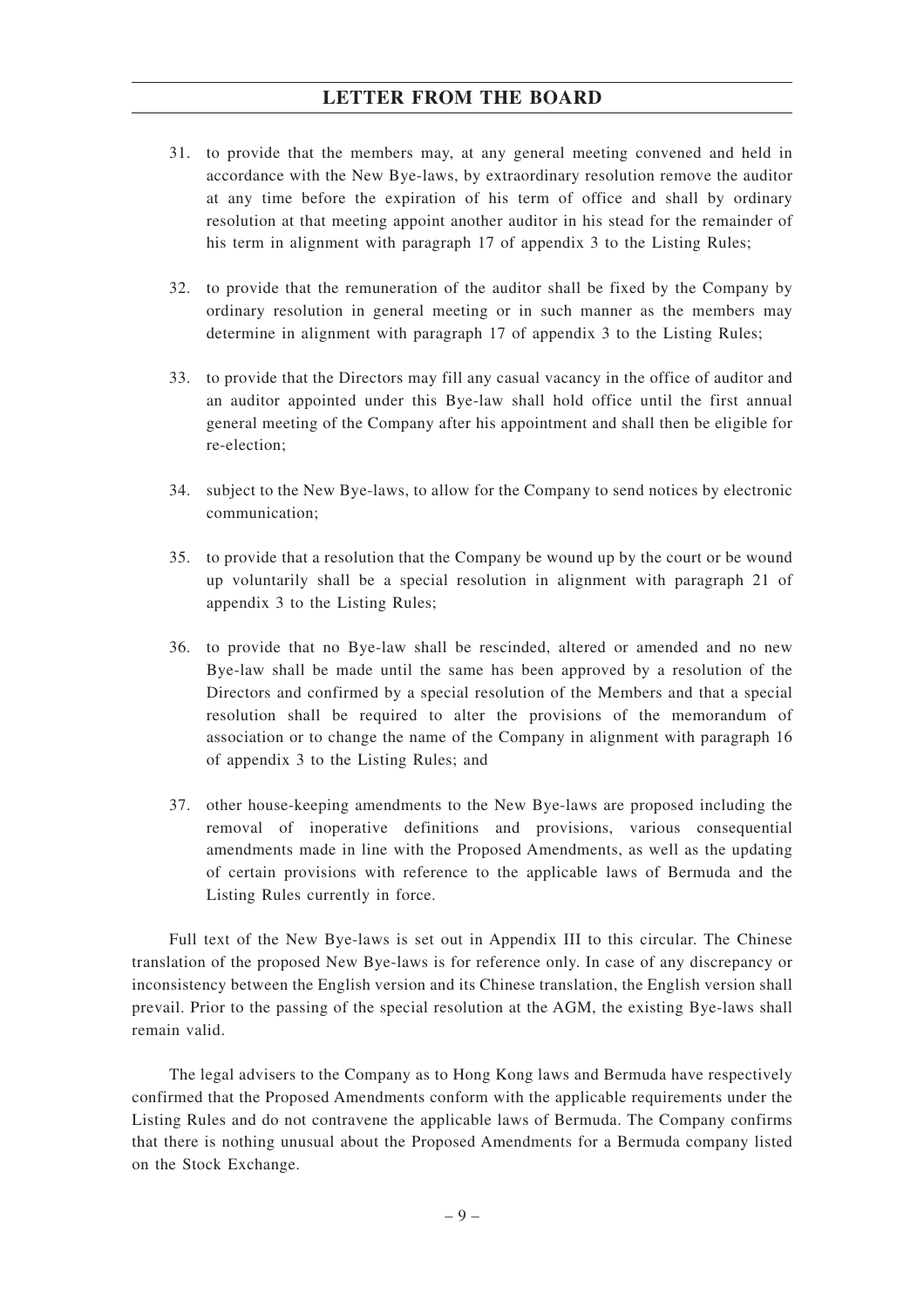- 31. to provide that the members may, at any general meeting convened and held in accordance with the New Bye-laws, by extraordinary resolution remove the auditor at any time before the expiration of his term of office and shall by ordinary resolution at that meeting appoint another auditor in his stead for the remainder of his term in alignment with paragraph 17 of appendix 3 to the Listing Rules;
- 32. to provide that the remuneration of the auditor shall be fixed by the Company by ordinary resolution in general meeting or in such manner as the members may determine in alignment with paragraph 17 of appendix 3 to the Listing Rules;
- 33. to provide that the Directors may fill any casual vacancy in the office of auditor and an auditor appointed under this Bye-law shall hold office until the first annual general meeting of the Company after his appointment and shall then be eligible for re-election;
- 34. subject to the New Bye-laws, to allow for the Company to send notices by electronic communication;
- 35. to provide that a resolution that the Company be wound up by the court or be wound up voluntarily shall be a special resolution in alignment with paragraph 21 of appendix 3 to the Listing Rules;
- 36. to provide that no Bye-law shall be rescinded, altered or amended and no new Bye-law shall be made until the same has been approved by a resolution of the Directors and confirmed by a special resolution of the Members and that a special resolution shall be required to alter the provisions of the memorandum of association or to change the name of the Company in alignment with paragraph 16 of appendix 3 to the Listing Rules; and
- 37. other house-keeping amendments to the New Bye-laws are proposed including the removal of inoperative definitions and provisions, various consequential amendments made in line with the Proposed Amendments, as well as the updating of certain provisions with reference to the applicable laws of Bermuda and the Listing Rules currently in force.

Full text of the New Bye-laws is set out in Appendix III to this circular. The Chinese translation of the proposed New Bye-laws is for reference only. In case of any discrepancy or inconsistency between the English version and its Chinese translation, the English version shall prevail. Prior to the passing of the special resolution at the AGM, the existing Bye-laws shall remain valid.

The legal advisers to the Company as to Hong Kong laws and Bermuda have respectively confirmed that the Proposed Amendments conform with the applicable requirements under the Listing Rules and do not contravene the applicable laws of Bermuda. The Company confirms that there is nothing unusual about the Proposed Amendments for a Bermuda company listed on the Stock Exchange.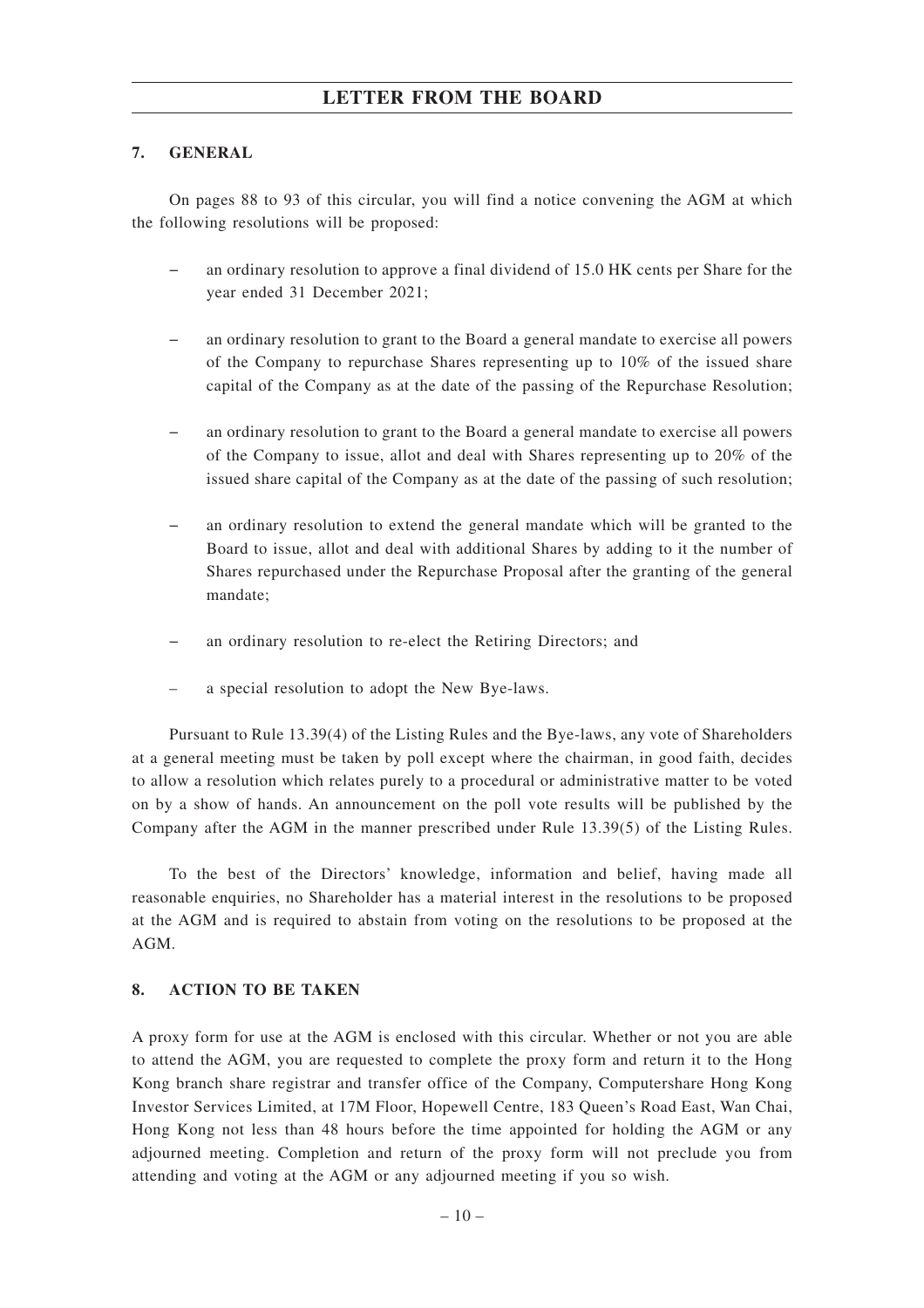#### **7. GENERAL**

On pages 88 to 93 of this circular, you will find a notice convening the AGM at which the following resolutions will be proposed:

- an ordinary resolution to approve a final dividend of 15.0 HK cents per Share for the year ended 31 December 2021;
- an ordinary resolution to grant to the Board a general mandate to exercise all powers of the Company to repurchase Shares representing up to 10% of the issued share capital of the Company as at the date of the passing of the Repurchase Resolution;
- an ordinary resolution to grant to the Board a general mandate to exercise all powers of the Company to issue, allot and deal with Shares representing up to 20% of the issued share capital of the Company as at the date of the passing of such resolution;
- an ordinary resolution to extend the general mandate which will be granted to the Board to issue, allot and deal with additional Shares by adding to it the number of Shares repurchased under the Repurchase Proposal after the granting of the general mandate;
- an ordinary resolution to re-elect the Retiring Directors; and
- a special resolution to adopt the New Bye-laws.

Pursuant to Rule 13.39(4) of the Listing Rules and the Bye-laws, any vote of Shareholders at a general meeting must be taken by poll except where the chairman, in good faith, decides to allow a resolution which relates purely to a procedural or administrative matter to be voted on by a show of hands. An announcement on the poll vote results will be published by the Company after the AGM in the manner prescribed under Rule 13.39(5) of the Listing Rules.

To the best of the Directors' knowledge, information and belief, having made all reasonable enquiries, no Shareholder has a material interest in the resolutions to be proposed at the AGM and is required to abstain from voting on the resolutions to be proposed at the AGM.

#### **8. ACTION TO BE TAKEN**

A proxy form for use at the AGM is enclosed with this circular. Whether or not you are able to attend the AGM, you are requested to complete the proxy form and return it to the Hong Kong branch share registrar and transfer office of the Company, Computershare Hong Kong Investor Services Limited, at 17M Floor, Hopewell Centre, 183 Queen's Road East, Wan Chai, Hong Kong not less than 48 hours before the time appointed for holding the AGM or any adjourned meeting. Completion and return of the proxy form will not preclude you from attending and voting at the AGM or any adjourned meeting if you so wish.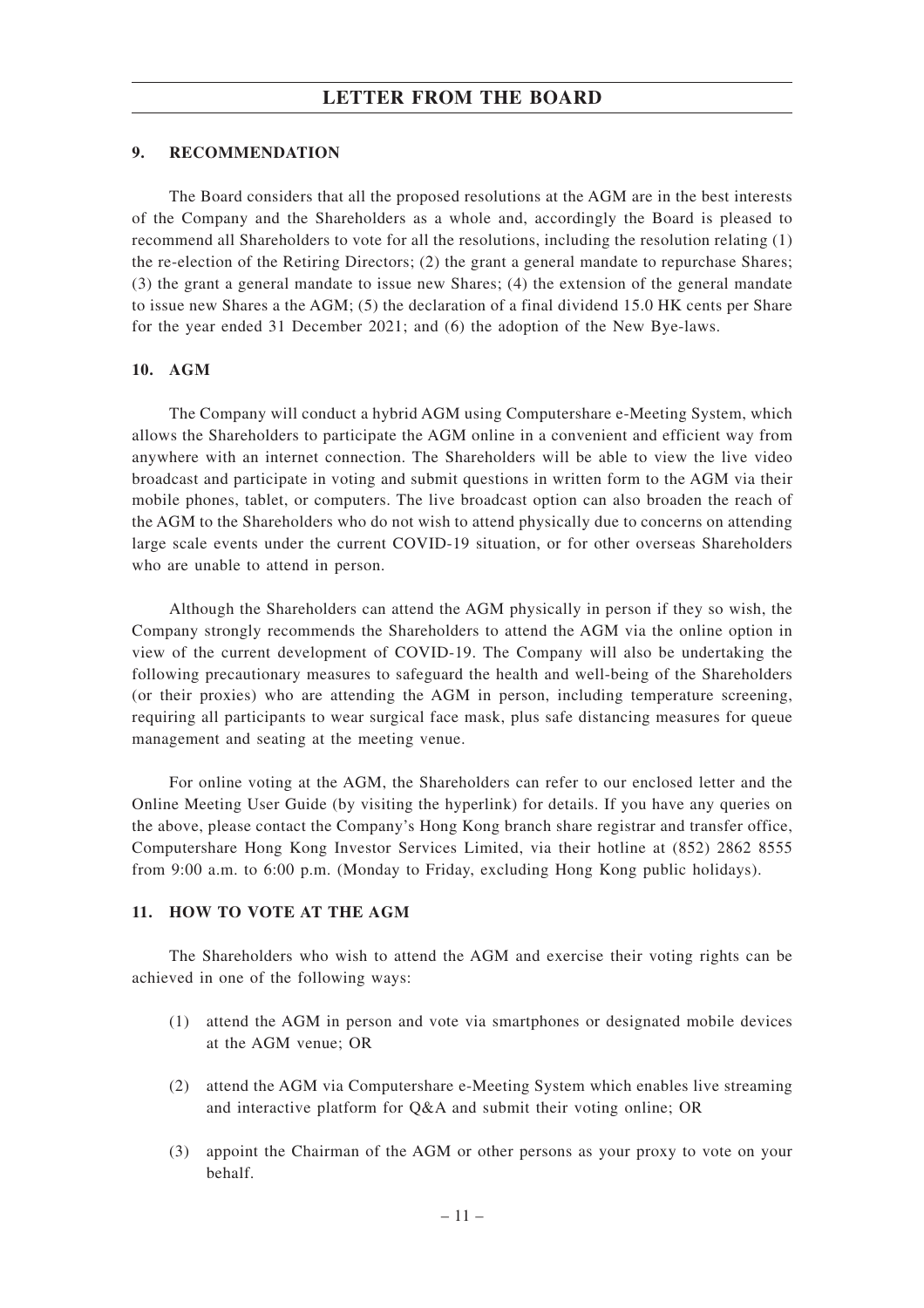#### **9. RECOMMENDATION**

The Board considers that all the proposed resolutions at the AGM are in the best interests of the Company and the Shareholders as a whole and, accordingly the Board is pleased to recommend all Shareholders to vote for all the resolutions, including the resolution relating (1) the re-election of the Retiring Directors; (2) the grant a general mandate to repurchase Shares; (3) the grant a general mandate to issue new Shares; (4) the extension of the general mandate to issue new Shares a the AGM; (5) the declaration of a final dividend 15.0 HK cents per Share for the year ended 31 December 2021; and (6) the adoption of the New Bye-laws.

#### **10. AGM**

The Company will conduct a hybrid AGM using Computershare e-Meeting System, which allows the Shareholders to participate the AGM online in a convenient and efficient way from anywhere with an internet connection. The Shareholders will be able to view the live video broadcast and participate in voting and submit questions in written form to the AGM via their mobile phones, tablet, or computers. The live broadcast option can also broaden the reach of the AGM to the Shareholders who do not wish to attend physically due to concerns on attending large scale events under the current COVID-19 situation, or for other overseas Shareholders who are unable to attend in person.

Although the Shareholders can attend the AGM physically in person if they so wish, the Company strongly recommends the Shareholders to attend the AGM via the online option in view of the current development of COVID-19. The Company will also be undertaking the following precautionary measures to safeguard the health and well-being of the Shareholders (or their proxies) who are attending the AGM in person, including temperature screening, requiring all participants to wear surgical face mask, plus safe distancing measures for queue management and seating at the meeting venue.

For online voting at the AGM, the Shareholders can refer to our enclosed letter and the Online Meeting User Guide (by visiting the hyperlink) for details. If you have any queries on the above, please contact the Company's Hong Kong branch share registrar and transfer office, Computershare Hong Kong Investor Services Limited, via their hotline at (852) 2862 8555 from 9:00 a.m. to 6:00 p.m. (Monday to Friday, excluding Hong Kong public holidays).

#### **11. HOW TO VOTE AT THE AGM**

The Shareholders who wish to attend the AGM and exercise their voting rights can be achieved in one of the following ways:

- (1) attend the AGM in person and vote via smartphones or designated mobile devices at the AGM venue; OR
- (2) attend the AGM via Computershare e-Meeting System which enables live streaming and interactive platform for Q&A and submit their voting online; OR
- (3) appoint the Chairman of the AGM or other persons as your proxy to vote on your behalf.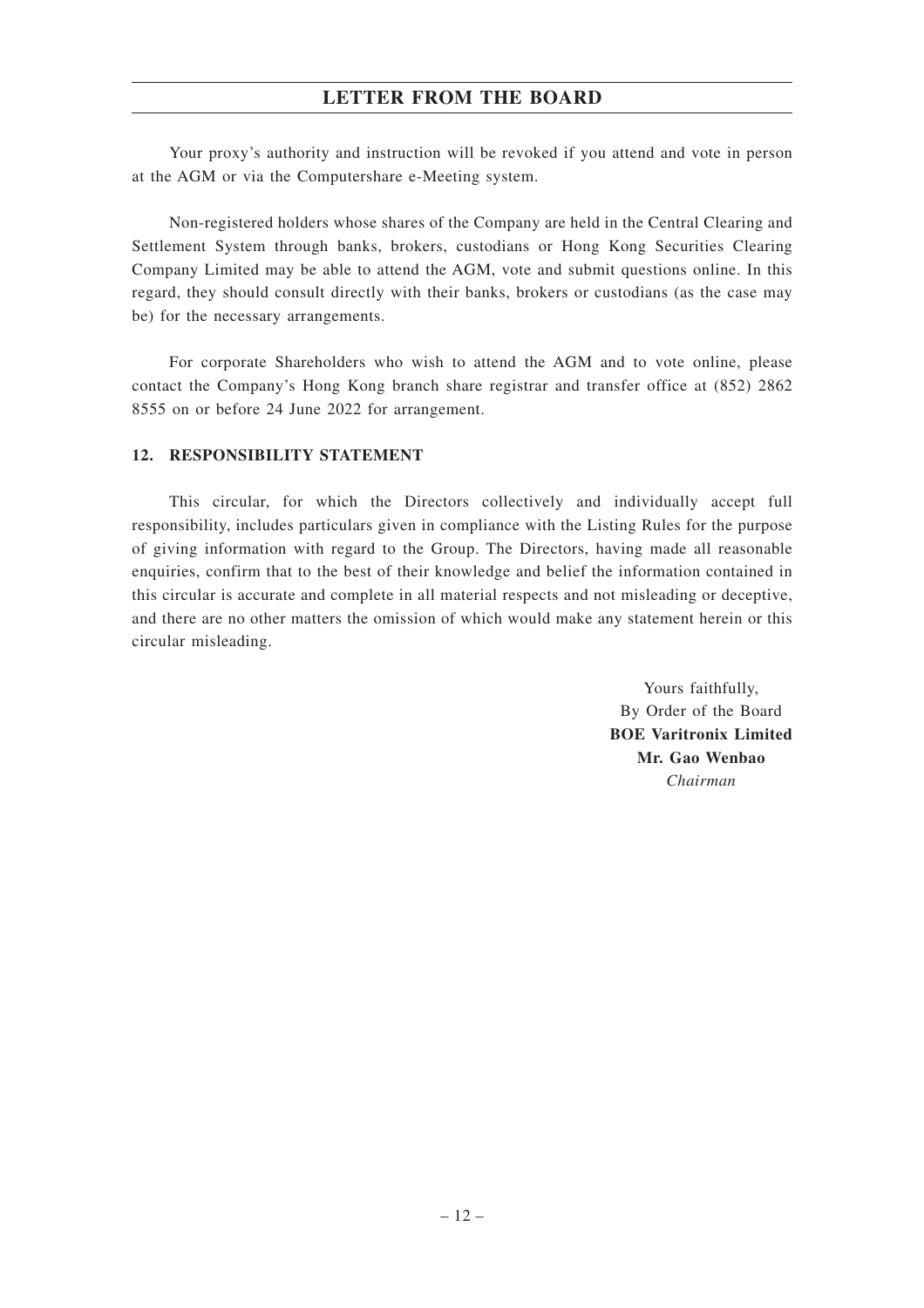Your proxy's authority and instruction will be revoked if you attend and vote in person at the AGM or via the Computershare e-Meeting system.

Non-registered holders whose shares of the Company are held in the Central Clearing and Settlement System through banks, brokers, custodians or Hong Kong Securities Clearing Company Limited may be able to attend the AGM, vote and submit questions online. In this regard, they should consult directly with their banks, brokers or custodians (as the case may be) for the necessary arrangements.

For corporate Shareholders who wish to attend the AGM and to vote online, please contact the Company's Hong Kong branch share registrar and transfer office at (852) 2862 8555 on or before 24 June 2022 for arrangement.

#### **12. RESPONSIBILITY STATEMENT**

This circular, for which the Directors collectively and individually accept full responsibility, includes particulars given in compliance with the Listing Rules for the purpose of giving information with regard to the Group. The Directors, having made all reasonable enquiries, confirm that to the best of their knowledge and belief the information contained in this circular is accurate and complete in all material respects and not misleading or deceptive, and there are no other matters the omission of which would make any statement herein or this circular misleading.

> Yours faithfully, By Order of the Board **BOE Varitronix Limited Mr. Gao Wenbao** *Chairman*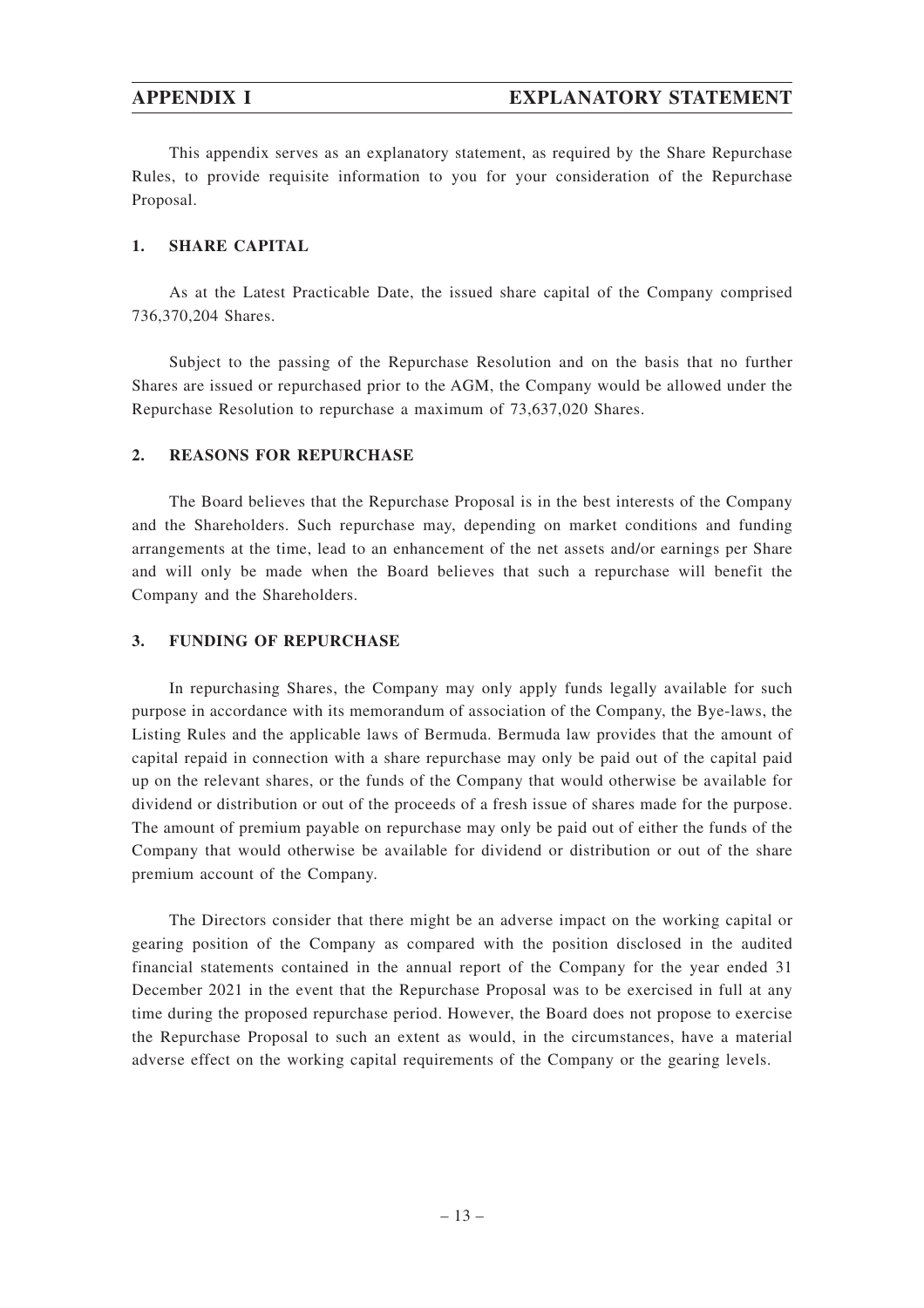This appendix serves as an explanatory statement, as required by the Share Repurchase Rules, to provide requisite information to you for your consideration of the Repurchase Proposal.

#### **1. SHARE CAPITAL**

As at the Latest Practicable Date, the issued share capital of the Company comprised 736,370,204 Shares.

Subject to the passing of the Repurchase Resolution and on the basis that no further Shares are issued or repurchased prior to the AGM, the Company would be allowed under the Repurchase Resolution to repurchase a maximum of 73,637,020 Shares.

#### **2. REASONS FOR REPURCHASE**

The Board believes that the Repurchase Proposal is in the best interests of the Company and the Shareholders. Such repurchase may, depending on market conditions and funding arrangements at the time, lead to an enhancement of the net assets and/or earnings per Share and will only be made when the Board believes that such a repurchase will benefit the Company and the Shareholders.

#### **3. FUNDING OF REPURCHASE**

In repurchasing Shares, the Company may only apply funds legally available for such purpose in accordance with its memorandum of association of the Company, the Bye-laws, the Listing Rules and the applicable laws of Bermuda. Bermuda law provides that the amount of capital repaid in connection with a share repurchase may only be paid out of the capital paid up on the relevant shares, or the funds of the Company that would otherwise be available for dividend or distribution or out of the proceeds of a fresh issue of shares made for the purpose. The amount of premium payable on repurchase may only be paid out of either the funds of the Company that would otherwise be available for dividend or distribution or out of the share premium account of the Company.

The Directors consider that there might be an adverse impact on the working capital or gearing position of the Company as compared with the position disclosed in the audited financial statements contained in the annual report of the Company for the year ended 31 December 2021 in the event that the Repurchase Proposal was to be exercised in full at any time during the proposed repurchase period. However, the Board does not propose to exercise the Repurchase Proposal to such an extent as would, in the circumstances, have a material adverse effect on the working capital requirements of the Company or the gearing levels.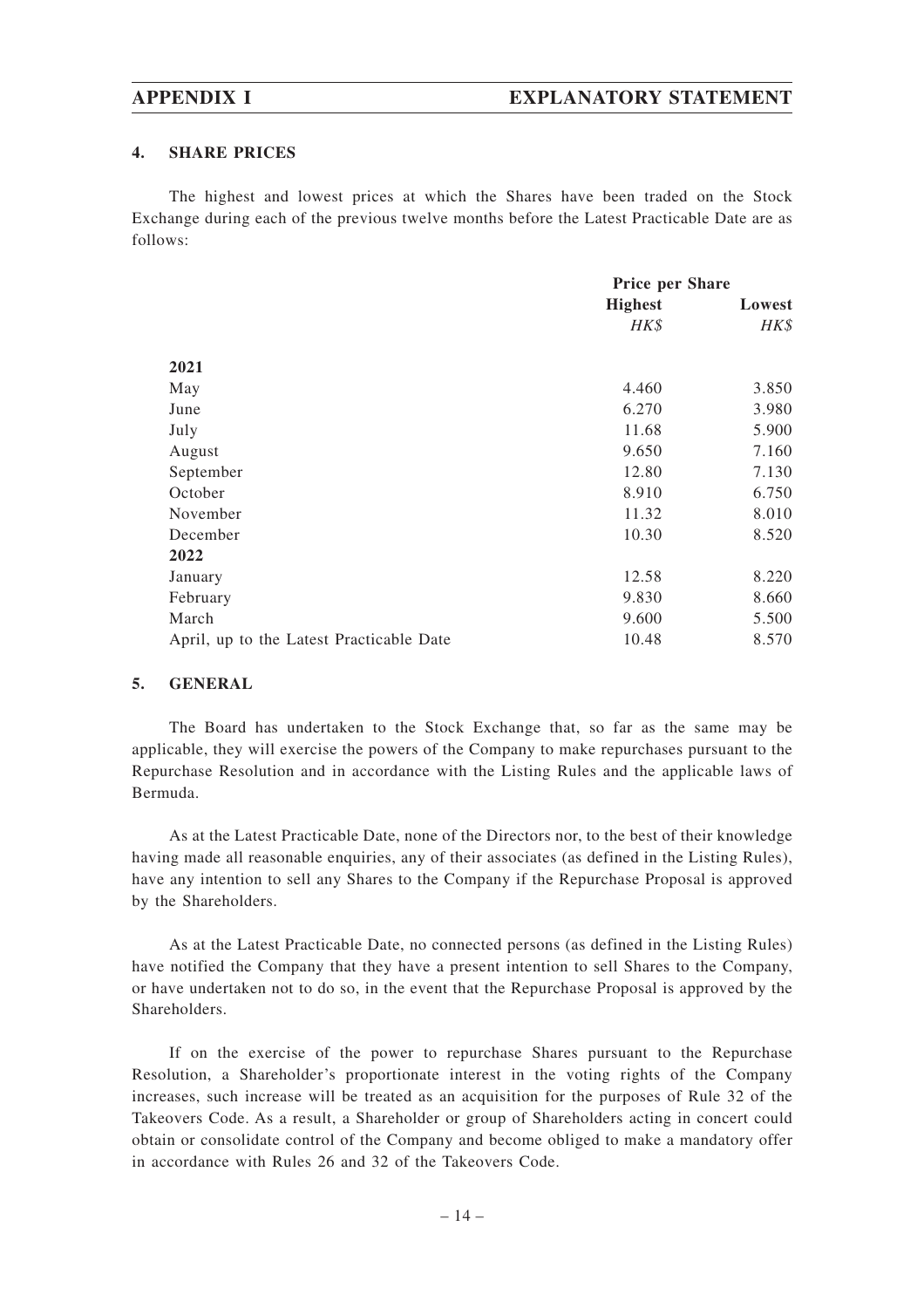#### **4. SHARE PRICES**

The highest and lowest prices at which the Shares have been traded on the Stock Exchange during each of the previous twelve months before the Latest Practicable Date are as follows:

|                                          | Price per Share |        |
|------------------------------------------|-----------------|--------|
|                                          | <b>Highest</b>  | Lowest |
|                                          | HK\$            | HK\$   |
| 2021                                     |                 |        |
| May                                      | 4.460           | 3.850  |
| June                                     | 6.270           | 3.980  |
| July                                     | 11.68           | 5.900  |
| August                                   | 9.650           | 7.160  |
| September                                | 12.80           | 7.130  |
| October                                  | 8.910           | 6.750  |
| November                                 | 11.32           | 8.010  |
| December                                 | 10.30           | 8.520  |
| 2022                                     |                 |        |
| January                                  | 12.58           | 8.220  |
| February                                 | 9.830           | 8.660  |
| March                                    | 9.600           | 5.500  |
| April, up to the Latest Practicable Date | 10.48           | 8.570  |

#### **5. GENERAL**

The Board has undertaken to the Stock Exchange that, so far as the same may be applicable, they will exercise the powers of the Company to make repurchases pursuant to the Repurchase Resolution and in accordance with the Listing Rules and the applicable laws of Bermuda.

As at the Latest Practicable Date, none of the Directors nor, to the best of their knowledge having made all reasonable enquiries, any of their associates (as defined in the Listing Rules), have any intention to sell any Shares to the Company if the Repurchase Proposal is approved by the Shareholders.

As at the Latest Practicable Date, no connected persons (as defined in the Listing Rules) have notified the Company that they have a present intention to sell Shares to the Company, or have undertaken not to do so, in the event that the Repurchase Proposal is approved by the **Shareholders** 

If on the exercise of the power to repurchase Shares pursuant to the Repurchase Resolution, a Shareholder's proportionate interest in the voting rights of the Company increases, such increase will be treated as an acquisition for the purposes of Rule 32 of the Takeovers Code. As a result, a Shareholder or group of Shareholders acting in concert could obtain or consolidate control of the Company and become obliged to make a mandatory offer in accordance with Rules 26 and 32 of the Takeovers Code.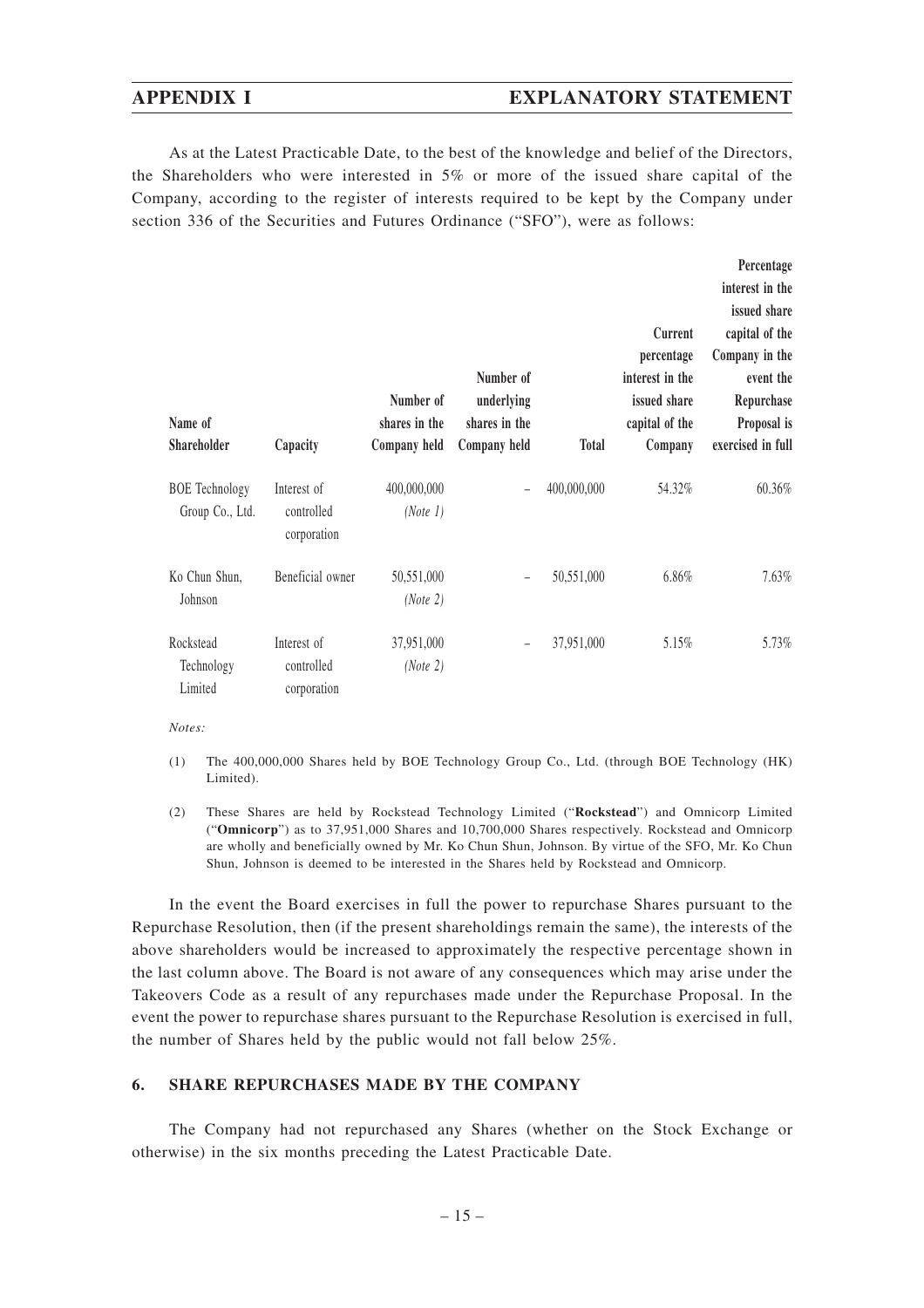#### **APPENDIX I EXPLANATORY STATEMENT**

As at the Latest Practicable Date, to the best of the knowledge and belief of the Directors, the Shareholders who were interested in 5% or more of the issued share capital of the Company, according to the register of interests required to be kept by the Company under section 336 of the Securities and Futures Ordinance ("SFO"), were as follows:

| Name of<br>Shareholder                   | Capacity                                 | Number of<br>shares in the<br>Company held | Number of<br>underlying<br>shares in the<br>Company held | <b>Total</b> | Current<br>percentage<br>interest in the<br>issued share<br>capital of the<br>Company | Percentage<br>interest in the<br>issued share<br>capital of the<br>Company in the<br>event the<br>Repurchase<br>Proposal is<br>exercised in full |
|------------------------------------------|------------------------------------------|--------------------------------------------|----------------------------------------------------------|--------------|---------------------------------------------------------------------------------------|--------------------------------------------------------------------------------------------------------------------------------------------------|
| <b>BOE</b> Technology<br>Group Co., Ltd. | Interest of<br>controlled<br>corporation | 400,000,000<br>(Note 1)                    |                                                          | 400,000,000  | 54.32%                                                                                | 60.36%                                                                                                                                           |
| Ko Chun Shun,<br>Johnson                 | Beneficial owner                         | 50,551,000<br>(Note 2)                     |                                                          | 50,551,000   | 6.86%                                                                                 | $7.63\%$                                                                                                                                         |
| Rockstead<br>Technology<br>Limited       | Interest of<br>controlled<br>corporation | 37,951,000<br>(Note 2)                     | $\overline{\phantom{m}}$                                 | 37,951,000   | 5.15%                                                                                 | 5.73%                                                                                                                                            |

*Notes:*

- (1) The 400,000,000 Shares held by BOE Technology Group Co., Ltd. (through BOE Technology (HK) Limited).
- (2) These Shares are held by Rockstead Technology Limited ("**Rockstead**") and Omnicorp Limited ("**Omnicorp**") as to 37,951,000 Shares and 10,700,000 Shares respectively. Rockstead and Omnicorp are wholly and beneficially owned by Mr. Ko Chun Shun, Johnson. By virtue of the SFO, Mr. Ko Chun Shun, Johnson is deemed to be interested in the Shares held by Rockstead and Omnicorp.

In the event the Board exercises in full the power to repurchase Shares pursuant to the Repurchase Resolution, then (if the present shareholdings remain the same), the interests of the above shareholders would be increased to approximately the respective percentage shown in the last column above. The Board is not aware of any consequences which may arise under the Takeovers Code as a result of any repurchases made under the Repurchase Proposal. In the event the power to repurchase shares pursuant to the Repurchase Resolution is exercised in full, the number of Shares held by the public would not fall below 25%.

#### **6. SHARE REPURCHASES MADE BY THE COMPANY**

The Company had not repurchased any Shares (whether on the Stock Exchange or otherwise) in the six months preceding the Latest Practicable Date.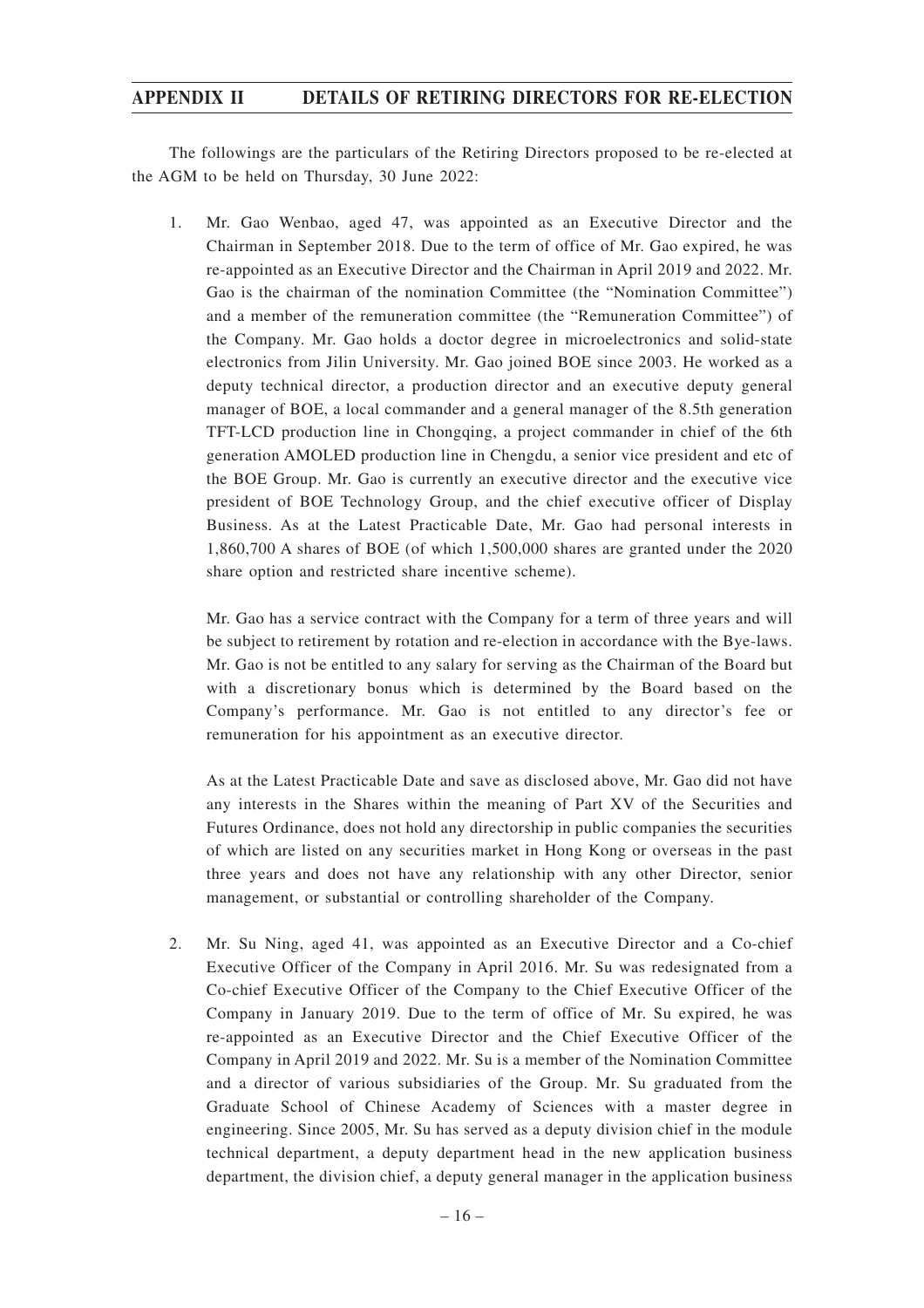The followings are the particulars of the Retiring Directors proposed to be re-elected at the AGM to be held on Thursday, 30 June 2022:

1. Mr. Gao Wenbao, aged 47, was appointed as an Executive Director and the Chairman in September 2018. Due to the term of office of Mr. Gao expired, he was re-appointed as an Executive Director and the Chairman in April 2019 and 2022. Mr. Gao is the chairman of the nomination Committee (the "Nomination Committee") and a member of the remuneration committee (the "Remuneration Committee") of the Company. Mr. Gao holds a doctor degree in microelectronics and solid-state electronics from Jilin University. Mr. Gao joined BOE since 2003. He worked as a deputy technical director, a production director and an executive deputy general manager of BOE, a local commander and a general manager of the 8.5th generation TFT-LCD production line in Chongqing, a project commander in chief of the 6th generation AMOLED production line in Chengdu, a senior vice president and etc of the BOE Group. Mr. Gao is currently an executive director and the executive vice president of BOE Technology Group, and the chief executive officer of Display Business. As at the Latest Practicable Date, Mr. Gao had personal interests in 1,860,700 A shares of BOE (of which 1,500,000 shares are granted under the 2020 share option and restricted share incentive scheme).

Mr. Gao has a service contract with the Company for a term of three years and will be subject to retirement by rotation and re-election in accordance with the Bye-laws. Mr. Gao is not be entitled to any salary for serving as the Chairman of the Board but with a discretionary bonus which is determined by the Board based on the Company's performance. Mr. Gao is not entitled to any director's fee or remuneration for his appointment as an executive director.

As at the Latest Practicable Date and save as disclosed above, Mr. Gao did not have any interests in the Shares within the meaning of Part XV of the Securities and Futures Ordinance, does not hold any directorship in public companies the securities of which are listed on any securities market in Hong Kong or overseas in the past three years and does not have any relationship with any other Director, senior management, or substantial or controlling shareholder of the Company.

2. Mr. Su Ning, aged 41, was appointed as an Executive Director and a Co-chief Executive Officer of the Company in April 2016. Mr. Su was redesignated from a Co-chief Executive Officer of the Company to the Chief Executive Officer of the Company in January 2019. Due to the term of office of Mr. Su expired, he was re-appointed as an Executive Director and the Chief Executive Officer of the Company in April 2019 and 2022. Mr. Su is a member of the Nomination Committee and a director of various subsidiaries of the Group. Mr. Su graduated from the Graduate School of Chinese Academy of Sciences with a master degree in engineering. Since 2005, Mr. Su has served as a deputy division chief in the module technical department, a deputy department head in the new application business department, the division chief, a deputy general manager in the application business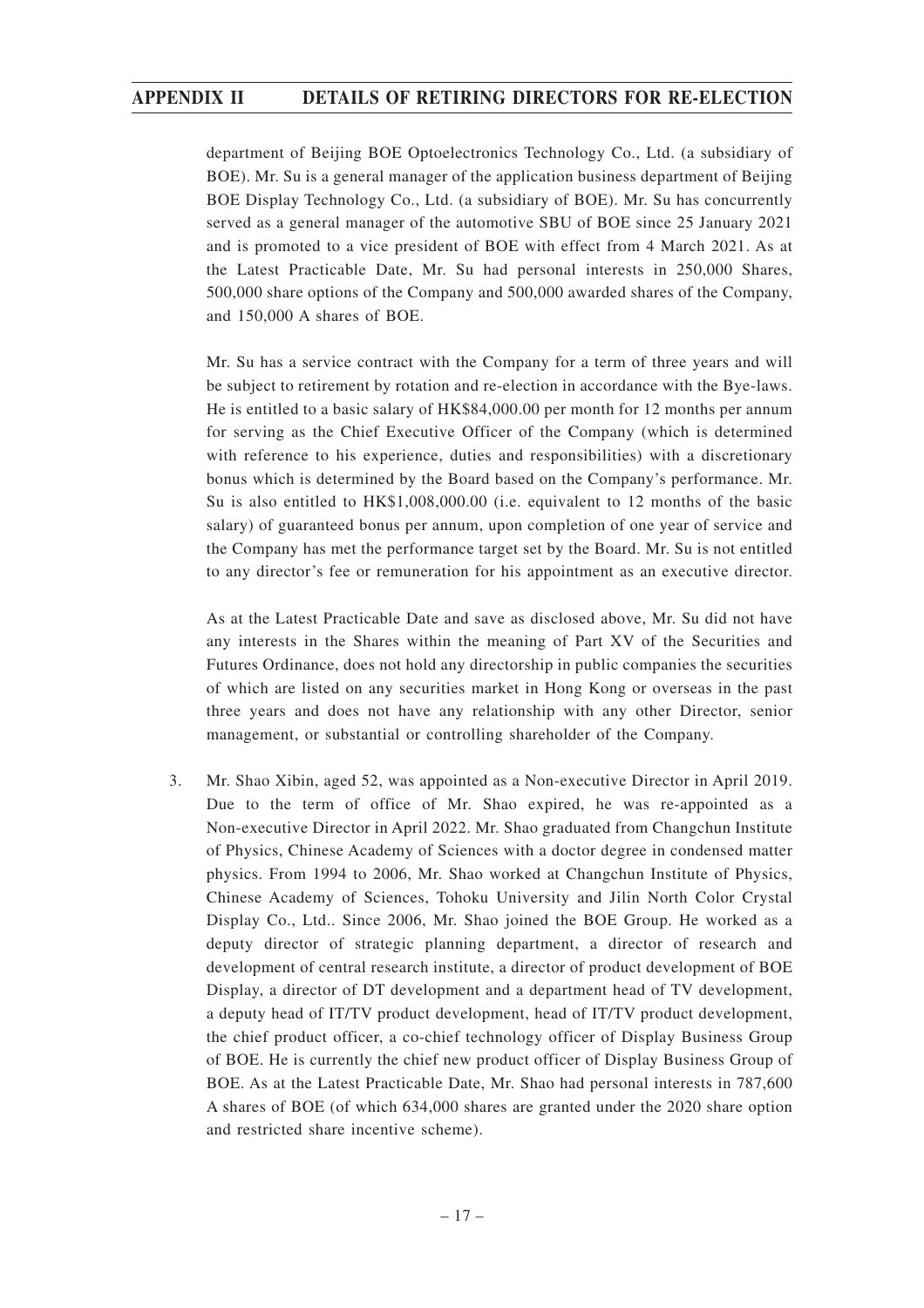department of Beijing BOE Optoelectronics Technology Co., Ltd. (a subsidiary of BOE). Mr. Su is a general manager of the application business department of Beijing BOE Display Technology Co., Ltd. (a subsidiary of BOE). Mr. Su has concurrently served as a general manager of the automotive SBU of BOE since 25 January 2021 and is promoted to a vice president of BOE with effect from 4 March 2021. As at the Latest Practicable Date, Mr. Su had personal interests in 250,000 Shares, 500,000 share options of the Company and 500,000 awarded shares of the Company, and 150,000 A shares of BOE.

Mr. Su has a service contract with the Company for a term of three years and will be subject to retirement by rotation and re-election in accordance with the Bye-laws. He is entitled to a basic salary of HK\$84,000.00 per month for 12 months per annum for serving as the Chief Executive Officer of the Company (which is determined with reference to his experience, duties and responsibilities) with a discretionary bonus which is determined by the Board based on the Company's performance. Mr. Su is also entitled to HK\$1,008,000.00 (i.e. equivalent to 12 months of the basic salary) of guaranteed bonus per annum, upon completion of one year of service and the Company has met the performance target set by the Board. Mr. Su is not entitled to any director's fee or remuneration for his appointment as an executive director.

As at the Latest Practicable Date and save as disclosed above, Mr. Su did not have any interests in the Shares within the meaning of Part XV of the Securities and Futures Ordinance, does not hold any directorship in public companies the securities of which are listed on any securities market in Hong Kong or overseas in the past three years and does not have any relationship with any other Director, senior management, or substantial or controlling shareholder of the Company.

3. Mr. Shao Xibin, aged 52, was appointed as a Non-executive Director in April 2019. Due to the term of office of Mr. Shao expired, he was re-appointed as a Non-executive Director in April 2022. Mr. Shao graduated from Changchun Institute of Physics, Chinese Academy of Sciences with a doctor degree in condensed matter physics. From 1994 to 2006, Mr. Shao worked at Changchun Institute of Physics, Chinese Academy of Sciences, Tohoku University and Jilin North Color Crystal Display Co., Ltd.. Since 2006, Mr. Shao joined the BOE Group. He worked as a deputy director of strategic planning department, a director of research and development of central research institute, a director of product development of BOE Display, a director of DT development and a department head of TV development, a deputy head of IT/TV product development, head of IT/TV product development, the chief product officer, a co-chief technology officer of Display Business Group of BOE. He is currently the chief new product officer of Display Business Group of BOE. As at the Latest Practicable Date, Mr. Shao had personal interests in 787,600 A shares of BOE (of which 634,000 shares are granted under the 2020 share option and restricted share incentive scheme).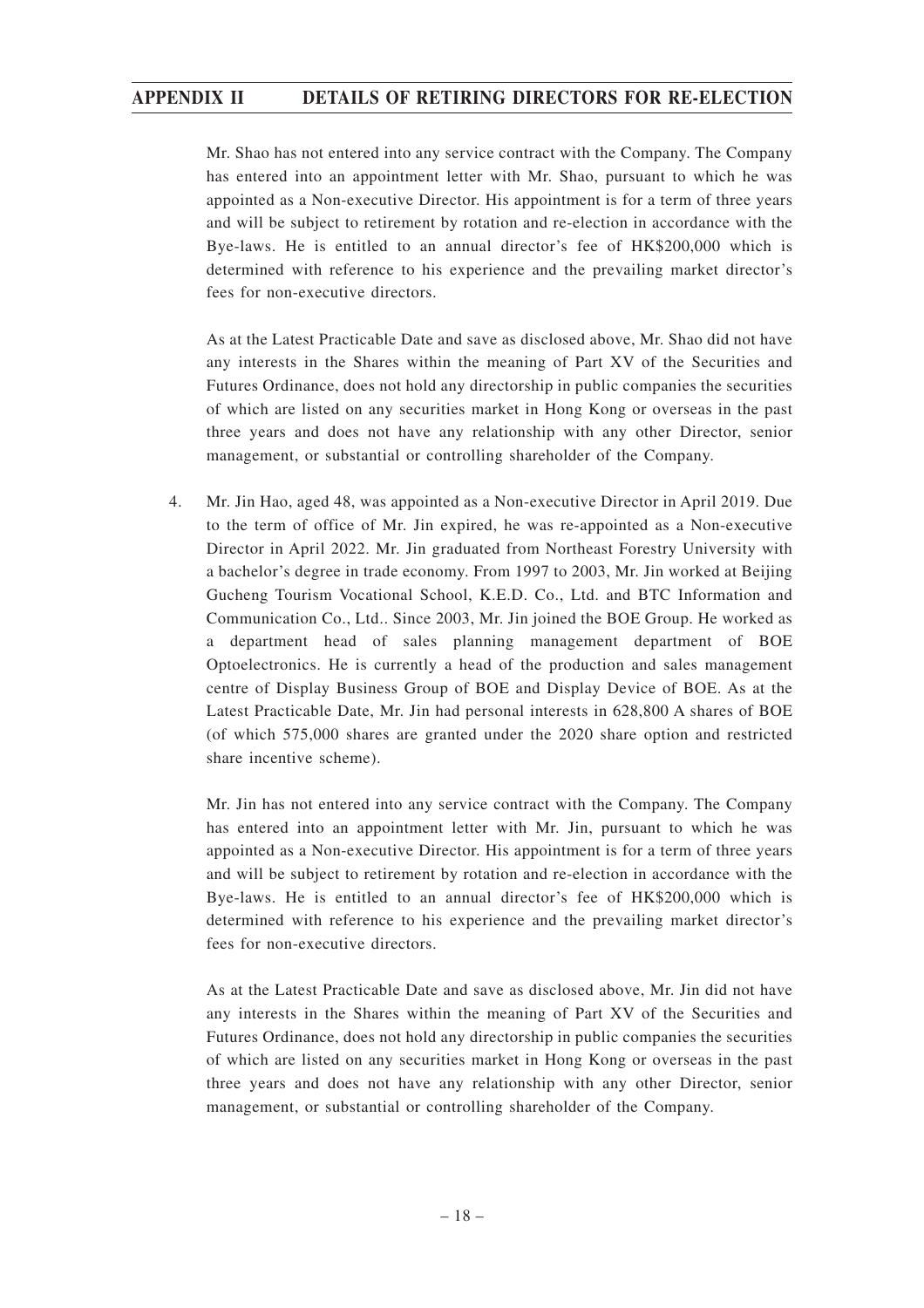Mr. Shao has not entered into any service contract with the Company. The Company has entered into an appointment letter with Mr. Shao, pursuant to which he was appointed as a Non-executive Director. His appointment is for a term of three years and will be subject to retirement by rotation and re-election in accordance with the Bye-laws. He is entitled to an annual director's fee of HK\$200,000 which is determined with reference to his experience and the prevailing market director's fees for non-executive directors.

As at the Latest Practicable Date and save as disclosed above, Mr. Shao did not have any interests in the Shares within the meaning of Part XV of the Securities and Futures Ordinance, does not hold any directorship in public companies the securities of which are listed on any securities market in Hong Kong or overseas in the past three years and does not have any relationship with any other Director, senior management, or substantial or controlling shareholder of the Company.

4. Mr. Jin Hao, aged 48, was appointed as a Non-executive Director in April 2019. Due to the term of office of Mr. Jin expired, he was re-appointed as a Non-executive Director in April 2022. Mr. Jin graduated from Northeast Forestry University with a bachelor's degree in trade economy. From 1997 to 2003, Mr. Jin worked at Beijing Gucheng Tourism Vocational School, K.E.D. Co., Ltd. and BTC Information and Communication Co., Ltd.. Since 2003, Mr. Jin joined the BOE Group. He worked as a department head of sales planning management department of BOE Optoelectronics. He is currently a head of the production and sales management centre of Display Business Group of BOE and Display Device of BOE. As at the Latest Practicable Date, Mr. Jin had personal interests in 628,800 A shares of BOE (of which 575,000 shares are granted under the 2020 share option and restricted share incentive scheme).

Mr. Jin has not entered into any service contract with the Company. The Company has entered into an appointment letter with Mr. Jin, pursuant to which he was appointed as a Non-executive Director. His appointment is for a term of three years and will be subject to retirement by rotation and re-election in accordance with the Bye-laws. He is entitled to an annual director's fee of HK\$200,000 which is determined with reference to his experience and the prevailing market director's fees for non-executive directors.

As at the Latest Practicable Date and save as disclosed above, Mr. Jin did not have any interests in the Shares within the meaning of Part XV of the Securities and Futures Ordinance, does not hold any directorship in public companies the securities of which are listed on any securities market in Hong Kong or overseas in the past three years and does not have any relationship with any other Director, senior management, or substantial or controlling shareholder of the Company.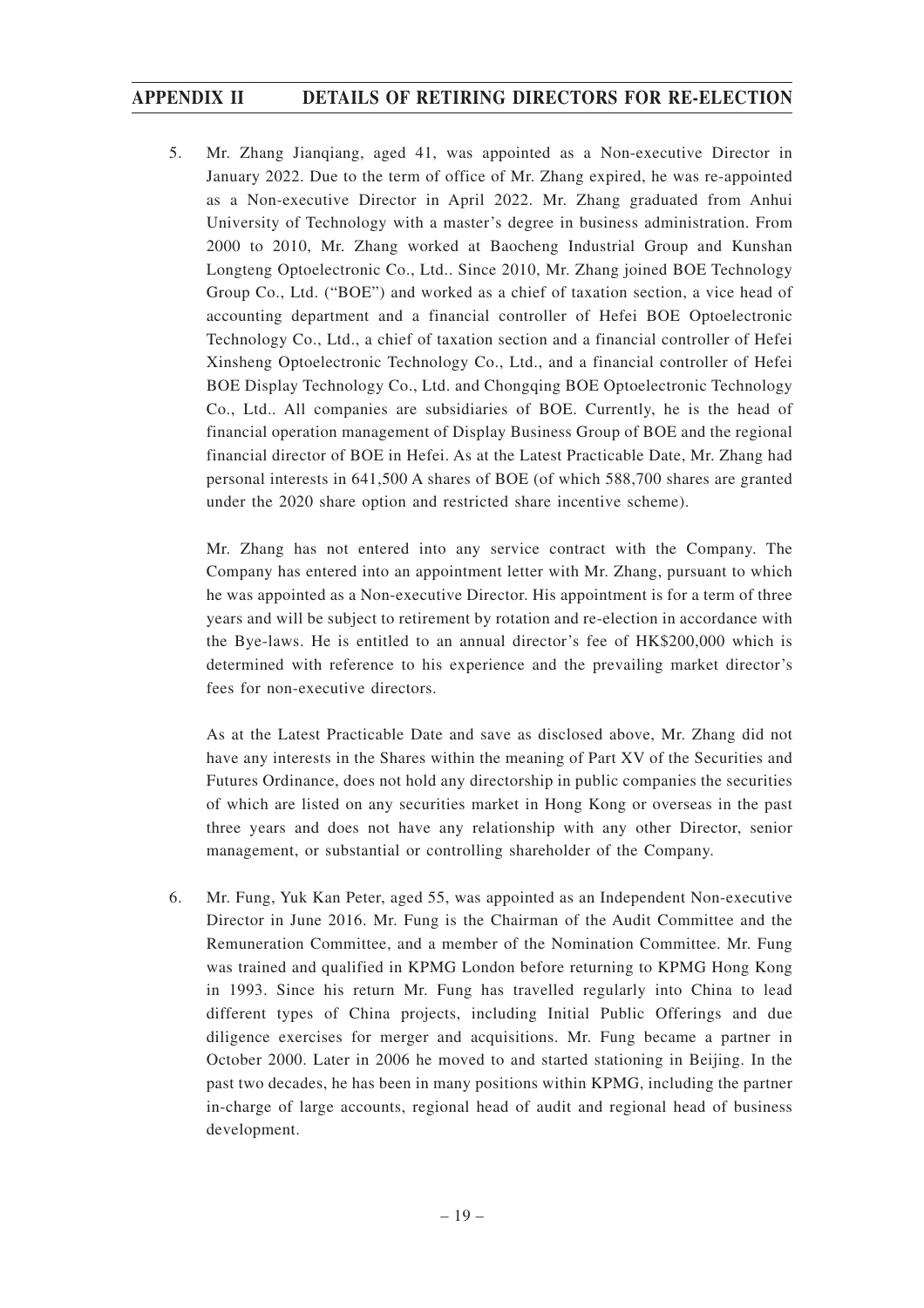5. Mr. Zhang Jianqiang, aged 41, was appointed as a Non-executive Director in January 2022. Due to the term of office of Mr. Zhang expired, he was re-appointed as a Non-executive Director in April 2022. Mr. Zhang graduated from Anhui University of Technology with a master's degree in business administration. From 2000 to 2010, Mr. Zhang worked at Baocheng Industrial Group and Kunshan Longteng Optoelectronic Co., Ltd.. Since 2010, Mr. Zhang joined BOE Technology Group Co., Ltd. ("BOE") and worked as a chief of taxation section, a vice head of accounting department and a financial controller of Hefei BOE Optoelectronic Technology Co., Ltd., a chief of taxation section and a financial controller of Hefei Xinsheng Optoelectronic Technology Co., Ltd., and a financial controller of Hefei BOE Display Technology Co., Ltd. and Chongqing BOE Optoelectronic Technology Co., Ltd.. All companies are subsidiaries of BOE. Currently, he is the head of financial operation management of Display Business Group of BOE and the regional financial director of BOE in Hefei. As at the Latest Practicable Date, Mr. Zhang had personal interests in 641,500 A shares of BOE (of which 588,700 shares are granted under the 2020 share option and restricted share incentive scheme).

Mr. Zhang has not entered into any service contract with the Company. The Company has entered into an appointment letter with Mr. Zhang, pursuant to which he was appointed as a Non-executive Director. His appointment is for a term of three years and will be subject to retirement by rotation and re-election in accordance with the Bye-laws. He is entitled to an annual director's fee of HK\$200,000 which is determined with reference to his experience and the prevailing market director's fees for non-executive directors.

As at the Latest Practicable Date and save as disclosed above, Mr. Zhang did not have any interests in the Shares within the meaning of Part XV of the Securities and Futures Ordinance, does not hold any directorship in public companies the securities of which are listed on any securities market in Hong Kong or overseas in the past three years and does not have any relationship with any other Director, senior management, or substantial or controlling shareholder of the Company.

6. Mr. Fung, Yuk Kan Peter, aged 55, was appointed as an Independent Non-executive Director in June 2016. Mr. Fung is the Chairman of the Audit Committee and the Remuneration Committee, and a member of the Nomination Committee. Mr. Fung was trained and qualified in KPMG London before returning to KPMG Hong Kong in 1993. Since his return Mr. Fung has travelled regularly into China to lead different types of China projects, including Initial Public Offerings and due diligence exercises for merger and acquisitions. Mr. Fung became a partner in October 2000. Later in 2006 he moved to and started stationing in Beijing. In the past two decades, he has been in many positions within KPMG, including the partner in-charge of large accounts, regional head of audit and regional head of business development.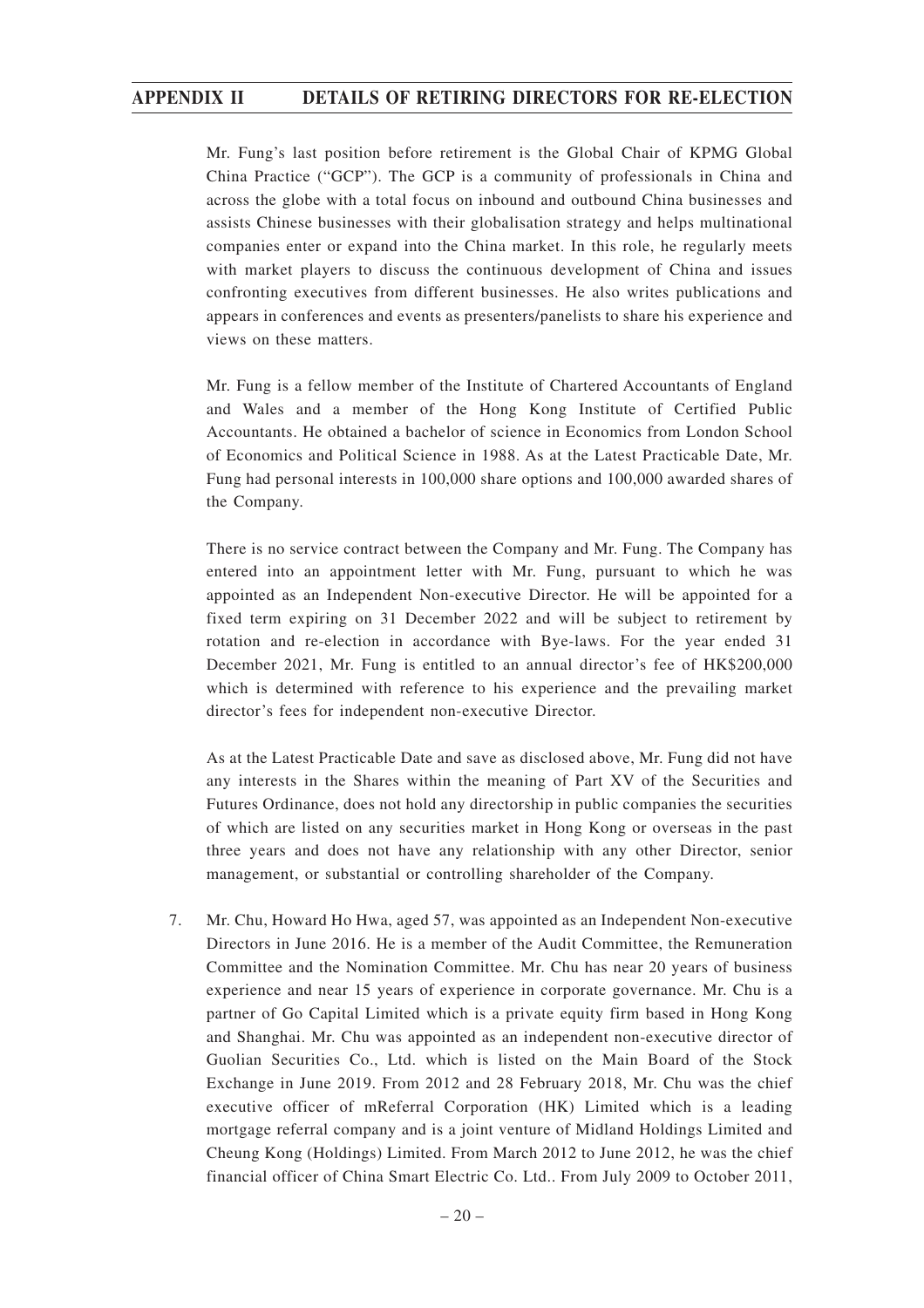Mr. Fung's last position before retirement is the Global Chair of KPMG Global China Practice ("GCP"). The GCP is a community of professionals in China and across the globe with a total focus on inbound and outbound China businesses and assists Chinese businesses with their globalisation strategy and helps multinational companies enter or expand into the China market. In this role, he regularly meets with market players to discuss the continuous development of China and issues confronting executives from different businesses. He also writes publications and appears in conferences and events as presenters/panelists to share his experience and views on these matters.

Mr. Fung is a fellow member of the Institute of Chartered Accountants of England and Wales and a member of the Hong Kong Institute of Certified Public Accountants. He obtained a bachelor of science in Economics from London School of Economics and Political Science in 1988. As at the Latest Practicable Date, Mr. Fung had personal interests in 100,000 share options and 100,000 awarded shares of the Company.

There is no service contract between the Company and Mr. Fung. The Company has entered into an appointment letter with Mr. Fung, pursuant to which he was appointed as an Independent Non-executive Director. He will be appointed for a fixed term expiring on 31 December 2022 and will be subject to retirement by rotation and re-election in accordance with Bye-laws. For the year ended 31 December 2021, Mr. Fung is entitled to an annual director's fee of HK\$200,000 which is determined with reference to his experience and the prevailing market director's fees for independent non-executive Director.

As at the Latest Practicable Date and save as disclosed above, Mr. Fung did not have any interests in the Shares within the meaning of Part XV of the Securities and Futures Ordinance, does not hold any directorship in public companies the securities of which are listed on any securities market in Hong Kong or overseas in the past three years and does not have any relationship with any other Director, senior management, or substantial or controlling shareholder of the Company.

7. Mr. Chu, Howard Ho Hwa, aged 57, was appointed as an Independent Non-executive Directors in June 2016. He is a member of the Audit Committee, the Remuneration Committee and the Nomination Committee. Mr. Chu has near 20 years of business experience and near 15 years of experience in corporate governance. Mr. Chu is a partner of Go Capital Limited which is a private equity firm based in Hong Kong and Shanghai. Mr. Chu was appointed as an independent non-executive director of Guolian Securities Co., Ltd. which is listed on the Main Board of the Stock Exchange in June 2019. From 2012 and 28 February 2018, Mr. Chu was the chief executive officer of mReferral Corporation (HK) Limited which is a leading mortgage referral company and is a joint venture of Midland Holdings Limited and Cheung Kong (Holdings) Limited. From March 2012 to June 2012, he was the chief financial officer of China Smart Electric Co. Ltd.. From July 2009 to October 2011,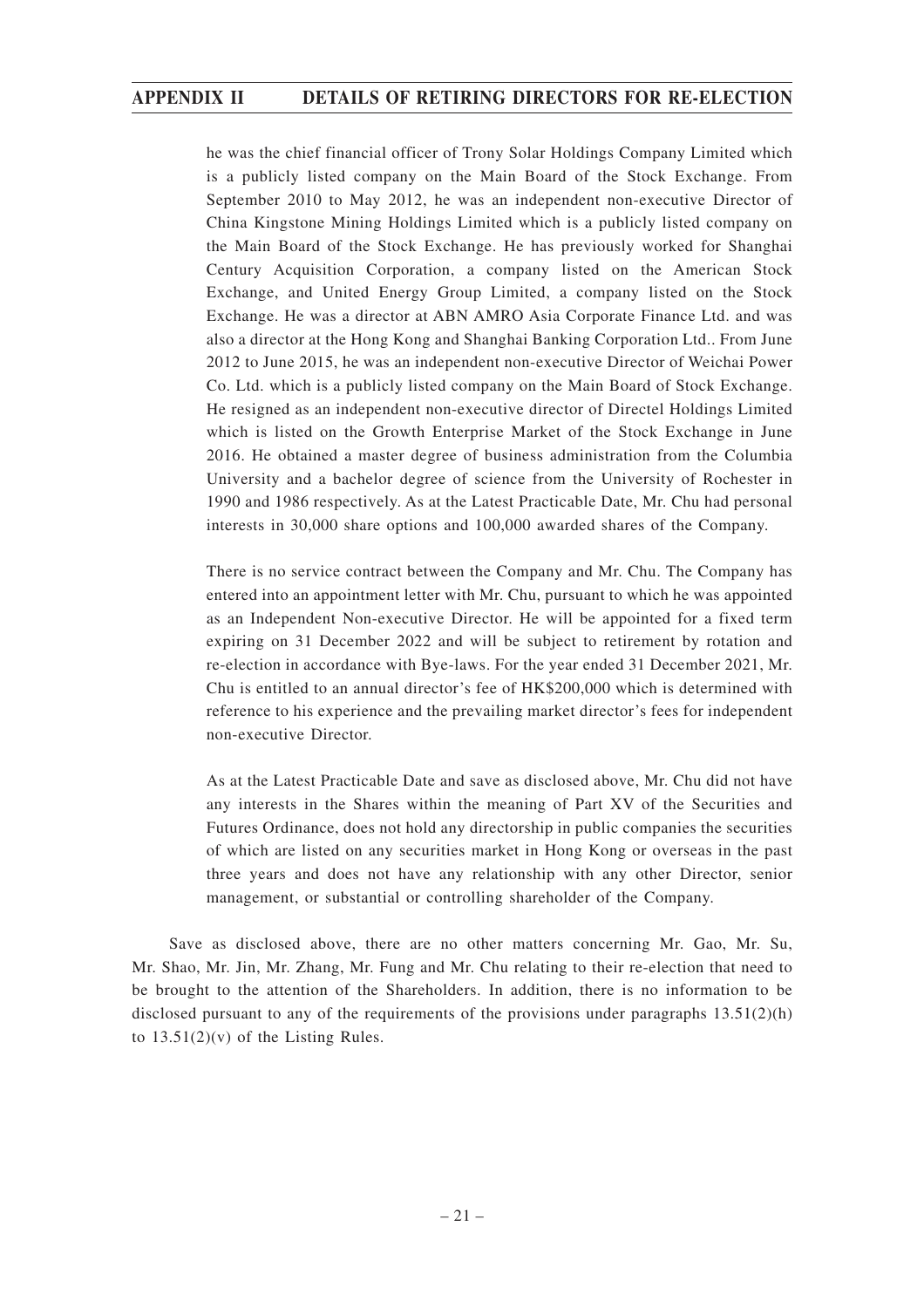he was the chief financial officer of Trony Solar Holdings Company Limited which is a publicly listed company on the Main Board of the Stock Exchange. From September 2010 to May 2012, he was an independent non-executive Director of China Kingstone Mining Holdings Limited which is a publicly listed company on the Main Board of the Stock Exchange. He has previously worked for Shanghai Century Acquisition Corporation, a company listed on the American Stock Exchange, and United Energy Group Limited, a company listed on the Stock Exchange. He was a director at ABN AMRO Asia Corporate Finance Ltd. and was also a director at the Hong Kong and Shanghai Banking Corporation Ltd.. From June 2012 to June 2015, he was an independent non-executive Director of Weichai Power Co. Ltd. which is a publicly listed company on the Main Board of Stock Exchange. He resigned as an independent non-executive director of Directel Holdings Limited which is listed on the Growth Enterprise Market of the Stock Exchange in June 2016. He obtained a master degree of business administration from the Columbia University and a bachelor degree of science from the University of Rochester in 1990 and 1986 respectively. As at the Latest Practicable Date, Mr. Chu had personal interests in 30,000 share options and 100,000 awarded shares of the Company.

There is no service contract between the Company and Mr. Chu. The Company has entered into an appointment letter with Mr. Chu, pursuant to which he was appointed as an Independent Non-executive Director. He will be appointed for a fixed term expiring on 31 December 2022 and will be subject to retirement by rotation and re-election in accordance with Bye-laws. For the year ended 31 December 2021, Mr. Chu is entitled to an annual director's fee of HK\$200,000 which is determined with reference to his experience and the prevailing market director's fees for independent non-executive Director.

As at the Latest Practicable Date and save as disclosed above, Mr. Chu did not have any interests in the Shares within the meaning of Part XV of the Securities and Futures Ordinance, does not hold any directorship in public companies the securities of which are listed on any securities market in Hong Kong or overseas in the past three years and does not have any relationship with any other Director, senior management, or substantial or controlling shareholder of the Company.

Save as disclosed above, there are no other matters concerning Mr. Gao, Mr. Su, Mr. Shao, Mr. Jin, Mr. Zhang, Mr. Fung and Mr. Chu relating to their re-election that need to be brought to the attention of the Shareholders. In addition, there is no information to be disclosed pursuant to any of the requirements of the provisions under paragraphs  $13.51(2)(h)$ to  $13.51(2)(v)$  of the Listing Rules.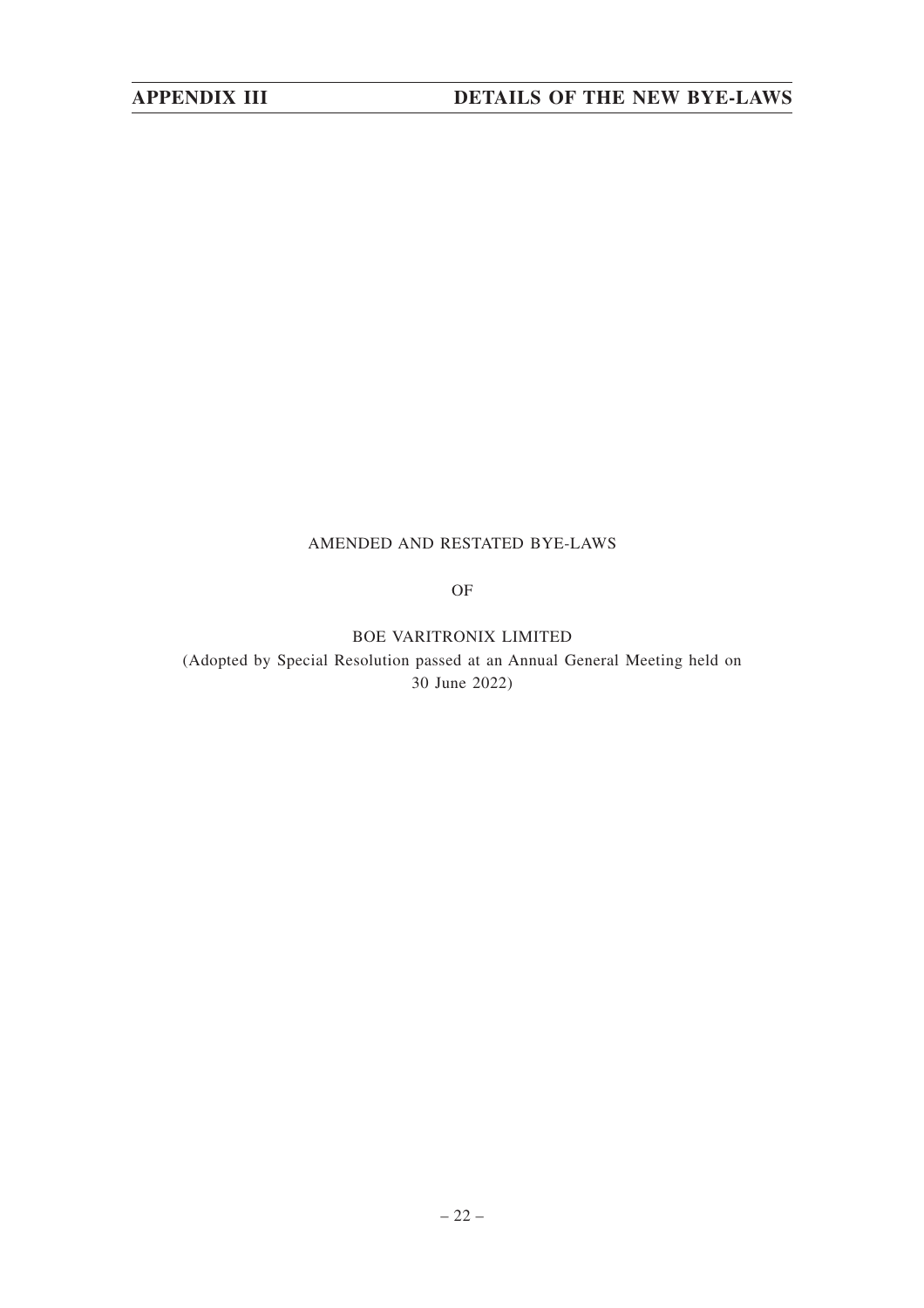#### AMENDED AND RESTATED BYE-LAWS

OF

BOE VARITRONIX LIMITED

(Adopted by Special Resolution passed at an Annual General Meeting held on 30 June 2022)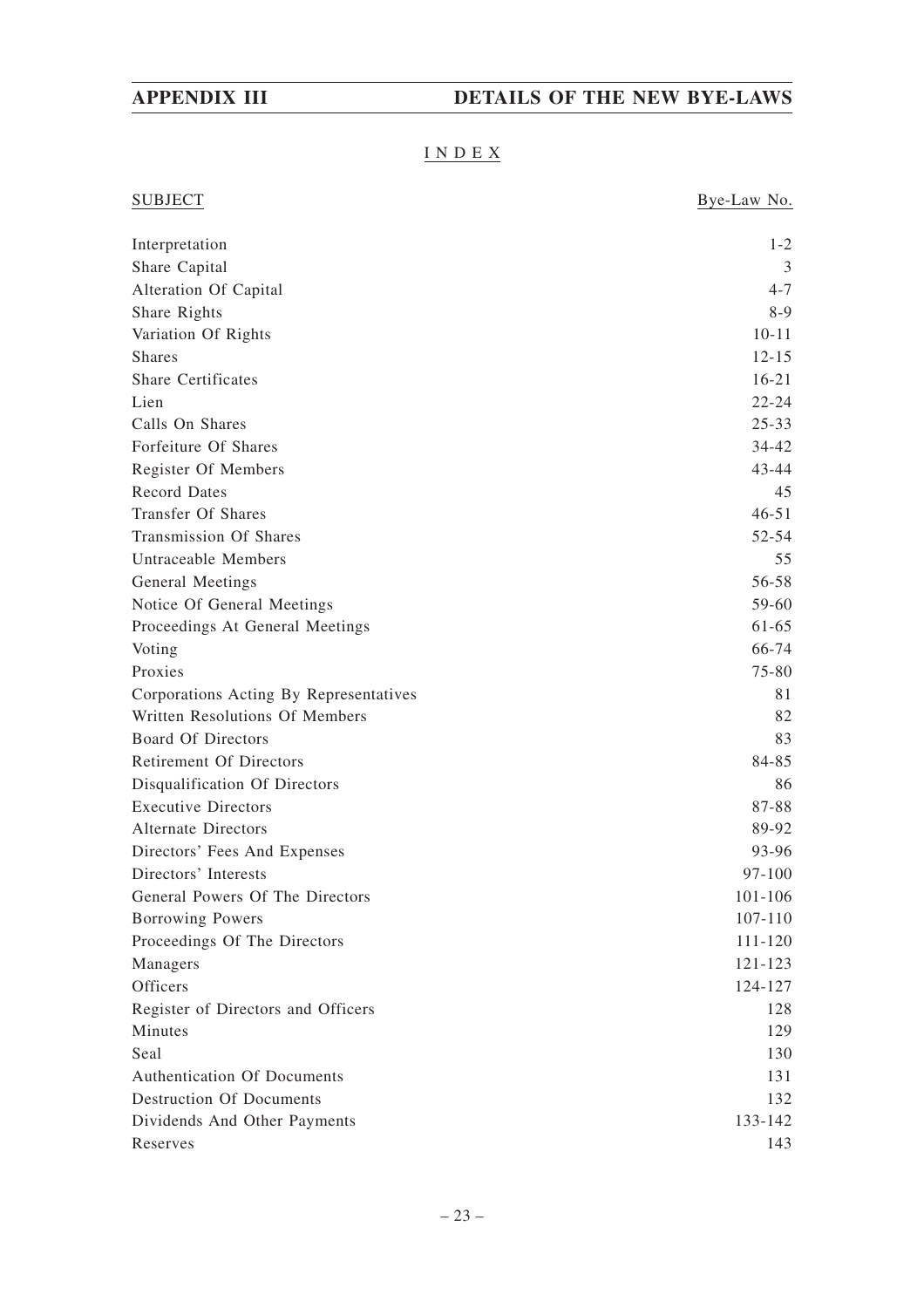### INDEX

| <b>SUBJECT</b>                         | Bye-Law No. |
|----------------------------------------|-------------|
| Interpretation                         | $1 - 2$     |
| Share Capital                          | 3           |
| Alteration Of Capital                  | $4 - 7$     |
| Share Rights                           | $8-9$       |
| Variation Of Rights                    | $10 - 11$   |
| <b>Shares</b>                          | $12 - 15$   |
| <b>Share Certificates</b>              | $16 - 21$   |
| Lien                                   | $22 - 24$   |
| Calls On Shares                        | $25 - 33$   |
| Forfeiture Of Shares                   | 34-42       |
| Register Of Members                    | 43-44       |
| <b>Record Dates</b>                    | 45          |
| <b>Transfer Of Shares</b>              | $46 - 51$   |
| Transmission Of Shares                 | 52-54       |
| <b>Untraceable Members</b>             | 55          |
| General Meetings                       | 56-58       |
| Notice Of General Meetings             | 59-60       |
| Proceedings At General Meetings        | 61-65       |
| Voting                                 | 66-74       |
| Proxies                                | 75-80       |
| Corporations Acting By Representatives | 81          |
| Written Resolutions Of Members         | 82          |
| <b>Board Of Directors</b>              | 83          |
| <b>Retirement Of Directors</b>         | 84-85       |
| Disqualification Of Directors          | 86          |
| <b>Executive Directors</b>             | 87-88       |
| <b>Alternate Directors</b>             | 89-92       |
| Directors' Fees And Expenses           | 93-96       |
| Directors' Interests                   | 97-100      |
| General Powers Of The Directors        | 101-106     |
| Borrowing Powers                       | 107-110     |
| Proceedings Of The Directors           | 111-120     |
| Managers                               | 121-123     |
| Officers                               | 124-127     |
| Register of Directors and Officers     | 128         |
| Minutes                                | 129         |
| Seal                                   | 130         |
| Authentication Of Documents            | 131         |
| <b>Destruction Of Documents</b>        | 132         |
| Dividends And Other Payments           | 133-142     |
| Reserves                               | 143         |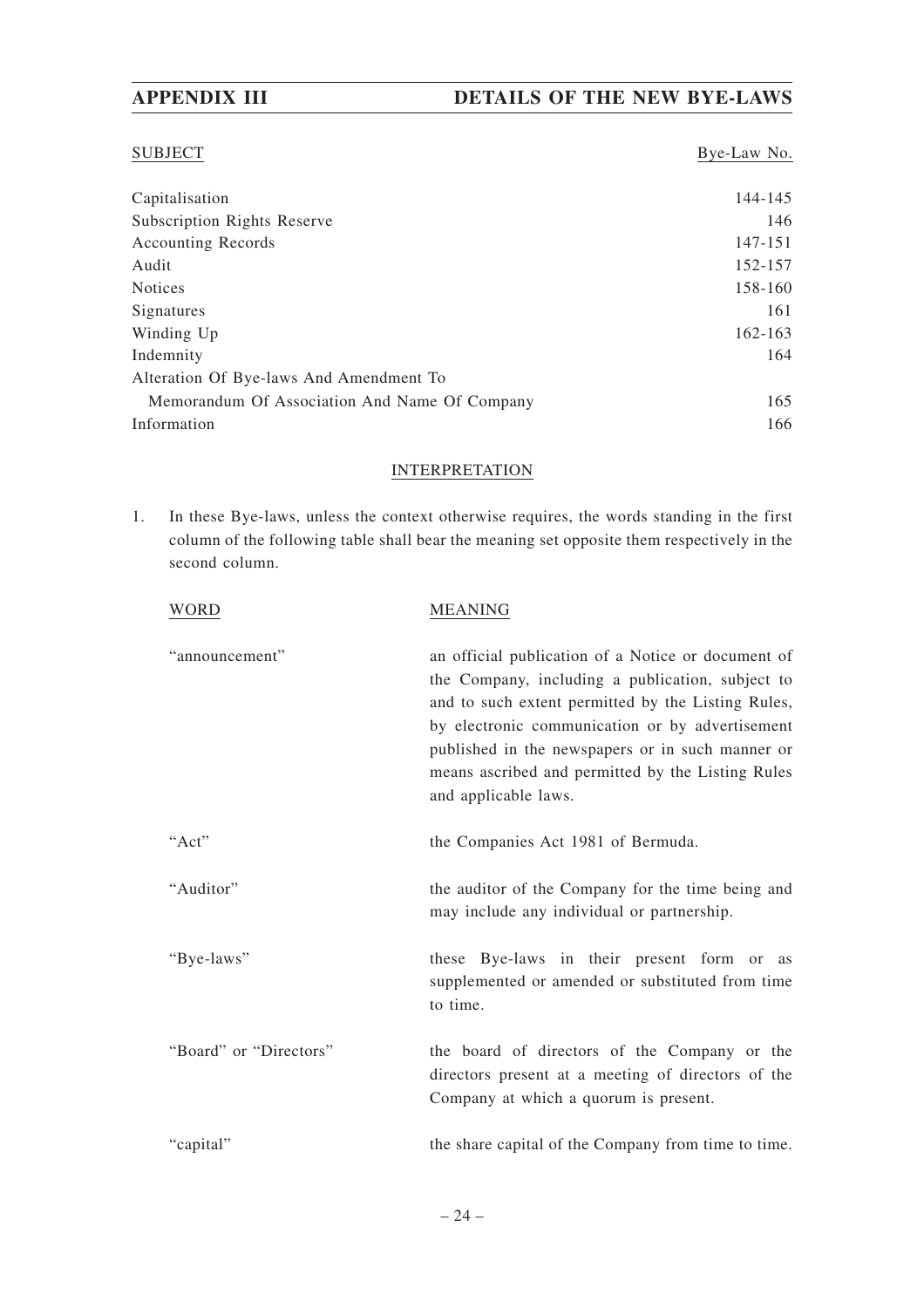#### SUBJECT Bye-Law No.

| Capitalisation                                | 144-145 |
|-----------------------------------------------|---------|
| <b>Subscription Rights Reserve</b>            | 146     |
| <b>Accounting Records</b>                     | 147-151 |
| Audit                                         | 152-157 |
| <b>Notices</b>                                | 158-160 |
| Signatures                                    | 161     |
| Winding Up                                    | 162-163 |
| Indemnity                                     | 164     |
| Alteration Of Bye-laws And Amendment To       |         |
| Memorandum Of Association And Name Of Company | 165     |
| Information                                   | 166     |

#### INTERPRETATION

1. In these Bye-laws, unless the context otherwise requires, the words standing in the first column of the following table shall bear the meaning set opposite them respectively in the second column.

| WORD                   | <b>MEANING</b>                                                                                                                                                                                                                                                                                                                                   |
|------------------------|--------------------------------------------------------------------------------------------------------------------------------------------------------------------------------------------------------------------------------------------------------------------------------------------------------------------------------------------------|
| "announcement"         | an official publication of a Notice or document of<br>the Company, including a publication, subject to<br>and to such extent permitted by the Listing Rules,<br>by electronic communication or by advertisement<br>published in the newspapers or in such manner or<br>means ascribed and permitted by the Listing Rules<br>and applicable laws. |
| "Act"                  | the Companies Act 1981 of Bermuda.                                                                                                                                                                                                                                                                                                               |
| "Auditor"              | the auditor of the Company for the time being and<br>may include any individual or partnership.                                                                                                                                                                                                                                                  |
| "Bye-laws"             | these Bye-laws in their present form or as<br>supplemented or amended or substituted from time<br>to time.                                                                                                                                                                                                                                       |
| "Board" or "Directors" | the board of directors of the Company or the<br>directors present at a meeting of directors of the<br>Company at which a quorum is present.                                                                                                                                                                                                      |
| "capital"              | the share capital of the Company from time to time.                                                                                                                                                                                                                                                                                              |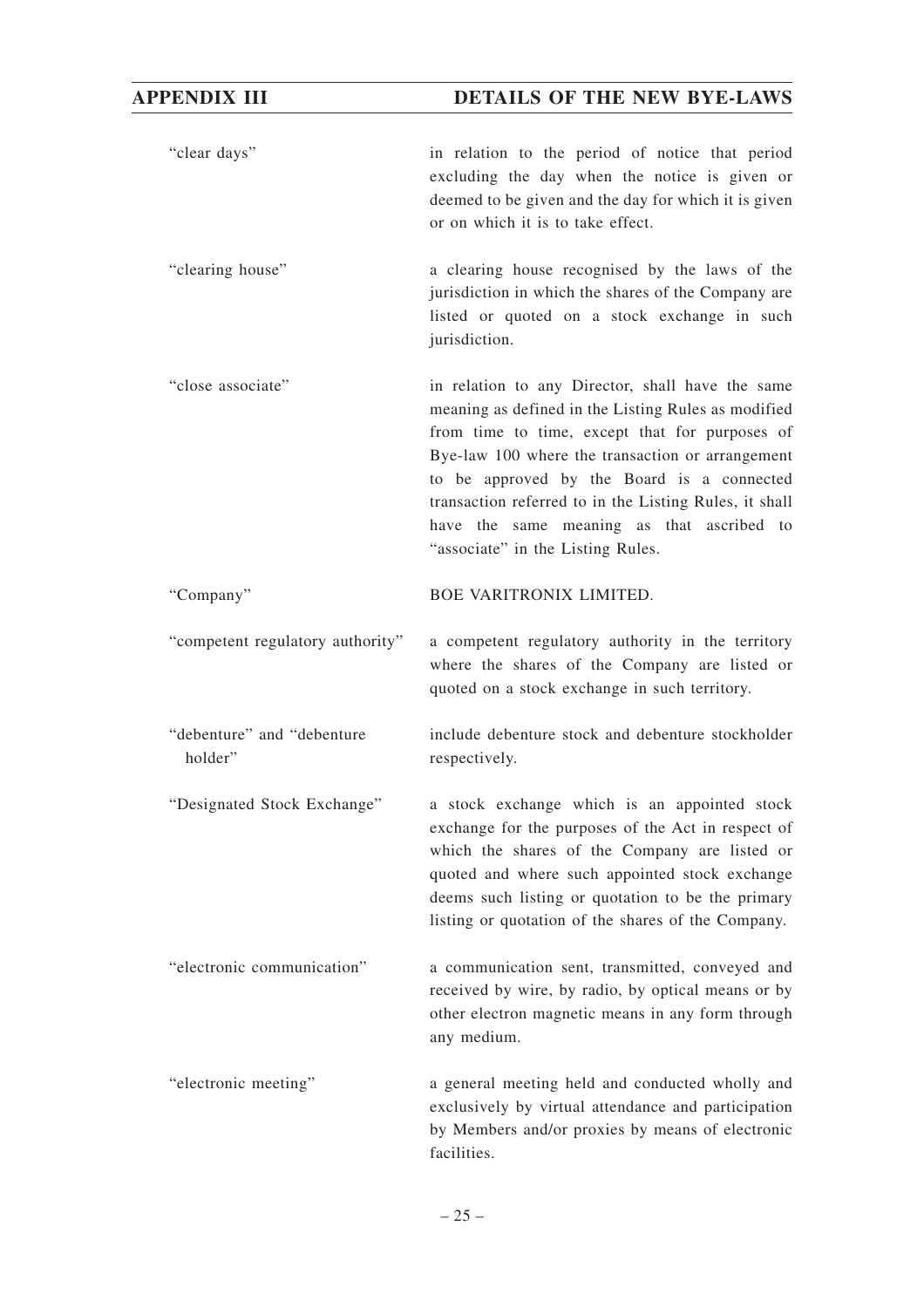"clear days" in relation to the period of notice that period excluding the day when the notice is given or deemed to be given and the day for which it is given or on which it is to take effect.

"clearing house" a clearing house recognised by the laws of the jurisdiction in which the shares of the Company are listed or quoted on a stock exchange in such jurisdiction.

"close associate" in relation to any Director, shall have the same meaning as defined in the Listing Rules as modified from time to time, except that for purposes of Bye-law 100 where the transaction or arrangement to be approved by the Board is a connected transaction referred to in the Listing Rules, it shall have the same meaning as that ascribed to "associate" in the Listing Rules.

"Company" BOE VARITRONIX LIMITED.

- "competent regulatory authority" a competent regulatory authority in the territory where the shares of the Company are listed or quoted on a stock exchange in such territory.
- "debenture" and "debenture holder" include debenture stock and debenture stockholder respectively.
- "Designated Stock Exchange" a stock exchange which is an appointed stock exchange for the purposes of the Act in respect of which the shares of the Company are listed or quoted and where such appointed stock exchange deems such listing or quotation to be the primary listing or quotation of the shares of the Company.
- "electronic communication" a communication sent, transmitted, conveyed and received by wire, by radio, by optical means or by other electron magnetic means in any form through any medium.
- "electronic meeting" a general meeting held and conducted wholly and exclusively by virtual attendance and participation by Members and/or proxies by means of electronic facilities.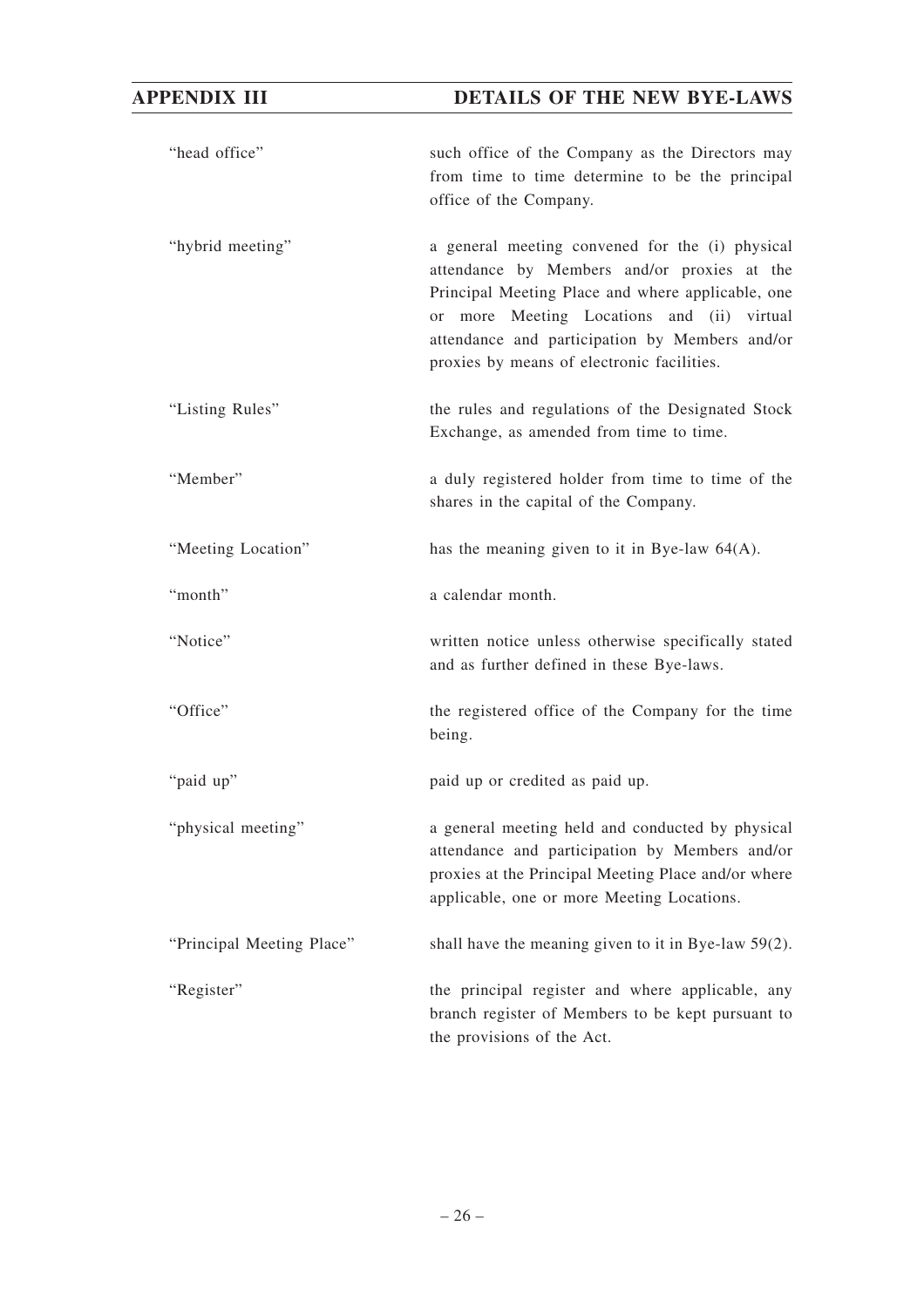| "head office"             | such office of the Company as the Directors may<br>from time to time determine to be the principal<br>office of the Company.                                                                                                                                                                      |
|---------------------------|---------------------------------------------------------------------------------------------------------------------------------------------------------------------------------------------------------------------------------------------------------------------------------------------------|
| "hybrid meeting"          | a general meeting convened for the (i) physical<br>attendance by Members and/or proxies at the<br>Principal Meeting Place and where applicable, one<br>or more Meeting Locations and (ii) virtual<br>attendance and participation by Members and/or<br>proxies by means of electronic facilities. |
| "Listing Rules"           | the rules and regulations of the Designated Stock<br>Exchange, as amended from time to time.                                                                                                                                                                                                      |
| "Member"                  | a duly registered holder from time to time of the<br>shares in the capital of the Company.                                                                                                                                                                                                        |
| "Meeting Location"        | has the meaning given to it in Bye-law $64(A)$ .                                                                                                                                                                                                                                                  |
| "month"                   | a calendar month.                                                                                                                                                                                                                                                                                 |
| "Notice"                  | written notice unless otherwise specifically stated<br>and as further defined in these Bye-laws.                                                                                                                                                                                                  |
| "Office"                  | the registered office of the Company for the time<br>being.                                                                                                                                                                                                                                       |
| "paid up"                 | paid up or credited as paid up.                                                                                                                                                                                                                                                                   |
| "physical meeting"        | a general meeting held and conducted by physical<br>attendance and participation by Members and/or<br>proxies at the Principal Meeting Place and/or where<br>applicable, one or more Meeting Locations.                                                                                           |
| "Principal Meeting Place" | shall have the meaning given to it in Bye-law $59(2)$ .                                                                                                                                                                                                                                           |
| "Register"                | the principal register and where applicable, any<br>branch register of Members to be kept pursuant to<br>the provisions of the Act.                                                                                                                                                               |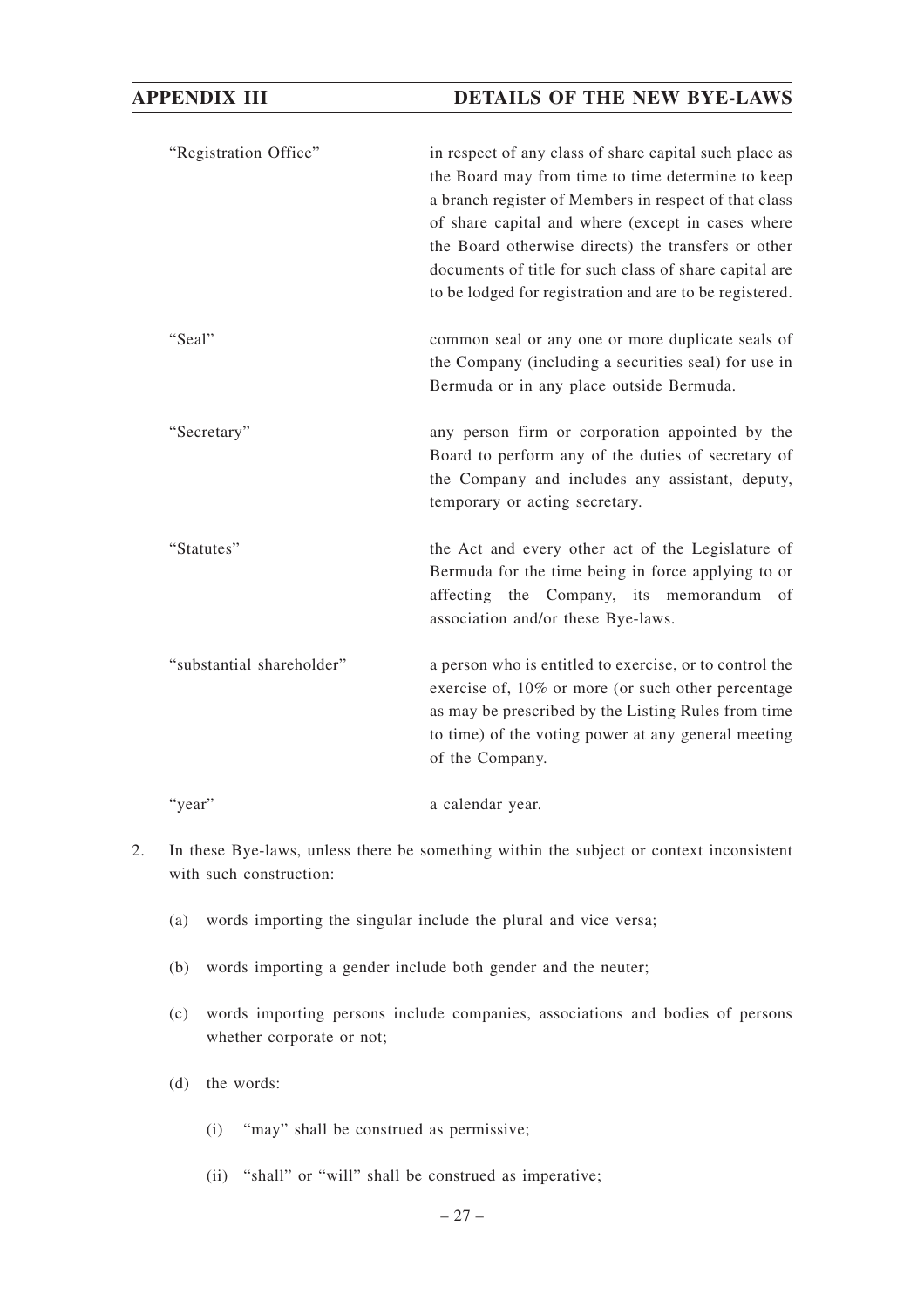"Registration Office" in respect of any class of share capital such place as the Board may from time to time determine to keep a branch register of Members in respect of that class of share capital and where (except in cases where the Board otherwise directs) the transfers or other documents of title for such class of share capital are to be lodged for registration and are to be registered.

- "Seal" common seal or any one or more duplicate seals of the Company (including a securities seal) for use in Bermuda or in any place outside Bermuda.
- "Secretary" any person firm or corporation appointed by the Board to perform any of the duties of secretary of the Company and includes any assistant, deputy, temporary or acting secretary.
- "Statutes" the Act and every other act of the Legislature of Bermuda for the time being in force applying to or affecting the Company, its memorandum of association and/or these Bye-laws.
- "substantial shareholder" a person who is entitled to exercise, or to control the exercise of, 10% or more (or such other percentage as may be prescribed by the Listing Rules from time to time) of the voting power at any general meeting of the Company.
- "year" a calendar year.
- 2. In these Bye-laws, unless there be something within the subject or context inconsistent with such construction:
	- (a) words importing the singular include the plural and vice versa;
	- (b) words importing a gender include both gender and the neuter;
	- (c) words importing persons include companies, associations and bodies of persons whether corporate or not;
	- (d) the words:
		- (i) "may" shall be construed as permissive;
		- (ii) "shall" or "will" shall be construed as imperative;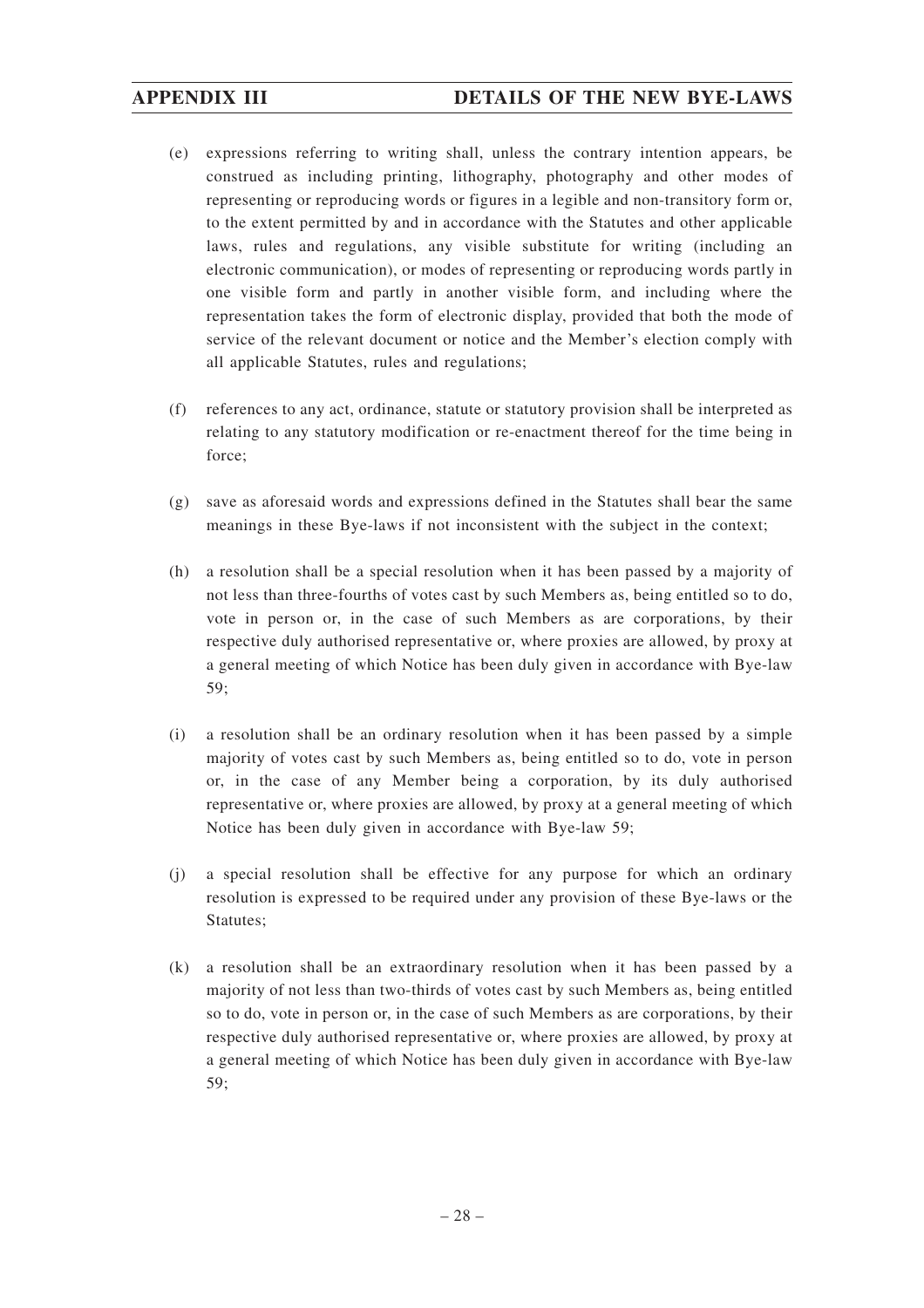- (e) expressions referring to writing shall, unless the contrary intention appears, be construed as including printing, lithography, photography and other modes of representing or reproducing words or figures in a legible and non-transitory form or, to the extent permitted by and in accordance with the Statutes and other applicable laws, rules and regulations, any visible substitute for writing (including an electronic communication), or modes of representing or reproducing words partly in one visible form and partly in another visible form, and including where the representation takes the form of electronic display, provided that both the mode of service of the relevant document or notice and the Member's election comply with all applicable Statutes, rules and regulations;
- (f) references to any act, ordinance, statute or statutory provision shall be interpreted as relating to any statutory modification or re-enactment thereof for the time being in force;
- (g) save as aforesaid words and expressions defined in the Statutes shall bear the same meanings in these Bye-laws if not inconsistent with the subject in the context;
- (h) a resolution shall be a special resolution when it has been passed by a majority of not less than three-fourths of votes cast by such Members as, being entitled so to do, vote in person or, in the case of such Members as are corporations, by their respective duly authorised representative or, where proxies are allowed, by proxy at a general meeting of which Notice has been duly given in accordance with Bye-law 59;
- (i) a resolution shall be an ordinary resolution when it has been passed by a simple majority of votes cast by such Members as, being entitled so to do, vote in person or, in the case of any Member being a corporation, by its duly authorised representative or, where proxies are allowed, by proxy at a general meeting of which Notice has been duly given in accordance with Bye-law 59;
- (j) a special resolution shall be effective for any purpose for which an ordinary resolution is expressed to be required under any provision of these Bye-laws or the Statutes;
- (k) a resolution shall be an extraordinary resolution when it has been passed by a majority of not less than two-thirds of votes cast by such Members as, being entitled so to do, vote in person or, in the case of such Members as are corporations, by their respective duly authorised representative or, where proxies are allowed, by proxy at a general meeting of which Notice has been duly given in accordance with Bye-law 59;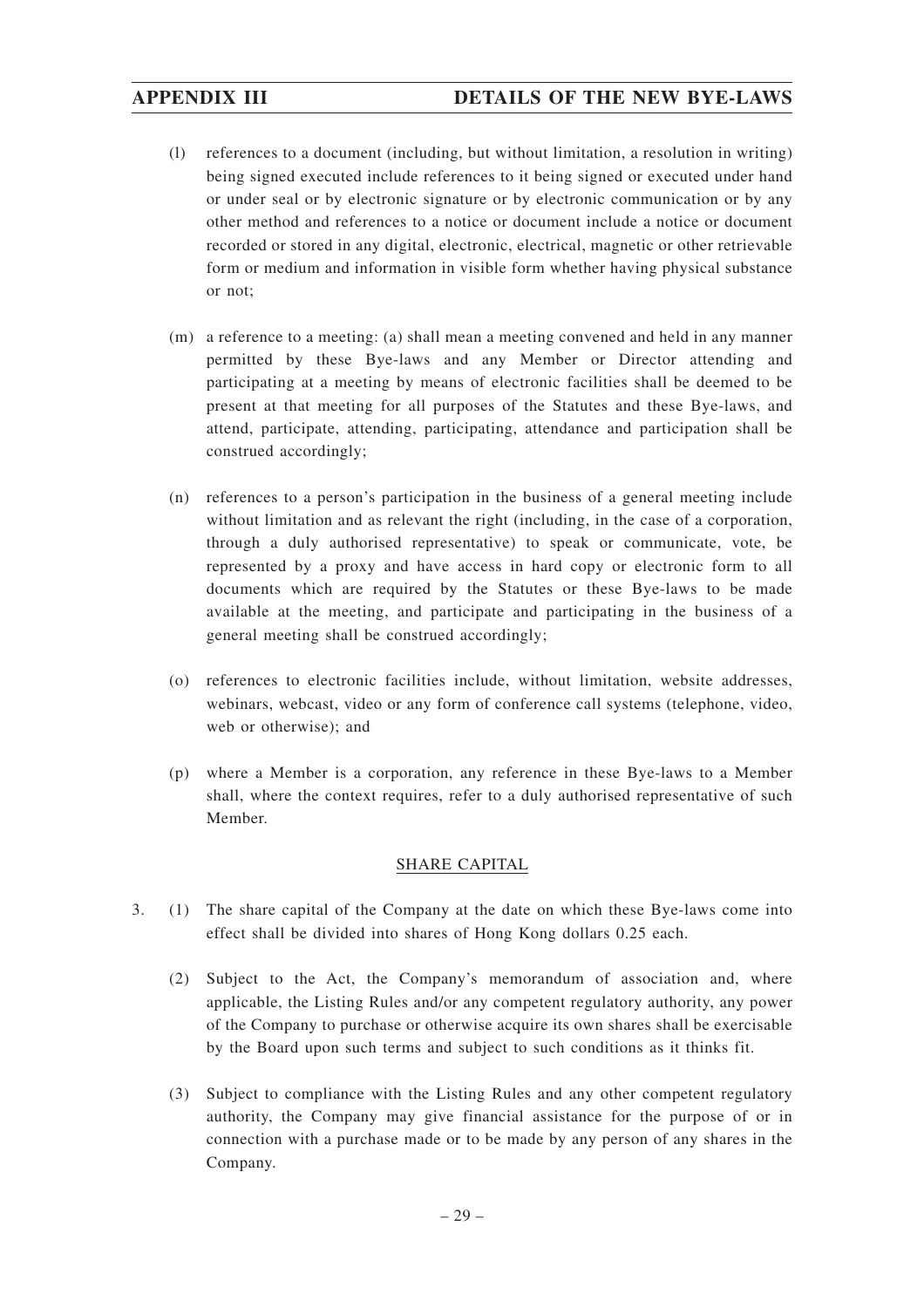- (l) references to a document (including, but without limitation, a resolution in writing) being signed executed include references to it being signed or executed under hand or under seal or by electronic signature or by electronic communication or by any other method and references to a notice or document include a notice or document recorded or stored in any digital, electronic, electrical, magnetic or other retrievable form or medium and information in visible form whether having physical substance or not;
- (m) a reference to a meeting: (a) shall mean a meeting convened and held in any manner permitted by these Bye-laws and any Member or Director attending and participating at a meeting by means of electronic facilities shall be deemed to be present at that meeting for all purposes of the Statutes and these Bye-laws, and attend, participate, attending, participating, attendance and participation shall be construed accordingly;
- (n) references to a person's participation in the business of a general meeting include without limitation and as relevant the right (including, in the case of a corporation, through a duly authorised representative) to speak or communicate, vote, be represented by a proxy and have access in hard copy or electronic form to all documents which are required by the Statutes or these Bye-laws to be made available at the meeting, and participate and participating in the business of a general meeting shall be construed accordingly;
- (o) references to electronic facilities include, without limitation, website addresses, webinars, webcast, video or any form of conference call systems (telephone, video, web or otherwise); and
- (p) where a Member is a corporation, any reference in these Bye-laws to a Member shall, where the context requires, refer to a duly authorised representative of such Member.

#### SHARE CAPITAL

- 3. (1) The share capital of the Company at the date on which these Bye-laws come into effect shall be divided into shares of Hong Kong dollars 0.25 each.
	- (2) Subject to the Act, the Company's memorandum of association and, where applicable, the Listing Rules and/or any competent regulatory authority, any power of the Company to purchase or otherwise acquire its own shares shall be exercisable by the Board upon such terms and subject to such conditions as it thinks fit.
	- (3) Subject to compliance with the Listing Rules and any other competent regulatory authority, the Company may give financial assistance for the purpose of or in connection with a purchase made or to be made by any person of any shares in the Company.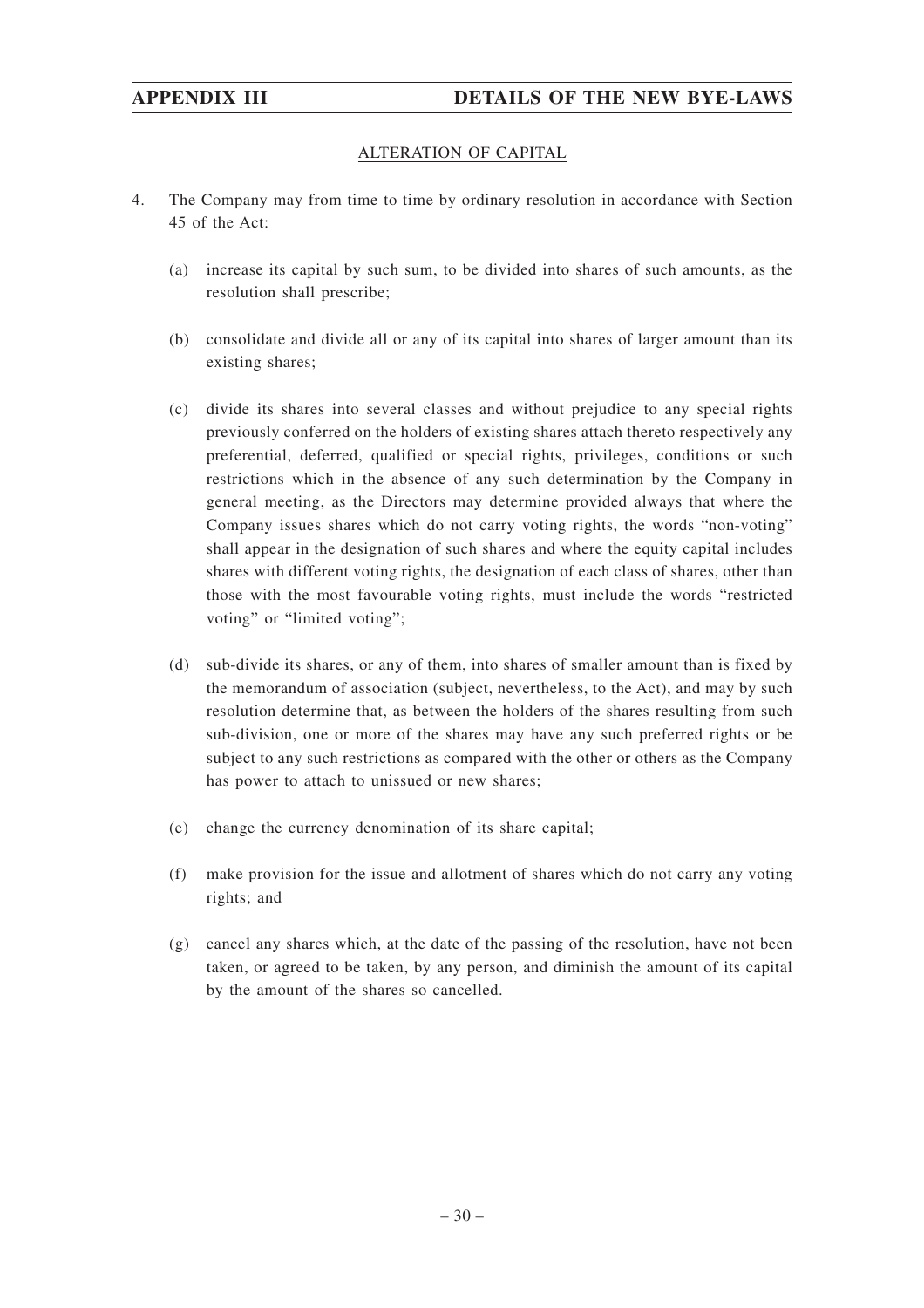#### ALTERATION OF CAPITAL

- 4. The Company may from time to time by ordinary resolution in accordance with Section 45 of the Act:
	- (a) increase its capital by such sum, to be divided into shares of such amounts, as the resolution shall prescribe;
	- (b) consolidate and divide all or any of its capital into shares of larger amount than its existing shares;
	- (c) divide its shares into several classes and without prejudice to any special rights previously conferred on the holders of existing shares attach thereto respectively any preferential, deferred, qualified or special rights, privileges, conditions or such restrictions which in the absence of any such determination by the Company in general meeting, as the Directors may determine provided always that where the Company issues shares which do not carry voting rights, the words "non-voting" shall appear in the designation of such shares and where the equity capital includes shares with different voting rights, the designation of each class of shares, other than those with the most favourable voting rights, must include the words "restricted voting" or "limited voting";
	- (d) sub-divide its shares, or any of them, into shares of smaller amount than is fixed by the memorandum of association (subject, nevertheless, to the Act), and may by such resolution determine that, as between the holders of the shares resulting from such sub-division, one or more of the shares may have any such preferred rights or be subject to any such restrictions as compared with the other or others as the Company has power to attach to unissued or new shares;
	- (e) change the currency denomination of its share capital;
	- (f) make provision for the issue and allotment of shares which do not carry any voting rights; and
	- (g) cancel any shares which, at the date of the passing of the resolution, have not been taken, or agreed to be taken, by any person, and diminish the amount of its capital by the amount of the shares so cancelled.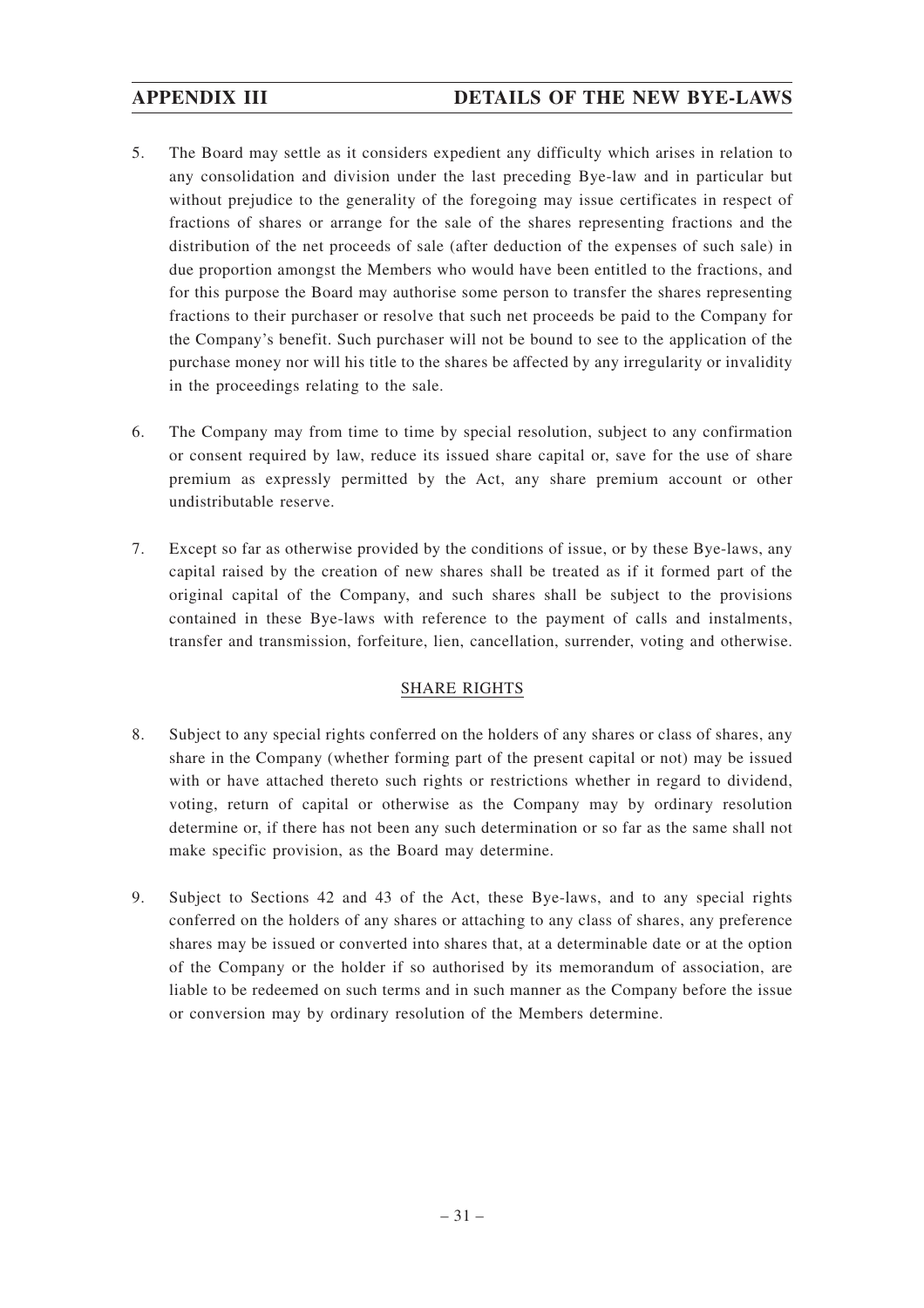- 5. The Board may settle as it considers expedient any difficulty which arises in relation to any consolidation and division under the last preceding Bye-law and in particular but without prejudice to the generality of the foregoing may issue certificates in respect of fractions of shares or arrange for the sale of the shares representing fractions and the distribution of the net proceeds of sale (after deduction of the expenses of such sale) in due proportion amongst the Members who would have been entitled to the fractions, and for this purpose the Board may authorise some person to transfer the shares representing fractions to their purchaser or resolve that such net proceeds be paid to the Company for the Company's benefit. Such purchaser will not be bound to see to the application of the purchase money nor will his title to the shares be affected by any irregularity or invalidity in the proceedings relating to the sale.
- 6. The Company may from time to time by special resolution, subject to any confirmation or consent required by law, reduce its issued share capital or, save for the use of share premium as expressly permitted by the Act, any share premium account or other undistributable reserve.
- 7. Except so far as otherwise provided by the conditions of issue, or by these Bye-laws, any capital raised by the creation of new shares shall be treated as if it formed part of the original capital of the Company, and such shares shall be subject to the provisions contained in these Bye-laws with reference to the payment of calls and instalments, transfer and transmission, forfeiture, lien, cancellation, surrender, voting and otherwise.

#### SHARE RIGHTS

- 8. Subject to any special rights conferred on the holders of any shares or class of shares, any share in the Company (whether forming part of the present capital or not) may be issued with or have attached thereto such rights or restrictions whether in regard to dividend, voting, return of capital or otherwise as the Company may by ordinary resolution determine or, if there has not been any such determination or so far as the same shall not make specific provision, as the Board may determine.
- 9. Subject to Sections 42 and 43 of the Act, these Bye-laws, and to any special rights conferred on the holders of any shares or attaching to any class of shares, any preference shares may be issued or converted into shares that, at a determinable date or at the option of the Company or the holder if so authorised by its memorandum of association, are liable to be redeemed on such terms and in such manner as the Company before the issue or conversion may by ordinary resolution of the Members determine.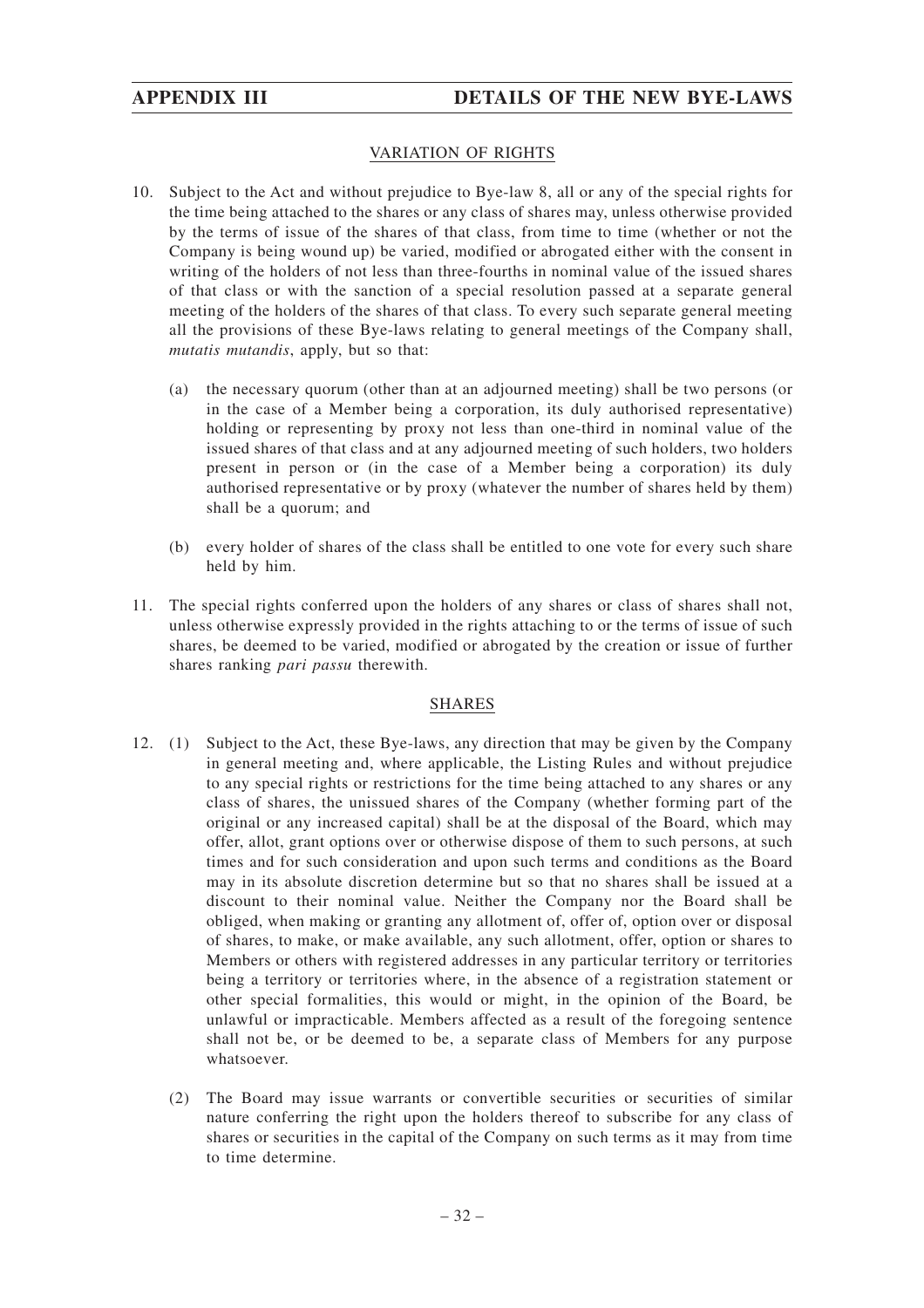#### VARIATION OF RIGHTS

- 10. Subject to the Act and without prejudice to Bye-law 8, all or any of the special rights for the time being attached to the shares or any class of shares may, unless otherwise provided by the terms of issue of the shares of that class, from time to time (whether or not the Company is being wound up) be varied, modified or abrogated either with the consent in writing of the holders of not less than three-fourths in nominal value of the issued shares of that class or with the sanction of a special resolution passed at a separate general meeting of the holders of the shares of that class. To every such separate general meeting all the provisions of these Bye-laws relating to general meetings of the Company shall, *mutatis mutandis*, apply, but so that:
	- (a) the necessary quorum (other than at an adjourned meeting) shall be two persons (or in the case of a Member being a corporation, its duly authorised representative) holding or representing by proxy not less than one-third in nominal value of the issued shares of that class and at any adjourned meeting of such holders, two holders present in person or (in the case of a Member being a corporation) its duly authorised representative or by proxy (whatever the number of shares held by them) shall be a quorum; and
	- (b) every holder of shares of the class shall be entitled to one vote for every such share held by him.
- 11. The special rights conferred upon the holders of any shares or class of shares shall not, unless otherwise expressly provided in the rights attaching to or the terms of issue of such shares, be deemed to be varied, modified or abrogated by the creation or issue of further shares ranking *pari passu* therewith.

#### SHARES

- 12. (1) Subject to the Act, these Bye-laws, any direction that may be given by the Company in general meeting and, where applicable, the Listing Rules and without prejudice to any special rights or restrictions for the time being attached to any shares or any class of shares, the unissued shares of the Company (whether forming part of the original or any increased capital) shall be at the disposal of the Board, which may offer, allot, grant options over or otherwise dispose of them to such persons, at such times and for such consideration and upon such terms and conditions as the Board may in its absolute discretion determine but so that no shares shall be issued at a discount to their nominal value. Neither the Company nor the Board shall be obliged, when making or granting any allotment of, offer of, option over or disposal of shares, to make, or make available, any such allotment, offer, option or shares to Members or others with registered addresses in any particular territory or territories being a territory or territories where, in the absence of a registration statement or other special formalities, this would or might, in the opinion of the Board, be unlawful or impracticable. Members affected as a result of the foregoing sentence shall not be, or be deemed to be, a separate class of Members for any purpose whatsoever.
	- (2) The Board may issue warrants or convertible securities or securities of similar nature conferring the right upon the holders thereof to subscribe for any class of shares or securities in the capital of the Company on such terms as it may from time to time determine.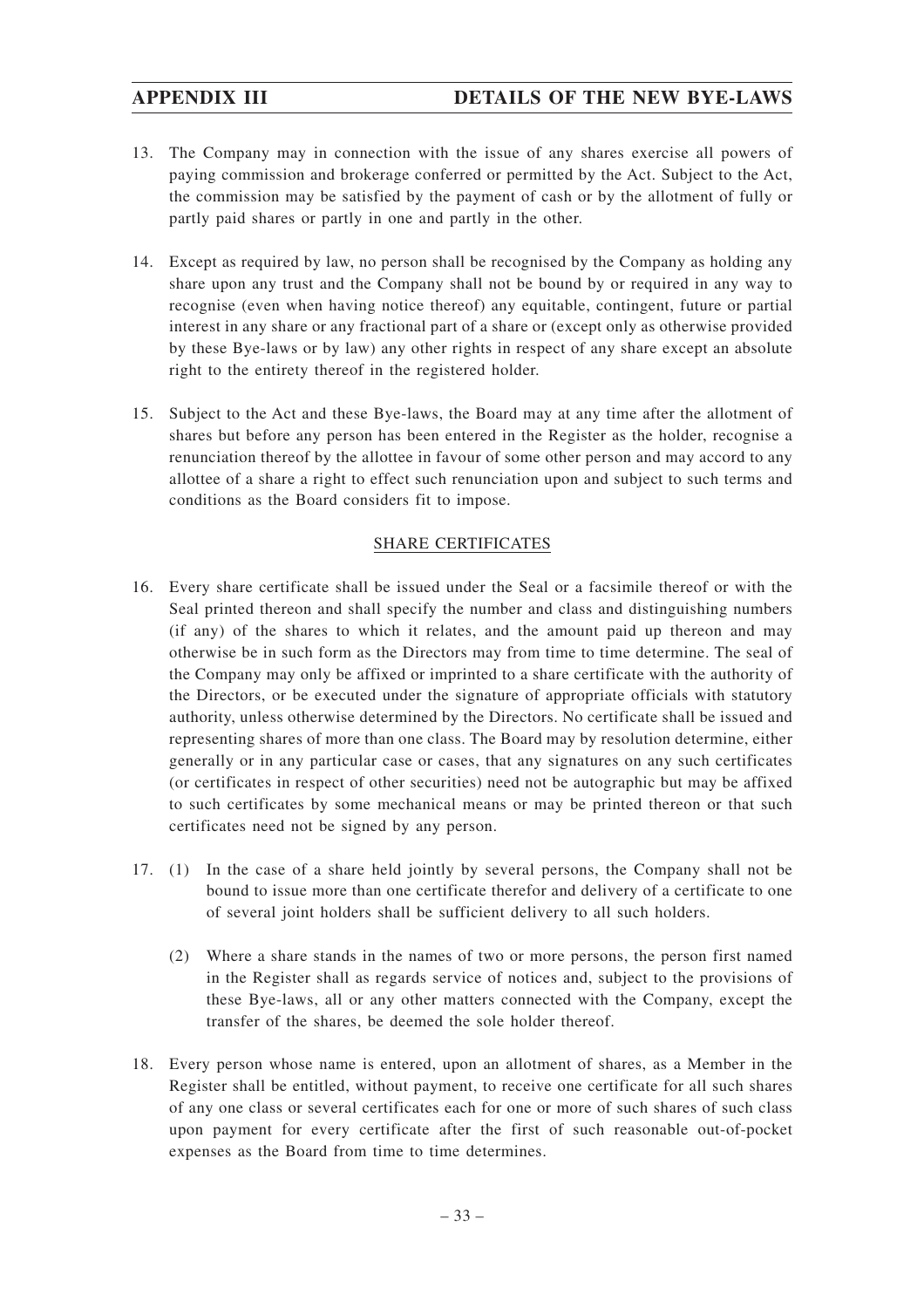- 13. The Company may in connection with the issue of any shares exercise all powers of paying commission and brokerage conferred or permitted by the Act. Subject to the Act, the commission may be satisfied by the payment of cash or by the allotment of fully or partly paid shares or partly in one and partly in the other.
- 14. Except as required by law, no person shall be recognised by the Company as holding any share upon any trust and the Company shall not be bound by or required in any way to recognise (even when having notice thereof) any equitable, contingent, future or partial interest in any share or any fractional part of a share or (except only as otherwise provided by these Bye-laws or by law) any other rights in respect of any share except an absolute right to the entirety thereof in the registered holder.
- 15. Subject to the Act and these Bye-laws, the Board may at any time after the allotment of shares but before any person has been entered in the Register as the holder, recognise a renunciation thereof by the allottee in favour of some other person and may accord to any allottee of a share a right to effect such renunciation upon and subject to such terms and conditions as the Board considers fit to impose.

#### SHARE CERTIFICATES

- 16. Every share certificate shall be issued under the Seal or a facsimile thereof or with the Seal printed thereon and shall specify the number and class and distinguishing numbers (if any) of the shares to which it relates, and the amount paid up thereon and may otherwise be in such form as the Directors may from time to time determine. The seal of the Company may only be affixed or imprinted to a share certificate with the authority of the Directors, or be executed under the signature of appropriate officials with statutory authority, unless otherwise determined by the Directors. No certificate shall be issued and representing shares of more than one class. The Board may by resolution determine, either generally or in any particular case or cases, that any signatures on any such certificates (or certificates in respect of other securities) need not be autographic but may be affixed to such certificates by some mechanical means or may be printed thereon or that such certificates need not be signed by any person.
- 17. (1) In the case of a share held jointly by several persons, the Company shall not be bound to issue more than one certificate therefor and delivery of a certificate to one of several joint holders shall be sufficient delivery to all such holders.
	- (2) Where a share stands in the names of two or more persons, the person first named in the Register shall as regards service of notices and, subject to the provisions of these Bye-laws, all or any other matters connected with the Company, except the transfer of the shares, be deemed the sole holder thereof.
- 18. Every person whose name is entered, upon an allotment of shares, as a Member in the Register shall be entitled, without payment, to receive one certificate for all such shares of any one class or several certificates each for one or more of such shares of such class upon payment for every certificate after the first of such reasonable out-of-pocket expenses as the Board from time to time determines.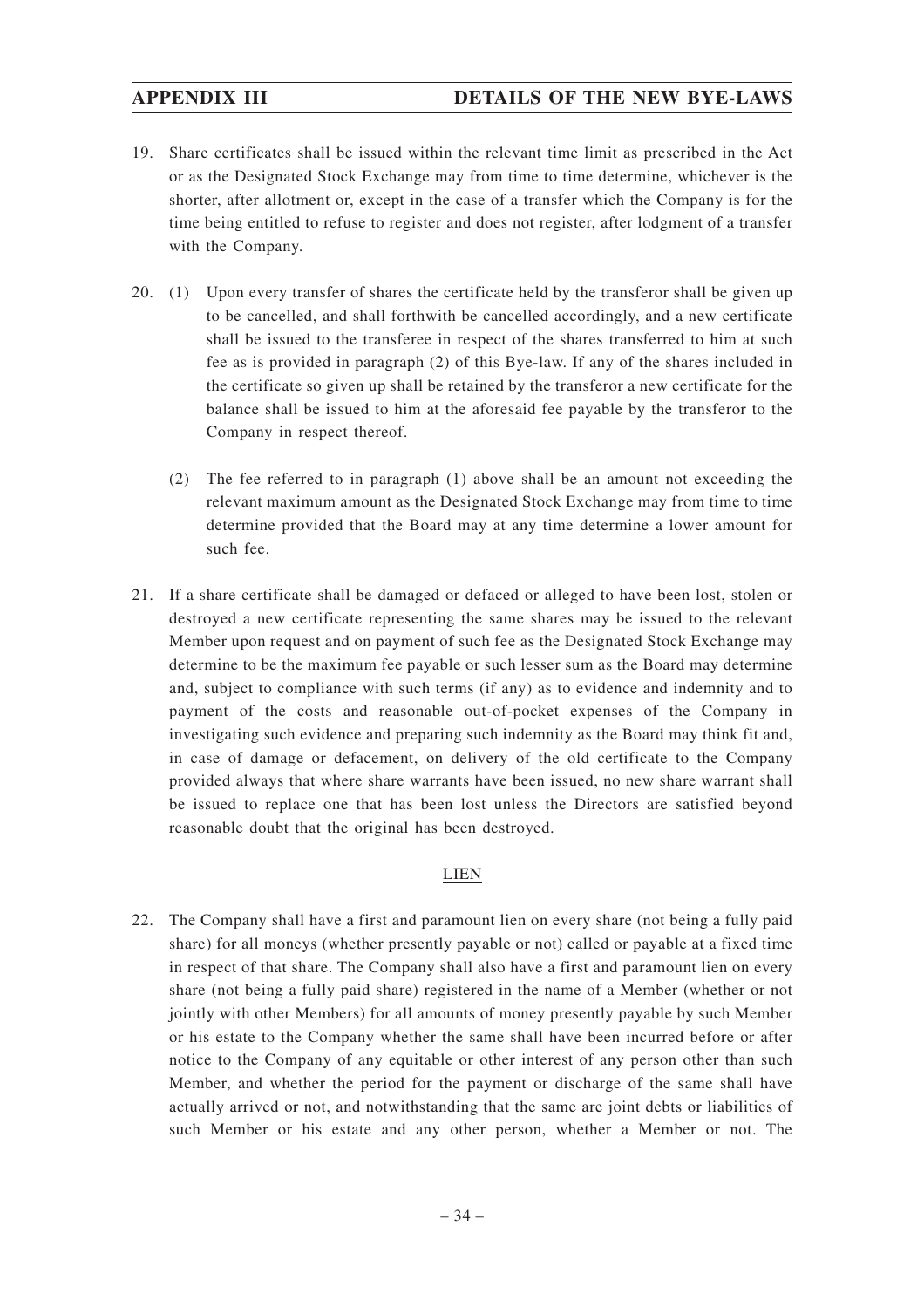- 19. Share certificates shall be issued within the relevant time limit as prescribed in the Act or as the Designated Stock Exchange may from time to time determine, whichever is the shorter, after allotment or, except in the case of a transfer which the Company is for the time being entitled to refuse to register and does not register, after lodgment of a transfer with the Company.
- 20. (1) Upon every transfer of shares the certificate held by the transferor shall be given up to be cancelled, and shall forthwith be cancelled accordingly, and a new certificate shall be issued to the transferee in respect of the shares transferred to him at such fee as is provided in paragraph (2) of this Bye-law. If any of the shares included in the certificate so given up shall be retained by the transferor a new certificate for the balance shall be issued to him at the aforesaid fee payable by the transferor to the Company in respect thereof.
	- (2) The fee referred to in paragraph (1) above shall be an amount not exceeding the relevant maximum amount as the Designated Stock Exchange may from time to time determine provided that the Board may at any time determine a lower amount for such fee.
- 21. If a share certificate shall be damaged or defaced or alleged to have been lost, stolen or destroyed a new certificate representing the same shares may be issued to the relevant Member upon request and on payment of such fee as the Designated Stock Exchange may determine to be the maximum fee payable or such lesser sum as the Board may determine and, subject to compliance with such terms (if any) as to evidence and indemnity and to payment of the costs and reasonable out-of-pocket expenses of the Company in investigating such evidence and preparing such indemnity as the Board may think fit and, in case of damage or defacement, on delivery of the old certificate to the Company provided always that where share warrants have been issued, no new share warrant shall be issued to replace one that has been lost unless the Directors are satisfied beyond reasonable doubt that the original has been destroyed.

#### LIEN

22. The Company shall have a first and paramount lien on every share (not being a fully paid share) for all moneys (whether presently payable or not) called or payable at a fixed time in respect of that share. The Company shall also have a first and paramount lien on every share (not being a fully paid share) registered in the name of a Member (whether or not jointly with other Members) for all amounts of money presently payable by such Member or his estate to the Company whether the same shall have been incurred before or after notice to the Company of any equitable or other interest of any person other than such Member, and whether the period for the payment or discharge of the same shall have actually arrived or not, and notwithstanding that the same are joint debts or liabilities of such Member or his estate and any other person, whether a Member or not. The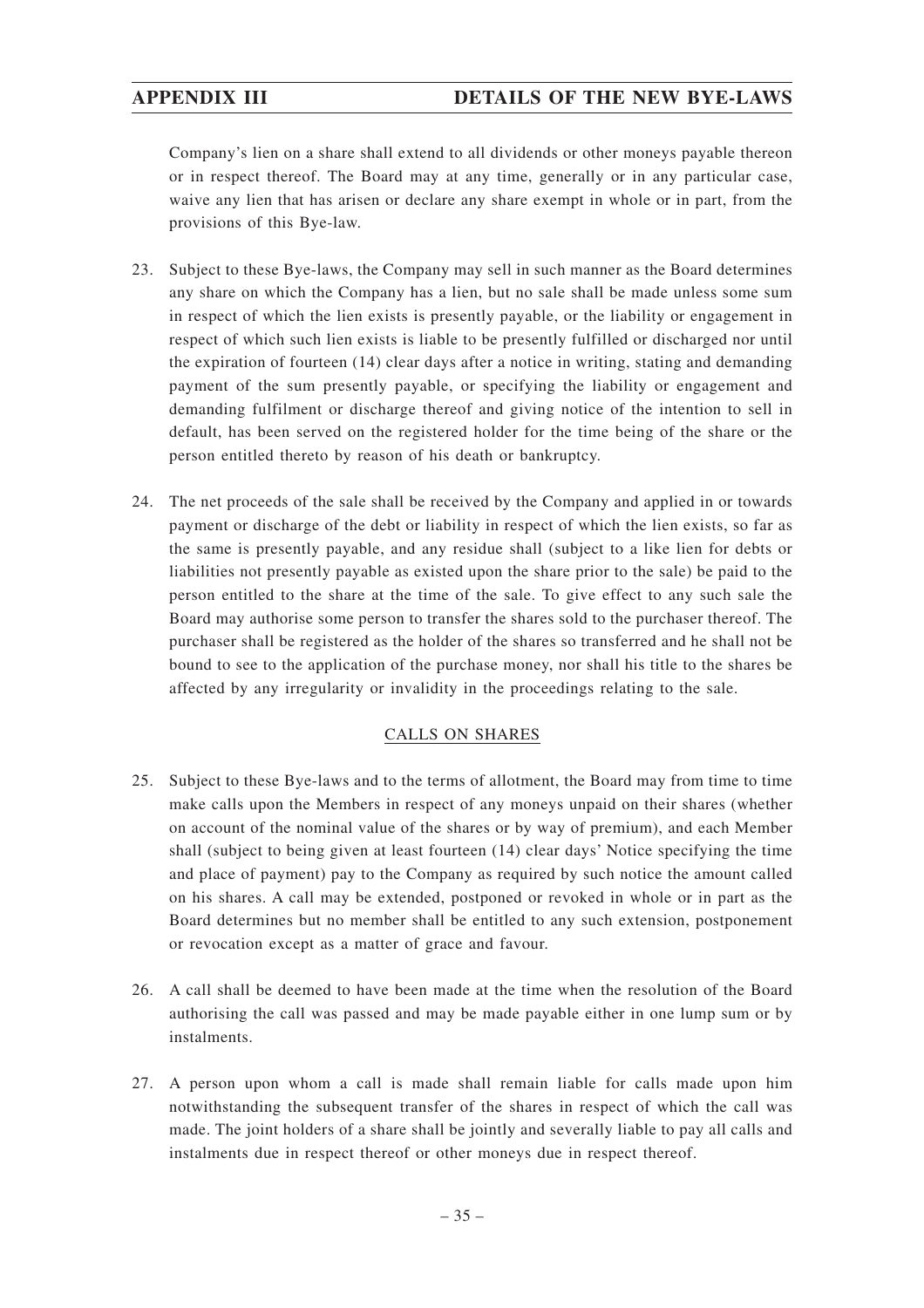# **APPENDIX III DETAILS OF THE NEW BYE-LAWS**

Company's lien on a share shall extend to all dividends or other moneys payable thereon or in respect thereof. The Board may at any time, generally or in any particular case, waive any lien that has arisen or declare any share exempt in whole or in part, from the provisions of this Bye-law.

- 23. Subject to these Bye-laws, the Company may sell in such manner as the Board determines any share on which the Company has a lien, but no sale shall be made unless some sum in respect of which the lien exists is presently payable, or the liability or engagement in respect of which such lien exists is liable to be presently fulfilled or discharged nor until the expiration of fourteen (14) clear days after a notice in writing, stating and demanding payment of the sum presently payable, or specifying the liability or engagement and demanding fulfilment or discharge thereof and giving notice of the intention to sell in default, has been served on the registered holder for the time being of the share or the person entitled thereto by reason of his death or bankruptcy.
- 24. The net proceeds of the sale shall be received by the Company and applied in or towards payment or discharge of the debt or liability in respect of which the lien exists, so far as the same is presently payable, and any residue shall (subject to a like lien for debts or liabilities not presently payable as existed upon the share prior to the sale) be paid to the person entitled to the share at the time of the sale. To give effect to any such sale the Board may authorise some person to transfer the shares sold to the purchaser thereof. The purchaser shall be registered as the holder of the shares so transferred and he shall not be bound to see to the application of the purchase money, nor shall his title to the shares be affected by any irregularity or invalidity in the proceedings relating to the sale.

# CALLS ON SHARES

- 25. Subject to these Bye-laws and to the terms of allotment, the Board may from time to time make calls upon the Members in respect of any moneys unpaid on their shares (whether on account of the nominal value of the shares or by way of premium), and each Member shall (subject to being given at least fourteen (14) clear days' Notice specifying the time and place of payment) pay to the Company as required by such notice the amount called on his shares. A call may be extended, postponed or revoked in whole or in part as the Board determines but no member shall be entitled to any such extension, postponement or revocation except as a matter of grace and favour.
- 26. A call shall be deemed to have been made at the time when the resolution of the Board authorising the call was passed and may be made payable either in one lump sum or by instalments.
- 27. A person upon whom a call is made shall remain liable for calls made upon him notwithstanding the subsequent transfer of the shares in respect of which the call was made. The joint holders of a share shall be jointly and severally liable to pay all calls and instalments due in respect thereof or other moneys due in respect thereof.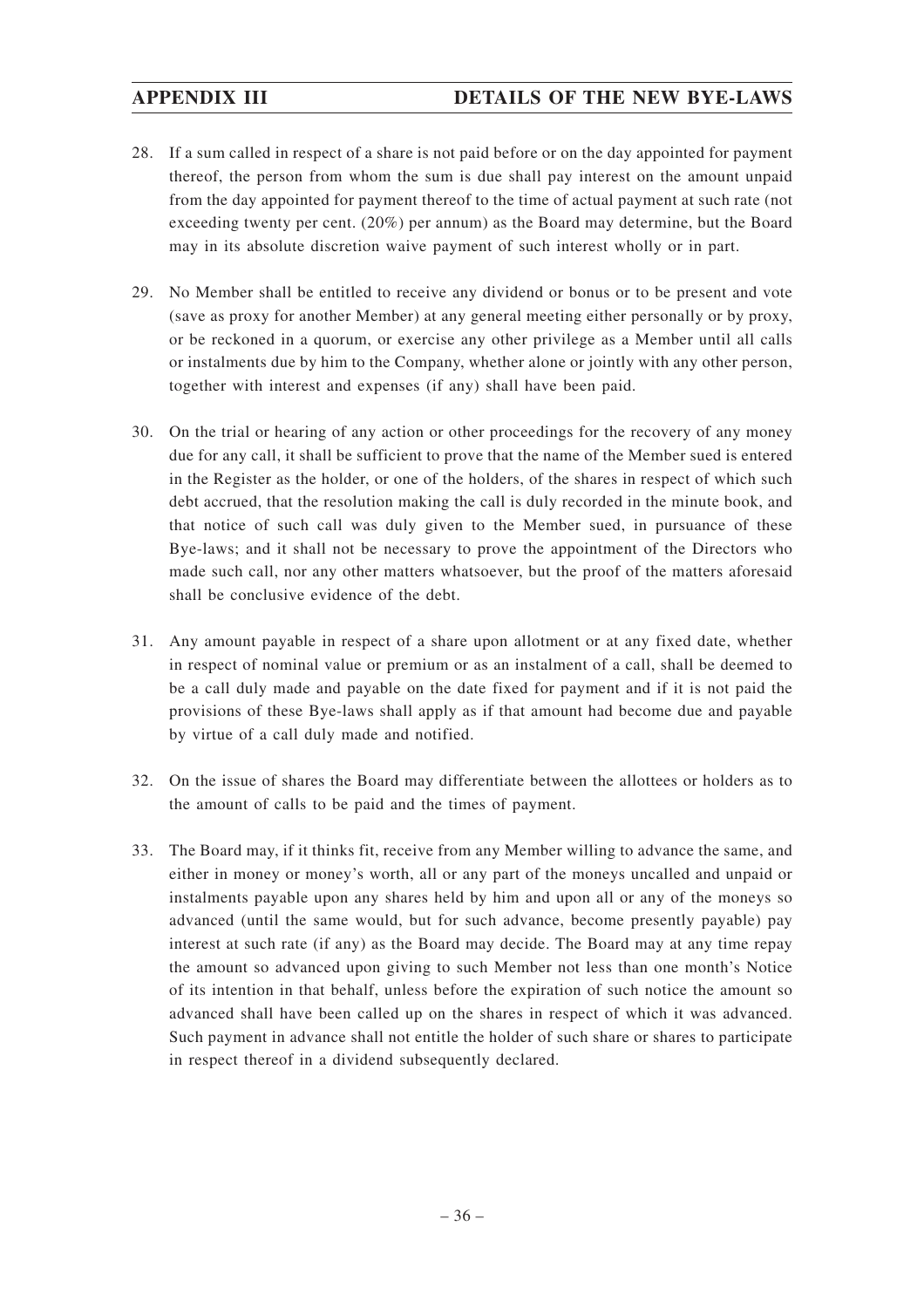- 28. If a sum called in respect of a share is not paid before or on the day appointed for payment thereof, the person from whom the sum is due shall pay interest on the amount unpaid from the day appointed for payment thereof to the time of actual payment at such rate (not exceeding twenty per cent. (20%) per annum) as the Board may determine, but the Board may in its absolute discretion waive payment of such interest wholly or in part.
- 29. No Member shall be entitled to receive any dividend or bonus or to be present and vote (save as proxy for another Member) at any general meeting either personally or by proxy, or be reckoned in a quorum, or exercise any other privilege as a Member until all calls or instalments due by him to the Company, whether alone or jointly with any other person, together with interest and expenses (if any) shall have been paid.
- 30. On the trial or hearing of any action or other proceedings for the recovery of any money due for any call, it shall be sufficient to prove that the name of the Member sued is entered in the Register as the holder, or one of the holders, of the shares in respect of which such debt accrued, that the resolution making the call is duly recorded in the minute book, and that notice of such call was duly given to the Member sued, in pursuance of these Bye-laws; and it shall not be necessary to prove the appointment of the Directors who made such call, nor any other matters whatsoever, but the proof of the matters aforesaid shall be conclusive evidence of the debt.
- 31. Any amount payable in respect of a share upon allotment or at any fixed date, whether in respect of nominal value or premium or as an instalment of a call, shall be deemed to be a call duly made and payable on the date fixed for payment and if it is not paid the provisions of these Bye-laws shall apply as if that amount had become due and payable by virtue of a call duly made and notified.
- 32. On the issue of shares the Board may differentiate between the allottees or holders as to the amount of calls to be paid and the times of payment.
- 33. The Board may, if it thinks fit, receive from any Member willing to advance the same, and either in money or money's worth, all or any part of the moneys uncalled and unpaid or instalments payable upon any shares held by him and upon all or any of the moneys so advanced (until the same would, but for such advance, become presently payable) pay interest at such rate (if any) as the Board may decide. The Board may at any time repay the amount so advanced upon giving to such Member not less than one month's Notice of its intention in that behalf, unless before the expiration of such notice the amount so advanced shall have been called up on the shares in respect of which it was advanced. Such payment in advance shall not entitle the holder of such share or shares to participate in respect thereof in a dividend subsequently declared.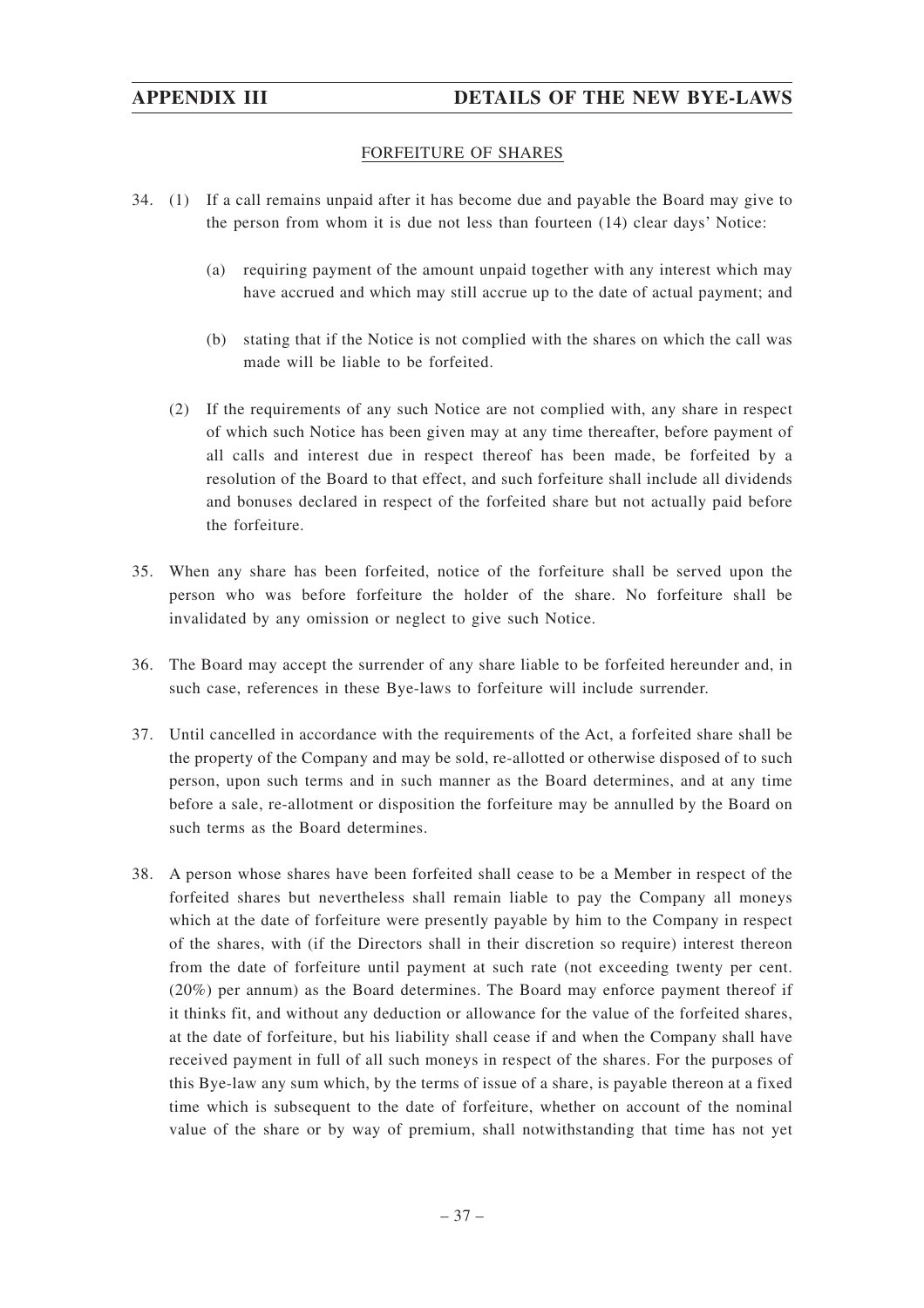# FORFEITURE OF SHARES

- 34. (1) If a call remains unpaid after it has become due and payable the Board may give to the person from whom it is due not less than fourteen (14) clear days' Notice:
	- (a) requiring payment of the amount unpaid together with any interest which may have accrued and which may still accrue up to the date of actual payment; and
	- (b) stating that if the Notice is not complied with the shares on which the call was made will be liable to be forfeited.
	- (2) If the requirements of any such Notice are not complied with, any share in respect of which such Notice has been given may at any time thereafter, before payment of all calls and interest due in respect thereof has been made, be forfeited by a resolution of the Board to that effect, and such forfeiture shall include all dividends and bonuses declared in respect of the forfeited share but not actually paid before the forfeiture.
- 35. When any share has been forfeited, notice of the forfeiture shall be served upon the person who was before forfeiture the holder of the share. No forfeiture shall be invalidated by any omission or neglect to give such Notice.
- 36. The Board may accept the surrender of any share liable to be forfeited hereunder and, in such case, references in these Bye-laws to forfeiture will include surrender.
- 37. Until cancelled in accordance with the requirements of the Act, a forfeited share shall be the property of the Company and may be sold, re-allotted or otherwise disposed of to such person, upon such terms and in such manner as the Board determines, and at any time before a sale, re-allotment or disposition the forfeiture may be annulled by the Board on such terms as the Board determines.
- 38. A person whose shares have been forfeited shall cease to be a Member in respect of the forfeited shares but nevertheless shall remain liable to pay the Company all moneys which at the date of forfeiture were presently payable by him to the Company in respect of the shares, with (if the Directors shall in their discretion so require) interest thereon from the date of forfeiture until payment at such rate (not exceeding twenty per cent. (20%) per annum) as the Board determines. The Board may enforce payment thereof if it thinks fit, and without any deduction or allowance for the value of the forfeited shares, at the date of forfeiture, but his liability shall cease if and when the Company shall have received payment in full of all such moneys in respect of the shares. For the purposes of this Bye-law any sum which, by the terms of issue of a share, is payable thereon at a fixed time which is subsequent to the date of forfeiture, whether on account of the nominal value of the share or by way of premium, shall notwithstanding that time has not yet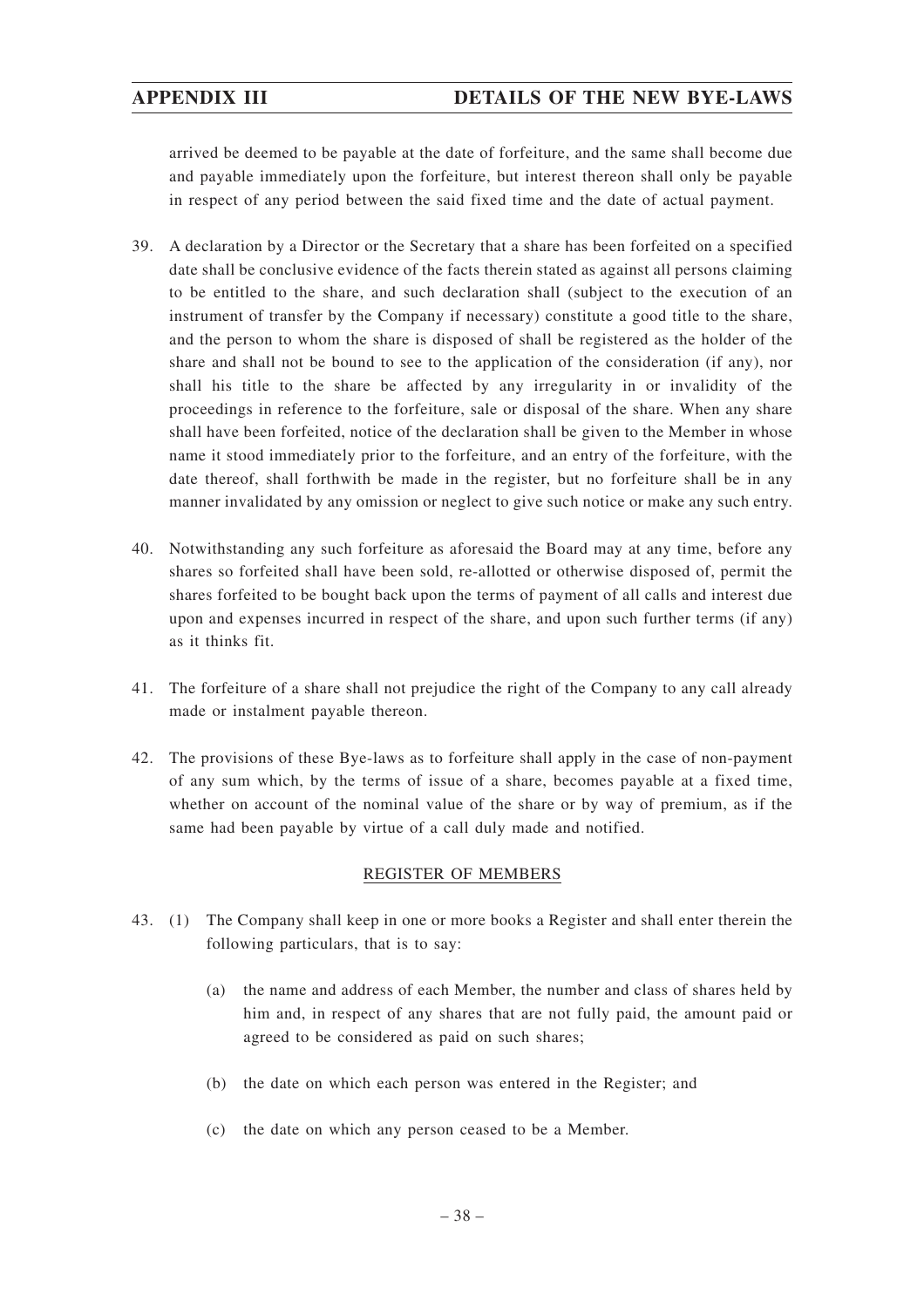arrived be deemed to be payable at the date of forfeiture, and the same shall become due and payable immediately upon the forfeiture, but interest thereon shall only be payable in respect of any period between the said fixed time and the date of actual payment.

- 39. A declaration by a Director or the Secretary that a share has been forfeited on a specified date shall be conclusive evidence of the facts therein stated as against all persons claiming to be entitled to the share, and such declaration shall (subject to the execution of an instrument of transfer by the Company if necessary) constitute a good title to the share, and the person to whom the share is disposed of shall be registered as the holder of the share and shall not be bound to see to the application of the consideration (if any), nor shall his title to the share be affected by any irregularity in or invalidity of the proceedings in reference to the forfeiture, sale or disposal of the share. When any share shall have been forfeited, notice of the declaration shall be given to the Member in whose name it stood immediately prior to the forfeiture, and an entry of the forfeiture, with the date thereof, shall forthwith be made in the register, but no forfeiture shall be in any manner invalidated by any omission or neglect to give such notice or make any such entry.
- 40. Notwithstanding any such forfeiture as aforesaid the Board may at any time, before any shares so forfeited shall have been sold, re-allotted or otherwise disposed of, permit the shares forfeited to be bought back upon the terms of payment of all calls and interest due upon and expenses incurred in respect of the share, and upon such further terms (if any) as it thinks fit.
- 41. The forfeiture of a share shall not prejudice the right of the Company to any call already made or instalment payable thereon.
- 42. The provisions of these Bye-laws as to forfeiture shall apply in the case of non-payment of any sum which, by the terms of issue of a share, becomes payable at a fixed time, whether on account of the nominal value of the share or by way of premium, as if the same had been payable by virtue of a call duly made and notified.

# REGISTER OF MEMBERS

- 43. (1) The Company shall keep in one or more books a Register and shall enter therein the following particulars, that is to say:
	- (a) the name and address of each Member, the number and class of shares held by him and, in respect of any shares that are not fully paid, the amount paid or agreed to be considered as paid on such shares;
	- (b) the date on which each person was entered in the Register; and
	- (c) the date on which any person ceased to be a Member.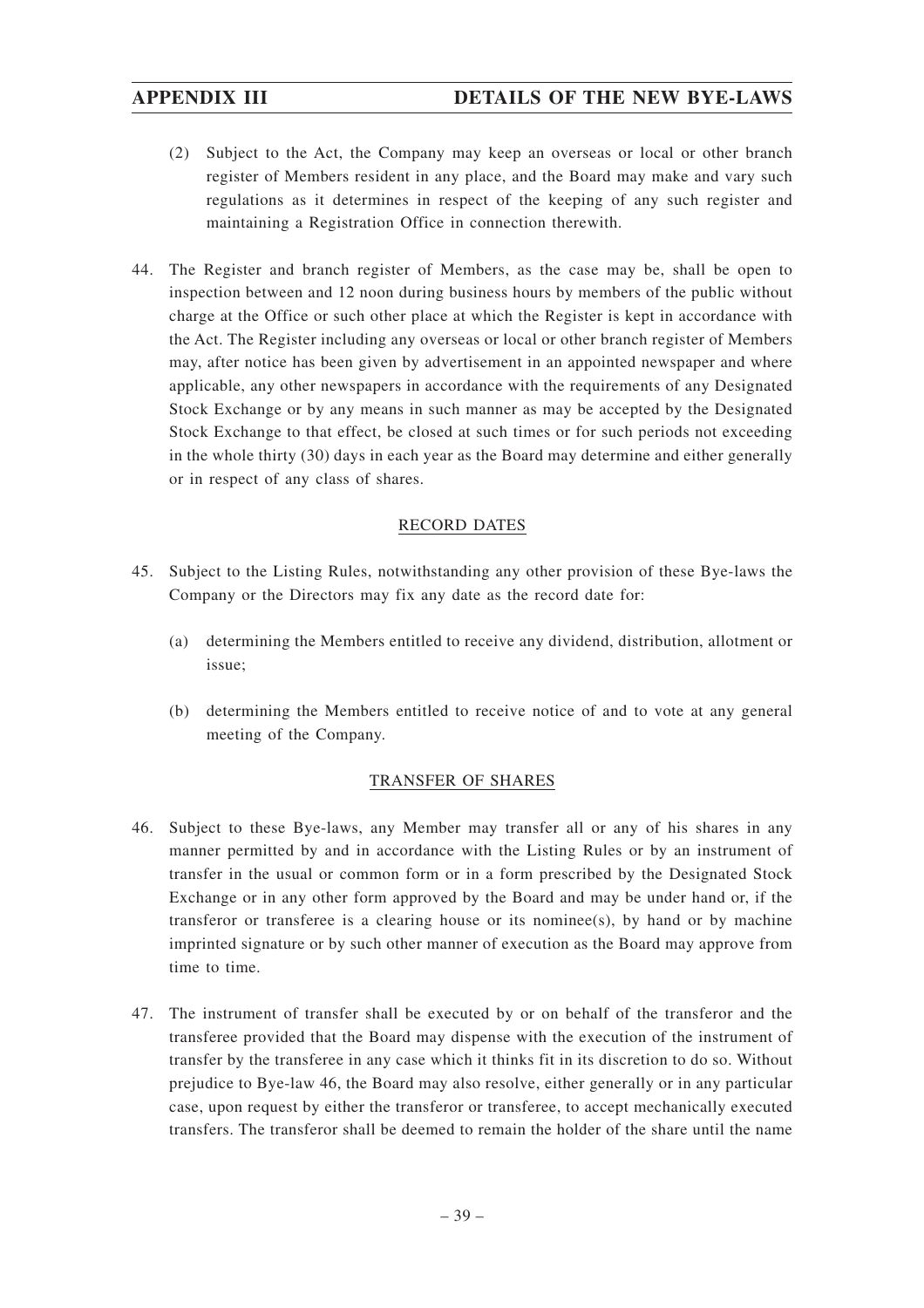- (2) Subject to the Act, the Company may keep an overseas or local or other branch register of Members resident in any place, and the Board may make and vary such regulations as it determines in respect of the keeping of any such register and maintaining a Registration Office in connection therewith.
- 44. The Register and branch register of Members, as the case may be, shall be open to inspection between and 12 noon during business hours by members of the public without charge at the Office or such other place at which the Register is kept in accordance with the Act. The Register including any overseas or local or other branch register of Members may, after notice has been given by advertisement in an appointed newspaper and where applicable, any other newspapers in accordance with the requirements of any Designated Stock Exchange or by any means in such manner as may be accepted by the Designated Stock Exchange to that effect, be closed at such times or for such periods not exceeding in the whole thirty (30) days in each year as the Board may determine and either generally or in respect of any class of shares.

# RECORD DATES

- 45. Subject to the Listing Rules, notwithstanding any other provision of these Bye-laws the Company or the Directors may fix any date as the record date for:
	- (a) determining the Members entitled to receive any dividend, distribution, allotment or issue;
	- (b) determining the Members entitled to receive notice of and to vote at any general meeting of the Company.

# TRANSFER OF SHARES

- 46. Subject to these Bye-laws, any Member may transfer all or any of his shares in any manner permitted by and in accordance with the Listing Rules or by an instrument of transfer in the usual or common form or in a form prescribed by the Designated Stock Exchange or in any other form approved by the Board and may be under hand or, if the transferor or transferee is a clearing house or its nominee(s), by hand or by machine imprinted signature or by such other manner of execution as the Board may approve from time to time.
- 47. The instrument of transfer shall be executed by or on behalf of the transferor and the transferee provided that the Board may dispense with the execution of the instrument of transfer by the transferee in any case which it thinks fit in its discretion to do so. Without prejudice to Bye-law 46, the Board may also resolve, either generally or in any particular case, upon request by either the transferor or transferee, to accept mechanically executed transfers. The transferor shall be deemed to remain the holder of the share until the name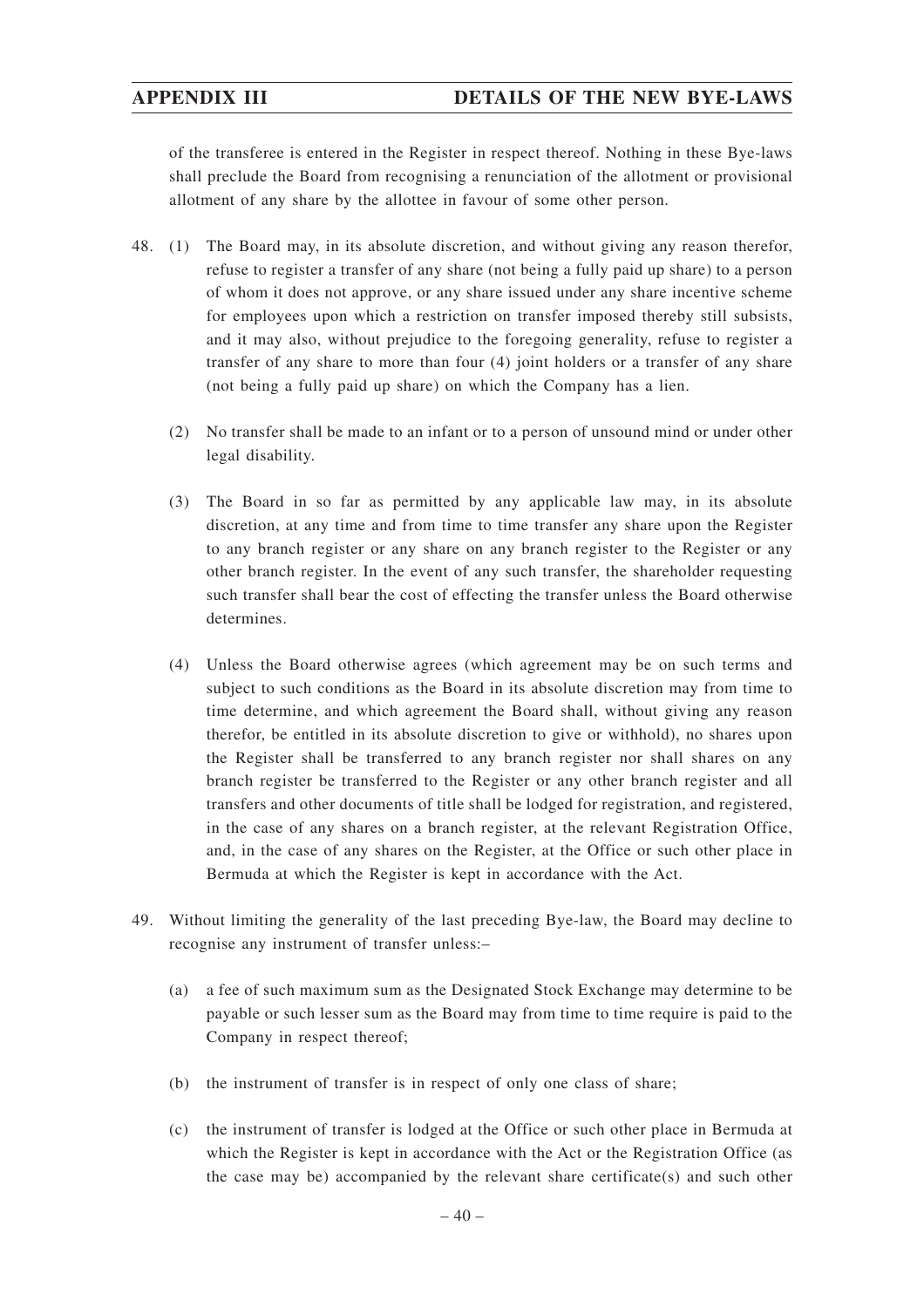of the transferee is entered in the Register in respect thereof. Nothing in these Bye-laws shall preclude the Board from recognising a renunciation of the allotment or provisional allotment of any share by the allottee in favour of some other person.

- 48. (1) The Board may, in its absolute discretion, and without giving any reason therefor, refuse to register a transfer of any share (not being a fully paid up share) to a person of whom it does not approve, or any share issued under any share incentive scheme for employees upon which a restriction on transfer imposed thereby still subsists, and it may also, without prejudice to the foregoing generality, refuse to register a transfer of any share to more than four (4) joint holders or a transfer of any share (not being a fully paid up share) on which the Company has a lien.
	- (2) No transfer shall be made to an infant or to a person of unsound mind or under other legal disability.
	- (3) The Board in so far as permitted by any applicable law may, in its absolute discretion, at any time and from time to time transfer any share upon the Register to any branch register or any share on any branch register to the Register or any other branch register. In the event of any such transfer, the shareholder requesting such transfer shall bear the cost of effecting the transfer unless the Board otherwise determines.
	- (4) Unless the Board otherwise agrees (which agreement may be on such terms and subject to such conditions as the Board in its absolute discretion may from time to time determine, and which agreement the Board shall, without giving any reason therefor, be entitled in its absolute discretion to give or withhold), no shares upon the Register shall be transferred to any branch register nor shall shares on any branch register be transferred to the Register or any other branch register and all transfers and other documents of title shall be lodged for registration, and registered, in the case of any shares on a branch register, at the relevant Registration Office, and, in the case of any shares on the Register, at the Office or such other place in Bermuda at which the Register is kept in accordance with the Act.
- 49. Without limiting the generality of the last preceding Bye-law, the Board may decline to recognise any instrument of transfer unless:–
	- (a) a fee of such maximum sum as the Designated Stock Exchange may determine to be payable or such lesser sum as the Board may from time to time require is paid to the Company in respect thereof;
	- (b) the instrument of transfer is in respect of only one class of share;
	- (c) the instrument of transfer is lodged at the Office or such other place in Bermuda at which the Register is kept in accordance with the Act or the Registration Office (as the case may be) accompanied by the relevant share certificate(s) and such other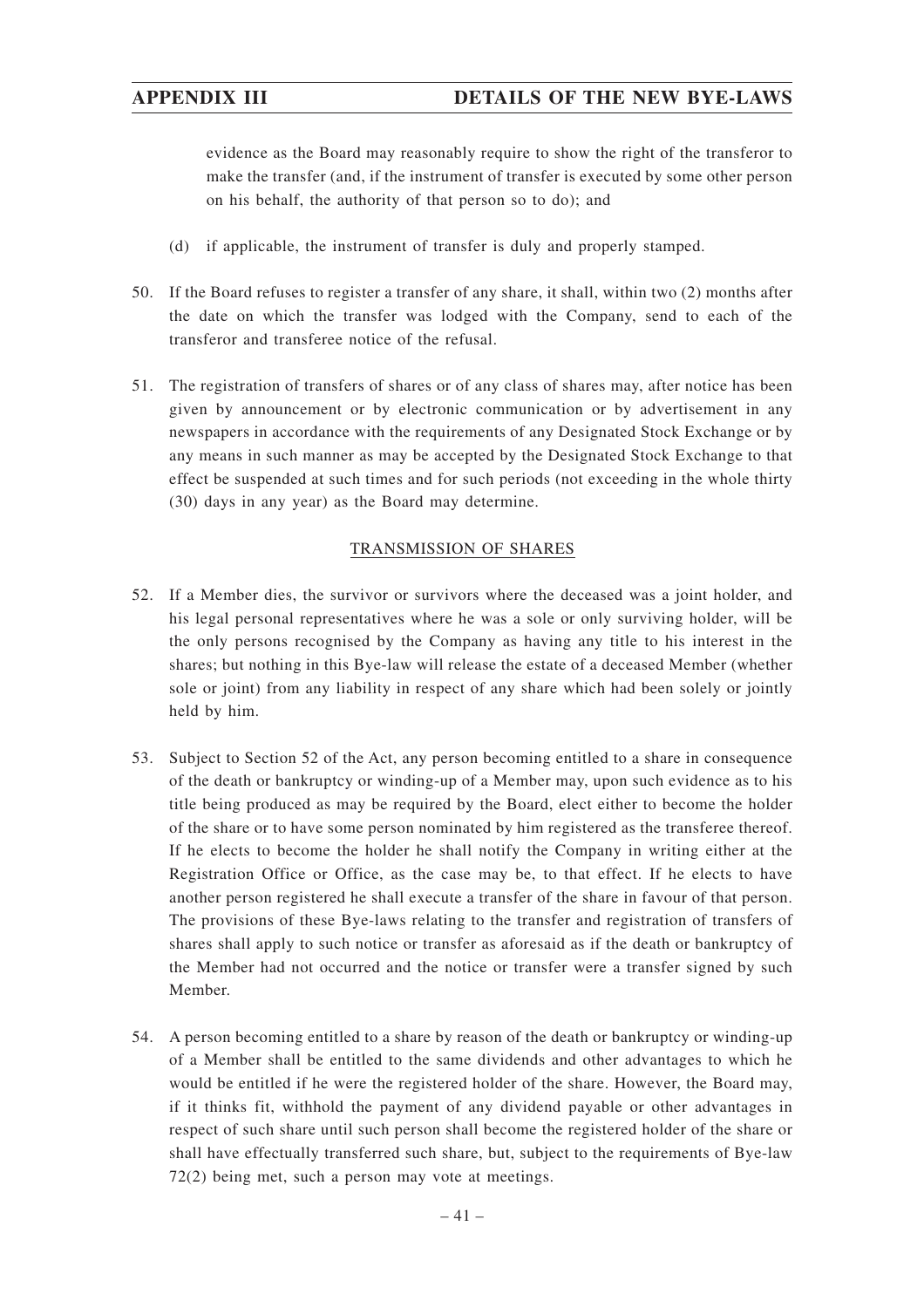evidence as the Board may reasonably require to show the right of the transferor to make the transfer (and, if the instrument of transfer is executed by some other person on his behalf, the authority of that person so to do); and

- (d) if applicable, the instrument of transfer is duly and properly stamped.
- 50. If the Board refuses to register a transfer of any share, it shall, within two (2) months after the date on which the transfer was lodged with the Company, send to each of the transferor and transferee notice of the refusal.
- 51. The registration of transfers of shares or of any class of shares may, after notice has been given by announcement or by electronic communication or by advertisement in any newspapers in accordance with the requirements of any Designated Stock Exchange or by any means in such manner as may be accepted by the Designated Stock Exchange to that effect be suspended at such times and for such periods (not exceeding in the whole thirty (30) days in any year) as the Board may determine.

# TRANSMISSION OF SHARES

- 52. If a Member dies, the survivor or survivors where the deceased was a joint holder, and his legal personal representatives where he was a sole or only surviving holder, will be the only persons recognised by the Company as having any title to his interest in the shares; but nothing in this Bye-law will release the estate of a deceased Member (whether sole or joint) from any liability in respect of any share which had been solely or jointly held by him.
- 53. Subject to Section 52 of the Act, any person becoming entitled to a share in consequence of the death or bankruptcy or winding-up of a Member may, upon such evidence as to his title being produced as may be required by the Board, elect either to become the holder of the share or to have some person nominated by him registered as the transferee thereof. If he elects to become the holder he shall notify the Company in writing either at the Registration Office or Office, as the case may be, to that effect. If he elects to have another person registered he shall execute a transfer of the share in favour of that person. The provisions of these Bye-laws relating to the transfer and registration of transfers of shares shall apply to such notice or transfer as aforesaid as if the death or bankruptcy of the Member had not occurred and the notice or transfer were a transfer signed by such Member.
- 54. A person becoming entitled to a share by reason of the death or bankruptcy or winding-up of a Member shall be entitled to the same dividends and other advantages to which he would be entitled if he were the registered holder of the share. However, the Board may, if it thinks fit, withhold the payment of any dividend payable or other advantages in respect of such share until such person shall become the registered holder of the share or shall have effectually transferred such share, but, subject to the requirements of Bye-law 72(2) being met, such a person may vote at meetings.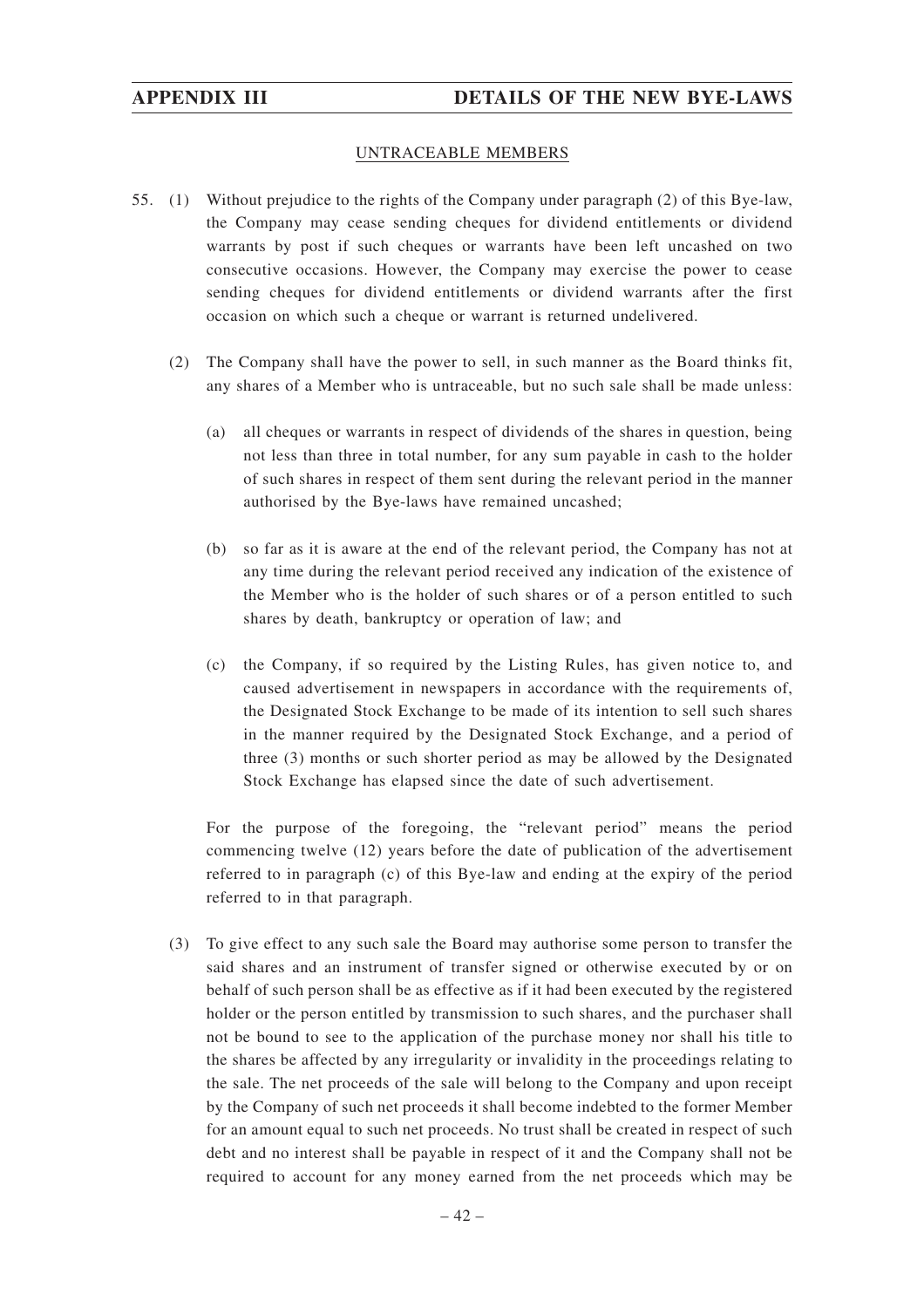### UNTRACEABLE MEMBERS

- 55. (1) Without prejudice to the rights of the Company under paragraph (2) of this Bye-law, the Company may cease sending cheques for dividend entitlements or dividend warrants by post if such cheques or warrants have been left uncashed on two consecutive occasions. However, the Company may exercise the power to cease sending cheques for dividend entitlements or dividend warrants after the first occasion on which such a cheque or warrant is returned undelivered.
	- (2) The Company shall have the power to sell, in such manner as the Board thinks fit, any shares of a Member who is untraceable, but no such sale shall be made unless:
		- (a) all cheques or warrants in respect of dividends of the shares in question, being not less than three in total number, for any sum payable in cash to the holder of such shares in respect of them sent during the relevant period in the manner authorised by the Bye-laws have remained uncashed;
		- (b) so far as it is aware at the end of the relevant period, the Company has not at any time during the relevant period received any indication of the existence of the Member who is the holder of such shares or of a person entitled to such shares by death, bankruptcy or operation of law; and
		- (c) the Company, if so required by the Listing Rules, has given notice to, and caused advertisement in newspapers in accordance with the requirements of, the Designated Stock Exchange to be made of its intention to sell such shares in the manner required by the Designated Stock Exchange, and a period of three (3) months or such shorter period as may be allowed by the Designated Stock Exchange has elapsed since the date of such advertisement.

For the purpose of the foregoing, the "relevant period" means the period commencing twelve (12) years before the date of publication of the advertisement referred to in paragraph (c) of this Bye-law and ending at the expiry of the period referred to in that paragraph.

(3) To give effect to any such sale the Board may authorise some person to transfer the said shares and an instrument of transfer signed or otherwise executed by or on behalf of such person shall be as effective as if it had been executed by the registered holder or the person entitled by transmission to such shares, and the purchaser shall not be bound to see to the application of the purchase money nor shall his title to the shares be affected by any irregularity or invalidity in the proceedings relating to the sale. The net proceeds of the sale will belong to the Company and upon receipt by the Company of such net proceeds it shall become indebted to the former Member for an amount equal to such net proceeds. No trust shall be created in respect of such debt and no interest shall be payable in respect of it and the Company shall not be required to account for any money earned from the net proceeds which may be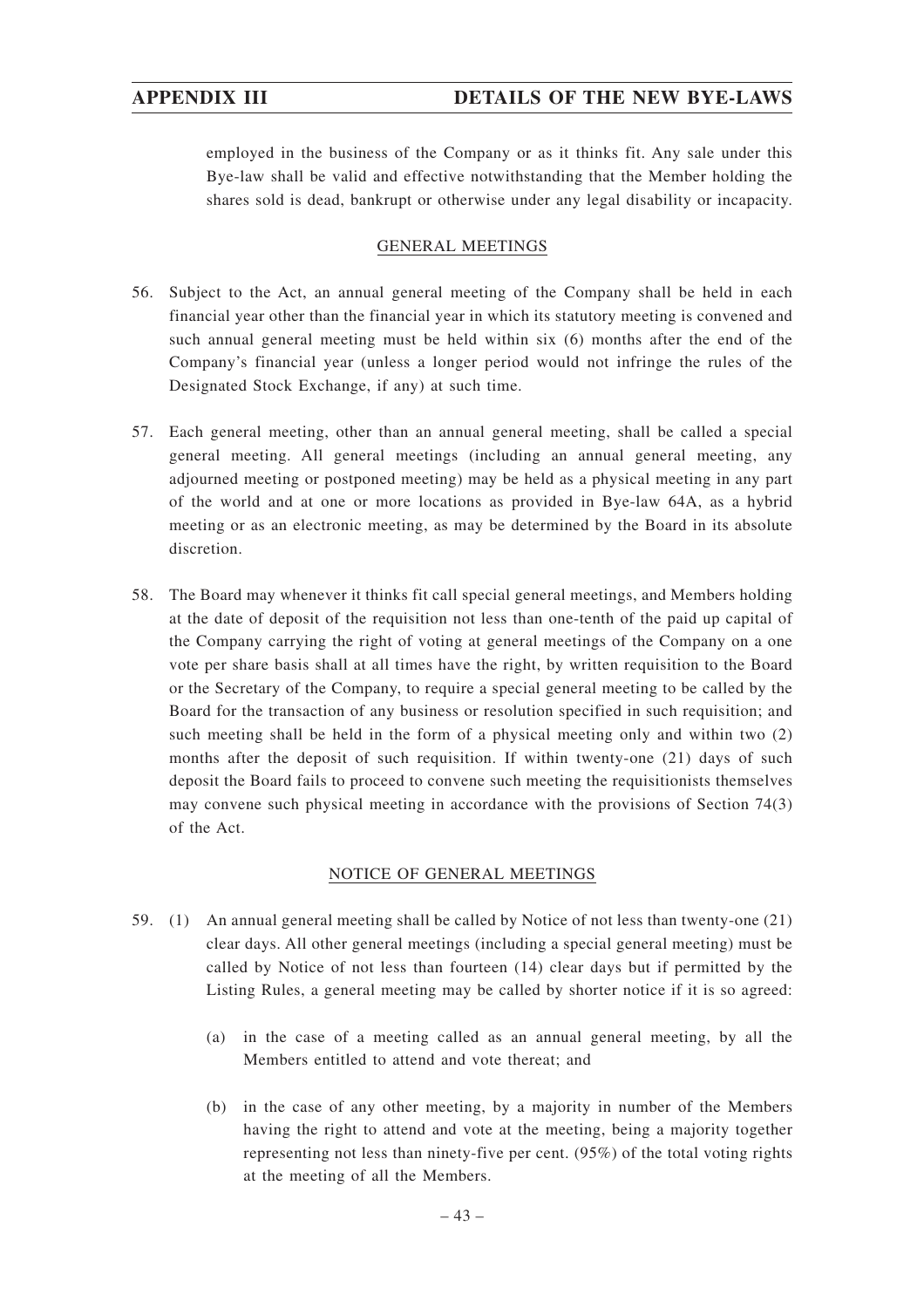employed in the business of the Company or as it thinks fit. Any sale under this Bye-law shall be valid and effective notwithstanding that the Member holding the shares sold is dead, bankrupt or otherwise under any legal disability or incapacity.

# GENERAL MEETINGS

- 56. Subject to the Act, an annual general meeting of the Company shall be held in each financial year other than the financial year in which its statutory meeting is convened and such annual general meeting must be held within six (6) months after the end of the Company's financial year (unless a longer period would not infringe the rules of the Designated Stock Exchange, if any) at such time.
- 57. Each general meeting, other than an annual general meeting, shall be called a special general meeting. All general meetings (including an annual general meeting, any adjourned meeting or postponed meeting) may be held as a physical meeting in any part of the world and at one or more locations as provided in Bye-law 64A, as a hybrid meeting or as an electronic meeting, as may be determined by the Board in its absolute discretion.
- 58. The Board may whenever it thinks fit call special general meetings, and Members holding at the date of deposit of the requisition not less than one-tenth of the paid up capital of the Company carrying the right of voting at general meetings of the Company on a one vote per share basis shall at all times have the right, by written requisition to the Board or the Secretary of the Company, to require a special general meeting to be called by the Board for the transaction of any business or resolution specified in such requisition; and such meeting shall be held in the form of a physical meeting only and within two (2) months after the deposit of such requisition. If within twenty-one (21) days of such deposit the Board fails to proceed to convene such meeting the requisitionists themselves may convene such physical meeting in accordance with the provisions of Section 74(3) of the Act.

# NOTICE OF GENERAL MEETINGS

- 59. (1) An annual general meeting shall be called by Notice of not less than twenty-one (21) clear days. All other general meetings (including a special general meeting) must be called by Notice of not less than fourteen (14) clear days but if permitted by the Listing Rules, a general meeting may be called by shorter notice if it is so agreed:
	- (a) in the case of a meeting called as an annual general meeting, by all the Members entitled to attend and vote thereat; and
	- (b) in the case of any other meeting, by a majority in number of the Members having the right to attend and vote at the meeting, being a majority together representing not less than ninety-five per cent. (95%) of the total voting rights at the meeting of all the Members.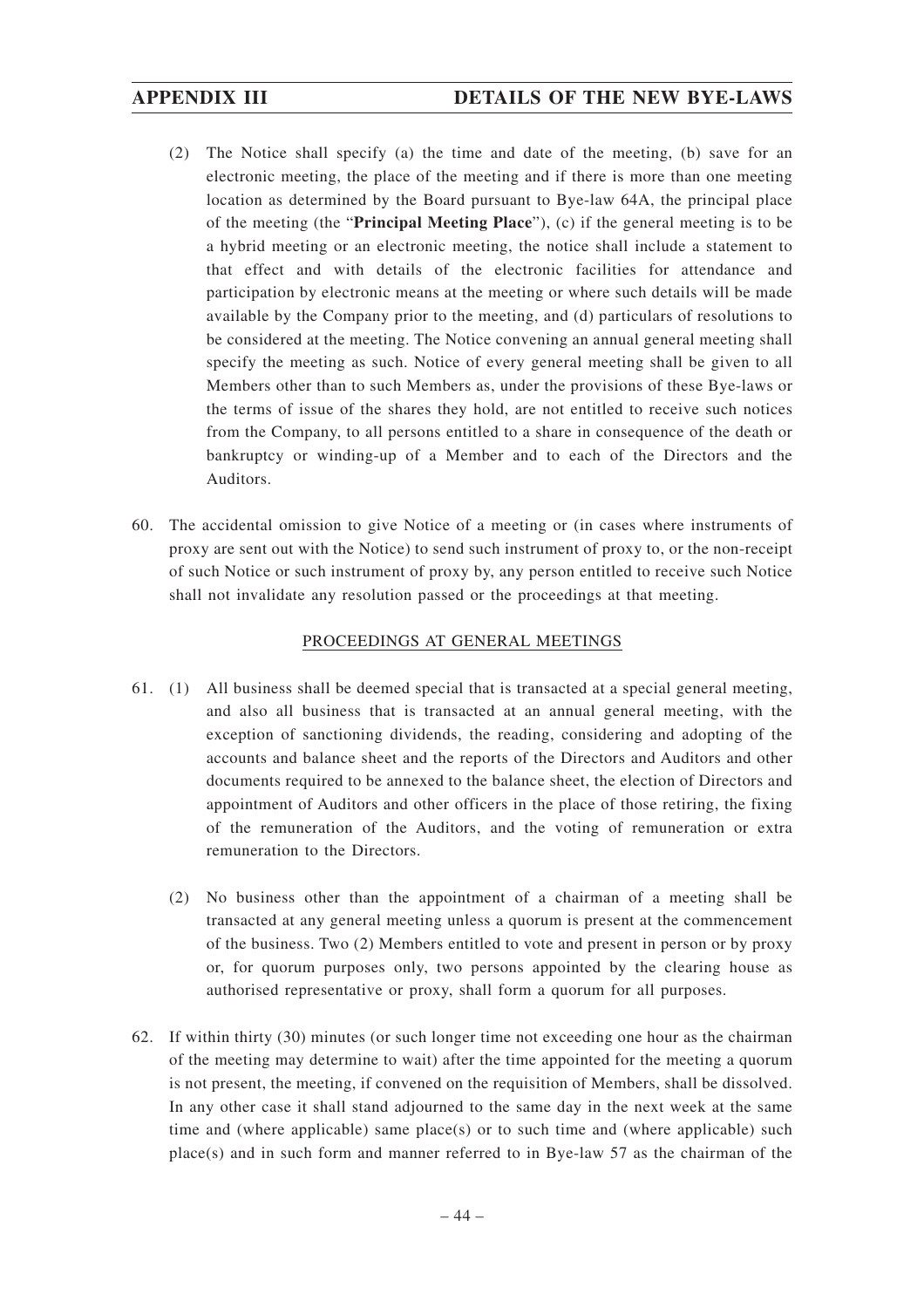- (2) The Notice shall specify (a) the time and date of the meeting, (b) save for an electronic meeting, the place of the meeting and if there is more than one meeting location as determined by the Board pursuant to Bye-law 64A, the principal place of the meeting (the "**Principal Meeting Place**"), (c) if the general meeting is to be a hybrid meeting or an electronic meeting, the notice shall include a statement to that effect and with details of the electronic facilities for attendance and participation by electronic means at the meeting or where such details will be made available by the Company prior to the meeting, and (d) particulars of resolutions to be considered at the meeting. The Notice convening an annual general meeting shall specify the meeting as such. Notice of every general meeting shall be given to all Members other than to such Members as, under the provisions of these Bye-laws or the terms of issue of the shares they hold, are not entitled to receive such notices from the Company, to all persons entitled to a share in consequence of the death or bankruptcy or winding-up of a Member and to each of the Directors and the Auditors.
- 60. The accidental omission to give Notice of a meeting or (in cases where instruments of proxy are sent out with the Notice) to send such instrument of proxy to, or the non-receipt of such Notice or such instrument of proxy by, any person entitled to receive such Notice shall not invalidate any resolution passed or the proceedings at that meeting.

# PROCEEDINGS AT GENERAL MEETINGS

- 61. (1) All business shall be deemed special that is transacted at a special general meeting, and also all business that is transacted at an annual general meeting, with the exception of sanctioning dividends, the reading, considering and adopting of the accounts and balance sheet and the reports of the Directors and Auditors and other documents required to be annexed to the balance sheet, the election of Directors and appointment of Auditors and other officers in the place of those retiring, the fixing of the remuneration of the Auditors, and the voting of remuneration or extra remuneration to the Directors.
	- (2) No business other than the appointment of a chairman of a meeting shall be transacted at any general meeting unless a quorum is present at the commencement of the business. Two (2) Members entitled to vote and present in person or by proxy or, for quorum purposes only, two persons appointed by the clearing house as authorised representative or proxy, shall form a quorum for all purposes.
- 62. If within thirty (30) minutes (or such longer time not exceeding one hour as the chairman of the meeting may determine to wait) after the time appointed for the meeting a quorum is not present, the meeting, if convened on the requisition of Members, shall be dissolved. In any other case it shall stand adjourned to the same day in the next week at the same time and (where applicable) same place(s) or to such time and (where applicable) such place(s) and in such form and manner referred to in Bye-law 57 as the chairman of the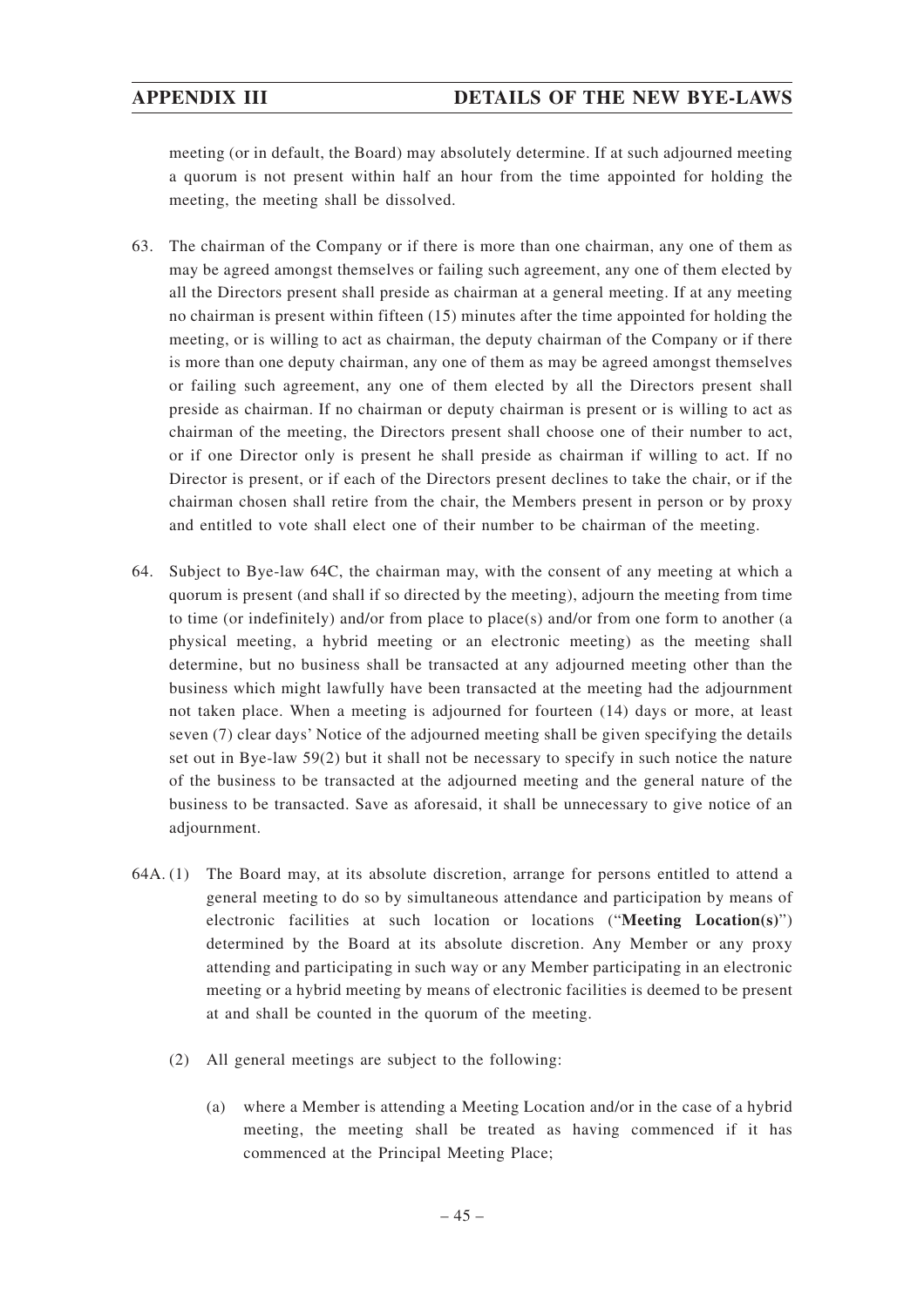meeting (or in default, the Board) may absolutely determine. If at such adjourned meeting a quorum is not present within half an hour from the time appointed for holding the meeting, the meeting shall be dissolved.

- 63. The chairman of the Company or if there is more than one chairman, any one of them as may be agreed amongst themselves or failing such agreement, any one of them elected by all the Directors present shall preside as chairman at a general meeting. If at any meeting no chairman is present within fifteen (15) minutes after the time appointed for holding the meeting, or is willing to act as chairman, the deputy chairman of the Company or if there is more than one deputy chairman, any one of them as may be agreed amongst themselves or failing such agreement, any one of them elected by all the Directors present shall preside as chairman. If no chairman or deputy chairman is present or is willing to act as chairman of the meeting, the Directors present shall choose one of their number to act, or if one Director only is present he shall preside as chairman if willing to act. If no Director is present, or if each of the Directors present declines to take the chair, or if the chairman chosen shall retire from the chair, the Members present in person or by proxy and entitled to vote shall elect one of their number to be chairman of the meeting.
- 64. Subject to Bye-law 64C, the chairman may, with the consent of any meeting at which a quorum is present (and shall if so directed by the meeting), adjourn the meeting from time to time (or indefinitely) and/or from place to place(s) and/or from one form to another (a physical meeting, a hybrid meeting or an electronic meeting) as the meeting shall determine, but no business shall be transacted at any adjourned meeting other than the business which might lawfully have been transacted at the meeting had the adjournment not taken place. When a meeting is adjourned for fourteen (14) days or more, at least seven (7) clear days' Notice of the adjourned meeting shall be given specifying the details set out in Bye-law 59(2) but it shall not be necessary to specify in such notice the nature of the business to be transacted at the adjourned meeting and the general nature of the business to be transacted. Save as aforesaid, it shall be unnecessary to give notice of an adjournment.
- 64A. (1) The Board may, at its absolute discretion, arrange for persons entitled to attend a general meeting to do so by simultaneous attendance and participation by means of electronic facilities at such location or locations ("**Meeting Location(s)**") determined by the Board at its absolute discretion. Any Member or any proxy attending and participating in such way or any Member participating in an electronic meeting or a hybrid meeting by means of electronic facilities is deemed to be present at and shall be counted in the quorum of the meeting.
	- (2) All general meetings are subject to the following:
		- (a) where a Member is attending a Meeting Location and/or in the case of a hybrid meeting, the meeting shall be treated as having commenced if it has commenced at the Principal Meeting Place;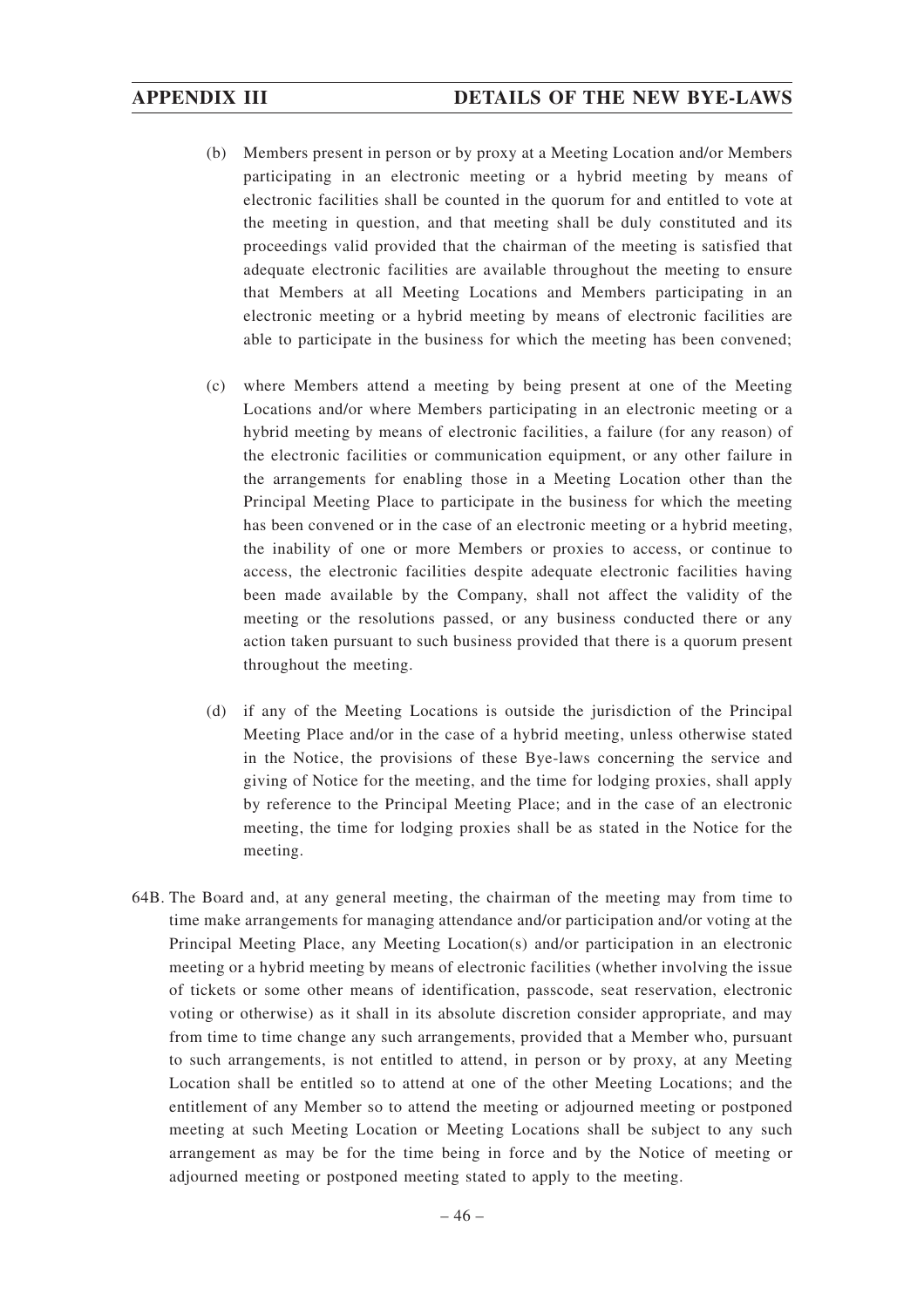- (b) Members present in person or by proxy at a Meeting Location and/or Members participating in an electronic meeting or a hybrid meeting by means of electronic facilities shall be counted in the quorum for and entitled to vote at the meeting in question, and that meeting shall be duly constituted and its proceedings valid provided that the chairman of the meeting is satisfied that adequate electronic facilities are available throughout the meeting to ensure that Members at all Meeting Locations and Members participating in an electronic meeting or a hybrid meeting by means of electronic facilities are able to participate in the business for which the meeting has been convened;
- (c) where Members attend a meeting by being present at one of the Meeting Locations and/or where Members participating in an electronic meeting or a hybrid meeting by means of electronic facilities, a failure (for any reason) of the electronic facilities or communication equipment, or any other failure in the arrangements for enabling those in a Meeting Location other than the Principal Meeting Place to participate in the business for which the meeting has been convened or in the case of an electronic meeting or a hybrid meeting, the inability of one or more Members or proxies to access, or continue to access, the electronic facilities despite adequate electronic facilities having been made available by the Company, shall not affect the validity of the meeting or the resolutions passed, or any business conducted there or any action taken pursuant to such business provided that there is a quorum present throughout the meeting.
- (d) if any of the Meeting Locations is outside the jurisdiction of the Principal Meeting Place and/or in the case of a hybrid meeting, unless otherwise stated in the Notice, the provisions of these Bye-laws concerning the service and giving of Notice for the meeting, and the time for lodging proxies, shall apply by reference to the Principal Meeting Place; and in the case of an electronic meeting, the time for lodging proxies shall be as stated in the Notice for the meeting.
- 64B. The Board and, at any general meeting, the chairman of the meeting may from time to time make arrangements for managing attendance and/or participation and/or voting at the Principal Meeting Place, any Meeting Location(s) and/or participation in an electronic meeting or a hybrid meeting by means of electronic facilities (whether involving the issue of tickets or some other means of identification, passcode, seat reservation, electronic voting or otherwise) as it shall in its absolute discretion consider appropriate, and may from time to time change any such arrangements, provided that a Member who, pursuant to such arrangements, is not entitled to attend, in person or by proxy, at any Meeting Location shall be entitled so to attend at one of the other Meeting Locations; and the entitlement of any Member so to attend the meeting or adjourned meeting or postponed meeting at such Meeting Location or Meeting Locations shall be subject to any such arrangement as may be for the time being in force and by the Notice of meeting or adjourned meeting or postponed meeting stated to apply to the meeting.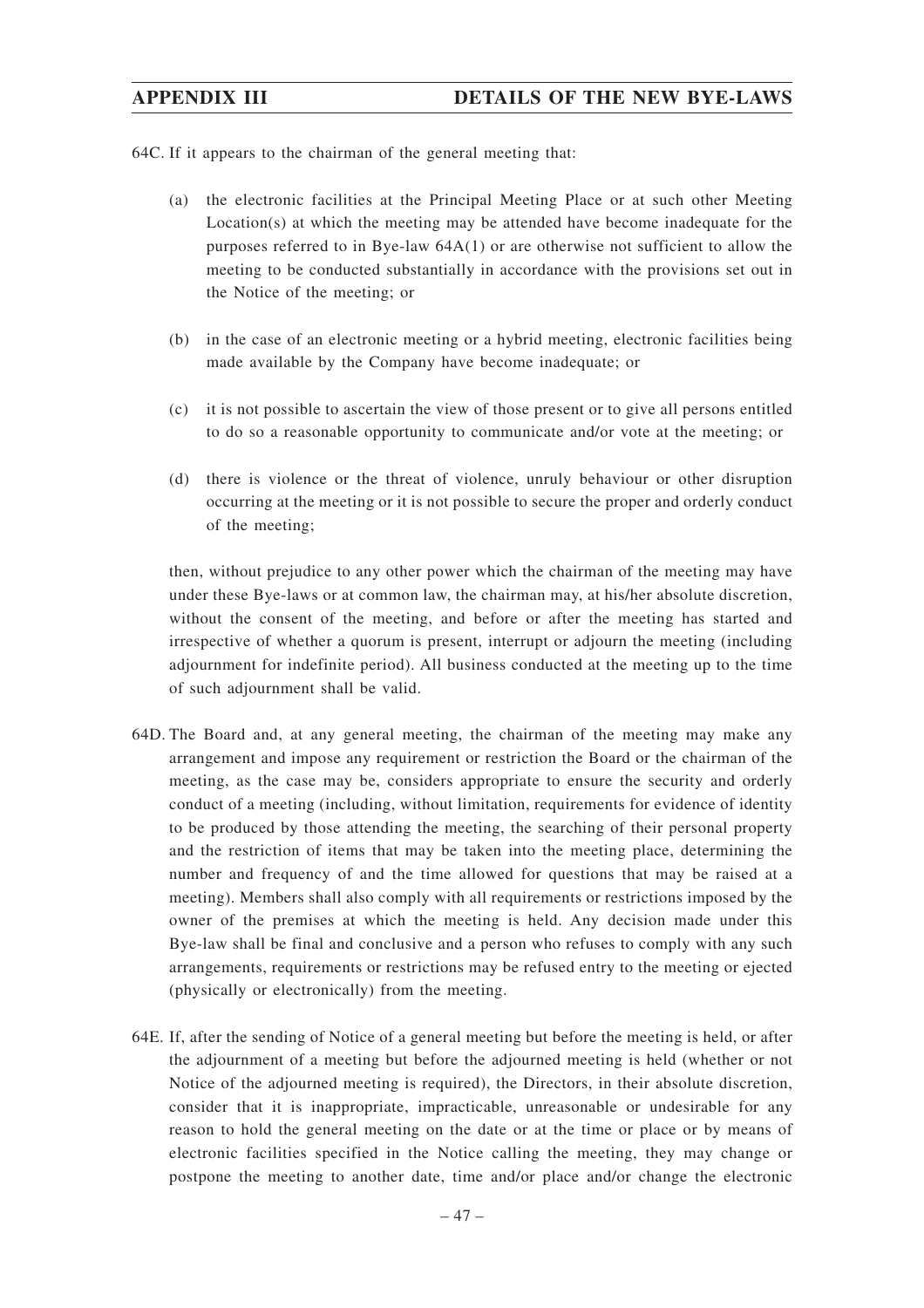64C. If it appears to the chairman of the general meeting that:

- (a) the electronic facilities at the Principal Meeting Place or at such other Meeting Location(s) at which the meeting may be attended have become inadequate for the purposes referred to in Bye-law 64A(1) or are otherwise not sufficient to allow the meeting to be conducted substantially in accordance with the provisions set out in the Notice of the meeting; or
- (b) in the case of an electronic meeting or a hybrid meeting, electronic facilities being made available by the Company have become inadequate; or
- (c) it is not possible to ascertain the view of those present or to give all persons entitled to do so a reasonable opportunity to communicate and/or vote at the meeting; or
- (d) there is violence or the threat of violence, unruly behaviour or other disruption occurring at the meeting or it is not possible to secure the proper and orderly conduct of the meeting;

then, without prejudice to any other power which the chairman of the meeting may have under these Bye-laws or at common law, the chairman may, at his/her absolute discretion, without the consent of the meeting, and before or after the meeting has started and irrespective of whether a quorum is present, interrupt or adjourn the meeting (including adjournment for indefinite period). All business conducted at the meeting up to the time of such adjournment shall be valid.

- 64D. The Board and, at any general meeting, the chairman of the meeting may make any arrangement and impose any requirement or restriction the Board or the chairman of the meeting, as the case may be, considers appropriate to ensure the security and orderly conduct of a meeting (including, without limitation, requirements for evidence of identity to be produced by those attending the meeting, the searching of their personal property and the restriction of items that may be taken into the meeting place, determining the number and frequency of and the time allowed for questions that may be raised at a meeting). Members shall also comply with all requirements or restrictions imposed by the owner of the premises at which the meeting is held. Any decision made under this Bye-law shall be final and conclusive and a person who refuses to comply with any such arrangements, requirements or restrictions may be refused entry to the meeting or ejected (physically or electronically) from the meeting.
- 64E. If, after the sending of Notice of a general meeting but before the meeting is held, or after the adjournment of a meeting but before the adjourned meeting is held (whether or not Notice of the adjourned meeting is required), the Directors, in their absolute discretion, consider that it is inappropriate, impracticable, unreasonable or undesirable for any reason to hold the general meeting on the date or at the time or place or by means of electronic facilities specified in the Notice calling the meeting, they may change or postpone the meeting to another date, time and/or place and/or change the electronic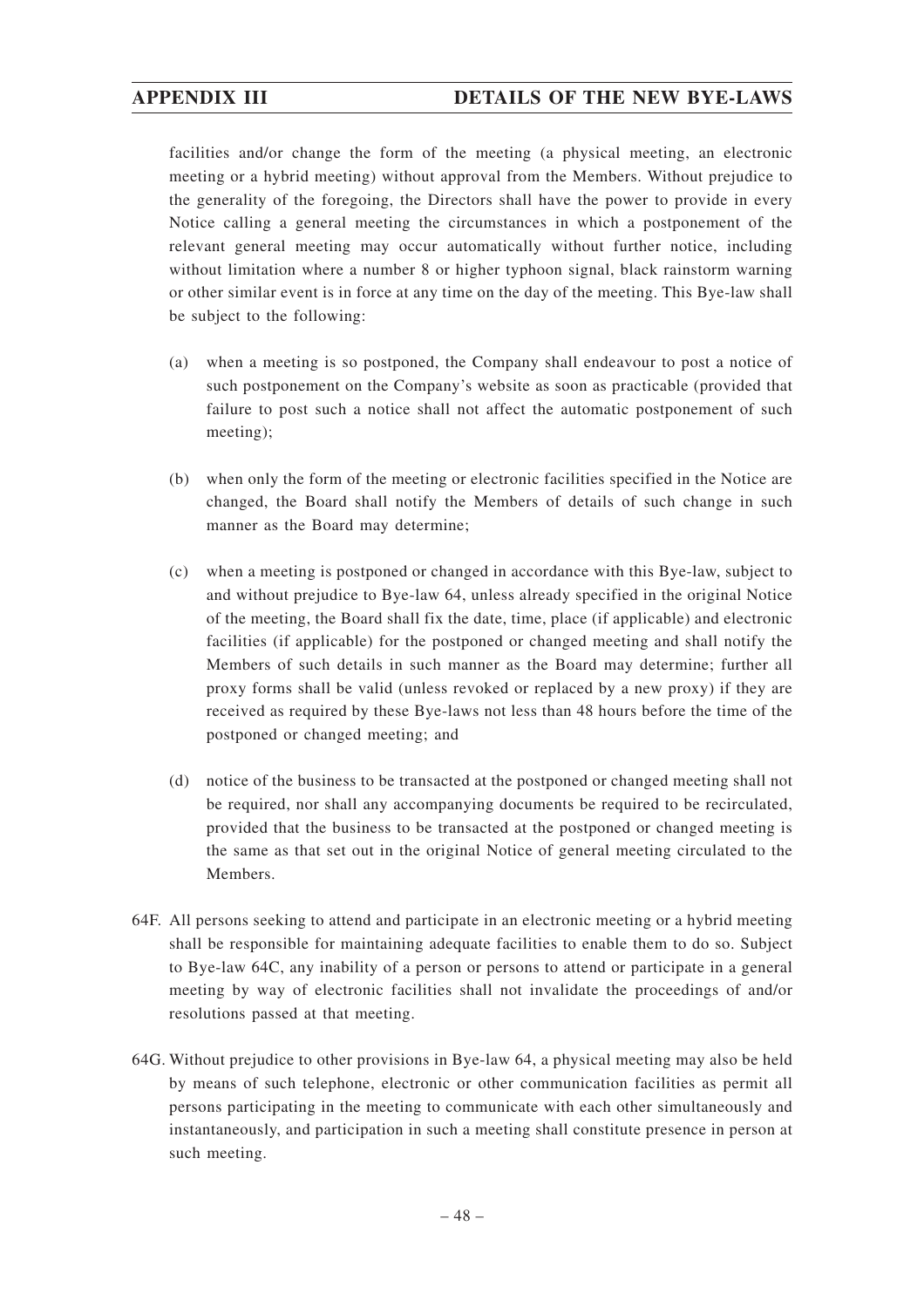facilities and/or change the form of the meeting (a physical meeting, an electronic meeting or a hybrid meeting) without approval from the Members. Without prejudice to the generality of the foregoing, the Directors shall have the power to provide in every Notice calling a general meeting the circumstances in which a postponement of the relevant general meeting may occur automatically without further notice, including without limitation where a number 8 or higher typhoon signal, black rainstorm warning or other similar event is in force at any time on the day of the meeting. This Bye-law shall be subject to the following:

- (a) when a meeting is so postponed, the Company shall endeavour to post a notice of such postponement on the Company's website as soon as practicable (provided that failure to post such a notice shall not affect the automatic postponement of such meeting);
- (b) when only the form of the meeting or electronic facilities specified in the Notice are changed, the Board shall notify the Members of details of such change in such manner as the Board may determine;
- (c) when a meeting is postponed or changed in accordance with this Bye-law, subject to and without prejudice to Bye-law 64, unless already specified in the original Notice of the meeting, the Board shall fix the date, time, place (if applicable) and electronic facilities (if applicable) for the postponed or changed meeting and shall notify the Members of such details in such manner as the Board may determine; further all proxy forms shall be valid (unless revoked or replaced by a new proxy) if they are received as required by these Bye-laws not less than 48 hours before the time of the postponed or changed meeting; and
- (d) notice of the business to be transacted at the postponed or changed meeting shall not be required, nor shall any accompanying documents be required to be recirculated, provided that the business to be transacted at the postponed or changed meeting is the same as that set out in the original Notice of general meeting circulated to the Members.
- 64F. All persons seeking to attend and participate in an electronic meeting or a hybrid meeting shall be responsible for maintaining adequate facilities to enable them to do so. Subject to Bye-law 64C, any inability of a person or persons to attend or participate in a general meeting by way of electronic facilities shall not invalidate the proceedings of and/or resolutions passed at that meeting.
- 64G. Without prejudice to other provisions in Bye-law 64, a physical meeting may also be held by means of such telephone, electronic or other communication facilities as permit all persons participating in the meeting to communicate with each other simultaneously and instantaneously, and participation in such a meeting shall constitute presence in person at such meeting.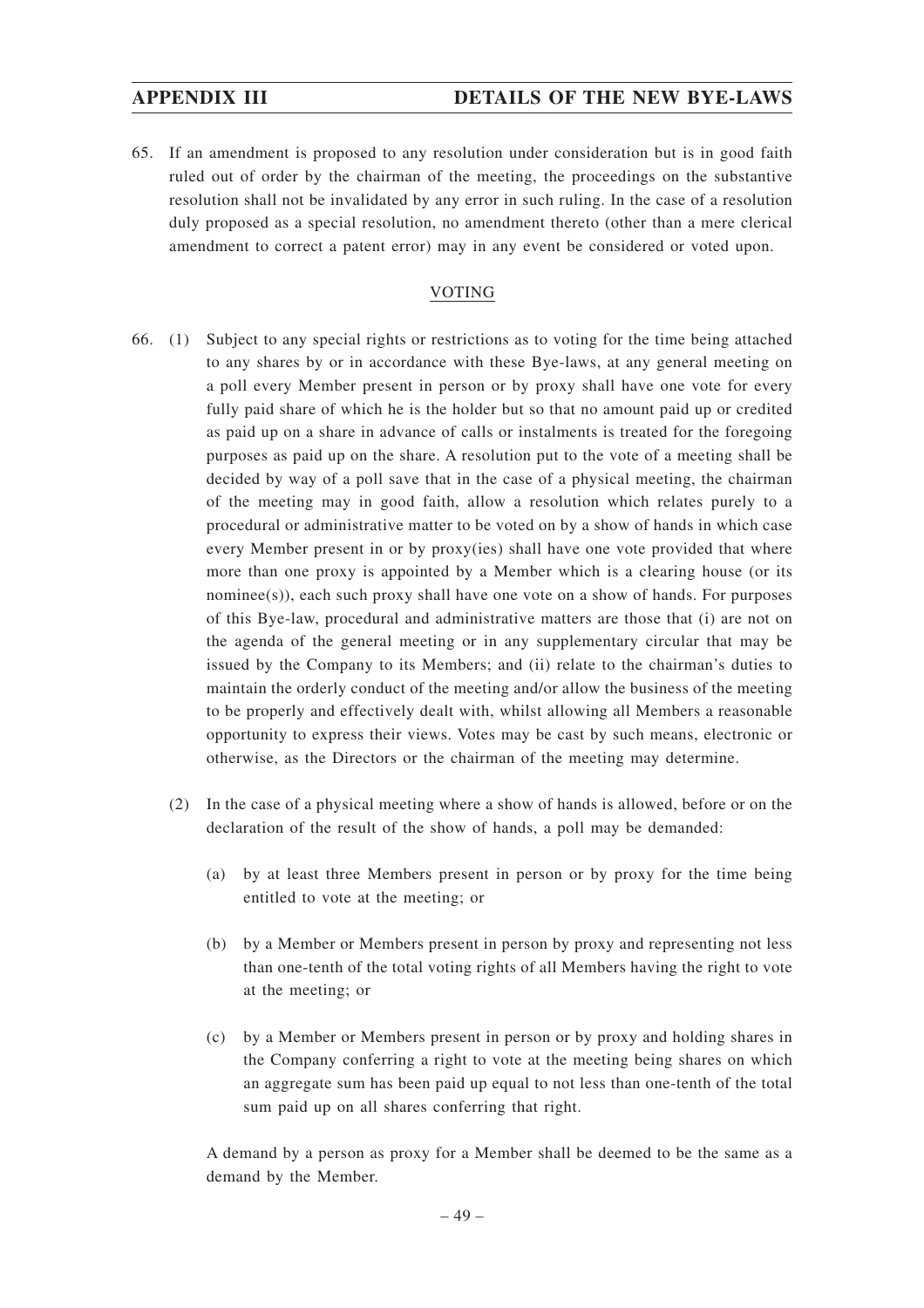65. If an amendment is proposed to any resolution under consideration but is in good faith ruled out of order by the chairman of the meeting, the proceedings on the substantive resolution shall not be invalidated by any error in such ruling. In the case of a resolution duly proposed as a special resolution, no amendment thereto (other than a mere clerical amendment to correct a patent error) may in any event be considered or voted upon.

# VOTING

- 66. (1) Subject to any special rights or restrictions as to voting for the time being attached to any shares by or in accordance with these Bye-laws, at any general meeting on a poll every Member present in person or by proxy shall have one vote for every fully paid share of which he is the holder but so that no amount paid up or credited as paid up on a share in advance of calls or instalments is treated for the foregoing purposes as paid up on the share. A resolution put to the vote of a meeting shall be decided by way of a poll save that in the case of a physical meeting, the chairman of the meeting may in good faith, allow a resolution which relates purely to a procedural or administrative matter to be voted on by a show of hands in which case every Member present in or by proxy(ies) shall have one vote provided that where more than one proxy is appointed by a Member which is a clearing house (or its nominee(s)), each such proxy shall have one vote on a show of hands. For purposes of this Bye-law, procedural and administrative matters are those that (i) are not on the agenda of the general meeting or in any supplementary circular that may be issued by the Company to its Members; and (ii) relate to the chairman's duties to maintain the orderly conduct of the meeting and/or allow the business of the meeting to be properly and effectively dealt with, whilst allowing all Members a reasonable opportunity to express their views. Votes may be cast by such means, electronic or otherwise, as the Directors or the chairman of the meeting may determine.
	- (2) In the case of a physical meeting where a show of hands is allowed, before or on the declaration of the result of the show of hands, a poll may be demanded:
		- (a) by at least three Members present in person or by proxy for the time being entitled to vote at the meeting; or
		- (b) by a Member or Members present in person by proxy and representing not less than one-tenth of the total voting rights of all Members having the right to vote at the meeting; or
		- (c) by a Member or Members present in person or by proxy and holding shares in the Company conferring a right to vote at the meeting being shares on which an aggregate sum has been paid up equal to not less than one-tenth of the total sum paid up on all shares conferring that right.

A demand by a person as proxy for a Member shall be deemed to be the same as a demand by the Member.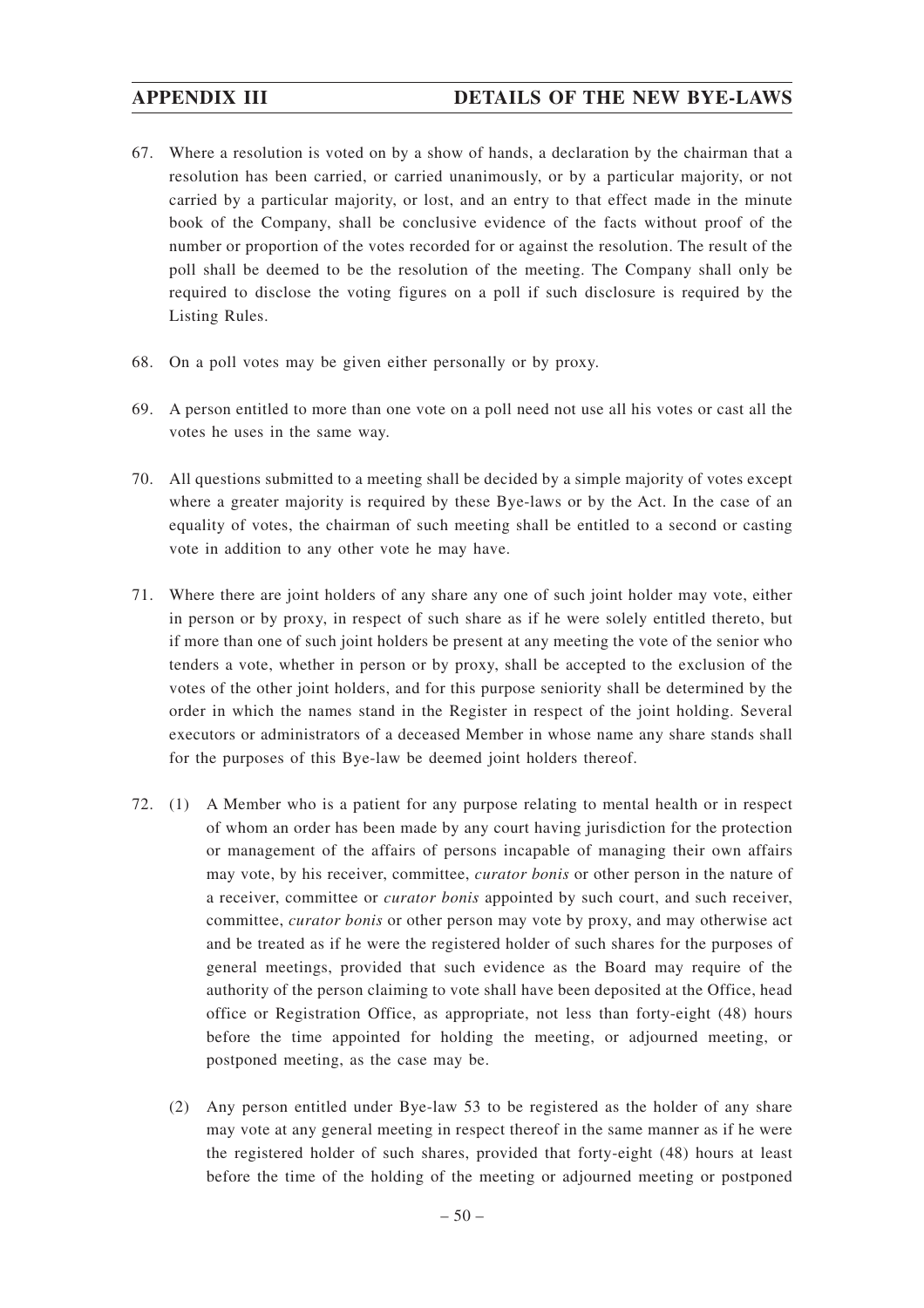- 67. Where a resolution is voted on by a show of hands, a declaration by the chairman that a resolution has been carried, or carried unanimously, or by a particular majority, or not carried by a particular majority, or lost, and an entry to that effect made in the minute book of the Company, shall be conclusive evidence of the facts without proof of the number or proportion of the votes recorded for or against the resolution. The result of the poll shall be deemed to be the resolution of the meeting. The Company shall only be required to disclose the voting figures on a poll if such disclosure is required by the Listing Rules.
- 68. On a poll votes may be given either personally or by proxy.
- 69. A person entitled to more than one vote on a poll need not use all his votes or cast all the votes he uses in the same way.
- 70. All questions submitted to a meeting shall be decided by a simple majority of votes except where a greater majority is required by these Bye-laws or by the Act. In the case of an equality of votes, the chairman of such meeting shall be entitled to a second or casting vote in addition to any other vote he may have.
- 71. Where there are joint holders of any share any one of such joint holder may vote, either in person or by proxy, in respect of such share as if he were solely entitled thereto, but if more than one of such joint holders be present at any meeting the vote of the senior who tenders a vote, whether in person or by proxy, shall be accepted to the exclusion of the votes of the other joint holders, and for this purpose seniority shall be determined by the order in which the names stand in the Register in respect of the joint holding. Several executors or administrators of a deceased Member in whose name any share stands shall for the purposes of this Bye-law be deemed joint holders thereof.
- 72. (1) A Member who is a patient for any purpose relating to mental health or in respect of whom an order has been made by any court having jurisdiction for the protection or management of the affairs of persons incapable of managing their own affairs may vote, by his receiver, committee, *curator bonis* or other person in the nature of a receiver, committee or *curator bonis* appointed by such court, and such receiver, committee, *curator bonis* or other person may vote by proxy, and may otherwise act and be treated as if he were the registered holder of such shares for the purposes of general meetings, provided that such evidence as the Board may require of the authority of the person claiming to vote shall have been deposited at the Office, head office or Registration Office, as appropriate, not less than forty-eight (48) hours before the time appointed for holding the meeting, or adjourned meeting, or postponed meeting, as the case may be.
	- (2) Any person entitled under Bye-law 53 to be registered as the holder of any share may vote at any general meeting in respect thereof in the same manner as if he were the registered holder of such shares, provided that forty-eight (48) hours at least before the time of the holding of the meeting or adjourned meeting or postponed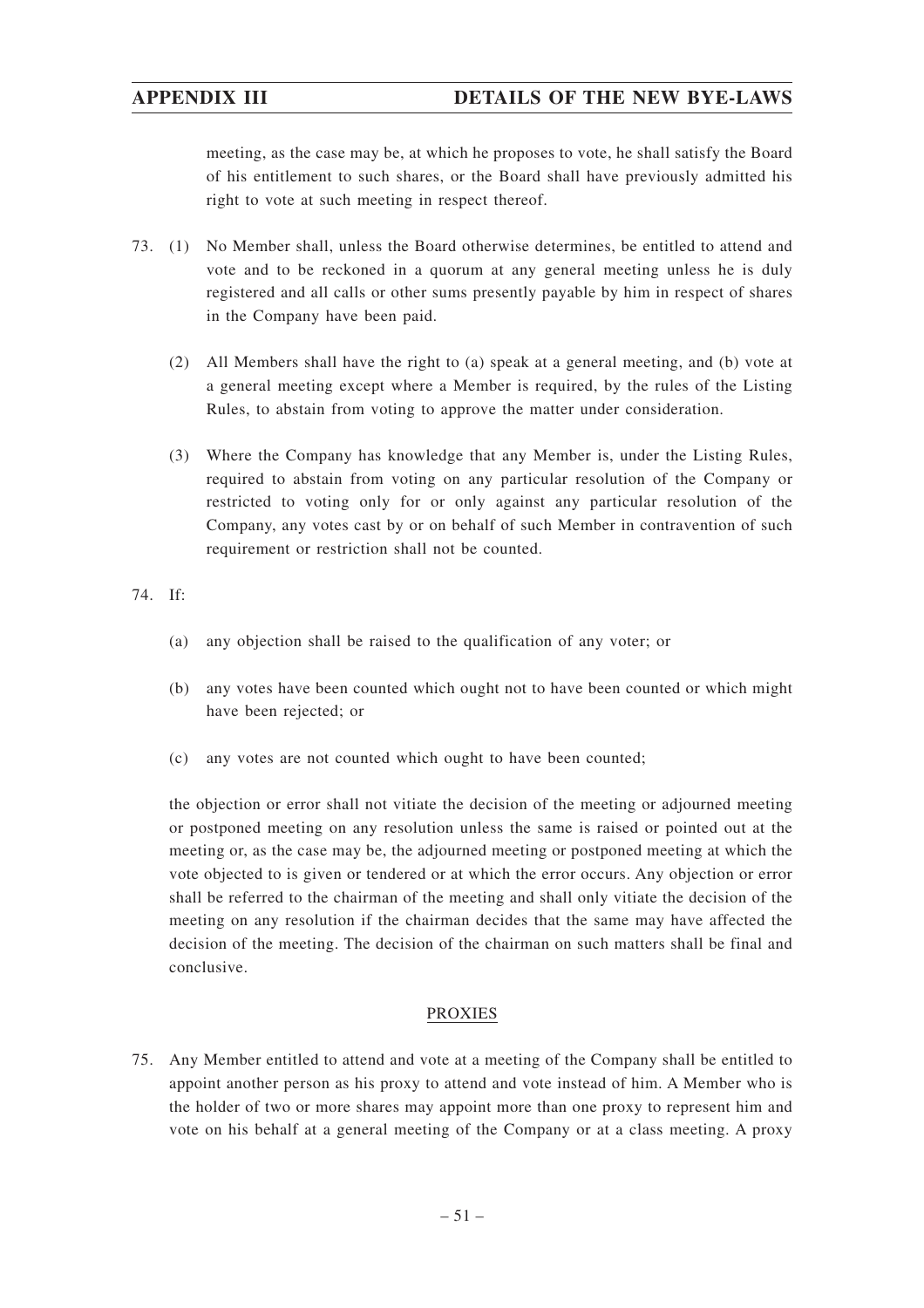meeting, as the case may be, at which he proposes to vote, he shall satisfy the Board of his entitlement to such shares, or the Board shall have previously admitted his right to vote at such meeting in respect thereof.

- 73. (1) No Member shall, unless the Board otherwise determines, be entitled to attend and vote and to be reckoned in a quorum at any general meeting unless he is duly registered and all calls or other sums presently payable by him in respect of shares in the Company have been paid.
	- (2) All Members shall have the right to (a) speak at a general meeting, and (b) vote at a general meeting except where a Member is required, by the rules of the Listing Rules, to abstain from voting to approve the matter under consideration.
	- (3) Where the Company has knowledge that any Member is, under the Listing Rules, required to abstain from voting on any particular resolution of the Company or restricted to voting only for or only against any particular resolution of the Company, any votes cast by or on behalf of such Member in contravention of such requirement or restriction shall not be counted.

74. If:

- (a) any objection shall be raised to the qualification of any voter; or
- (b) any votes have been counted which ought not to have been counted or which might have been rejected; or
- (c) any votes are not counted which ought to have been counted;

the objection or error shall not vitiate the decision of the meeting or adjourned meeting or postponed meeting on any resolution unless the same is raised or pointed out at the meeting or, as the case may be, the adjourned meeting or postponed meeting at which the vote objected to is given or tendered or at which the error occurs. Any objection or error shall be referred to the chairman of the meeting and shall only vitiate the decision of the meeting on any resolution if the chairman decides that the same may have affected the decision of the meeting. The decision of the chairman on such matters shall be final and conclusive.

# PROXIES

75. Any Member entitled to attend and vote at a meeting of the Company shall be entitled to appoint another person as his proxy to attend and vote instead of him. A Member who is the holder of two or more shares may appoint more than one proxy to represent him and vote on his behalf at a general meeting of the Company or at a class meeting. A proxy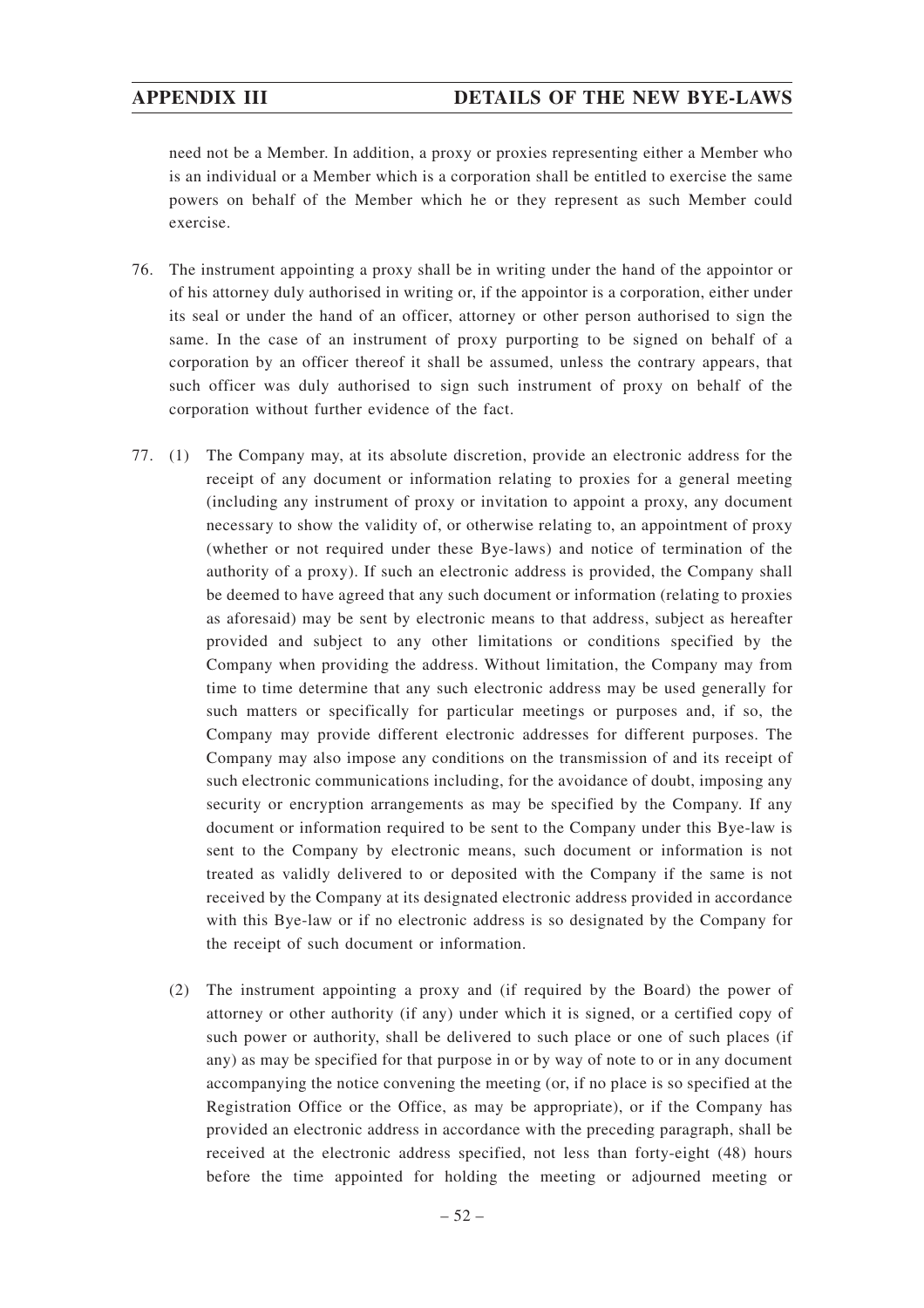need not be a Member. In addition, a proxy or proxies representing either a Member who is an individual or a Member which is a corporation shall be entitled to exercise the same powers on behalf of the Member which he or they represent as such Member could exercise.

- 76. The instrument appointing a proxy shall be in writing under the hand of the appointor or of his attorney duly authorised in writing or, if the appointor is a corporation, either under its seal or under the hand of an officer, attorney or other person authorised to sign the same. In the case of an instrument of proxy purporting to be signed on behalf of a corporation by an officer thereof it shall be assumed, unless the contrary appears, that such officer was duly authorised to sign such instrument of proxy on behalf of the corporation without further evidence of the fact.
- 77. (1) The Company may, at its absolute discretion, provide an electronic address for the receipt of any document or information relating to proxies for a general meeting (including any instrument of proxy or invitation to appoint a proxy, any document necessary to show the validity of, or otherwise relating to, an appointment of proxy (whether or not required under these Bye-laws) and notice of termination of the authority of a proxy). If such an electronic address is provided, the Company shall be deemed to have agreed that any such document or information (relating to proxies as aforesaid) may be sent by electronic means to that address, subject as hereafter provided and subject to any other limitations or conditions specified by the Company when providing the address. Without limitation, the Company may from time to time determine that any such electronic address may be used generally for such matters or specifically for particular meetings or purposes and, if so, the Company may provide different electronic addresses for different purposes. The Company may also impose any conditions on the transmission of and its receipt of such electronic communications including, for the avoidance of doubt, imposing any security or encryption arrangements as may be specified by the Company. If any document or information required to be sent to the Company under this Bye-law is sent to the Company by electronic means, such document or information is not treated as validly delivered to or deposited with the Company if the same is not received by the Company at its designated electronic address provided in accordance with this Bye-law or if no electronic address is so designated by the Company for the receipt of such document or information.
	- (2) The instrument appointing a proxy and (if required by the Board) the power of attorney or other authority (if any) under which it is signed, or a certified copy of such power or authority, shall be delivered to such place or one of such places (if any) as may be specified for that purpose in or by way of note to or in any document accompanying the notice convening the meeting (or, if no place is so specified at the Registration Office or the Office, as may be appropriate), or if the Company has provided an electronic address in accordance with the preceding paragraph, shall be received at the electronic address specified, not less than forty-eight (48) hours before the time appointed for holding the meeting or adjourned meeting or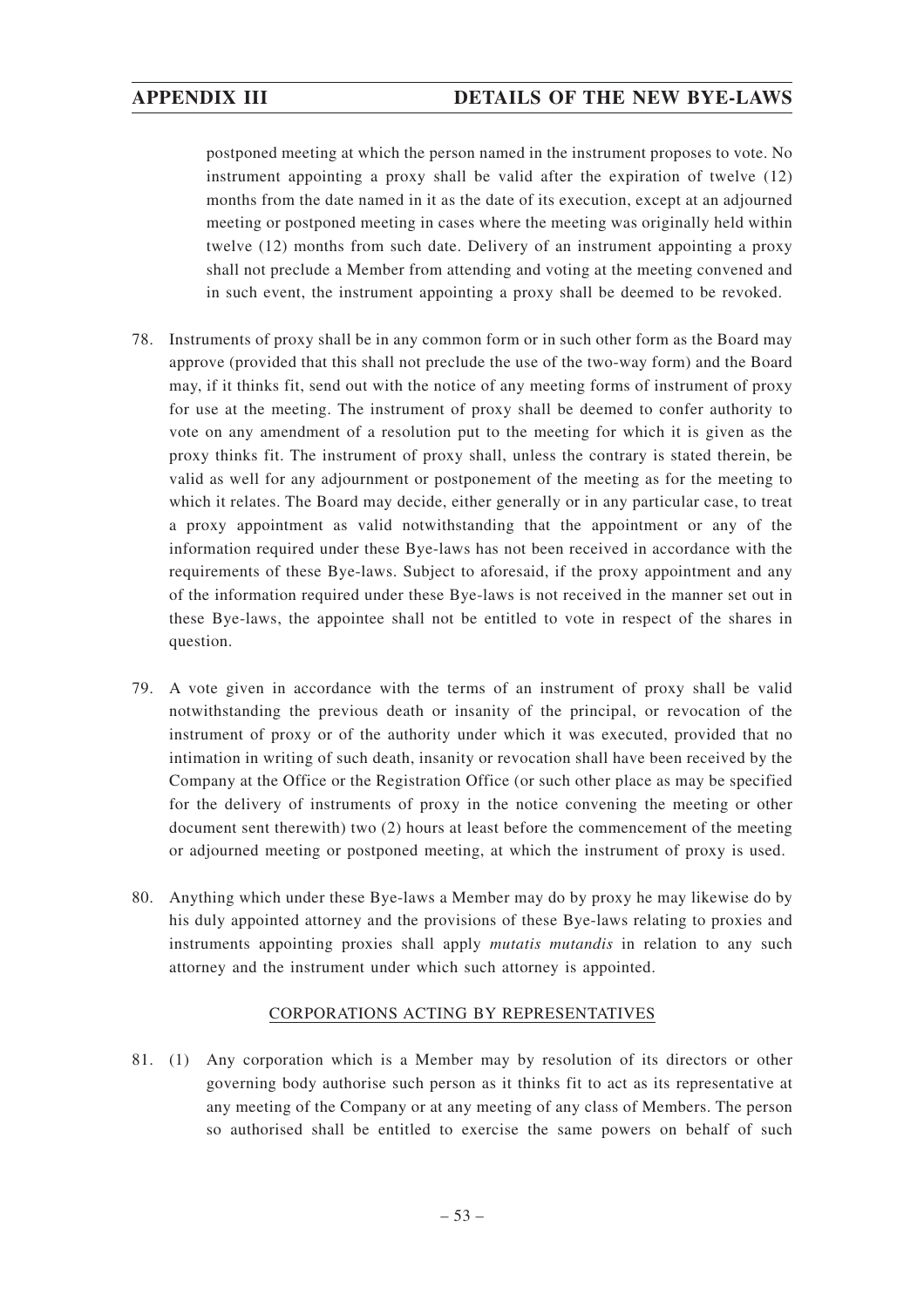postponed meeting at which the person named in the instrument proposes to vote. No instrument appointing a proxy shall be valid after the expiration of twelve (12) months from the date named in it as the date of its execution, except at an adjourned meeting or postponed meeting in cases where the meeting was originally held within twelve (12) months from such date. Delivery of an instrument appointing a proxy shall not preclude a Member from attending and voting at the meeting convened and in such event, the instrument appointing a proxy shall be deemed to be revoked.

- 78. Instruments of proxy shall be in any common form or in such other form as the Board may approve (provided that this shall not preclude the use of the two-way form) and the Board may, if it thinks fit, send out with the notice of any meeting forms of instrument of proxy for use at the meeting. The instrument of proxy shall be deemed to confer authority to vote on any amendment of a resolution put to the meeting for which it is given as the proxy thinks fit. The instrument of proxy shall, unless the contrary is stated therein, be valid as well for any adjournment or postponement of the meeting as for the meeting to which it relates. The Board may decide, either generally or in any particular case, to treat a proxy appointment as valid notwithstanding that the appointment or any of the information required under these Bye-laws has not been received in accordance with the requirements of these Bye-laws. Subject to aforesaid, if the proxy appointment and any of the information required under these Bye-laws is not received in the manner set out in these Bye-laws, the appointee shall not be entitled to vote in respect of the shares in question.
- 79. A vote given in accordance with the terms of an instrument of proxy shall be valid notwithstanding the previous death or insanity of the principal, or revocation of the instrument of proxy or of the authority under which it was executed, provided that no intimation in writing of such death, insanity or revocation shall have been received by the Company at the Office or the Registration Office (or such other place as may be specified for the delivery of instruments of proxy in the notice convening the meeting or other document sent therewith) two (2) hours at least before the commencement of the meeting or adjourned meeting or postponed meeting, at which the instrument of proxy is used.
- 80. Anything which under these Bye-laws a Member may do by proxy he may likewise do by his duly appointed attorney and the provisions of these Bye-laws relating to proxies and instruments appointing proxies shall apply *mutatis mutandis* in relation to any such attorney and the instrument under which such attorney is appointed.

# CORPORATIONS ACTING BY REPRESENTATIVES

81. (1) Any corporation which is a Member may by resolution of its directors or other governing body authorise such person as it thinks fit to act as its representative at any meeting of the Company or at any meeting of any class of Members. The person so authorised shall be entitled to exercise the same powers on behalf of such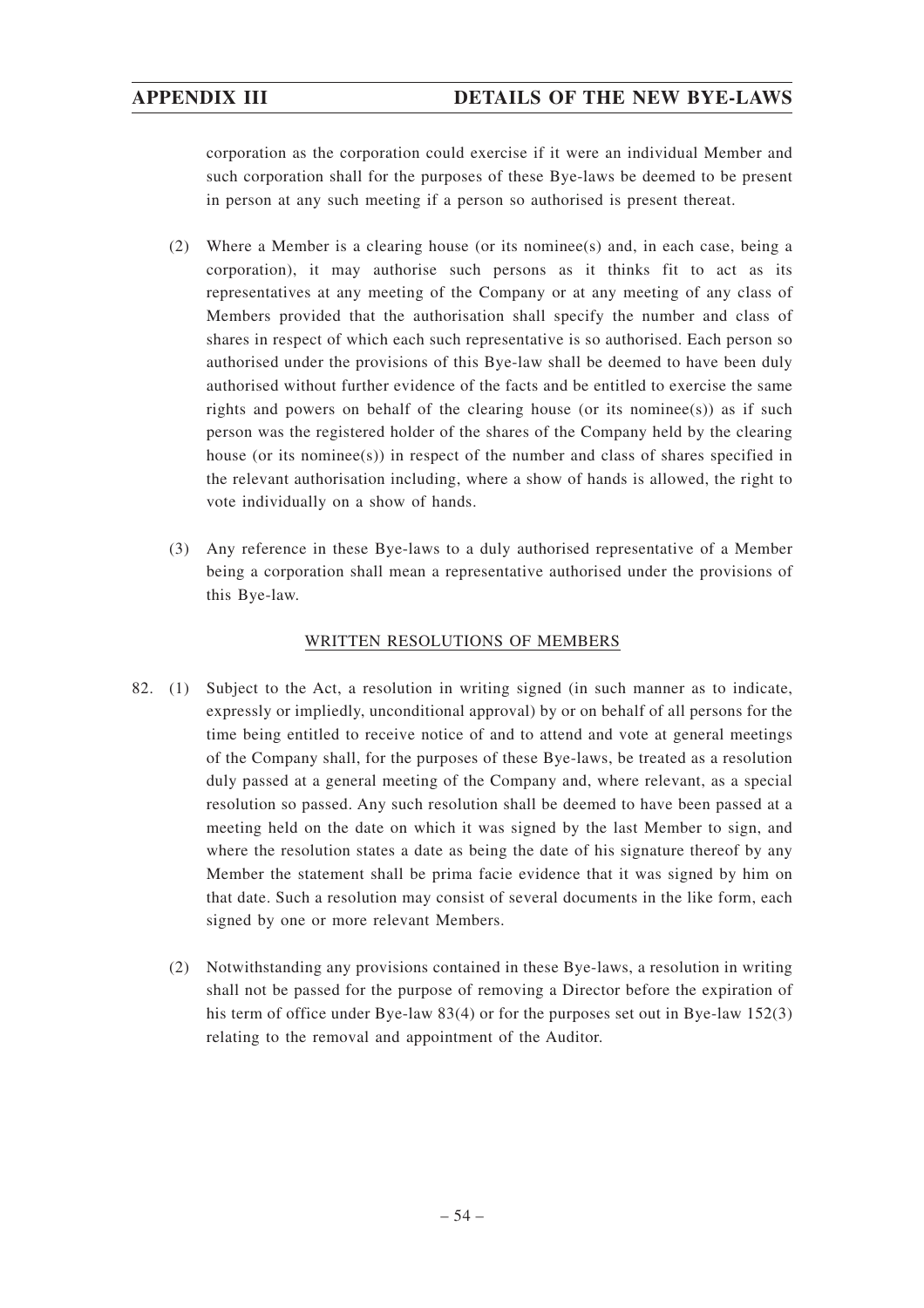corporation as the corporation could exercise if it were an individual Member and such corporation shall for the purposes of these Bye-laws be deemed to be present in person at any such meeting if a person so authorised is present thereat.

- (2) Where a Member is a clearing house (or its nominee(s) and, in each case, being a corporation), it may authorise such persons as it thinks fit to act as its representatives at any meeting of the Company or at any meeting of any class of Members provided that the authorisation shall specify the number and class of shares in respect of which each such representative is so authorised. Each person so authorised under the provisions of this Bye-law shall be deemed to have been duly authorised without further evidence of the facts and be entitled to exercise the same rights and powers on behalf of the clearing house (or its nominee(s)) as if such person was the registered holder of the shares of the Company held by the clearing house (or its nominee(s)) in respect of the number and class of shares specified in the relevant authorisation including, where a show of hands is allowed, the right to vote individually on a show of hands.
- (3) Any reference in these Bye-laws to a duly authorised representative of a Member being a corporation shall mean a representative authorised under the provisions of this Bye-law.

# WRITTEN RESOLUTIONS OF MEMBERS

- 82. (1) Subject to the Act, a resolution in writing signed (in such manner as to indicate, expressly or impliedly, unconditional approval) by or on behalf of all persons for the time being entitled to receive notice of and to attend and vote at general meetings of the Company shall, for the purposes of these Bye-laws, be treated as a resolution duly passed at a general meeting of the Company and, where relevant, as a special resolution so passed. Any such resolution shall be deemed to have been passed at a meeting held on the date on which it was signed by the last Member to sign, and where the resolution states a date as being the date of his signature thereof by any Member the statement shall be prima facie evidence that it was signed by him on that date. Such a resolution may consist of several documents in the like form, each signed by one or more relevant Members.
	- (2) Notwithstanding any provisions contained in these Bye-laws, a resolution in writing shall not be passed for the purpose of removing a Director before the expiration of his term of office under Bye-law 83(4) or for the purposes set out in Bye-law 152(3) relating to the removal and appointment of the Auditor.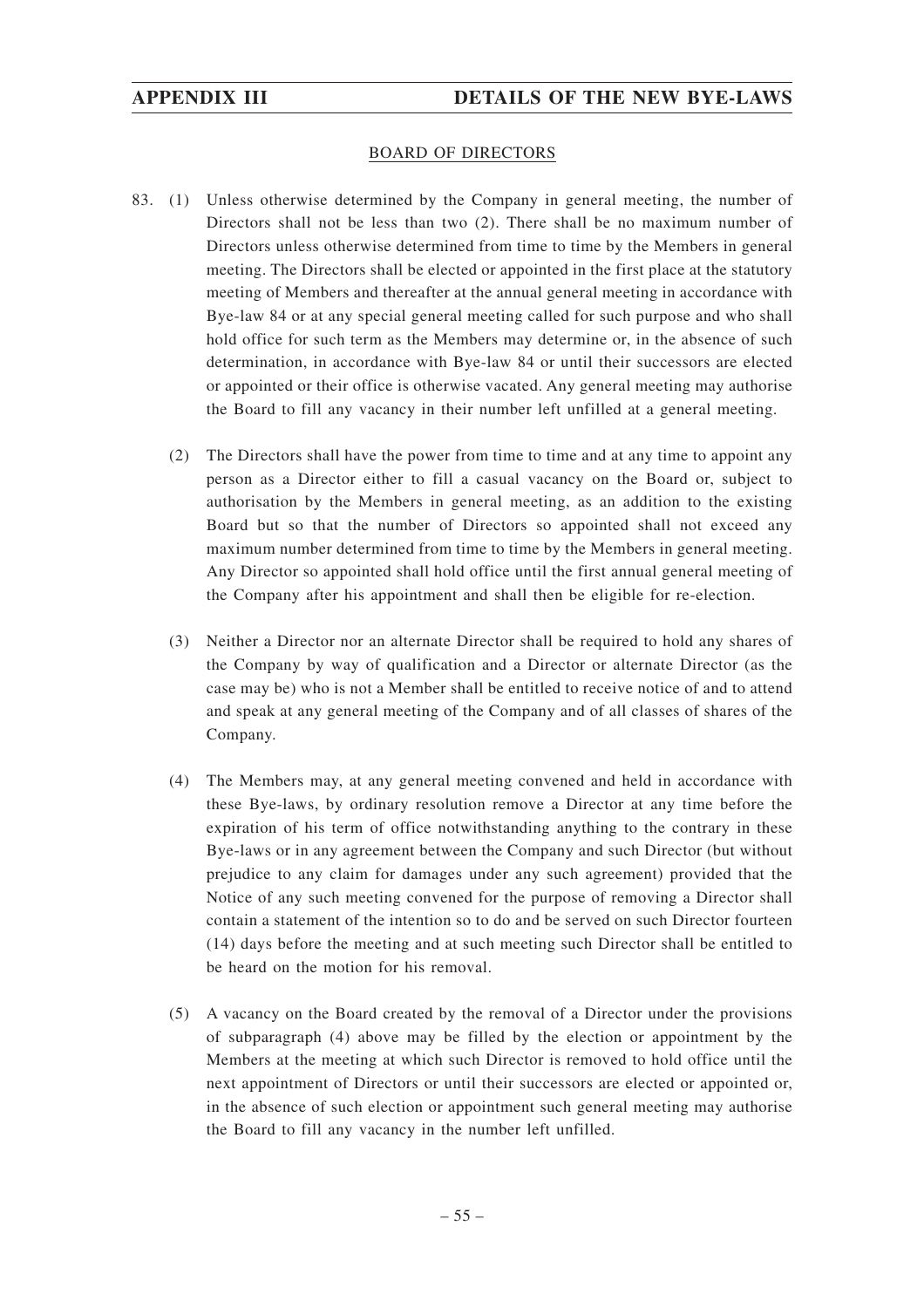### BOARD OF DIRECTORS

- 83. (1) Unless otherwise determined by the Company in general meeting, the number of Directors shall not be less than two (2). There shall be no maximum number of Directors unless otherwise determined from time to time by the Members in general meeting. The Directors shall be elected or appointed in the first place at the statutory meeting of Members and thereafter at the annual general meeting in accordance with Bye-law 84 or at any special general meeting called for such purpose and who shall hold office for such term as the Members may determine or, in the absence of such determination, in accordance with Bye-law 84 or until their successors are elected or appointed or their office is otherwise vacated. Any general meeting may authorise the Board to fill any vacancy in their number left unfilled at a general meeting.
	- (2) The Directors shall have the power from time to time and at any time to appoint any person as a Director either to fill a casual vacancy on the Board or, subject to authorisation by the Members in general meeting, as an addition to the existing Board but so that the number of Directors so appointed shall not exceed any maximum number determined from time to time by the Members in general meeting. Any Director so appointed shall hold office until the first annual general meeting of the Company after his appointment and shall then be eligible for re-election.
	- (3) Neither a Director nor an alternate Director shall be required to hold any shares of the Company by way of qualification and a Director or alternate Director (as the case may be) who is not a Member shall be entitled to receive notice of and to attend and speak at any general meeting of the Company and of all classes of shares of the Company.
	- (4) The Members may, at any general meeting convened and held in accordance with these Bye-laws, by ordinary resolution remove a Director at any time before the expiration of his term of office notwithstanding anything to the contrary in these Bye-laws or in any agreement between the Company and such Director (but without prejudice to any claim for damages under any such agreement) provided that the Notice of any such meeting convened for the purpose of removing a Director shall contain a statement of the intention so to do and be served on such Director fourteen (14) days before the meeting and at such meeting such Director shall be entitled to be heard on the motion for his removal.
	- (5) A vacancy on the Board created by the removal of a Director under the provisions of subparagraph (4) above may be filled by the election or appointment by the Members at the meeting at which such Director is removed to hold office until the next appointment of Directors or until their successors are elected or appointed or, in the absence of such election or appointment such general meeting may authorise the Board to fill any vacancy in the number left unfilled.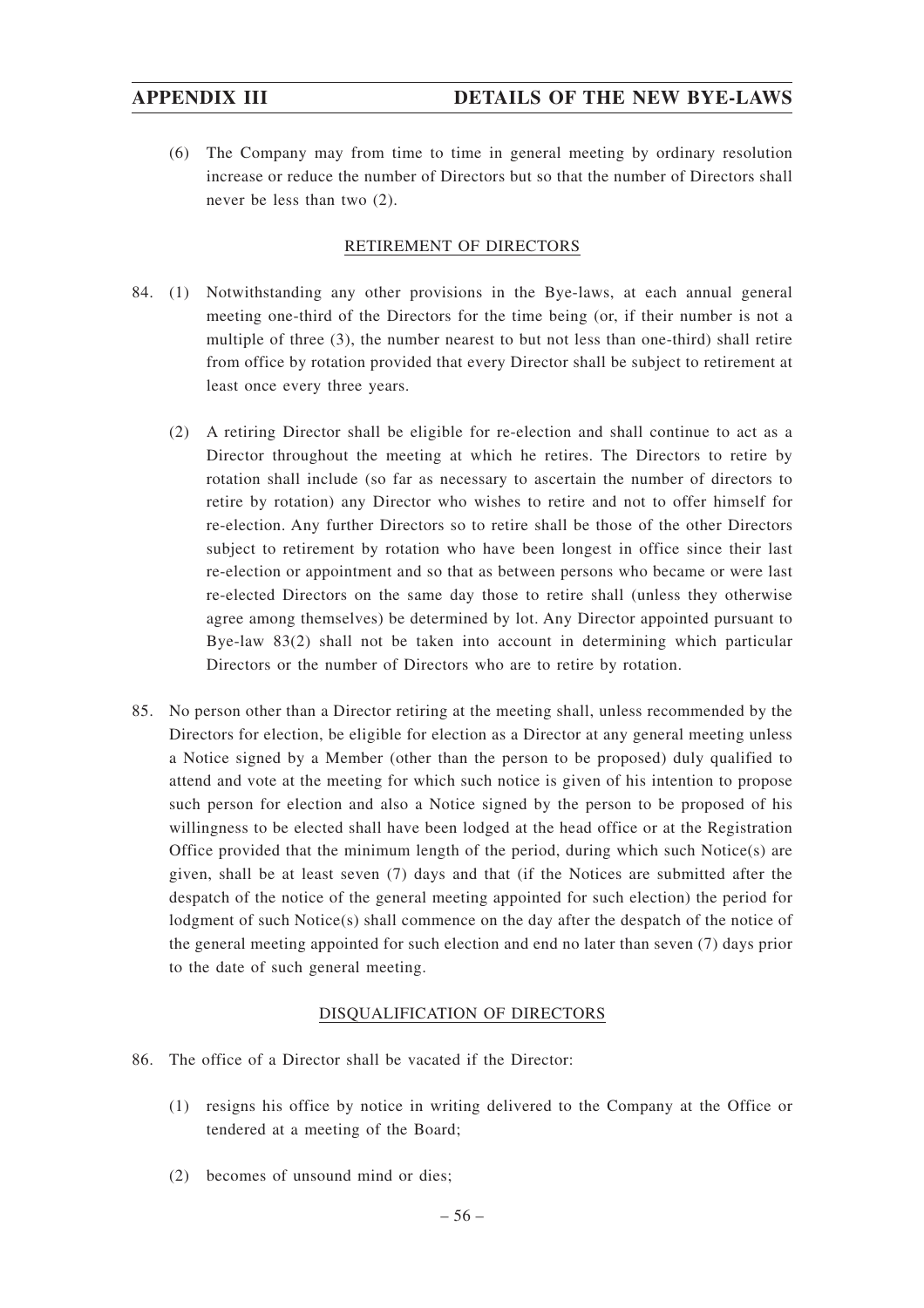(6) The Company may from time to time in general meeting by ordinary resolution increase or reduce the number of Directors but so that the number of Directors shall never be less than two (2).

# RETIREMENT OF DIRECTORS

- 84. (1) Notwithstanding any other provisions in the Bye-laws, at each annual general meeting one-third of the Directors for the time being (or, if their number is not a multiple of three (3), the number nearest to but not less than one-third) shall retire from office by rotation provided that every Director shall be subject to retirement at least once every three years.
	- (2) A retiring Director shall be eligible for re-election and shall continue to act as a Director throughout the meeting at which he retires. The Directors to retire by rotation shall include (so far as necessary to ascertain the number of directors to retire by rotation) any Director who wishes to retire and not to offer himself for re-election. Any further Directors so to retire shall be those of the other Directors subject to retirement by rotation who have been longest in office since their last re-election or appointment and so that as between persons who became or were last re-elected Directors on the same day those to retire shall (unless they otherwise agree among themselves) be determined by lot. Any Director appointed pursuant to Bye-law 83(2) shall not be taken into account in determining which particular Directors or the number of Directors who are to retire by rotation.
- 85. No person other than a Director retiring at the meeting shall, unless recommended by the Directors for election, be eligible for election as a Director at any general meeting unless a Notice signed by a Member (other than the person to be proposed) duly qualified to attend and vote at the meeting for which such notice is given of his intention to propose such person for election and also a Notice signed by the person to be proposed of his willingness to be elected shall have been lodged at the head office or at the Registration Office provided that the minimum length of the period, during which such Notice(s) are given, shall be at least seven (7) days and that (if the Notices are submitted after the despatch of the notice of the general meeting appointed for such election) the period for lodgment of such Notice(s) shall commence on the day after the despatch of the notice of the general meeting appointed for such election and end no later than seven (7) days prior to the date of such general meeting.

# DISQUALIFICATION OF DIRECTORS

- 86. The office of a Director shall be vacated if the Director:
	- (1) resigns his office by notice in writing delivered to the Company at the Office or tendered at a meeting of the Board;
	- (2) becomes of unsound mind or dies;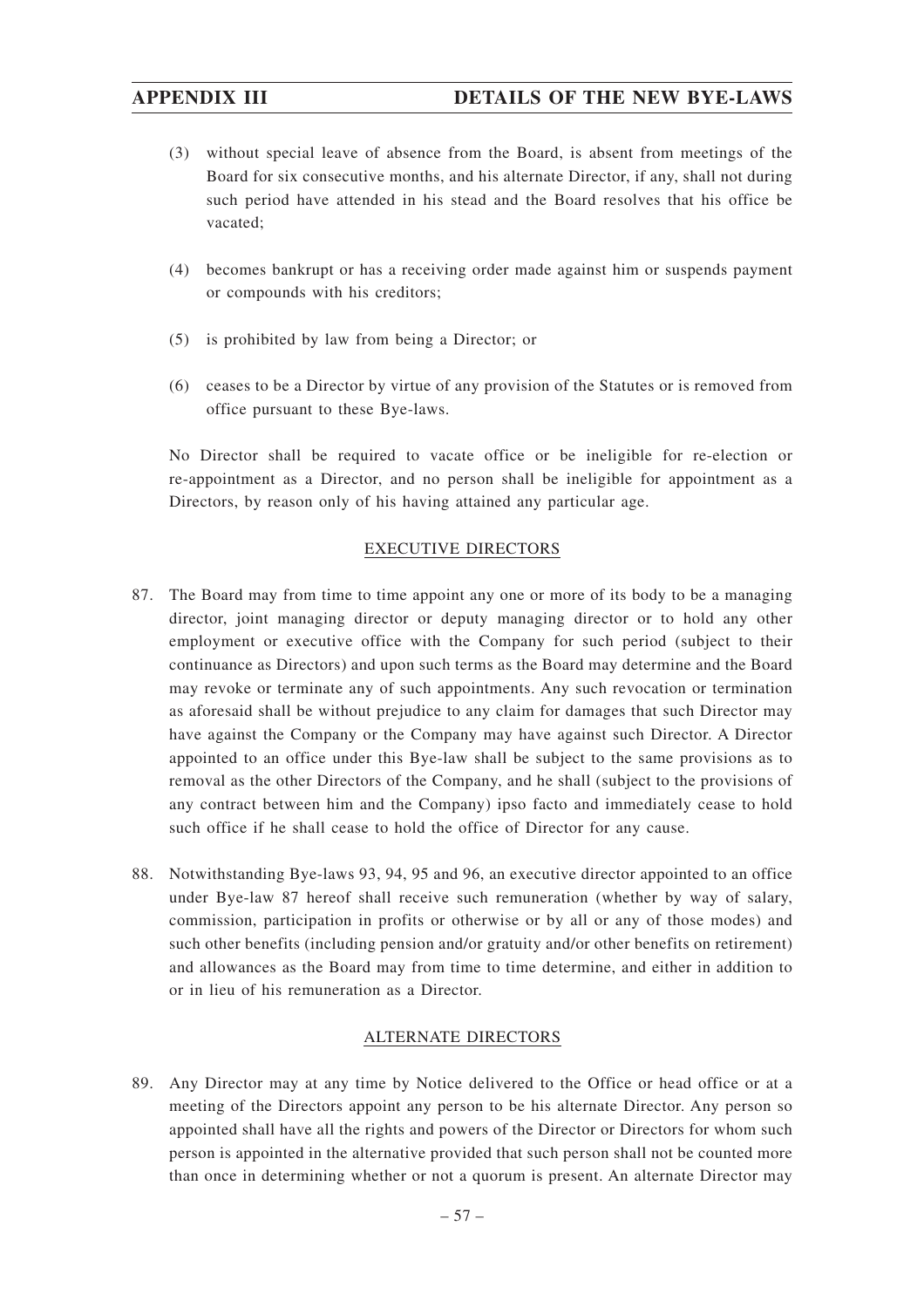# **APPENDIX III DETAILS OF THE NEW BYE-LAWS**

- (3) without special leave of absence from the Board, is absent from meetings of the Board for six consecutive months, and his alternate Director, if any, shall not during such period have attended in his stead and the Board resolves that his office be vacated;
- (4) becomes bankrupt or has a receiving order made against him or suspends payment or compounds with his creditors;
- (5) is prohibited by law from being a Director; or
- (6) ceases to be a Director by virtue of any provision of the Statutes or is removed from office pursuant to these Bye-laws.

No Director shall be required to vacate office or be ineligible for re-election or re-appointment as a Director, and no person shall be ineligible for appointment as a Directors, by reason only of his having attained any particular age.

# EXECUTIVE DIRECTORS

- 87. The Board may from time to time appoint any one or more of its body to be a managing director, joint managing director or deputy managing director or to hold any other employment or executive office with the Company for such period (subject to their continuance as Directors) and upon such terms as the Board may determine and the Board may revoke or terminate any of such appointments. Any such revocation or termination as aforesaid shall be without prejudice to any claim for damages that such Director may have against the Company or the Company may have against such Director. A Director appointed to an office under this Bye-law shall be subject to the same provisions as to removal as the other Directors of the Company, and he shall (subject to the provisions of any contract between him and the Company) ipso facto and immediately cease to hold such office if he shall cease to hold the office of Director for any cause.
- 88. Notwithstanding Bye-laws 93, 94, 95 and 96, an executive director appointed to an office under Bye-law 87 hereof shall receive such remuneration (whether by way of salary, commission, participation in profits or otherwise or by all or any of those modes) and such other benefits (including pension and/or gratuity and/or other benefits on retirement) and allowances as the Board may from time to time determine, and either in addition to or in lieu of his remuneration as a Director.

### ALTERNATE DIRECTORS

89. Any Director may at any time by Notice delivered to the Office or head office or at a meeting of the Directors appoint any person to be his alternate Director. Any person so appointed shall have all the rights and powers of the Director or Directors for whom such person is appointed in the alternative provided that such person shall not be counted more than once in determining whether or not a quorum is present. An alternate Director may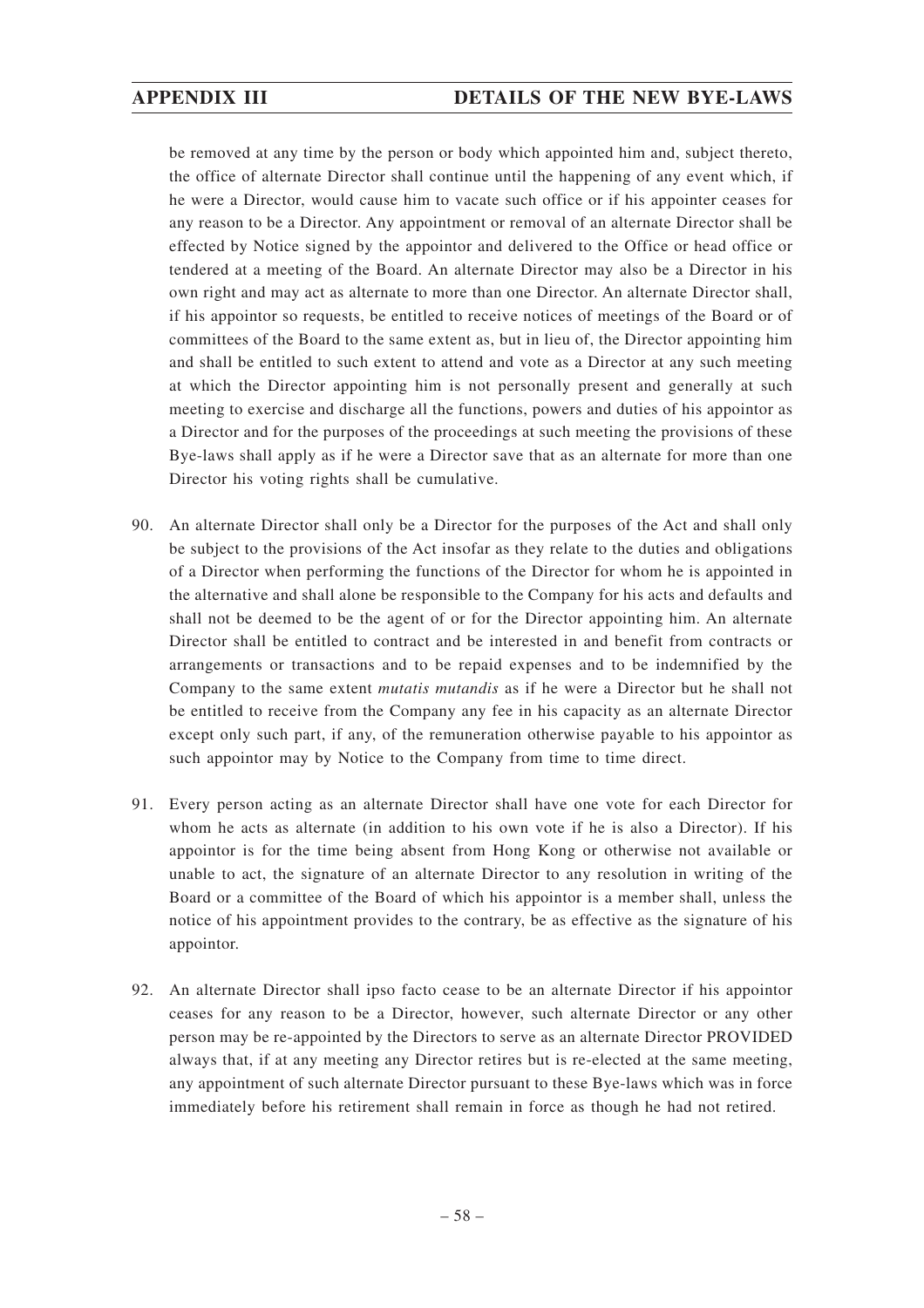be removed at any time by the person or body which appointed him and, subject thereto, the office of alternate Director shall continue until the happening of any event which, if he were a Director, would cause him to vacate such office or if his appointer ceases for any reason to be a Director. Any appointment or removal of an alternate Director shall be effected by Notice signed by the appointor and delivered to the Office or head office or tendered at a meeting of the Board. An alternate Director may also be a Director in his own right and may act as alternate to more than one Director. An alternate Director shall, if his appointor so requests, be entitled to receive notices of meetings of the Board or of committees of the Board to the same extent as, but in lieu of, the Director appointing him and shall be entitled to such extent to attend and vote as a Director at any such meeting at which the Director appointing him is not personally present and generally at such meeting to exercise and discharge all the functions, powers and duties of his appointor as a Director and for the purposes of the proceedings at such meeting the provisions of these Bye-laws shall apply as if he were a Director save that as an alternate for more than one Director his voting rights shall be cumulative.

- 90. An alternate Director shall only be a Director for the purposes of the Act and shall only be subject to the provisions of the Act insofar as they relate to the duties and obligations of a Director when performing the functions of the Director for whom he is appointed in the alternative and shall alone be responsible to the Company for his acts and defaults and shall not be deemed to be the agent of or for the Director appointing him. An alternate Director shall be entitled to contract and be interested in and benefit from contracts or arrangements or transactions and to be repaid expenses and to be indemnified by the Company to the same extent *mutatis mutandis* as if he were a Director but he shall not be entitled to receive from the Company any fee in his capacity as an alternate Director except only such part, if any, of the remuneration otherwise payable to his appointor as such appointor may by Notice to the Company from time to time direct.
- 91. Every person acting as an alternate Director shall have one vote for each Director for whom he acts as alternate (in addition to his own vote if he is also a Director). If his appointor is for the time being absent from Hong Kong or otherwise not available or unable to act, the signature of an alternate Director to any resolution in writing of the Board or a committee of the Board of which his appointor is a member shall, unless the notice of his appointment provides to the contrary, be as effective as the signature of his appointor.
- 92. An alternate Director shall ipso facto cease to be an alternate Director if his appointor ceases for any reason to be a Director, however, such alternate Director or any other person may be re-appointed by the Directors to serve as an alternate Director PROVIDED always that, if at any meeting any Director retires but is re-elected at the same meeting, any appointment of such alternate Director pursuant to these Bye-laws which was in force immediately before his retirement shall remain in force as though he had not retired.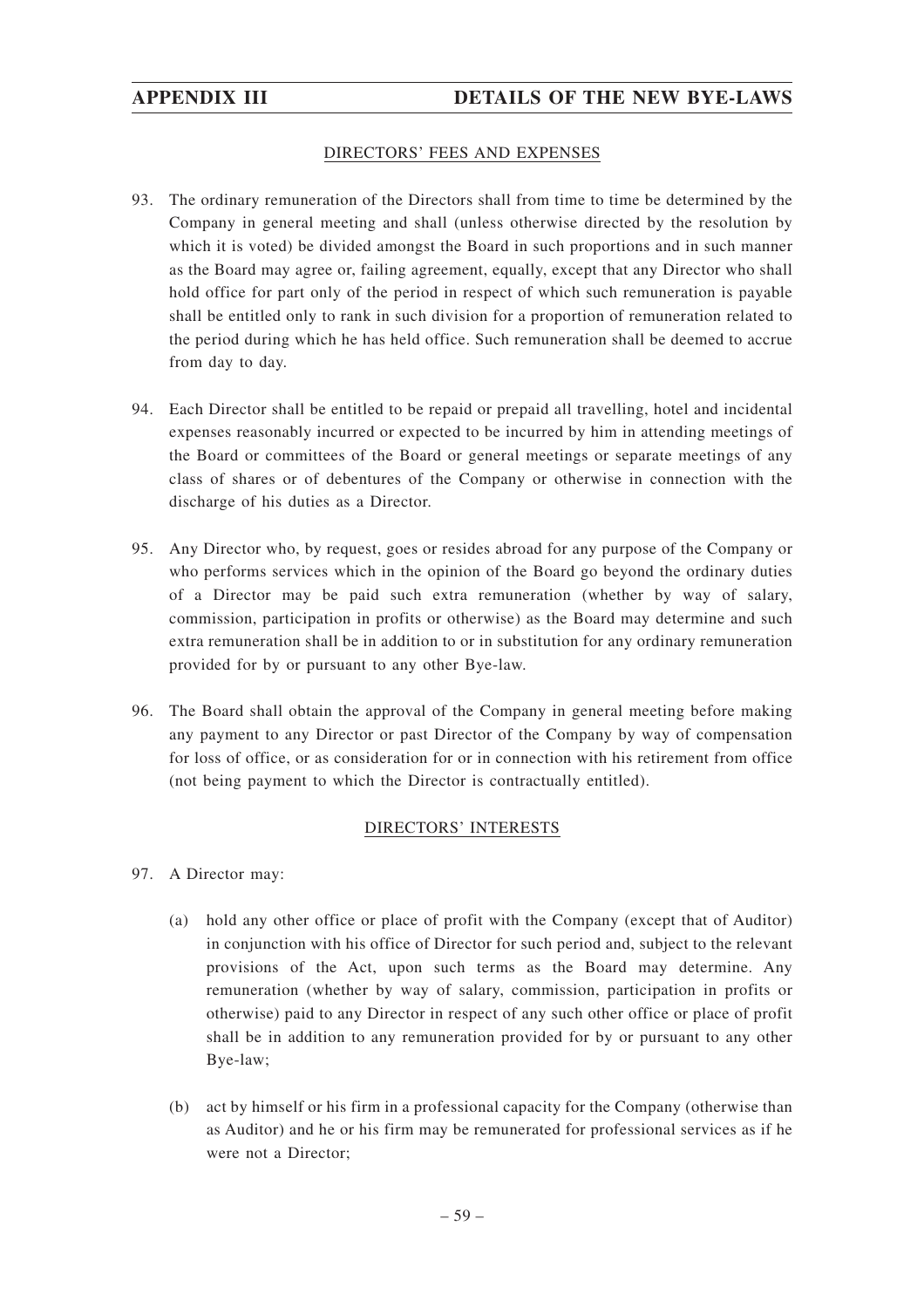# DIRECTORS' FEES AND EXPENSES

- 93. The ordinary remuneration of the Directors shall from time to time be determined by the Company in general meeting and shall (unless otherwise directed by the resolution by which it is voted) be divided amongst the Board in such proportions and in such manner as the Board may agree or, failing agreement, equally, except that any Director who shall hold office for part only of the period in respect of which such remuneration is payable shall be entitled only to rank in such division for a proportion of remuneration related to the period during which he has held office. Such remuneration shall be deemed to accrue from day to day.
- 94. Each Director shall be entitled to be repaid or prepaid all travelling, hotel and incidental expenses reasonably incurred or expected to be incurred by him in attending meetings of the Board or committees of the Board or general meetings or separate meetings of any class of shares or of debentures of the Company or otherwise in connection with the discharge of his duties as a Director.
- 95. Any Director who, by request, goes or resides abroad for any purpose of the Company or who performs services which in the opinion of the Board go beyond the ordinary duties of a Director may be paid such extra remuneration (whether by way of salary, commission, participation in profits or otherwise) as the Board may determine and such extra remuneration shall be in addition to or in substitution for any ordinary remuneration provided for by or pursuant to any other Bye-law.
- 96. The Board shall obtain the approval of the Company in general meeting before making any payment to any Director or past Director of the Company by way of compensation for loss of office, or as consideration for or in connection with his retirement from office (not being payment to which the Director is contractually entitled).

# DIRECTORS' INTERESTS

- 97. A Director may:
	- (a) hold any other office or place of profit with the Company (except that of Auditor) in conjunction with his office of Director for such period and, subject to the relevant provisions of the Act, upon such terms as the Board may determine. Any remuneration (whether by way of salary, commission, participation in profits or otherwise) paid to any Director in respect of any such other office or place of profit shall be in addition to any remuneration provided for by or pursuant to any other Bye-law;
	- (b) act by himself or his firm in a professional capacity for the Company (otherwise than as Auditor) and he or his firm may be remunerated for professional services as if he were not a Director;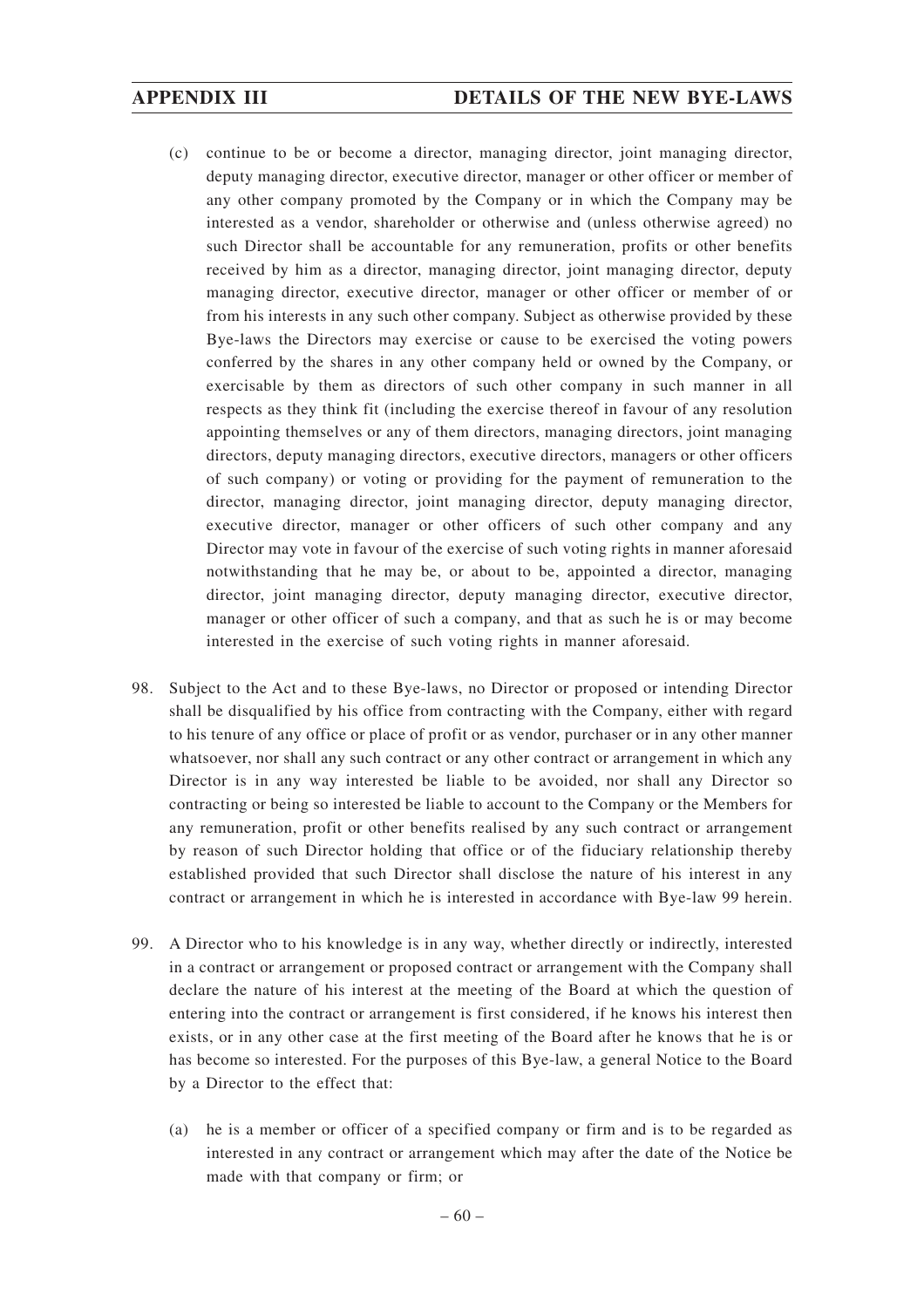- (c) continue to be or become a director, managing director, joint managing director, deputy managing director, executive director, manager or other officer or member of any other company promoted by the Company or in which the Company may be interested as a vendor, shareholder or otherwise and (unless otherwise agreed) no such Director shall be accountable for any remuneration, profits or other benefits received by him as a director, managing director, joint managing director, deputy managing director, executive director, manager or other officer or member of or from his interests in any such other company. Subject as otherwise provided by these Bye-laws the Directors may exercise or cause to be exercised the voting powers conferred by the shares in any other company held or owned by the Company, or exercisable by them as directors of such other company in such manner in all respects as they think fit (including the exercise thereof in favour of any resolution appointing themselves or any of them directors, managing directors, joint managing directors, deputy managing directors, executive directors, managers or other officers of such company) or voting or providing for the payment of remuneration to the director, managing director, joint managing director, deputy managing director, executive director, manager or other officers of such other company and any Director may vote in favour of the exercise of such voting rights in manner aforesaid notwithstanding that he may be, or about to be, appointed a director, managing director, joint managing director, deputy managing director, executive director, manager or other officer of such a company, and that as such he is or may become interested in the exercise of such voting rights in manner aforesaid.
- 98. Subject to the Act and to these Bye-laws, no Director or proposed or intending Director shall be disqualified by his office from contracting with the Company, either with regard to his tenure of any office or place of profit or as vendor, purchaser or in any other manner whatsoever, nor shall any such contract or any other contract or arrangement in which any Director is in any way interested be liable to be avoided, nor shall any Director so contracting or being so interested be liable to account to the Company or the Members for any remuneration, profit or other benefits realised by any such contract or arrangement by reason of such Director holding that office or of the fiduciary relationship thereby established provided that such Director shall disclose the nature of his interest in any contract or arrangement in which he is interested in accordance with Bye-law 99 herein.
- 99. A Director who to his knowledge is in any way, whether directly or indirectly, interested in a contract or arrangement or proposed contract or arrangement with the Company shall declare the nature of his interest at the meeting of the Board at which the question of entering into the contract or arrangement is first considered, if he knows his interest then exists, or in any other case at the first meeting of the Board after he knows that he is or has become so interested. For the purposes of this Bye-law, a general Notice to the Board by a Director to the effect that:
	- (a) he is a member or officer of a specified company or firm and is to be regarded as interested in any contract or arrangement which may after the date of the Notice be made with that company or firm; or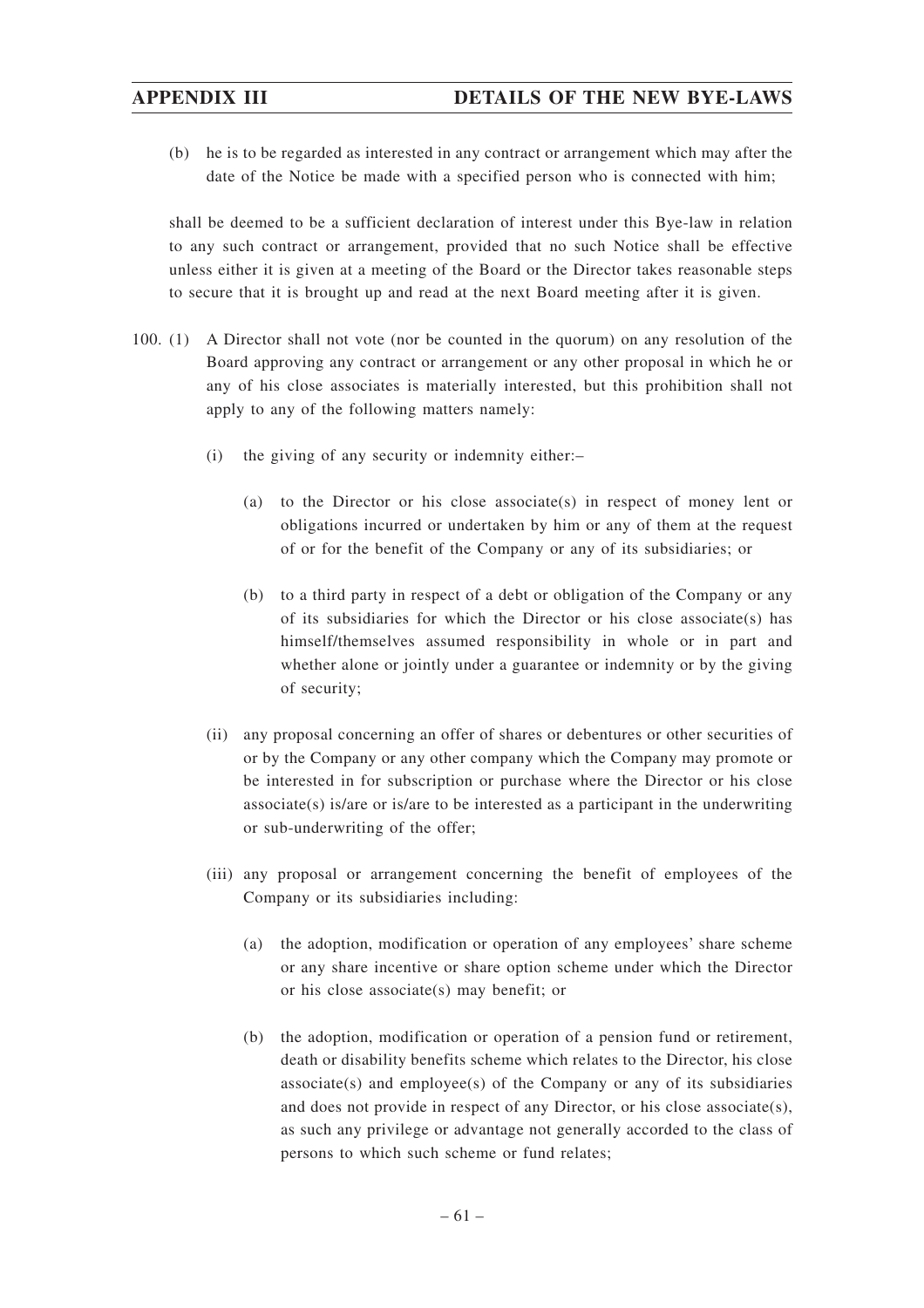(b) he is to be regarded as interested in any contract or arrangement which may after the date of the Notice be made with a specified person who is connected with him;

shall be deemed to be a sufficient declaration of interest under this Bye-law in relation to any such contract or arrangement, provided that no such Notice shall be effective unless either it is given at a meeting of the Board or the Director takes reasonable steps to secure that it is brought up and read at the next Board meeting after it is given.

- 100. (1) A Director shall not vote (nor be counted in the quorum) on any resolution of the Board approving any contract or arrangement or any other proposal in which he or any of his close associates is materially interested, but this prohibition shall not apply to any of the following matters namely:
	- (i) the giving of any security or indemnity either:–
		- (a) to the Director or his close associate(s) in respect of money lent or obligations incurred or undertaken by him or any of them at the request of or for the benefit of the Company or any of its subsidiaries; or
		- (b) to a third party in respect of a debt or obligation of the Company or any of its subsidiaries for which the Director or his close associate(s) has himself/themselves assumed responsibility in whole or in part and whether alone or jointly under a guarantee or indemnity or by the giving of security;
	- (ii) any proposal concerning an offer of shares or debentures or other securities of or by the Company or any other company which the Company may promote or be interested in for subscription or purchase where the Director or his close  $associate(s)$  is/are or is/are to be interested as a participant in the underwriting or sub-underwriting of the offer;
	- (iii) any proposal or arrangement concerning the benefit of employees of the Company or its subsidiaries including:
		- (a) the adoption, modification or operation of any employees' share scheme or any share incentive or share option scheme under which the Director or his close associate(s) may benefit; or
		- (b) the adoption, modification or operation of a pension fund or retirement, death or disability benefits scheme which relates to the Director, his close associate(s) and employee(s) of the Company or any of its subsidiaries and does not provide in respect of any Director, or his close associate(s), as such any privilege or advantage not generally accorded to the class of persons to which such scheme or fund relates;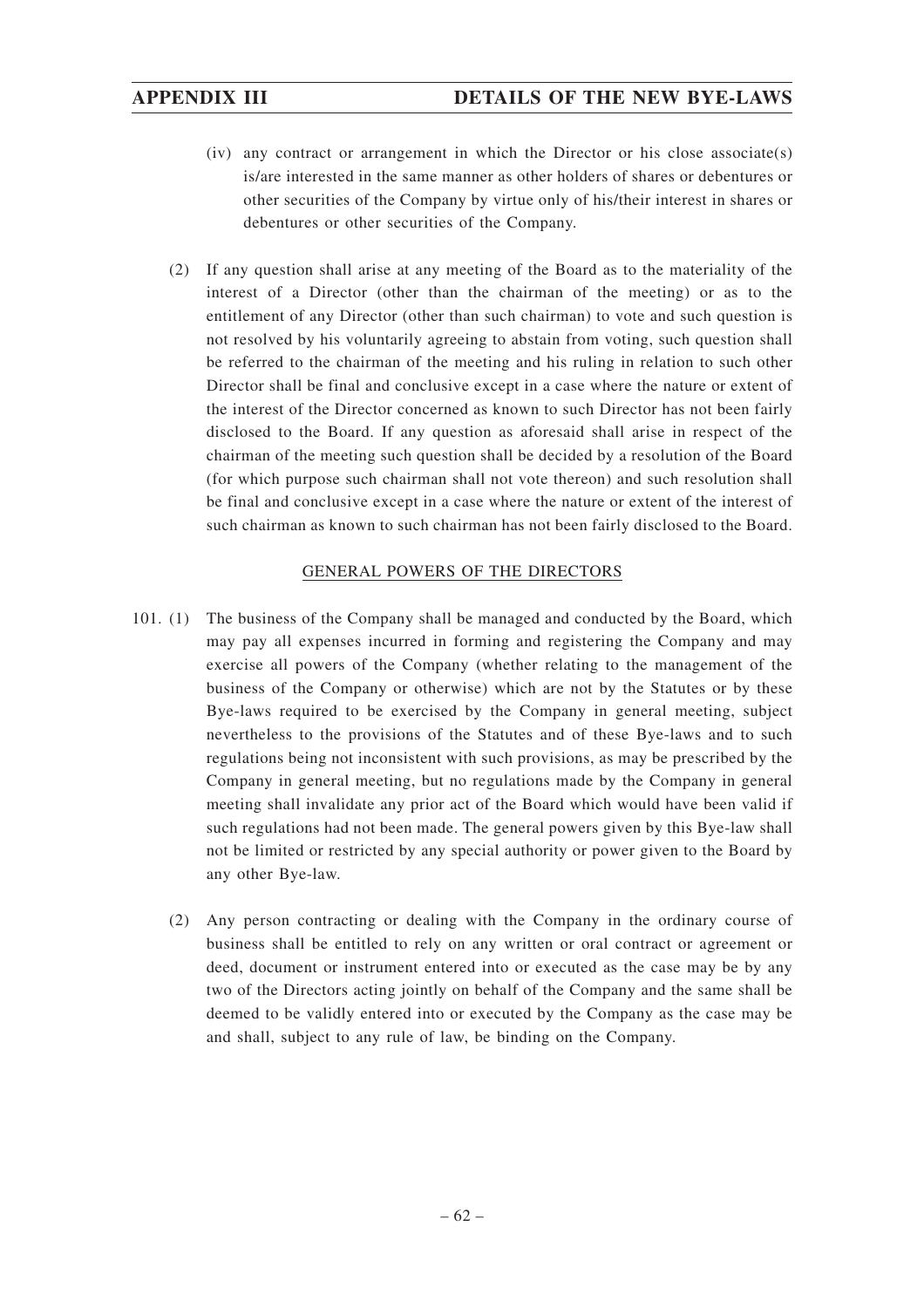- (iv) any contract or arrangement in which the Director or his close associate(s) is/are interested in the same manner as other holders of shares or debentures or other securities of the Company by virtue only of his/their interest in shares or debentures or other securities of the Company.
- (2) If any question shall arise at any meeting of the Board as to the materiality of the interest of a Director (other than the chairman of the meeting) or as to the entitlement of any Director (other than such chairman) to vote and such question is not resolved by his voluntarily agreeing to abstain from voting, such question shall be referred to the chairman of the meeting and his ruling in relation to such other Director shall be final and conclusive except in a case where the nature or extent of the interest of the Director concerned as known to such Director has not been fairly disclosed to the Board. If any question as aforesaid shall arise in respect of the chairman of the meeting such question shall be decided by a resolution of the Board (for which purpose such chairman shall not vote thereon) and such resolution shall be final and conclusive except in a case where the nature or extent of the interest of such chairman as known to such chairman has not been fairly disclosed to the Board.

# GENERAL POWERS OF THE DIRECTORS

- 101. (1) The business of the Company shall be managed and conducted by the Board, which may pay all expenses incurred in forming and registering the Company and may exercise all powers of the Company (whether relating to the management of the business of the Company or otherwise) which are not by the Statutes or by these Bye-laws required to be exercised by the Company in general meeting, subject nevertheless to the provisions of the Statutes and of these Bye-laws and to such regulations being not inconsistent with such provisions, as may be prescribed by the Company in general meeting, but no regulations made by the Company in general meeting shall invalidate any prior act of the Board which would have been valid if such regulations had not been made. The general powers given by this Bye-law shall not be limited or restricted by any special authority or power given to the Board by any other Bye-law.
	- (2) Any person contracting or dealing with the Company in the ordinary course of business shall be entitled to rely on any written or oral contract or agreement or deed, document or instrument entered into or executed as the case may be by any two of the Directors acting jointly on behalf of the Company and the same shall be deemed to be validly entered into or executed by the Company as the case may be and shall, subject to any rule of law, be binding on the Company.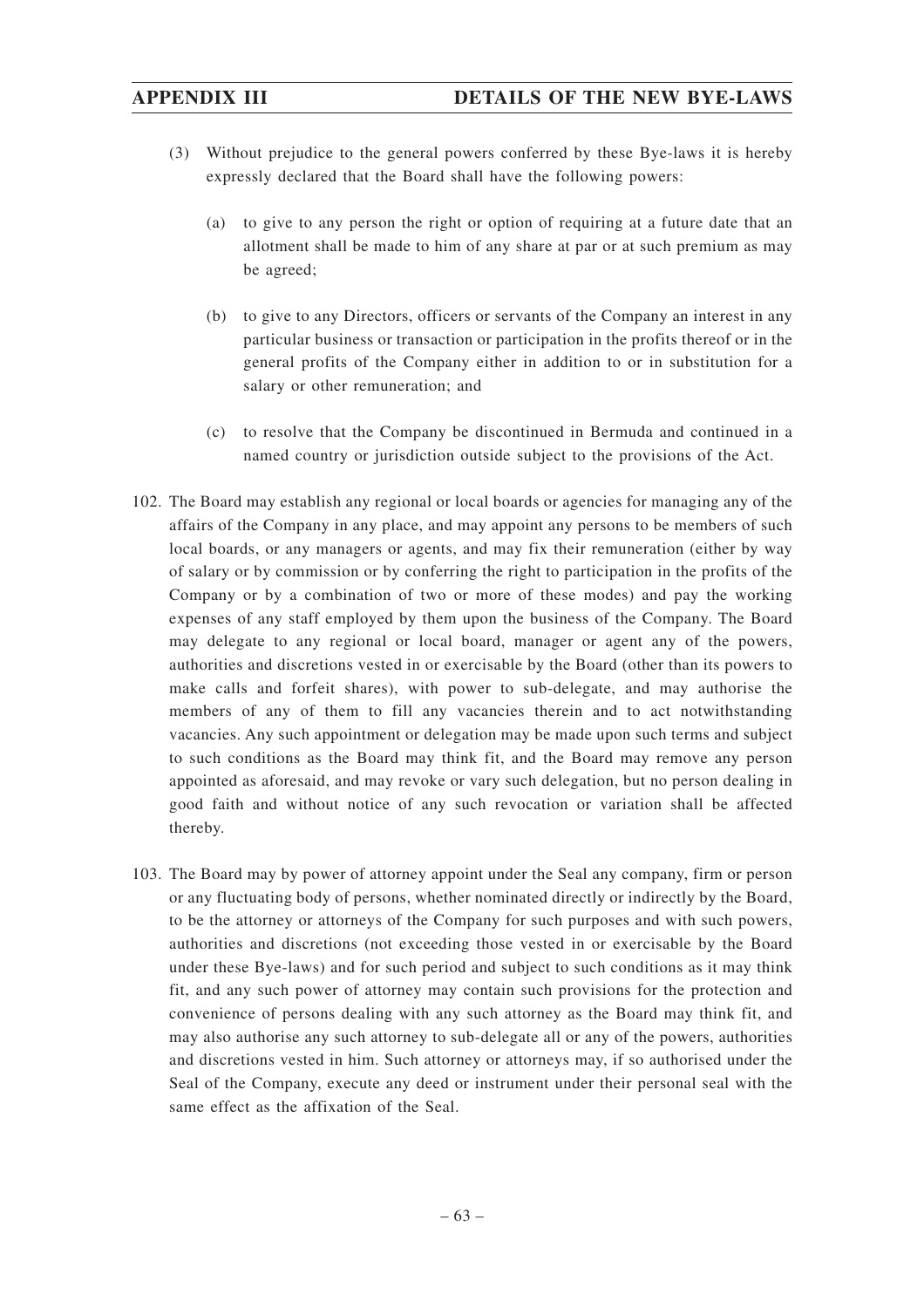- (3) Without prejudice to the general powers conferred by these Bye-laws it is hereby expressly declared that the Board shall have the following powers:
	- (a) to give to any person the right or option of requiring at a future date that an allotment shall be made to him of any share at par or at such premium as may be agreed;
	- (b) to give to any Directors, officers or servants of the Company an interest in any particular business or transaction or participation in the profits thereof or in the general profits of the Company either in addition to or in substitution for a salary or other remuneration; and
	- (c) to resolve that the Company be discontinued in Bermuda and continued in a named country or jurisdiction outside subject to the provisions of the Act.
- 102. The Board may establish any regional or local boards or agencies for managing any of the affairs of the Company in any place, and may appoint any persons to be members of such local boards, or any managers or agents, and may fix their remuneration (either by way of salary or by commission or by conferring the right to participation in the profits of the Company or by a combination of two or more of these modes) and pay the working expenses of any staff employed by them upon the business of the Company. The Board may delegate to any regional or local board, manager or agent any of the powers, authorities and discretions vested in or exercisable by the Board (other than its powers to make calls and forfeit shares), with power to sub-delegate, and may authorise the members of any of them to fill any vacancies therein and to act notwithstanding vacancies. Any such appointment or delegation may be made upon such terms and subject to such conditions as the Board may think fit, and the Board may remove any person appointed as aforesaid, and may revoke or vary such delegation, but no person dealing in good faith and without notice of any such revocation or variation shall be affected thereby.
- 103. The Board may by power of attorney appoint under the Seal any company, firm or person or any fluctuating body of persons, whether nominated directly or indirectly by the Board, to be the attorney or attorneys of the Company for such purposes and with such powers, authorities and discretions (not exceeding those vested in or exercisable by the Board under these Bye-laws) and for such period and subject to such conditions as it may think fit, and any such power of attorney may contain such provisions for the protection and convenience of persons dealing with any such attorney as the Board may think fit, and may also authorise any such attorney to sub-delegate all or any of the powers, authorities and discretions vested in him. Such attorney or attorneys may, if so authorised under the Seal of the Company, execute any deed or instrument under their personal seal with the same effect as the affixation of the Seal.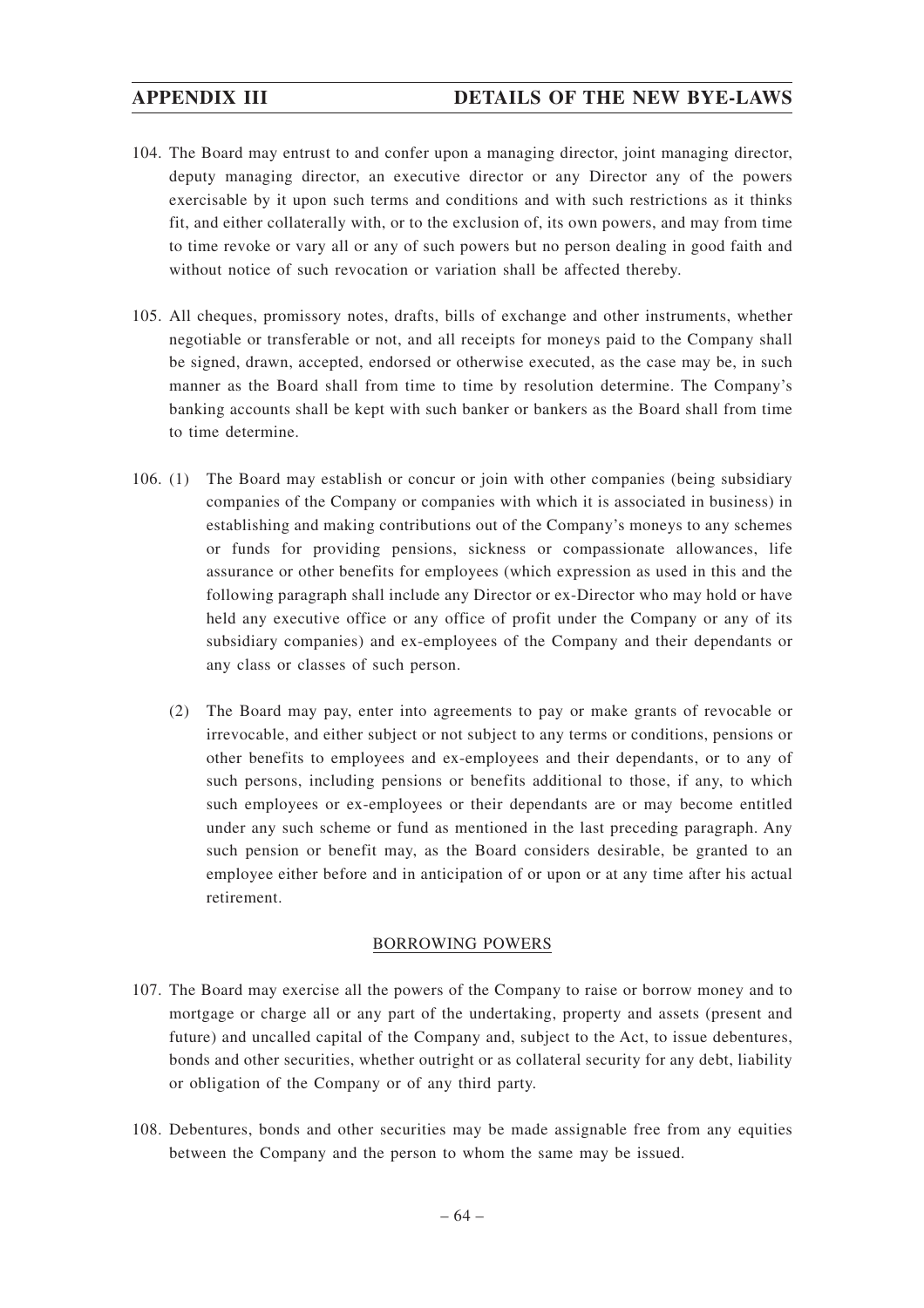- 104. The Board may entrust to and confer upon a managing director, joint managing director, deputy managing director, an executive director or any Director any of the powers exercisable by it upon such terms and conditions and with such restrictions as it thinks fit, and either collaterally with, or to the exclusion of, its own powers, and may from time to time revoke or vary all or any of such powers but no person dealing in good faith and without notice of such revocation or variation shall be affected thereby.
- 105. All cheques, promissory notes, drafts, bills of exchange and other instruments, whether negotiable or transferable or not, and all receipts for moneys paid to the Company shall be signed, drawn, accepted, endorsed or otherwise executed, as the case may be, in such manner as the Board shall from time to time by resolution determine. The Company's banking accounts shall be kept with such banker or bankers as the Board shall from time to time determine.
- 106. (1) The Board may establish or concur or join with other companies (being subsidiary companies of the Company or companies with which it is associated in business) in establishing and making contributions out of the Company's moneys to any schemes or funds for providing pensions, sickness or compassionate allowances, life assurance or other benefits for employees (which expression as used in this and the following paragraph shall include any Director or ex-Director who may hold or have held any executive office or any office of profit under the Company or any of its subsidiary companies) and ex-employees of the Company and their dependants or any class or classes of such person.
	- (2) The Board may pay, enter into agreements to pay or make grants of revocable or irrevocable, and either subject or not subject to any terms or conditions, pensions or other benefits to employees and ex-employees and their dependants, or to any of such persons, including pensions or benefits additional to those, if any, to which such employees or ex-employees or their dependants are or may become entitled under any such scheme or fund as mentioned in the last preceding paragraph. Any such pension or benefit may, as the Board considers desirable, be granted to an employee either before and in anticipation of or upon or at any time after his actual retirement.

# BORROWING POWERS

- 107. The Board may exercise all the powers of the Company to raise or borrow money and to mortgage or charge all or any part of the undertaking, property and assets (present and future) and uncalled capital of the Company and, subject to the Act, to issue debentures, bonds and other securities, whether outright or as collateral security for any debt, liability or obligation of the Company or of any third party.
- 108. Debentures, bonds and other securities may be made assignable free from any equities between the Company and the person to whom the same may be issued.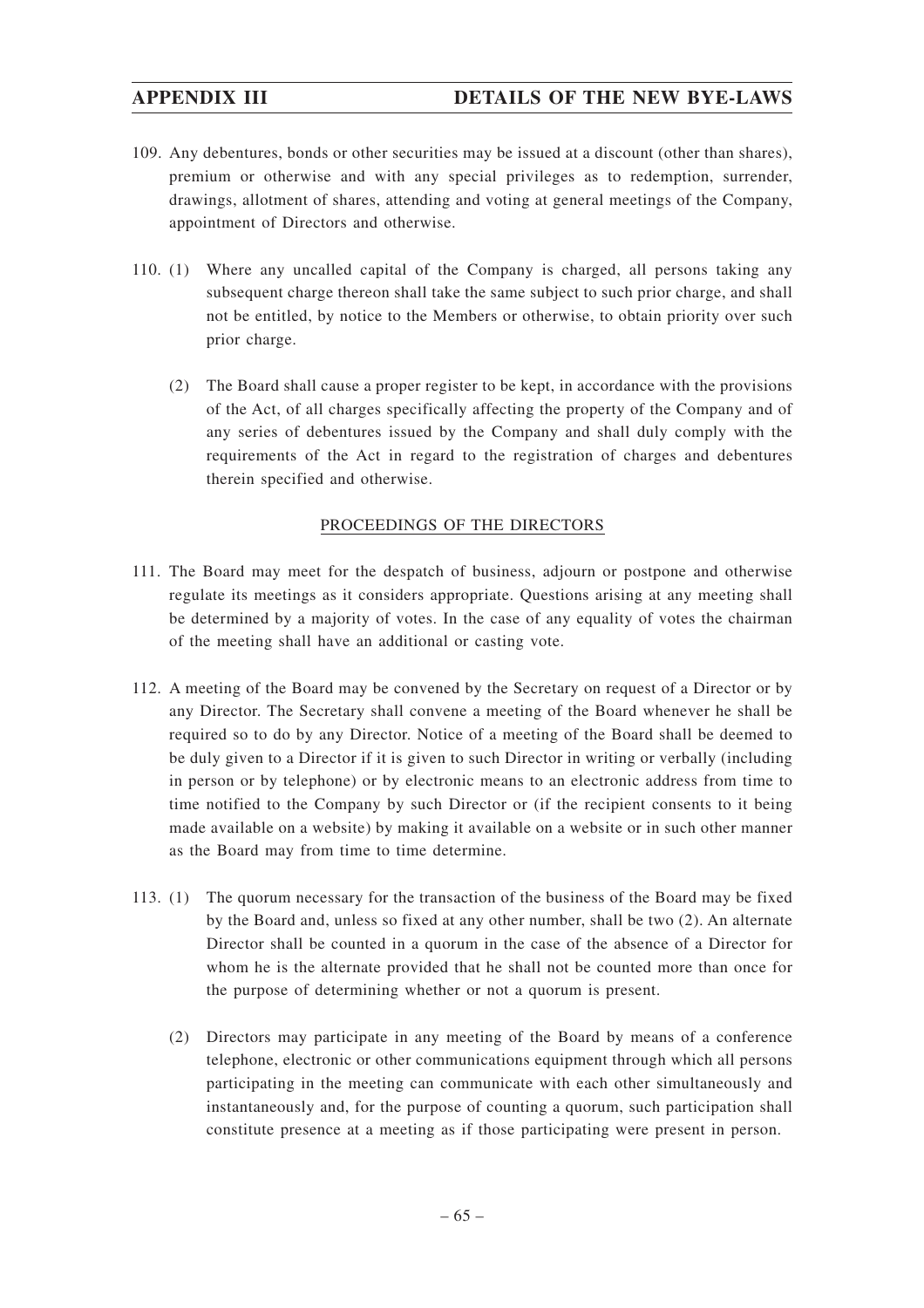# **APPENDIX III DETAILS OF THE NEW BYE-LAWS**

- 109. Any debentures, bonds or other securities may be issued at a discount (other than shares), premium or otherwise and with any special privileges as to redemption, surrender, drawings, allotment of shares, attending and voting at general meetings of the Company, appointment of Directors and otherwise.
- 110. (1) Where any uncalled capital of the Company is charged, all persons taking any subsequent charge thereon shall take the same subject to such prior charge, and shall not be entitled, by notice to the Members or otherwise, to obtain priority over such prior charge.
	- (2) The Board shall cause a proper register to be kept, in accordance with the provisions of the Act, of all charges specifically affecting the property of the Company and of any series of debentures issued by the Company and shall duly comply with the requirements of the Act in regard to the registration of charges and debentures therein specified and otherwise.

# PROCEEDINGS OF THE DIRECTORS

- 111. The Board may meet for the despatch of business, adjourn or postpone and otherwise regulate its meetings as it considers appropriate. Questions arising at any meeting shall be determined by a majority of votes. In the case of any equality of votes the chairman of the meeting shall have an additional or casting vote.
- 112. A meeting of the Board may be convened by the Secretary on request of a Director or by any Director. The Secretary shall convene a meeting of the Board whenever he shall be required so to do by any Director. Notice of a meeting of the Board shall be deemed to be duly given to a Director if it is given to such Director in writing or verbally (including in person or by telephone) or by electronic means to an electronic address from time to time notified to the Company by such Director or (if the recipient consents to it being made available on a website) by making it available on a website or in such other manner as the Board may from time to time determine.
- 113. (1) The quorum necessary for the transaction of the business of the Board may be fixed by the Board and, unless so fixed at any other number, shall be two (2). An alternate Director shall be counted in a quorum in the case of the absence of a Director for whom he is the alternate provided that he shall not be counted more than once for the purpose of determining whether or not a quorum is present.
	- (2) Directors may participate in any meeting of the Board by means of a conference telephone, electronic or other communications equipment through which all persons participating in the meeting can communicate with each other simultaneously and instantaneously and, for the purpose of counting a quorum, such participation shall constitute presence at a meeting as if those participating were present in person.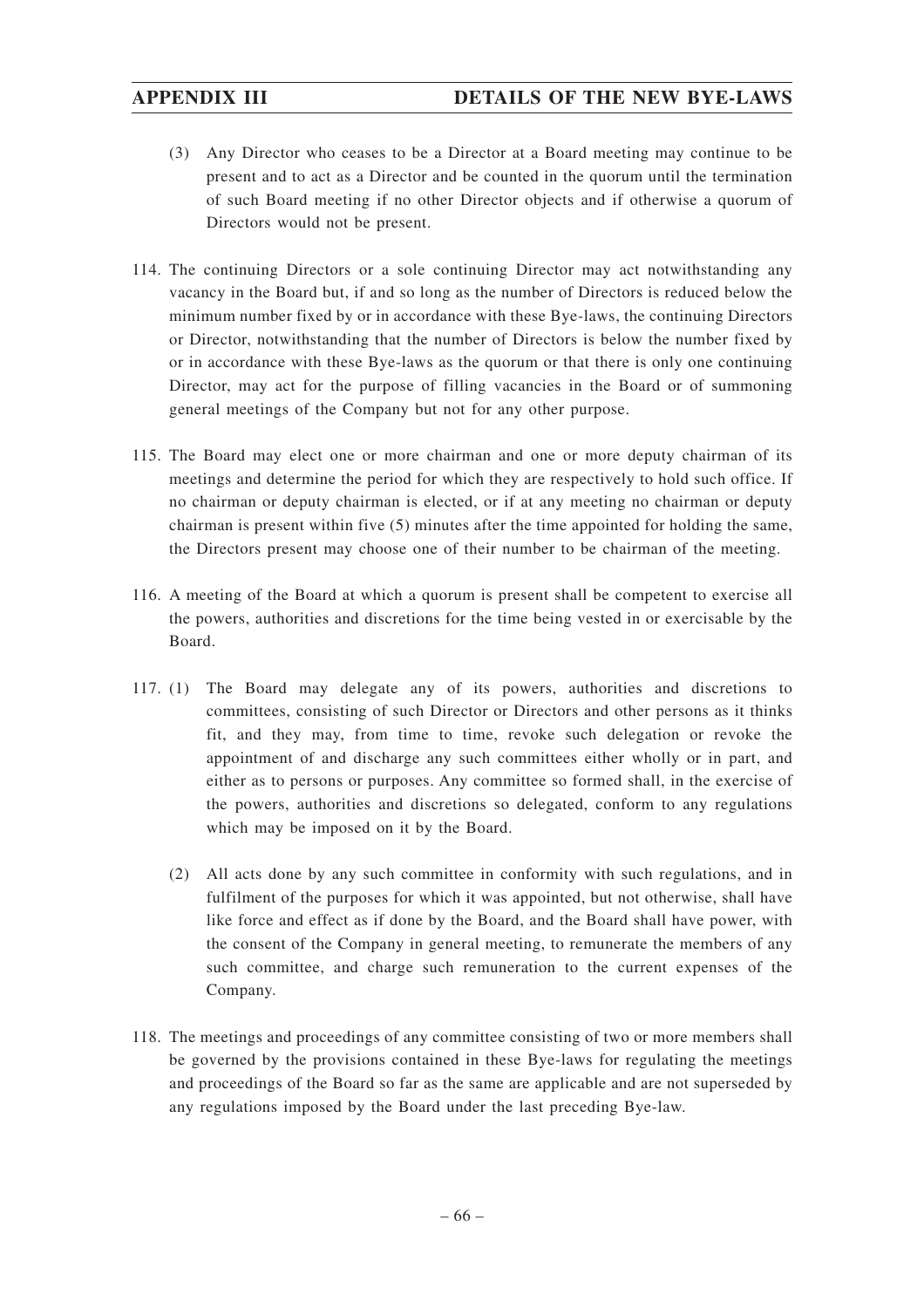- (3) Any Director who ceases to be a Director at a Board meeting may continue to be present and to act as a Director and be counted in the quorum until the termination of such Board meeting if no other Director objects and if otherwise a quorum of Directors would not be present.
- 114. The continuing Directors or a sole continuing Director may act notwithstanding any vacancy in the Board but, if and so long as the number of Directors is reduced below the minimum number fixed by or in accordance with these Bye-laws, the continuing Directors or Director, notwithstanding that the number of Directors is below the number fixed by or in accordance with these Bye-laws as the quorum or that there is only one continuing Director, may act for the purpose of filling vacancies in the Board or of summoning general meetings of the Company but not for any other purpose.
- 115. The Board may elect one or more chairman and one or more deputy chairman of its meetings and determine the period for which they are respectively to hold such office. If no chairman or deputy chairman is elected, or if at any meeting no chairman or deputy chairman is present within five (5) minutes after the time appointed for holding the same, the Directors present may choose one of their number to be chairman of the meeting.
- 116. A meeting of the Board at which a quorum is present shall be competent to exercise all the powers, authorities and discretions for the time being vested in or exercisable by the Board.
- 117. (1) The Board may delegate any of its powers, authorities and discretions to committees, consisting of such Director or Directors and other persons as it thinks fit, and they may, from time to time, revoke such delegation or revoke the appointment of and discharge any such committees either wholly or in part, and either as to persons or purposes. Any committee so formed shall, in the exercise of the powers, authorities and discretions so delegated, conform to any regulations which may be imposed on it by the Board.
	- (2) All acts done by any such committee in conformity with such regulations, and in fulfilment of the purposes for which it was appointed, but not otherwise, shall have like force and effect as if done by the Board, and the Board shall have power, with the consent of the Company in general meeting, to remunerate the members of any such committee, and charge such remuneration to the current expenses of the Company.
- 118. The meetings and proceedings of any committee consisting of two or more members shall be governed by the provisions contained in these Bye-laws for regulating the meetings and proceedings of the Board so far as the same are applicable and are not superseded by any regulations imposed by the Board under the last preceding Bye-law.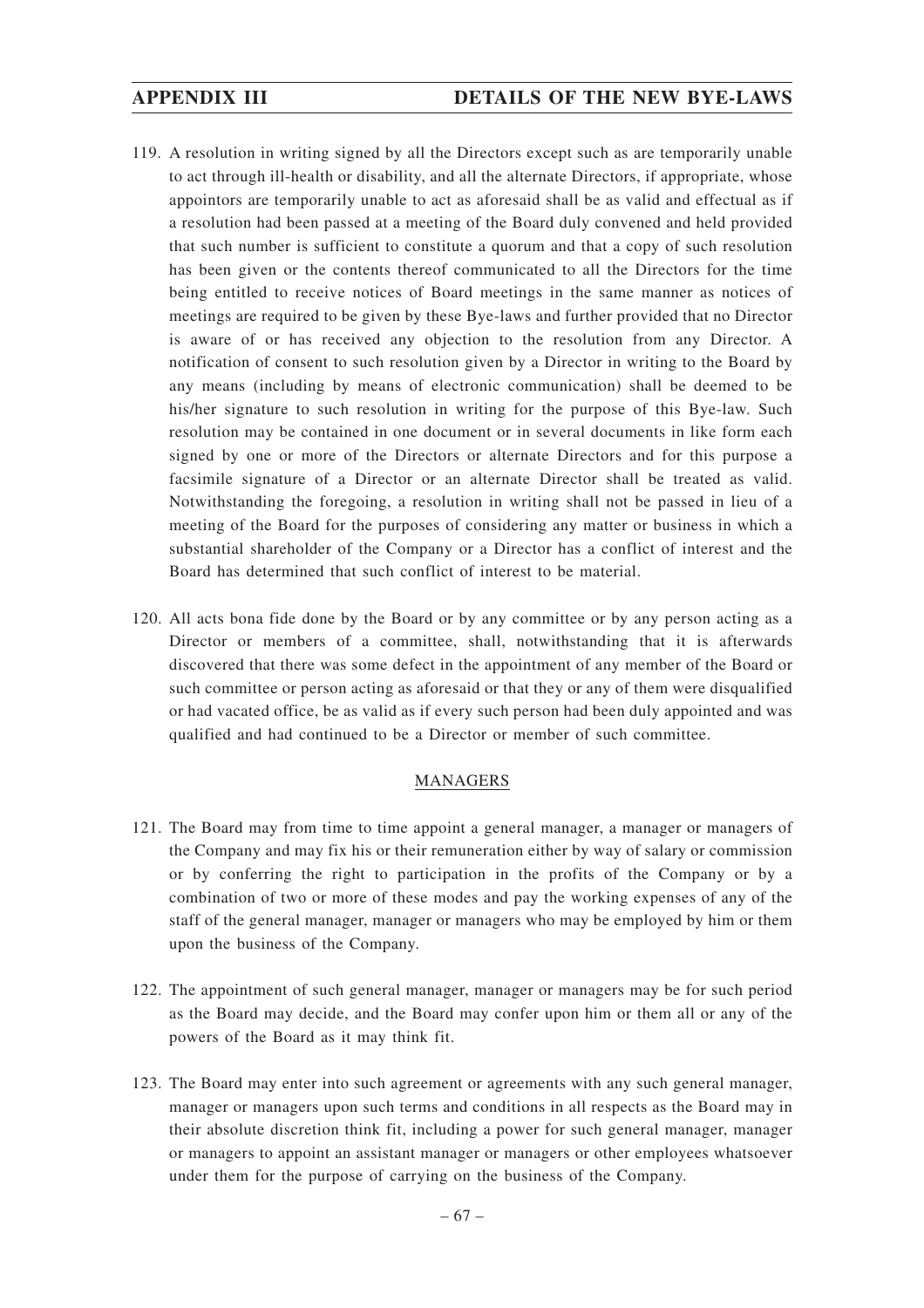- 119. A resolution in writing signed by all the Directors except such as are temporarily unable to act through ill-health or disability, and all the alternate Directors, if appropriate, whose appointors are temporarily unable to act as aforesaid shall be as valid and effectual as if a resolution had been passed at a meeting of the Board duly convened and held provided that such number is sufficient to constitute a quorum and that a copy of such resolution has been given or the contents thereof communicated to all the Directors for the time being entitled to receive notices of Board meetings in the same manner as notices of meetings are required to be given by these Bye-laws and further provided that no Director is aware of or has received any objection to the resolution from any Director. A notification of consent to such resolution given by a Director in writing to the Board by any means (including by means of electronic communication) shall be deemed to be his/her signature to such resolution in writing for the purpose of this Bye-law. Such resolution may be contained in one document or in several documents in like form each signed by one or more of the Directors or alternate Directors and for this purpose a facsimile signature of a Director or an alternate Director shall be treated as valid. Notwithstanding the foregoing, a resolution in writing shall not be passed in lieu of a meeting of the Board for the purposes of considering any matter or business in which a substantial shareholder of the Company or a Director has a conflict of interest and the Board has determined that such conflict of interest to be material.
- 120. All acts bona fide done by the Board or by any committee or by any person acting as a Director or members of a committee, shall, notwithstanding that it is afterwards discovered that there was some defect in the appointment of any member of the Board or such committee or person acting as aforesaid or that they or any of them were disqualified or had vacated office, be as valid as if every such person had been duly appointed and was qualified and had continued to be a Director or member of such committee.

# MANAGERS

- 121. The Board may from time to time appoint a general manager, a manager or managers of the Company and may fix his or their remuneration either by way of salary or commission or by conferring the right to participation in the profits of the Company or by a combination of two or more of these modes and pay the working expenses of any of the staff of the general manager, manager or managers who may be employed by him or them upon the business of the Company.
- 122. The appointment of such general manager, manager or managers may be for such period as the Board may decide, and the Board may confer upon him or them all or any of the powers of the Board as it may think fit.
- 123. The Board may enter into such agreement or agreements with any such general manager, manager or managers upon such terms and conditions in all respects as the Board may in their absolute discretion think fit, including a power for such general manager, manager or managers to appoint an assistant manager or managers or other employees whatsoever under them for the purpose of carrying on the business of the Company.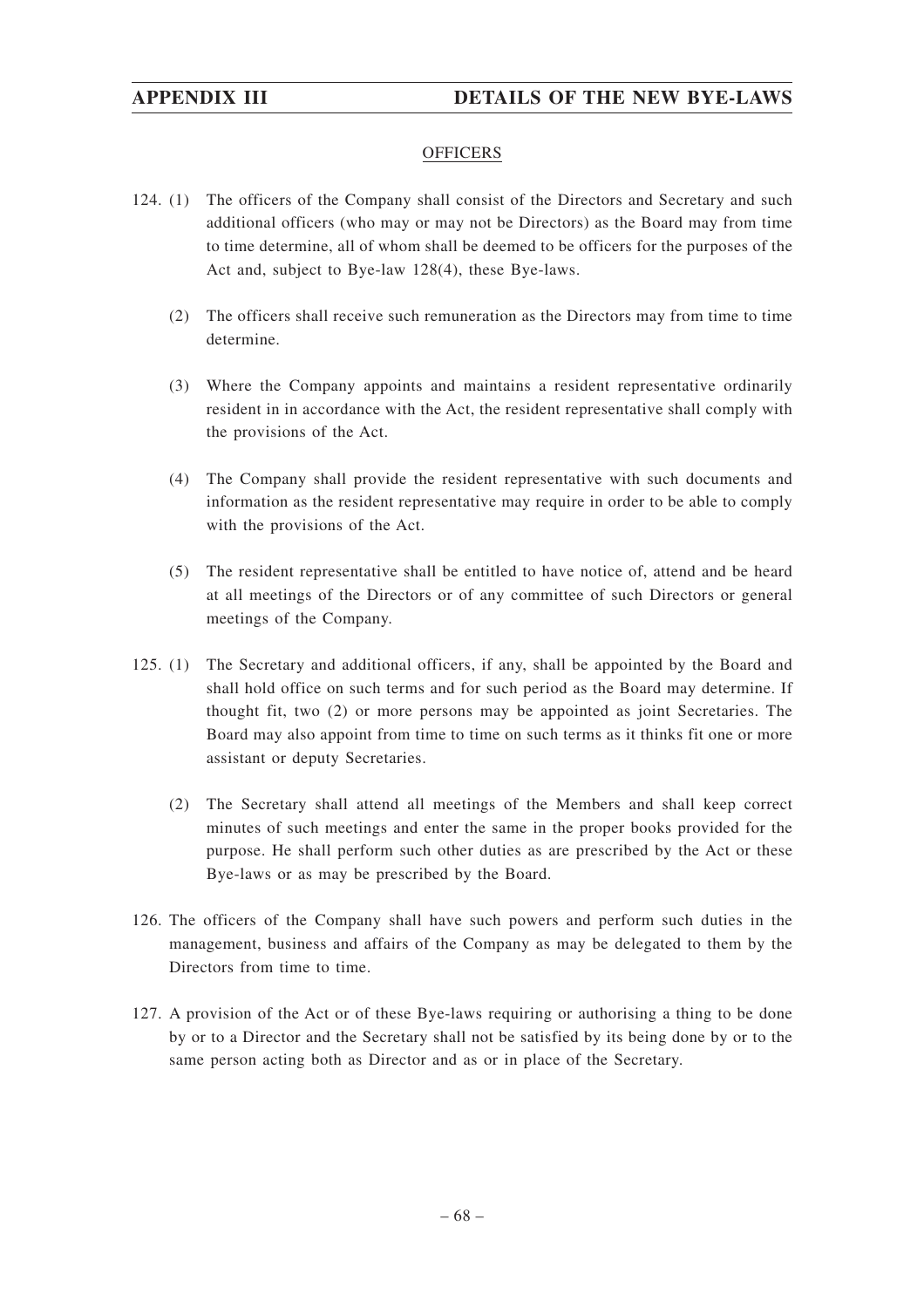# **OFFICERS**

- 124. (1) The officers of the Company shall consist of the Directors and Secretary and such additional officers (who may or may not be Directors) as the Board may from time to time determine, all of whom shall be deemed to be officers for the purposes of the Act and, subject to Bye-law 128(4), these Bye-laws.
	- (2) The officers shall receive such remuneration as the Directors may from time to time determine.
	- (3) Where the Company appoints and maintains a resident representative ordinarily resident in in accordance with the Act, the resident representative shall comply with the provisions of the Act.
	- (4) The Company shall provide the resident representative with such documents and information as the resident representative may require in order to be able to comply with the provisions of the Act.
	- (5) The resident representative shall be entitled to have notice of, attend and be heard at all meetings of the Directors or of any committee of such Directors or general meetings of the Company.
- 125. (1) The Secretary and additional officers, if any, shall be appointed by the Board and shall hold office on such terms and for such period as the Board may determine. If thought fit, two (2) or more persons may be appointed as joint Secretaries. The Board may also appoint from time to time on such terms as it thinks fit one or more assistant or deputy Secretaries.
	- (2) The Secretary shall attend all meetings of the Members and shall keep correct minutes of such meetings and enter the same in the proper books provided for the purpose. He shall perform such other duties as are prescribed by the Act or these Bye-laws or as may be prescribed by the Board.
- 126. The officers of the Company shall have such powers and perform such duties in the management, business and affairs of the Company as may be delegated to them by the Directors from time to time.
- 127. A provision of the Act or of these Bye-laws requiring or authorising a thing to be done by or to a Director and the Secretary shall not be satisfied by its being done by or to the same person acting both as Director and as or in place of the Secretary.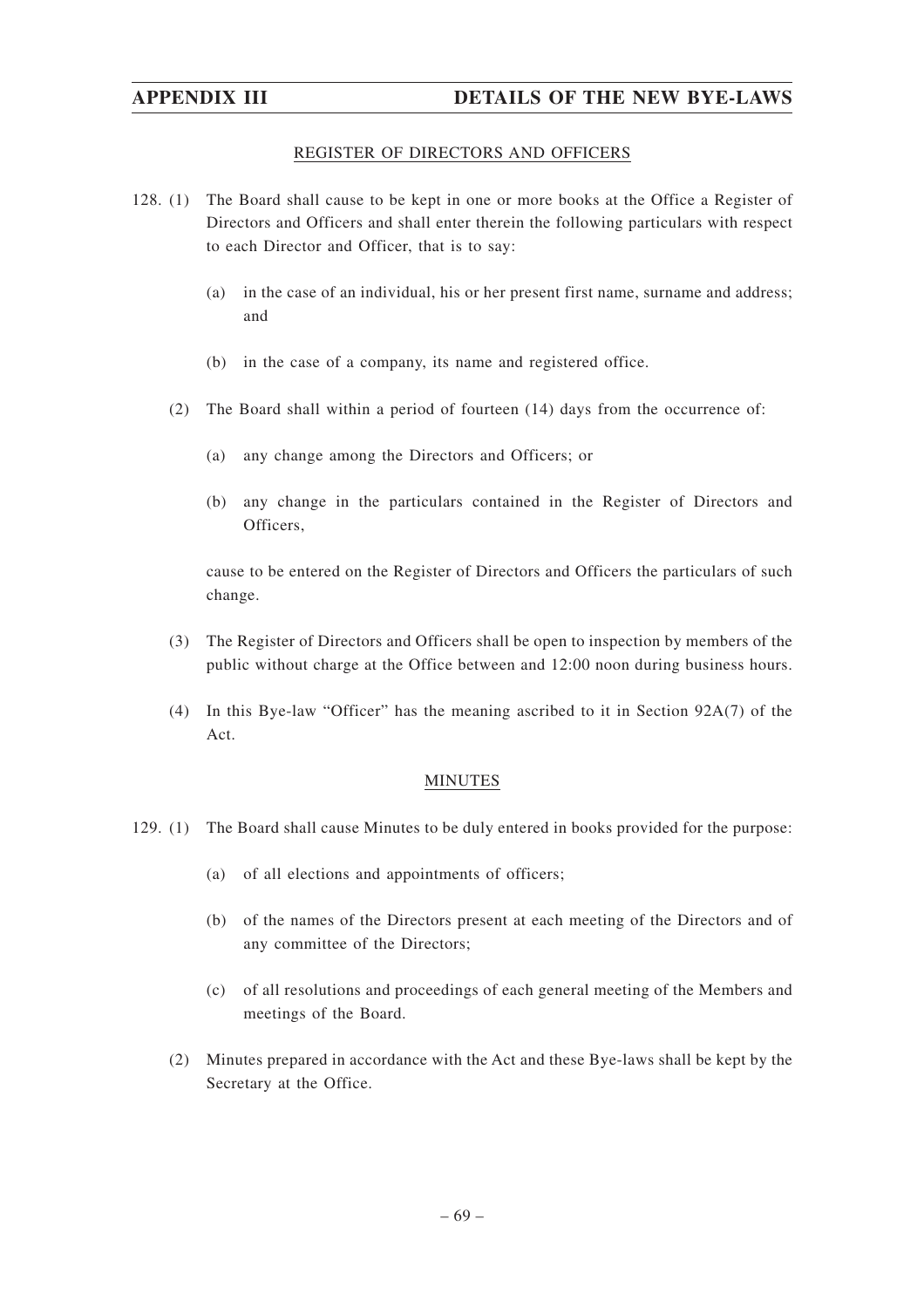# REGISTER OF DIRECTORS AND OFFICERS

- 128. (1) The Board shall cause to be kept in one or more books at the Office a Register of Directors and Officers and shall enter therein the following particulars with respect to each Director and Officer, that is to say:
	- (a) in the case of an individual, his or her present first name, surname and address; and
	- (b) in the case of a company, its name and registered office.
	- (2) The Board shall within a period of fourteen (14) days from the occurrence of:
		- (a) any change among the Directors and Officers; or
		- (b) any change in the particulars contained in the Register of Directors and Officers,

cause to be entered on the Register of Directors and Officers the particulars of such change.

- (3) The Register of Directors and Officers shall be open to inspection by members of the public without charge at the Office between and 12:00 noon during business hours.
- (4) In this Bye-law "Officer" has the meaning ascribed to it in Section 92A(7) of the Act.

### MINUTES

- 129. (1) The Board shall cause Minutes to be duly entered in books provided for the purpose:
	- (a) of all elections and appointments of officers;
	- (b) of the names of the Directors present at each meeting of the Directors and of any committee of the Directors;
	- (c) of all resolutions and proceedings of each general meeting of the Members and meetings of the Board.
	- (2) Minutes prepared in accordance with the Act and these Bye-laws shall be kept by the Secretary at the Office.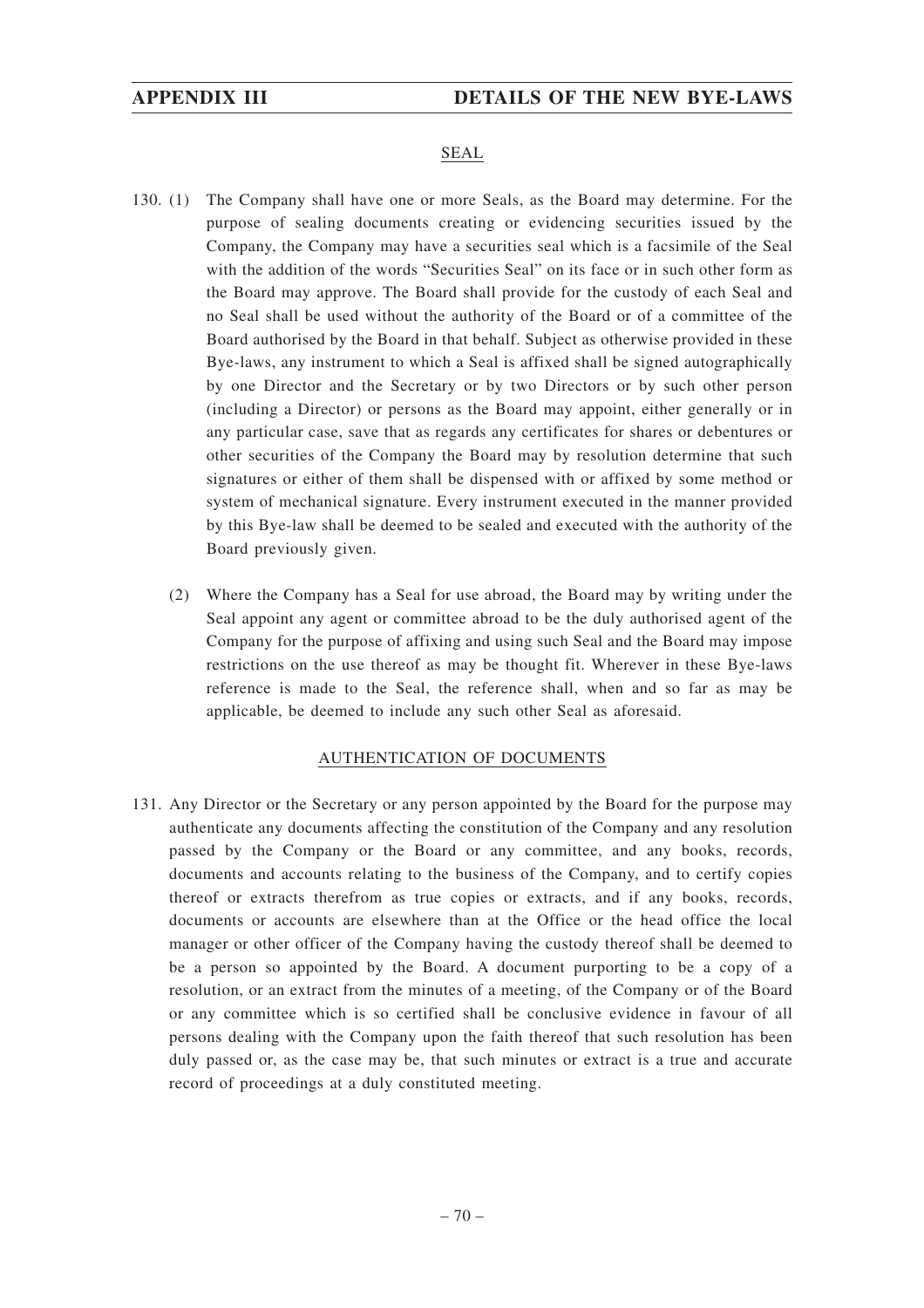# SEAL

- 130. (1) The Company shall have one or more Seals, as the Board may determine. For the purpose of sealing documents creating or evidencing securities issued by the Company, the Company may have a securities seal which is a facsimile of the Seal with the addition of the words "Securities Seal" on its face or in such other form as the Board may approve. The Board shall provide for the custody of each Seal and no Seal shall be used without the authority of the Board or of a committee of the Board authorised by the Board in that behalf. Subject as otherwise provided in these Bye-laws, any instrument to which a Seal is affixed shall be signed autographically by one Director and the Secretary or by two Directors or by such other person (including a Director) or persons as the Board may appoint, either generally or in any particular case, save that as regards any certificates for shares or debentures or other securities of the Company the Board may by resolution determine that such signatures or either of them shall be dispensed with or affixed by some method or system of mechanical signature. Every instrument executed in the manner provided by this Bye-law shall be deemed to be sealed and executed with the authority of the Board previously given.
	- (2) Where the Company has a Seal for use abroad, the Board may by writing under the Seal appoint any agent or committee abroad to be the duly authorised agent of the Company for the purpose of affixing and using such Seal and the Board may impose restrictions on the use thereof as may be thought fit. Wherever in these Bye-laws reference is made to the Seal, the reference shall, when and so far as may be applicable, be deemed to include any such other Seal as aforesaid.

### AUTHENTICATION OF DOCUMENTS

131. Any Director or the Secretary or any person appointed by the Board for the purpose may authenticate any documents affecting the constitution of the Company and any resolution passed by the Company or the Board or any committee, and any books, records, documents and accounts relating to the business of the Company, and to certify copies thereof or extracts therefrom as true copies or extracts, and if any books, records, documents or accounts are elsewhere than at the Office or the head office the local manager or other officer of the Company having the custody thereof shall be deemed to be a person so appointed by the Board. A document purporting to be a copy of a resolution, or an extract from the minutes of a meeting, of the Company or of the Board or any committee which is so certified shall be conclusive evidence in favour of all persons dealing with the Company upon the faith thereof that such resolution has been duly passed or, as the case may be, that such minutes or extract is a true and accurate record of proceedings at a duly constituted meeting.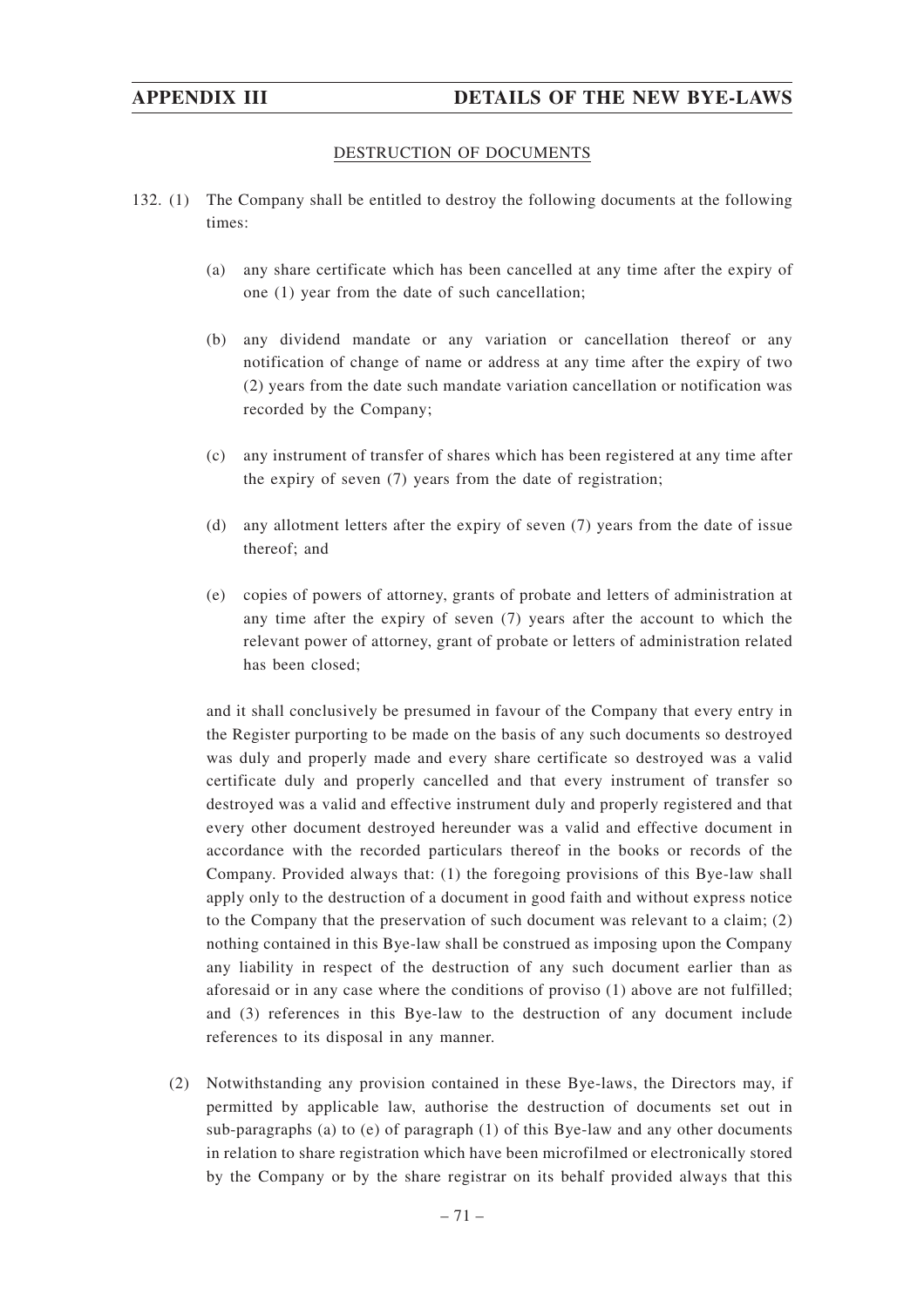### DESTRUCTION OF DOCUMENTS

- 132. (1) The Company shall be entitled to destroy the following documents at the following times:
	- (a) any share certificate which has been cancelled at any time after the expiry of one (1) year from the date of such cancellation;
	- (b) any dividend mandate or any variation or cancellation thereof or any notification of change of name or address at any time after the expiry of two (2) years from the date such mandate variation cancellation or notification was recorded by the Company;
	- (c) any instrument of transfer of shares which has been registered at any time after the expiry of seven (7) years from the date of registration;
	- (d) any allotment letters after the expiry of seven (7) years from the date of issue thereof; and
	- (e) copies of powers of attorney, grants of probate and letters of administration at any time after the expiry of seven (7) years after the account to which the relevant power of attorney, grant of probate or letters of administration related has been closed;

and it shall conclusively be presumed in favour of the Company that every entry in the Register purporting to be made on the basis of any such documents so destroyed was duly and properly made and every share certificate so destroyed was a valid certificate duly and properly cancelled and that every instrument of transfer so destroyed was a valid and effective instrument duly and properly registered and that every other document destroyed hereunder was a valid and effective document in accordance with the recorded particulars thereof in the books or records of the Company. Provided always that: (1) the foregoing provisions of this Bye-law shall apply only to the destruction of a document in good faith and without express notice to the Company that the preservation of such document was relevant to a claim; (2) nothing contained in this Bye-law shall be construed as imposing upon the Company any liability in respect of the destruction of any such document earlier than as aforesaid or in any case where the conditions of proviso (1) above are not fulfilled; and (3) references in this Bye-law to the destruction of any document include references to its disposal in any manner.

(2) Notwithstanding any provision contained in these Bye-laws, the Directors may, if permitted by applicable law, authorise the destruction of documents set out in sub-paragraphs (a) to (e) of paragraph (1) of this Bye-law and any other documents in relation to share registration which have been microfilmed or electronically stored by the Company or by the share registrar on its behalf provided always that this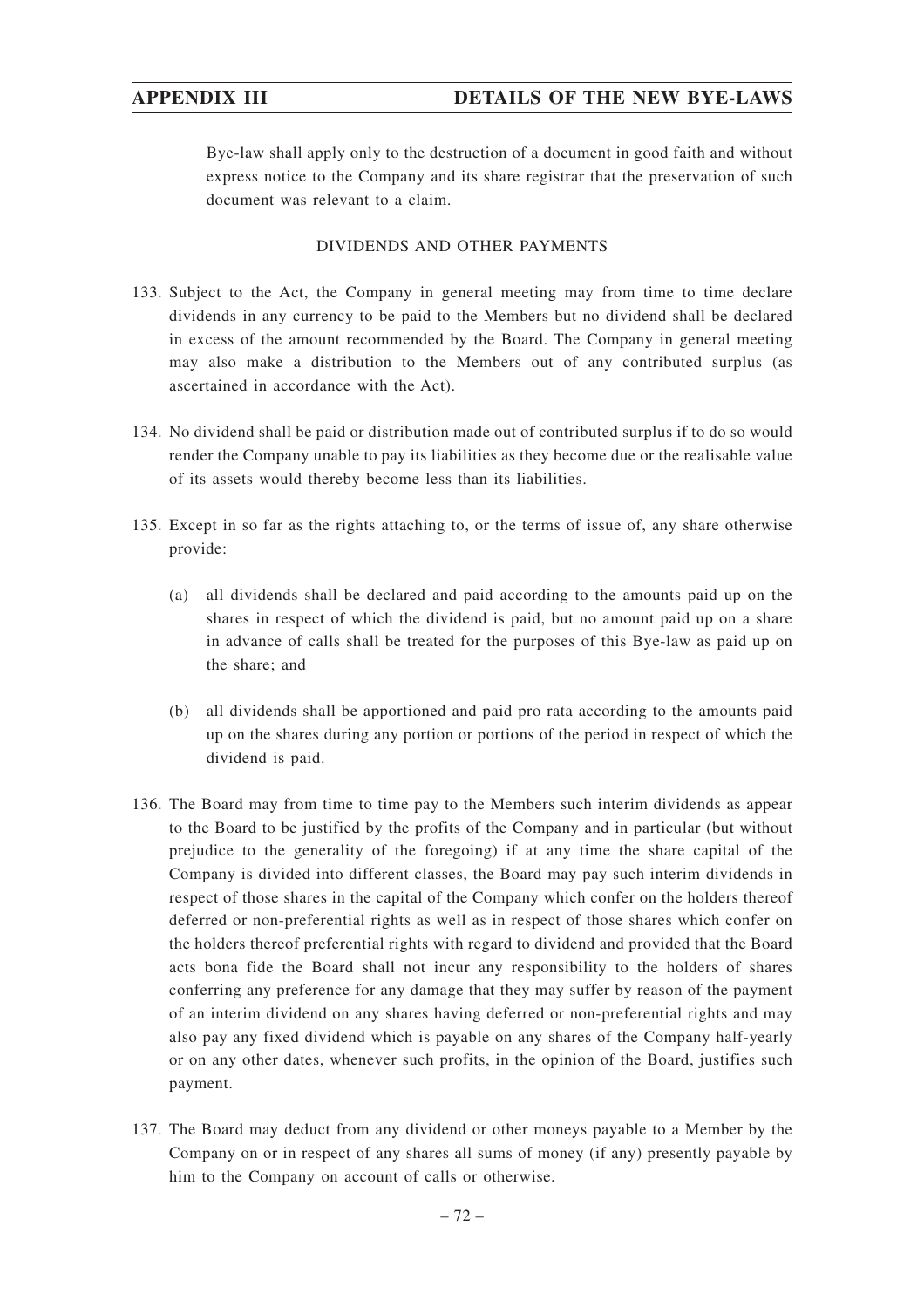Bye-law shall apply only to the destruction of a document in good faith and without express notice to the Company and its share registrar that the preservation of such document was relevant to a claim.

### DIVIDENDS AND OTHER PAYMENTS

- 133. Subject to the Act, the Company in general meeting may from time to time declare dividends in any currency to be paid to the Members but no dividend shall be declared in excess of the amount recommended by the Board. The Company in general meeting may also make a distribution to the Members out of any contributed surplus (as ascertained in accordance with the Act).
- 134. No dividend shall be paid or distribution made out of contributed surplus if to do so would render the Company unable to pay its liabilities as they become due or the realisable value of its assets would thereby become less than its liabilities.
- 135. Except in so far as the rights attaching to, or the terms of issue of, any share otherwise provide:
	- (a) all dividends shall be declared and paid according to the amounts paid up on the shares in respect of which the dividend is paid, but no amount paid up on a share in advance of calls shall be treated for the purposes of this Bye-law as paid up on the share; and
	- (b) all dividends shall be apportioned and paid pro rata according to the amounts paid up on the shares during any portion or portions of the period in respect of which the dividend is paid.
- 136. The Board may from time to time pay to the Members such interim dividends as appear to the Board to be justified by the profits of the Company and in particular (but without prejudice to the generality of the foregoing) if at any time the share capital of the Company is divided into different classes, the Board may pay such interim dividends in respect of those shares in the capital of the Company which confer on the holders thereof deferred or non-preferential rights as well as in respect of those shares which confer on the holders thereof preferential rights with regard to dividend and provided that the Board acts bona fide the Board shall not incur any responsibility to the holders of shares conferring any preference for any damage that they may suffer by reason of the payment of an interim dividend on any shares having deferred or non-preferential rights and may also pay any fixed dividend which is payable on any shares of the Company half-yearly or on any other dates, whenever such profits, in the opinion of the Board, justifies such payment.
- 137. The Board may deduct from any dividend or other moneys payable to a Member by the Company on or in respect of any shares all sums of money (if any) presently payable by him to the Company on account of calls or otherwise.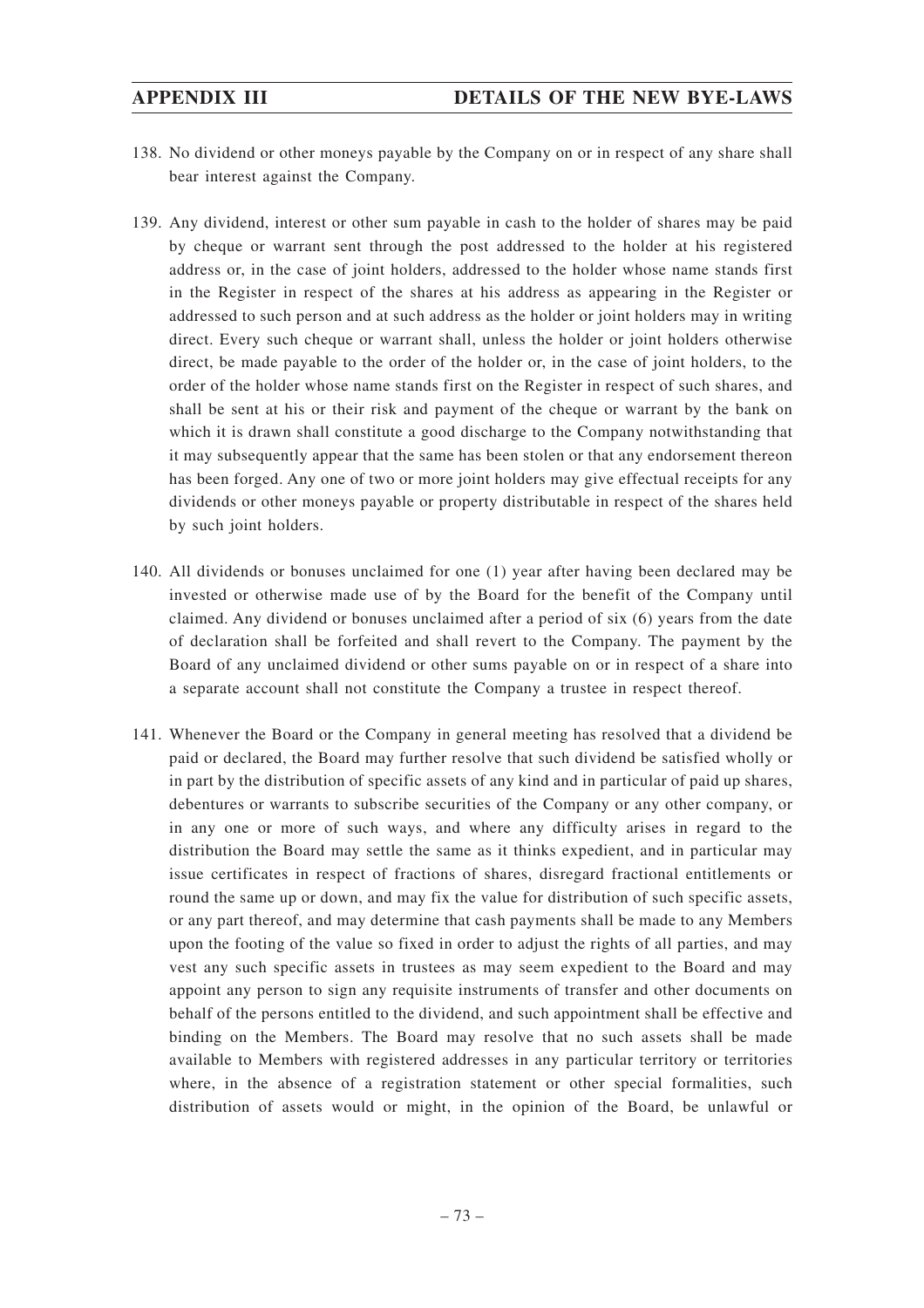- 138. No dividend or other moneys payable by the Company on or in respect of any share shall bear interest against the Company.
- 139. Any dividend, interest or other sum payable in cash to the holder of shares may be paid by cheque or warrant sent through the post addressed to the holder at his registered address or, in the case of joint holders, addressed to the holder whose name stands first in the Register in respect of the shares at his address as appearing in the Register or addressed to such person and at such address as the holder or joint holders may in writing direct. Every such cheque or warrant shall, unless the holder or joint holders otherwise direct, be made payable to the order of the holder or, in the case of joint holders, to the order of the holder whose name stands first on the Register in respect of such shares, and shall be sent at his or their risk and payment of the cheque or warrant by the bank on which it is drawn shall constitute a good discharge to the Company notwithstanding that it may subsequently appear that the same has been stolen or that any endorsement thereon has been forged. Any one of two or more joint holders may give effectual receipts for any dividends or other moneys payable or property distributable in respect of the shares held by such joint holders.
- 140. All dividends or bonuses unclaimed for one (1) year after having been declared may be invested or otherwise made use of by the Board for the benefit of the Company until claimed. Any dividend or bonuses unclaimed after a period of six (6) years from the date of declaration shall be forfeited and shall revert to the Company. The payment by the Board of any unclaimed dividend or other sums payable on or in respect of a share into a separate account shall not constitute the Company a trustee in respect thereof.
- 141. Whenever the Board or the Company in general meeting has resolved that a dividend be paid or declared, the Board may further resolve that such dividend be satisfied wholly or in part by the distribution of specific assets of any kind and in particular of paid up shares, debentures or warrants to subscribe securities of the Company or any other company, or in any one or more of such ways, and where any difficulty arises in regard to the distribution the Board may settle the same as it thinks expedient, and in particular may issue certificates in respect of fractions of shares, disregard fractional entitlements or round the same up or down, and may fix the value for distribution of such specific assets, or any part thereof, and may determine that cash payments shall be made to any Members upon the footing of the value so fixed in order to adjust the rights of all parties, and may vest any such specific assets in trustees as may seem expedient to the Board and may appoint any person to sign any requisite instruments of transfer and other documents on behalf of the persons entitled to the dividend, and such appointment shall be effective and binding on the Members. The Board may resolve that no such assets shall be made available to Members with registered addresses in any particular territory or territories where, in the absence of a registration statement or other special formalities, such distribution of assets would or might, in the opinion of the Board, be unlawful or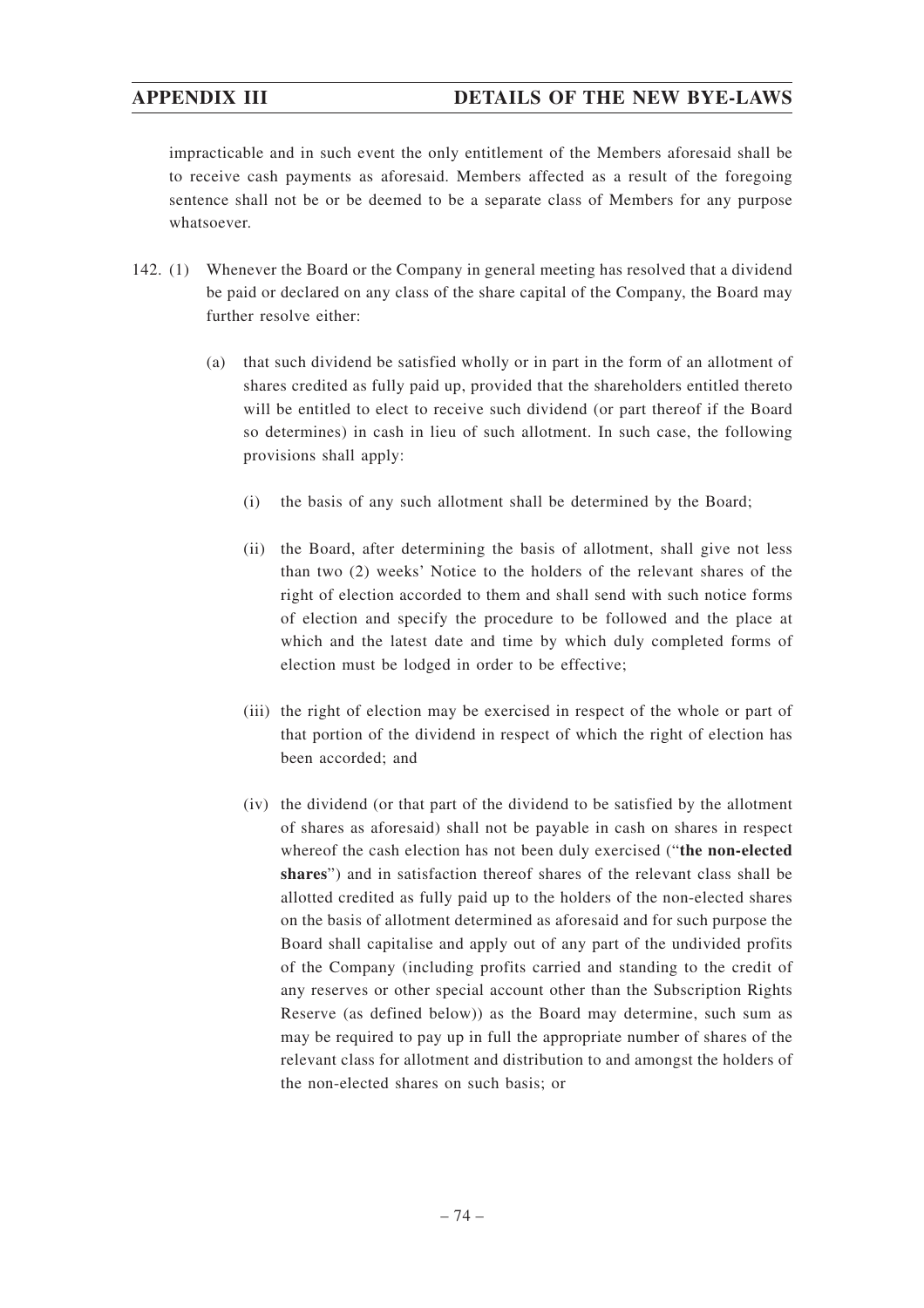# **APPENDIX III DETAILS OF THE NEW BYE-LAWS**

impracticable and in such event the only entitlement of the Members aforesaid shall be to receive cash payments as aforesaid. Members affected as a result of the foregoing sentence shall not be or be deemed to be a separate class of Members for any purpose whatsoever.

- 142. (1) Whenever the Board or the Company in general meeting has resolved that a dividend be paid or declared on any class of the share capital of the Company, the Board may further resolve either:
	- (a) that such dividend be satisfied wholly or in part in the form of an allotment of shares credited as fully paid up, provided that the shareholders entitled thereto will be entitled to elect to receive such dividend (or part thereof if the Board so determines) in cash in lieu of such allotment. In such case, the following provisions shall apply:
		- (i) the basis of any such allotment shall be determined by the Board;
		- (ii) the Board, after determining the basis of allotment, shall give not less than two (2) weeks' Notice to the holders of the relevant shares of the right of election accorded to them and shall send with such notice forms of election and specify the procedure to be followed and the place at which and the latest date and time by which duly completed forms of election must be lodged in order to be effective;
		- (iii) the right of election may be exercised in respect of the whole or part of that portion of the dividend in respect of which the right of election has been accorded; and
		- (iv) the dividend (or that part of the dividend to be satisfied by the allotment of shares as aforesaid) shall not be payable in cash on shares in respect whereof the cash election has not been duly exercised ("**the non-elected shares**") and in satisfaction thereof shares of the relevant class shall be allotted credited as fully paid up to the holders of the non-elected shares on the basis of allotment determined as aforesaid and for such purpose the Board shall capitalise and apply out of any part of the undivided profits of the Company (including profits carried and standing to the credit of any reserves or other special account other than the Subscription Rights Reserve (as defined below)) as the Board may determine, such sum as may be required to pay up in full the appropriate number of shares of the relevant class for allotment and distribution to and amongst the holders of the non-elected shares on such basis; or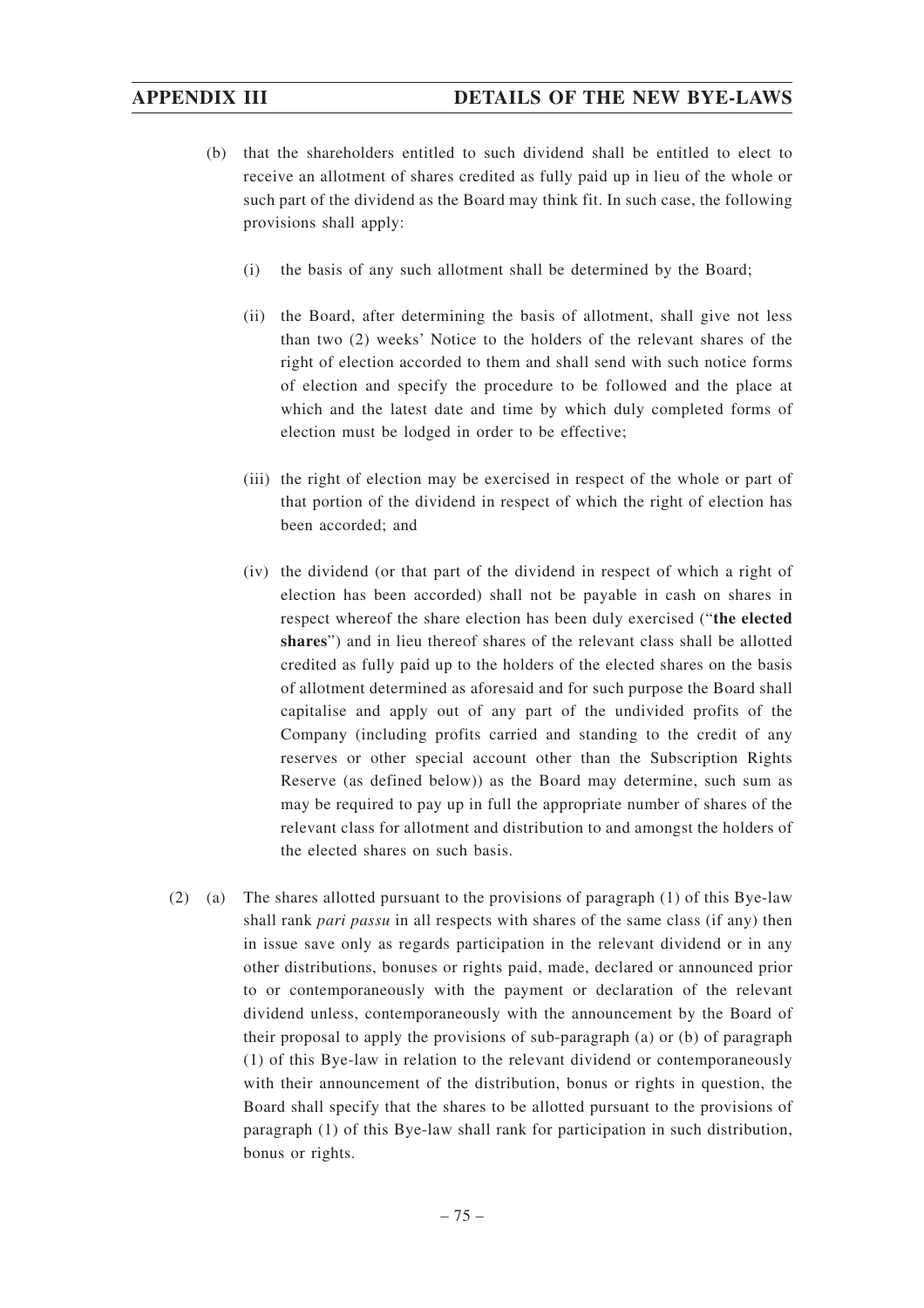- (b) that the shareholders entitled to such dividend shall be entitled to elect to receive an allotment of shares credited as fully paid up in lieu of the whole or such part of the dividend as the Board may think fit. In such case, the following provisions shall apply:
	- (i) the basis of any such allotment shall be determined by the Board;
	- (ii) the Board, after determining the basis of allotment, shall give not less than two (2) weeks' Notice to the holders of the relevant shares of the right of election accorded to them and shall send with such notice forms of election and specify the procedure to be followed and the place at which and the latest date and time by which duly completed forms of election must be lodged in order to be effective;
	- (iii) the right of election may be exercised in respect of the whole or part of that portion of the dividend in respect of which the right of election has been accorded; and
	- (iv) the dividend (or that part of the dividend in respect of which a right of election has been accorded) shall not be payable in cash on shares in respect whereof the share election has been duly exercised ("**the elected shares**") and in lieu thereof shares of the relevant class shall be allotted credited as fully paid up to the holders of the elected shares on the basis of allotment determined as aforesaid and for such purpose the Board shall capitalise and apply out of any part of the undivided profits of the Company (including profits carried and standing to the credit of any reserves or other special account other than the Subscription Rights Reserve (as defined below)) as the Board may determine, such sum as may be required to pay up in full the appropriate number of shares of the relevant class for allotment and distribution to and amongst the holders of the elected shares on such basis.
- (2) (a) The shares allotted pursuant to the provisions of paragraph (1) of this Bye-law shall rank *pari passu* in all respects with shares of the same class (if any) then in issue save only as regards participation in the relevant dividend or in any other distributions, bonuses or rights paid, made, declared or announced prior to or contemporaneously with the payment or declaration of the relevant dividend unless, contemporaneously with the announcement by the Board of their proposal to apply the provisions of sub-paragraph (a) or (b) of paragraph (1) of this Bye-law in relation to the relevant dividend or contemporaneously with their announcement of the distribution, bonus or rights in question, the Board shall specify that the shares to be allotted pursuant to the provisions of paragraph (1) of this Bye-law shall rank for participation in such distribution, bonus or rights.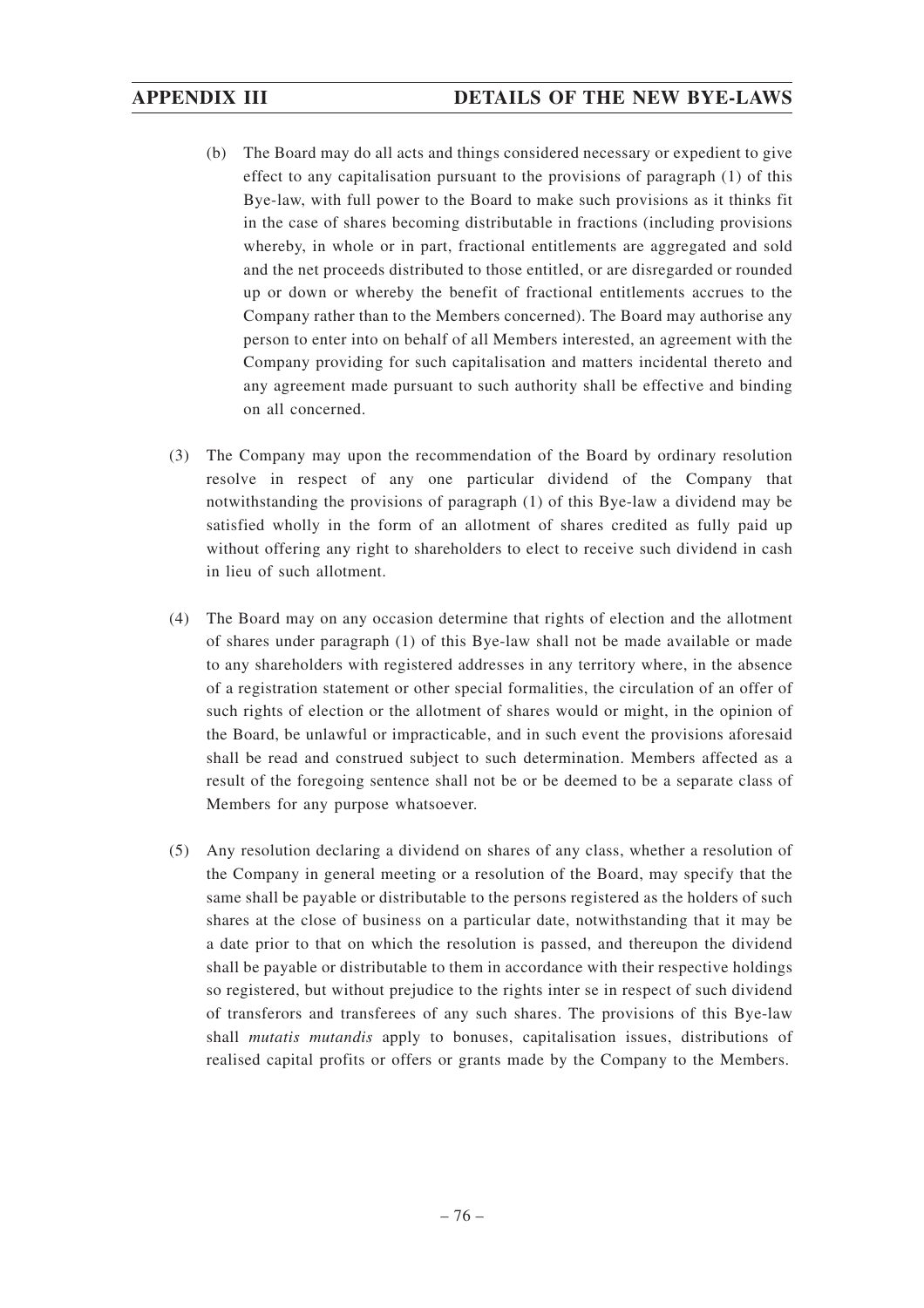- (b) The Board may do all acts and things considered necessary or expedient to give effect to any capitalisation pursuant to the provisions of paragraph (1) of this Bye-law, with full power to the Board to make such provisions as it thinks fit in the case of shares becoming distributable in fractions (including provisions whereby, in whole or in part, fractional entitlements are aggregated and sold and the net proceeds distributed to those entitled, or are disregarded or rounded up or down or whereby the benefit of fractional entitlements accrues to the Company rather than to the Members concerned). The Board may authorise any person to enter into on behalf of all Members interested, an agreement with the Company providing for such capitalisation and matters incidental thereto and any agreement made pursuant to such authority shall be effective and binding on all concerned.
- (3) The Company may upon the recommendation of the Board by ordinary resolution resolve in respect of any one particular dividend of the Company that notwithstanding the provisions of paragraph (1) of this Bye-law a dividend may be satisfied wholly in the form of an allotment of shares credited as fully paid up without offering any right to shareholders to elect to receive such dividend in cash in lieu of such allotment.
- (4) The Board may on any occasion determine that rights of election and the allotment of shares under paragraph (1) of this Bye-law shall not be made available or made to any shareholders with registered addresses in any territory where, in the absence of a registration statement or other special formalities, the circulation of an offer of such rights of election or the allotment of shares would or might, in the opinion of the Board, be unlawful or impracticable, and in such event the provisions aforesaid shall be read and construed subject to such determination. Members affected as a result of the foregoing sentence shall not be or be deemed to be a separate class of Members for any purpose whatsoever.
- (5) Any resolution declaring a dividend on shares of any class, whether a resolution of the Company in general meeting or a resolution of the Board, may specify that the same shall be payable or distributable to the persons registered as the holders of such shares at the close of business on a particular date, notwithstanding that it may be a date prior to that on which the resolution is passed, and thereupon the dividend shall be payable or distributable to them in accordance with their respective holdings so registered, but without prejudice to the rights inter se in respect of such dividend of transferors and transferees of any such shares. The provisions of this Bye-law shall *mutatis mutandis* apply to bonuses, capitalisation issues, distributions of realised capital profits or offers or grants made by the Company to the Members.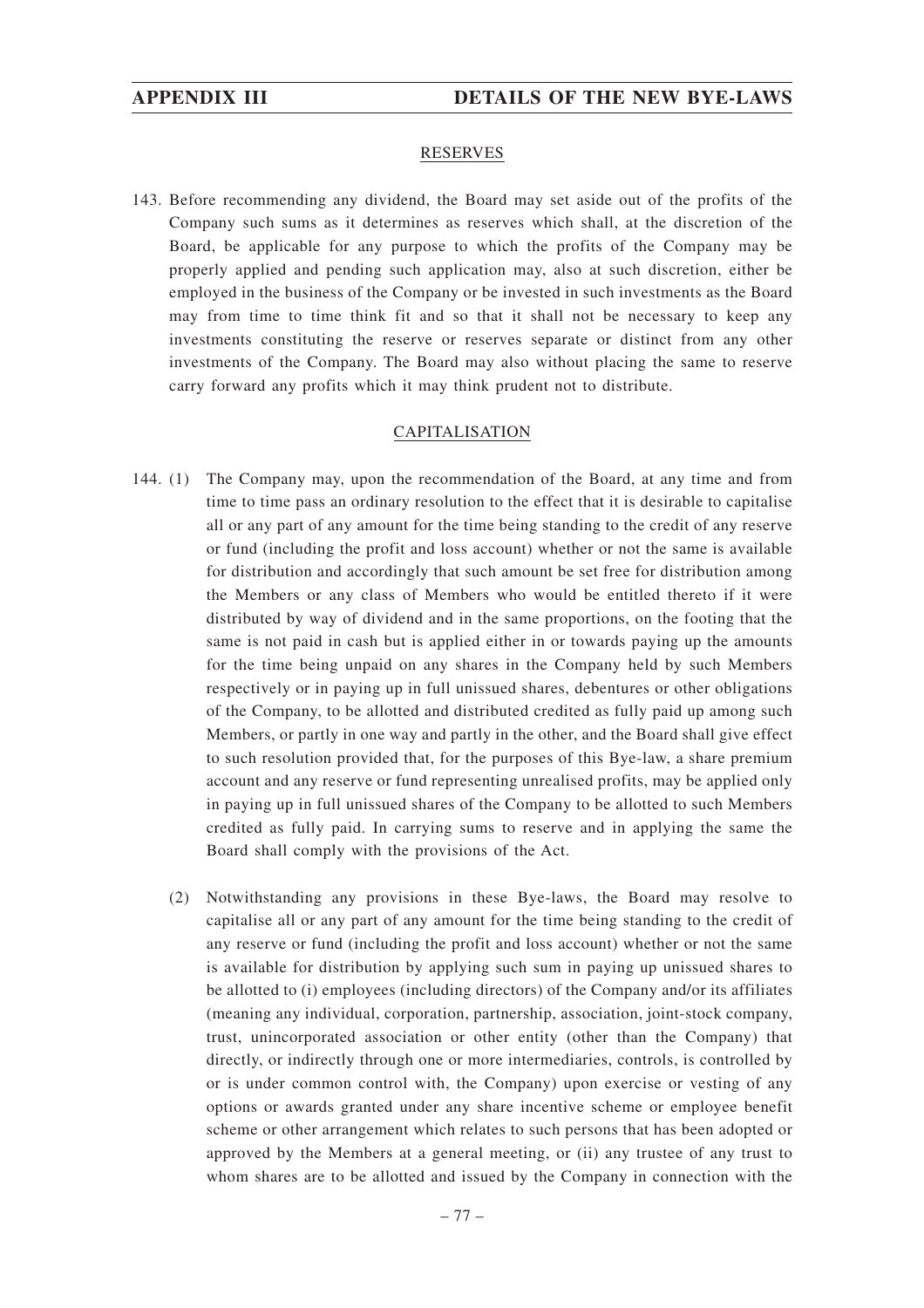### RESERVES

143. Before recommending any dividend, the Board may set aside out of the profits of the Company such sums as it determines as reserves which shall, at the discretion of the Board, be applicable for any purpose to which the profits of the Company may be properly applied and pending such application may, also at such discretion, either be employed in the business of the Company or be invested in such investments as the Board may from time to time think fit and so that it shall not be necessary to keep any investments constituting the reserve or reserves separate or distinct from any other investments of the Company. The Board may also without placing the same to reserve carry forward any profits which it may think prudent not to distribute.

### CAPITALISATION

- 144. (1) The Company may, upon the recommendation of the Board, at any time and from time to time pass an ordinary resolution to the effect that it is desirable to capitalise all or any part of any amount for the time being standing to the credit of any reserve or fund (including the profit and loss account) whether or not the same is available for distribution and accordingly that such amount be set free for distribution among the Members or any class of Members who would be entitled thereto if it were distributed by way of dividend and in the same proportions, on the footing that the same is not paid in cash but is applied either in or towards paying up the amounts for the time being unpaid on any shares in the Company held by such Members respectively or in paying up in full unissued shares, debentures or other obligations of the Company, to be allotted and distributed credited as fully paid up among such Members, or partly in one way and partly in the other, and the Board shall give effect to such resolution provided that, for the purposes of this Bye-law, a share premium account and any reserve or fund representing unrealised profits, may be applied only in paying up in full unissued shares of the Company to be allotted to such Members credited as fully paid. In carrying sums to reserve and in applying the same the Board shall comply with the provisions of the Act.
	- (2) Notwithstanding any provisions in these Bye-laws, the Board may resolve to capitalise all or any part of any amount for the time being standing to the credit of any reserve or fund (including the profit and loss account) whether or not the same is available for distribution by applying such sum in paying up unissued shares to be allotted to (i) employees (including directors) of the Company and/or its affiliates (meaning any individual, corporation, partnership, association, joint-stock company, trust, unincorporated association or other entity (other than the Company) that directly, or indirectly through one or more intermediaries, controls, is controlled by or is under common control with, the Company) upon exercise or vesting of any options or awards granted under any share incentive scheme or employee benefit scheme or other arrangement which relates to such persons that has been adopted or approved by the Members at a general meeting, or (ii) any trustee of any trust to whom shares are to be allotted and issued by the Company in connection with the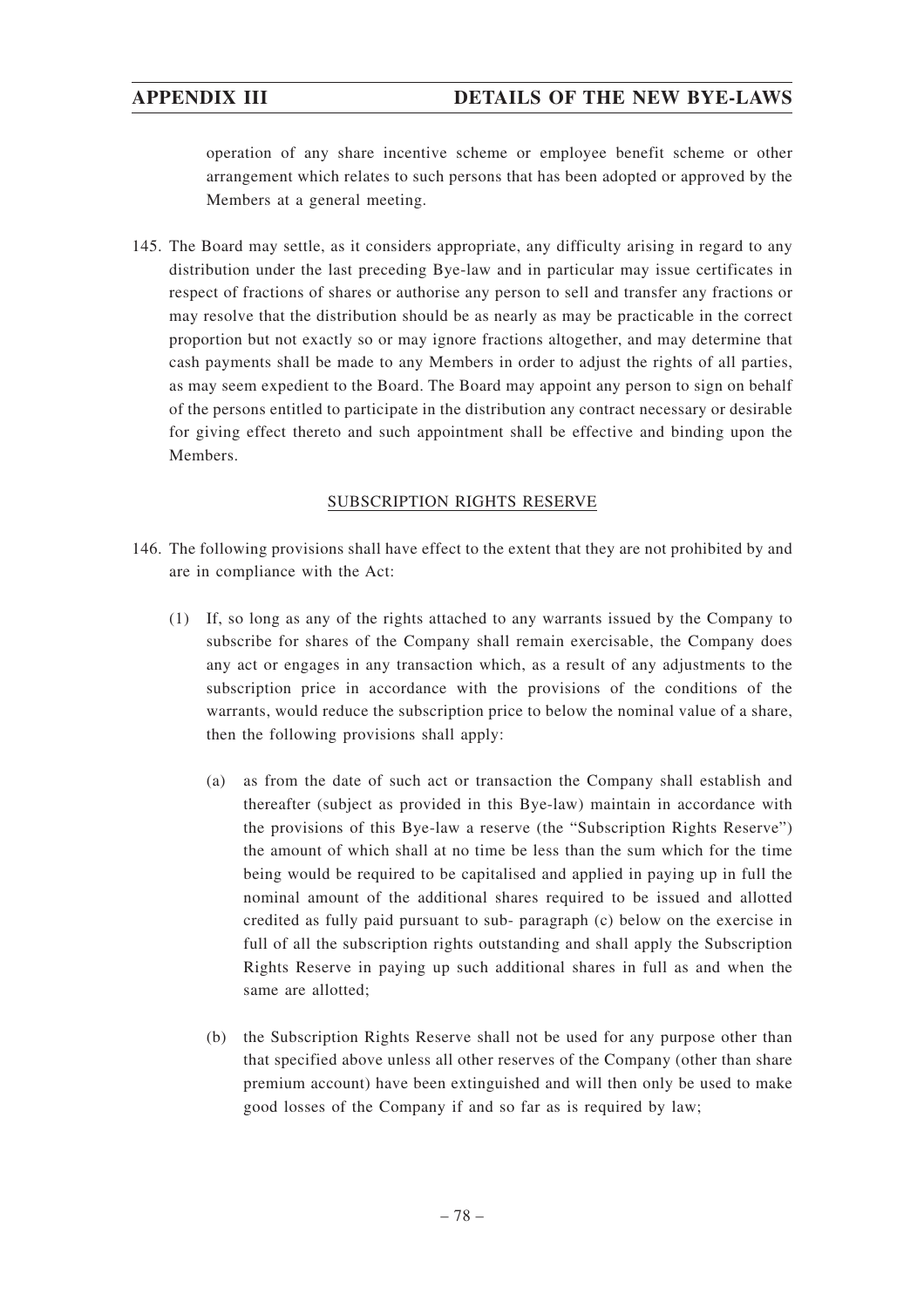operation of any share incentive scheme or employee benefit scheme or other arrangement which relates to such persons that has been adopted or approved by the Members at a general meeting.

145. The Board may settle, as it considers appropriate, any difficulty arising in regard to any distribution under the last preceding Bye-law and in particular may issue certificates in respect of fractions of shares or authorise any person to sell and transfer any fractions or may resolve that the distribution should be as nearly as may be practicable in the correct proportion but not exactly so or may ignore fractions altogether, and may determine that cash payments shall be made to any Members in order to adjust the rights of all parties, as may seem expedient to the Board. The Board may appoint any person to sign on behalf of the persons entitled to participate in the distribution any contract necessary or desirable for giving effect thereto and such appointment shall be effective and binding upon the Members.

### SUBSCRIPTION RIGHTS RESERVE

- 146. The following provisions shall have effect to the extent that they are not prohibited by and are in compliance with the Act:
	- (1) If, so long as any of the rights attached to any warrants issued by the Company to subscribe for shares of the Company shall remain exercisable, the Company does any act or engages in any transaction which, as a result of any adjustments to the subscription price in accordance with the provisions of the conditions of the warrants, would reduce the subscription price to below the nominal value of a share, then the following provisions shall apply:
		- (a) as from the date of such act or transaction the Company shall establish and thereafter (subject as provided in this Bye-law) maintain in accordance with the provisions of this Bye-law a reserve (the "Subscription Rights Reserve") the amount of which shall at no time be less than the sum which for the time being would be required to be capitalised and applied in paying up in full the nominal amount of the additional shares required to be issued and allotted credited as fully paid pursuant to sub- paragraph (c) below on the exercise in full of all the subscription rights outstanding and shall apply the Subscription Rights Reserve in paying up such additional shares in full as and when the same are allotted;
		- (b) the Subscription Rights Reserve shall not be used for any purpose other than that specified above unless all other reserves of the Company (other than share premium account) have been extinguished and will then only be used to make good losses of the Company if and so far as is required by law;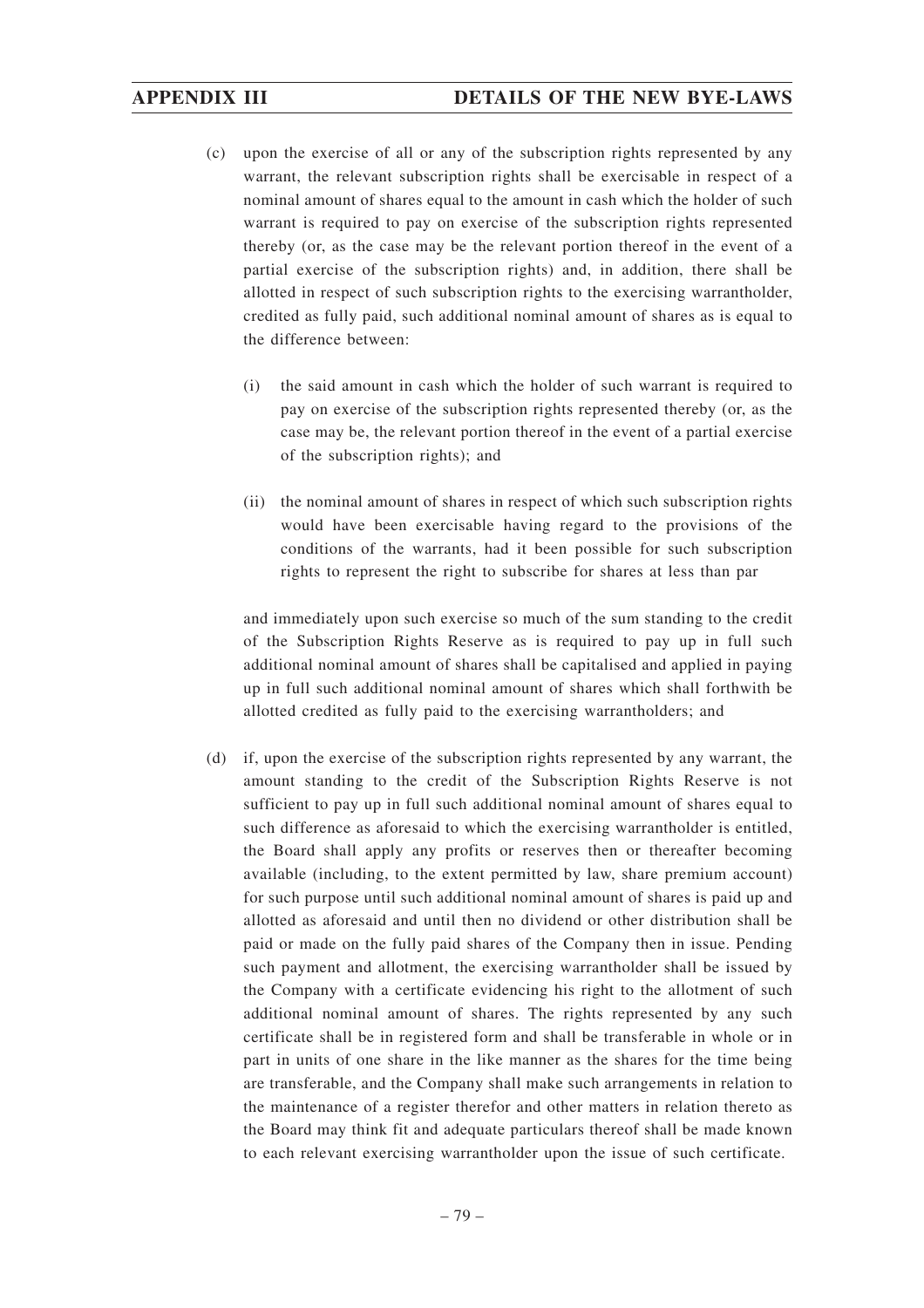- (c) upon the exercise of all or any of the subscription rights represented by any warrant, the relevant subscription rights shall be exercisable in respect of a nominal amount of shares equal to the amount in cash which the holder of such warrant is required to pay on exercise of the subscription rights represented thereby (or, as the case may be the relevant portion thereof in the event of a partial exercise of the subscription rights) and, in addition, there shall be allotted in respect of such subscription rights to the exercising warrantholder, credited as fully paid, such additional nominal amount of shares as is equal to the difference between:
	- (i) the said amount in cash which the holder of such warrant is required to pay on exercise of the subscription rights represented thereby (or, as the case may be, the relevant portion thereof in the event of a partial exercise of the subscription rights); and
	- (ii) the nominal amount of shares in respect of which such subscription rights would have been exercisable having regard to the provisions of the conditions of the warrants, had it been possible for such subscription rights to represent the right to subscribe for shares at less than par

and immediately upon such exercise so much of the sum standing to the credit of the Subscription Rights Reserve as is required to pay up in full such additional nominal amount of shares shall be capitalised and applied in paying up in full such additional nominal amount of shares which shall forthwith be allotted credited as fully paid to the exercising warrantholders; and

(d) if, upon the exercise of the subscription rights represented by any warrant, the amount standing to the credit of the Subscription Rights Reserve is not sufficient to pay up in full such additional nominal amount of shares equal to such difference as aforesaid to which the exercising warrantholder is entitled, the Board shall apply any profits or reserves then or thereafter becoming available (including, to the extent permitted by law, share premium account) for such purpose until such additional nominal amount of shares is paid up and allotted as aforesaid and until then no dividend or other distribution shall be paid or made on the fully paid shares of the Company then in issue. Pending such payment and allotment, the exercising warrantholder shall be issued by the Company with a certificate evidencing his right to the allotment of such additional nominal amount of shares. The rights represented by any such certificate shall be in registered form and shall be transferable in whole or in part in units of one share in the like manner as the shares for the time being are transferable, and the Company shall make such arrangements in relation to the maintenance of a register therefor and other matters in relation thereto as the Board may think fit and adequate particulars thereof shall be made known to each relevant exercising warrantholder upon the issue of such certificate.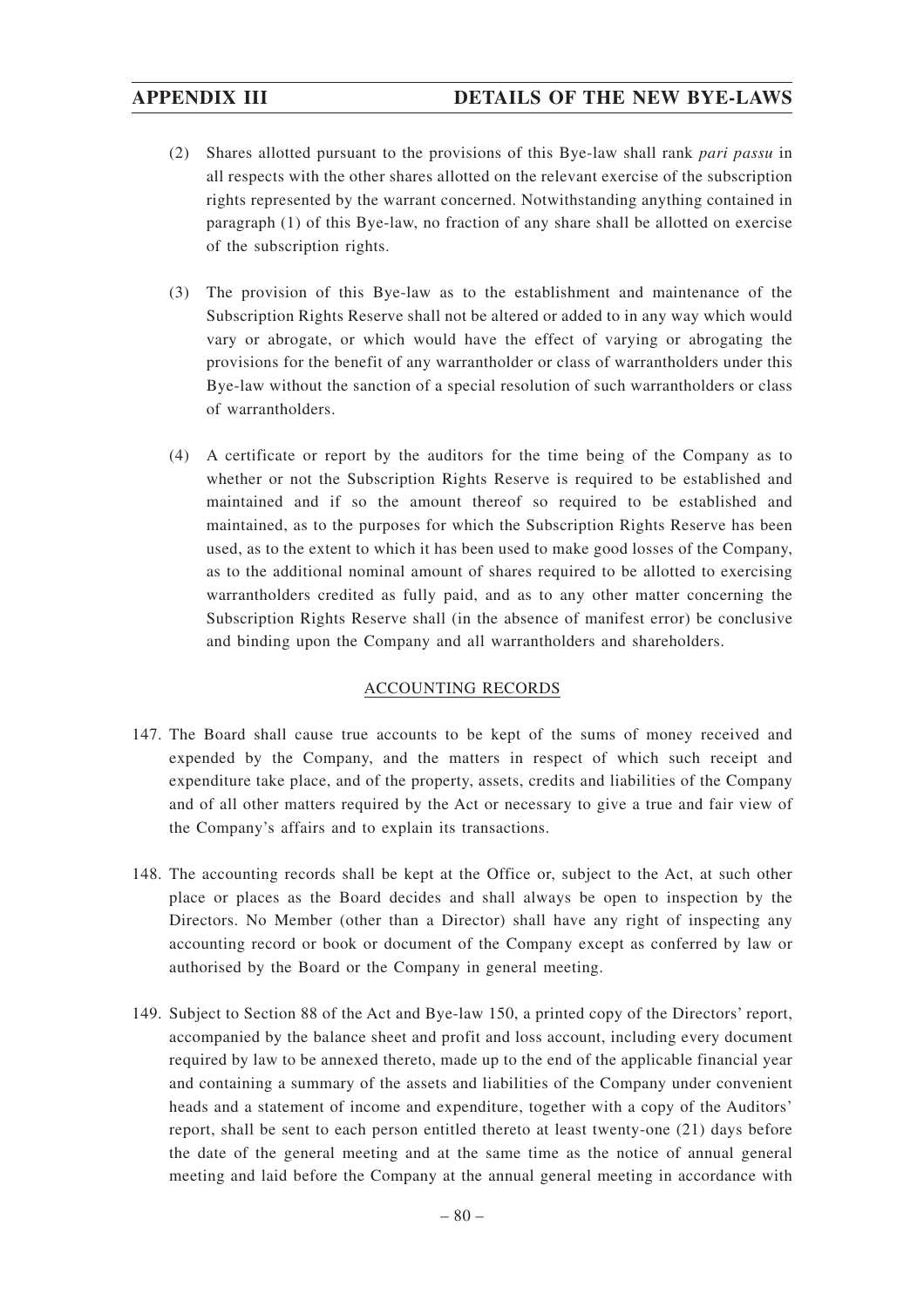- (2) Shares allotted pursuant to the provisions of this Bye-law shall rank *pari passu* in all respects with the other shares allotted on the relevant exercise of the subscription rights represented by the warrant concerned. Notwithstanding anything contained in paragraph (1) of this Bye-law, no fraction of any share shall be allotted on exercise of the subscription rights.
- (3) The provision of this Bye-law as to the establishment and maintenance of the Subscription Rights Reserve shall not be altered or added to in any way which would vary or abrogate, or which would have the effect of varying or abrogating the provisions for the benefit of any warrantholder or class of warrantholders under this Bye-law without the sanction of a special resolution of such warrantholders or class of warrantholders.
- (4) A certificate or report by the auditors for the time being of the Company as to whether or not the Subscription Rights Reserve is required to be established and maintained and if so the amount thereof so required to be established and maintained, as to the purposes for which the Subscription Rights Reserve has been used, as to the extent to which it has been used to make good losses of the Company, as to the additional nominal amount of shares required to be allotted to exercising warrantholders credited as fully paid, and as to any other matter concerning the Subscription Rights Reserve shall (in the absence of manifest error) be conclusive and binding upon the Company and all warrantholders and shareholders.

### ACCOUNTING RECORDS

- 147. The Board shall cause true accounts to be kept of the sums of money received and expended by the Company, and the matters in respect of which such receipt and expenditure take place, and of the property, assets, credits and liabilities of the Company and of all other matters required by the Act or necessary to give a true and fair view of the Company's affairs and to explain its transactions.
- 148. The accounting records shall be kept at the Office or, subject to the Act, at such other place or places as the Board decides and shall always be open to inspection by the Directors. No Member (other than a Director) shall have any right of inspecting any accounting record or book or document of the Company except as conferred by law or authorised by the Board or the Company in general meeting.
- 149. Subject to Section 88 of the Act and Bye-law 150, a printed copy of the Directors' report, accompanied by the balance sheet and profit and loss account, including every document required by law to be annexed thereto, made up to the end of the applicable financial year and containing a summary of the assets and liabilities of the Company under convenient heads and a statement of income and expenditure, together with a copy of the Auditors' report, shall be sent to each person entitled thereto at least twenty-one (21) days before the date of the general meeting and at the same time as the notice of annual general meeting and laid before the Company at the annual general meeting in accordance with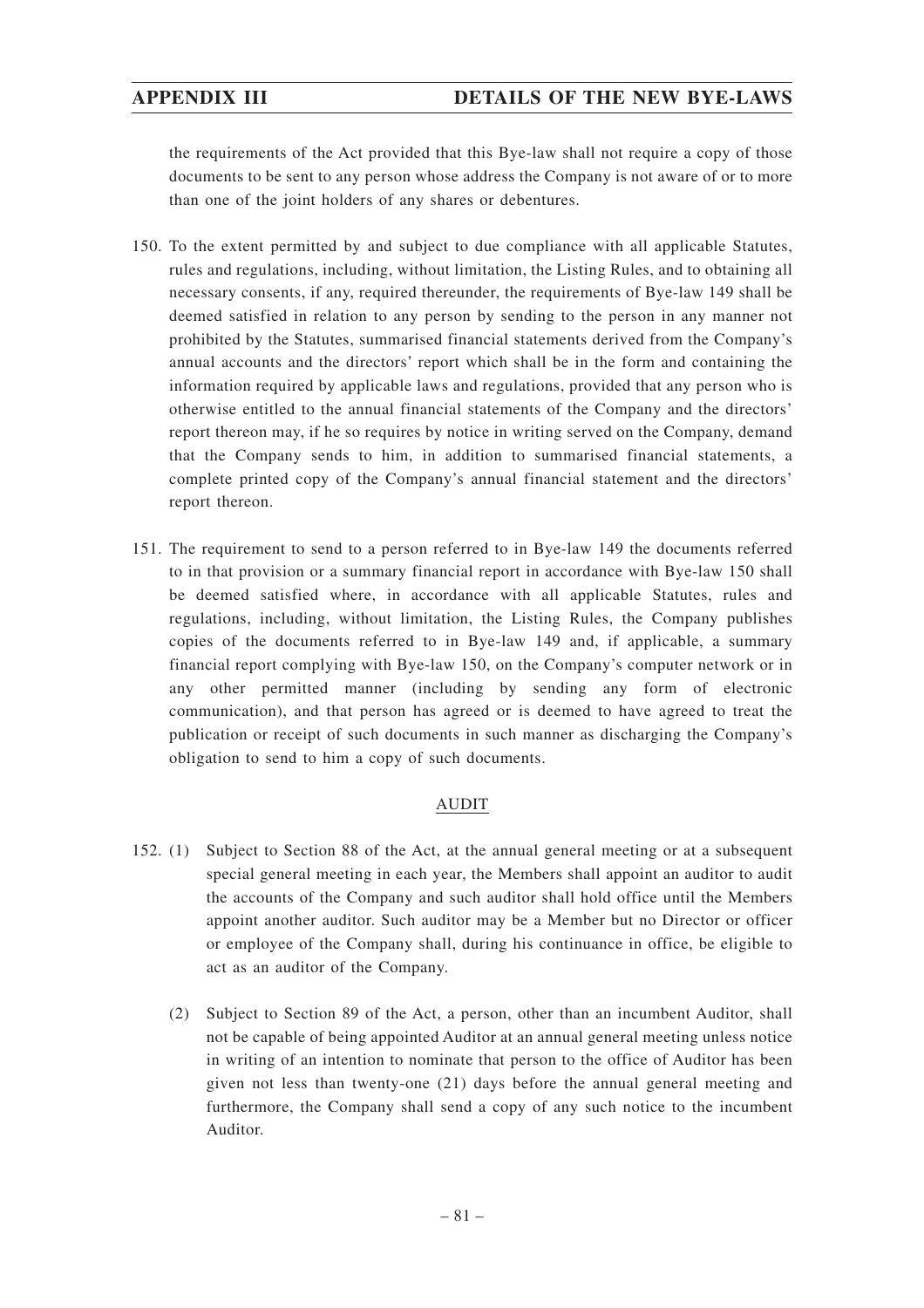the requirements of the Act provided that this Bye-law shall not require a copy of those documents to be sent to any person whose address the Company is not aware of or to more than one of the joint holders of any shares or debentures.

- 150. To the extent permitted by and subject to due compliance with all applicable Statutes, rules and regulations, including, without limitation, the Listing Rules, and to obtaining all necessary consents, if any, required thereunder, the requirements of Bye-law 149 shall be deemed satisfied in relation to any person by sending to the person in any manner not prohibited by the Statutes, summarised financial statements derived from the Company's annual accounts and the directors' report which shall be in the form and containing the information required by applicable laws and regulations, provided that any person who is otherwise entitled to the annual financial statements of the Company and the directors' report thereon may, if he so requires by notice in writing served on the Company, demand that the Company sends to him, in addition to summarised financial statements, a complete printed copy of the Company's annual financial statement and the directors' report thereon.
- 151. The requirement to send to a person referred to in Bye-law 149 the documents referred to in that provision or a summary financial report in accordance with Bye-law 150 shall be deemed satisfied where, in accordance with all applicable Statutes, rules and regulations, including, without limitation, the Listing Rules, the Company publishes copies of the documents referred to in Bye-law 149 and, if applicable, a summary financial report complying with Bye-law 150, on the Company's computer network or in any other permitted manner (including by sending any form of electronic communication), and that person has agreed or is deemed to have agreed to treat the publication or receipt of such documents in such manner as discharging the Company's obligation to send to him a copy of such documents.

# AUDIT

- 152. (1) Subject to Section 88 of the Act, at the annual general meeting or at a subsequent special general meeting in each year, the Members shall appoint an auditor to audit the accounts of the Company and such auditor shall hold office until the Members appoint another auditor. Such auditor may be a Member but no Director or officer or employee of the Company shall, during his continuance in office, be eligible to act as an auditor of the Company.
	- (2) Subject to Section 89 of the Act, a person, other than an incumbent Auditor, shall not be capable of being appointed Auditor at an annual general meeting unless notice in writing of an intention to nominate that person to the office of Auditor has been given not less than twenty-one (21) days before the annual general meeting and furthermore, the Company shall send a copy of any such notice to the incumbent Auditor.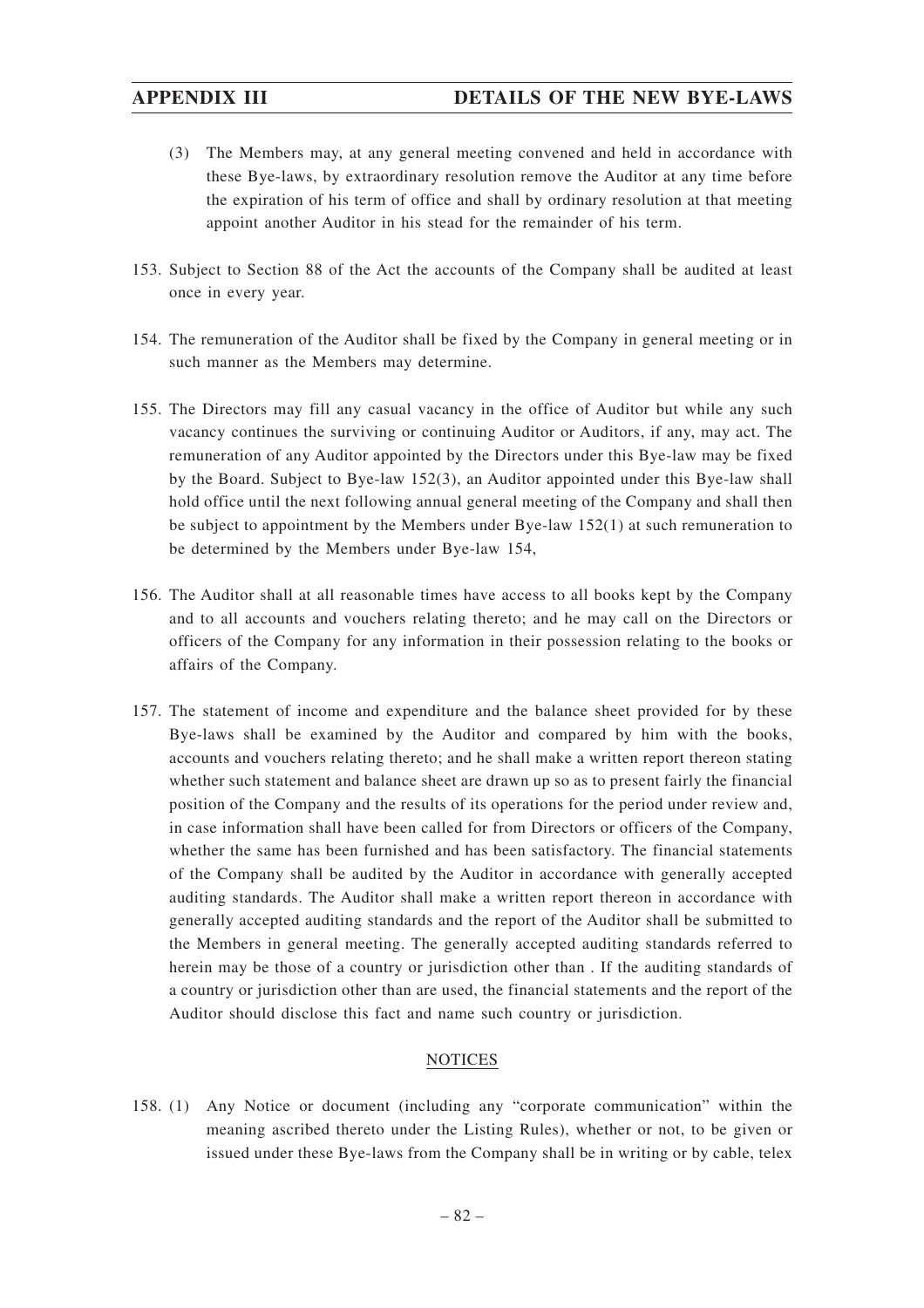- (3) The Members may, at any general meeting convened and held in accordance with these Bye-laws, by extraordinary resolution remove the Auditor at any time before the expiration of his term of office and shall by ordinary resolution at that meeting appoint another Auditor in his stead for the remainder of his term.
- 153. Subject to Section 88 of the Act the accounts of the Company shall be audited at least once in every year.
- 154. The remuneration of the Auditor shall be fixed by the Company in general meeting or in such manner as the Members may determine.
- 155. The Directors may fill any casual vacancy in the office of Auditor but while any such vacancy continues the surviving or continuing Auditor or Auditors, if any, may act. The remuneration of any Auditor appointed by the Directors under this Bye-law may be fixed by the Board. Subject to Bye-law 152(3), an Auditor appointed under this Bye-law shall hold office until the next following annual general meeting of the Company and shall then be subject to appointment by the Members under Bye-law 152(1) at such remuneration to be determined by the Members under Bye-law 154,
- 156. The Auditor shall at all reasonable times have access to all books kept by the Company and to all accounts and vouchers relating thereto; and he may call on the Directors or officers of the Company for any information in their possession relating to the books or affairs of the Company.
- 157. The statement of income and expenditure and the balance sheet provided for by these Bye-laws shall be examined by the Auditor and compared by him with the books, accounts and vouchers relating thereto; and he shall make a written report thereon stating whether such statement and balance sheet are drawn up so as to present fairly the financial position of the Company and the results of its operations for the period under review and, in case information shall have been called for from Directors or officers of the Company, whether the same has been furnished and has been satisfactory. The financial statements of the Company shall be audited by the Auditor in accordance with generally accepted auditing standards. The Auditor shall make a written report thereon in accordance with generally accepted auditing standards and the report of the Auditor shall be submitted to the Members in general meeting. The generally accepted auditing standards referred to herein may be those of a country or jurisdiction other than . If the auditing standards of a country or jurisdiction other than are used, the financial statements and the report of the Auditor should disclose this fact and name such country or jurisdiction.

### **NOTICES**

158. (1) Any Notice or document (including any "corporate communication" within the meaning ascribed thereto under the Listing Rules), whether or not, to be given or issued under these Bye-laws from the Company shall be in writing or by cable, telex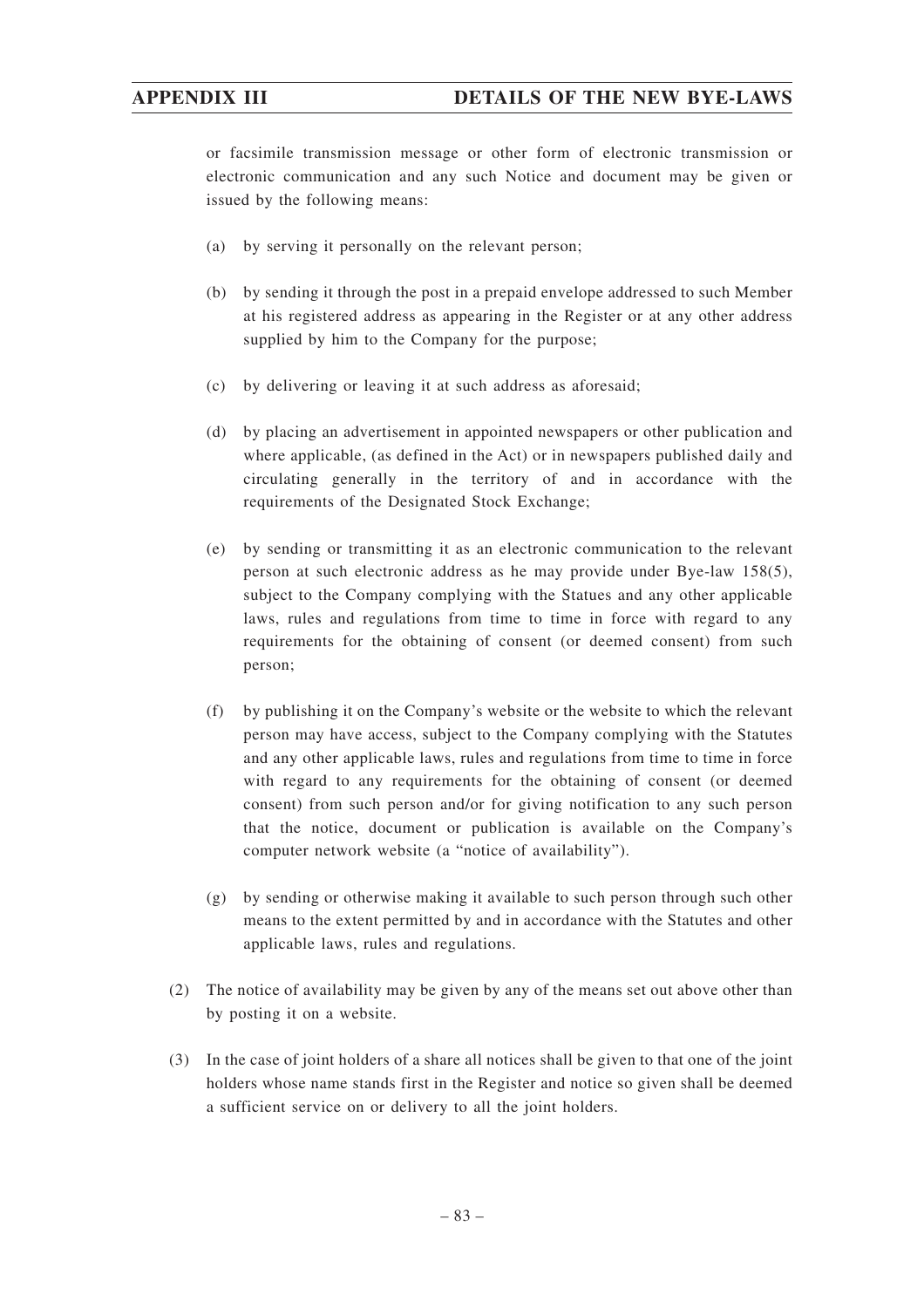or facsimile transmission message or other form of electronic transmission or electronic communication and any such Notice and document may be given or issued by the following means:

- (a) by serving it personally on the relevant person;
- (b) by sending it through the post in a prepaid envelope addressed to such Member at his registered address as appearing in the Register or at any other address supplied by him to the Company for the purpose;
- (c) by delivering or leaving it at such address as aforesaid;
- (d) by placing an advertisement in appointed newspapers or other publication and where applicable, (as defined in the Act) or in newspapers published daily and circulating generally in the territory of and in accordance with the requirements of the Designated Stock Exchange;
- (e) by sending or transmitting it as an electronic communication to the relevant person at such electronic address as he may provide under Bye-law 158(5), subject to the Company complying with the Statues and any other applicable laws, rules and regulations from time to time in force with regard to any requirements for the obtaining of consent (or deemed consent) from such person;
- (f) by publishing it on the Company's website or the website to which the relevant person may have access, subject to the Company complying with the Statutes and any other applicable laws, rules and regulations from time to time in force with regard to any requirements for the obtaining of consent (or deemed consent) from such person and/or for giving notification to any such person that the notice, document or publication is available on the Company's computer network website (a "notice of availability").
- (g) by sending or otherwise making it available to such person through such other means to the extent permitted by and in accordance with the Statutes and other applicable laws, rules and regulations.
- (2) The notice of availability may be given by any of the means set out above other than by posting it on a website.
- (3) In the case of joint holders of a share all notices shall be given to that one of the joint holders whose name stands first in the Register and notice so given shall be deemed a sufficient service on or delivery to all the joint holders.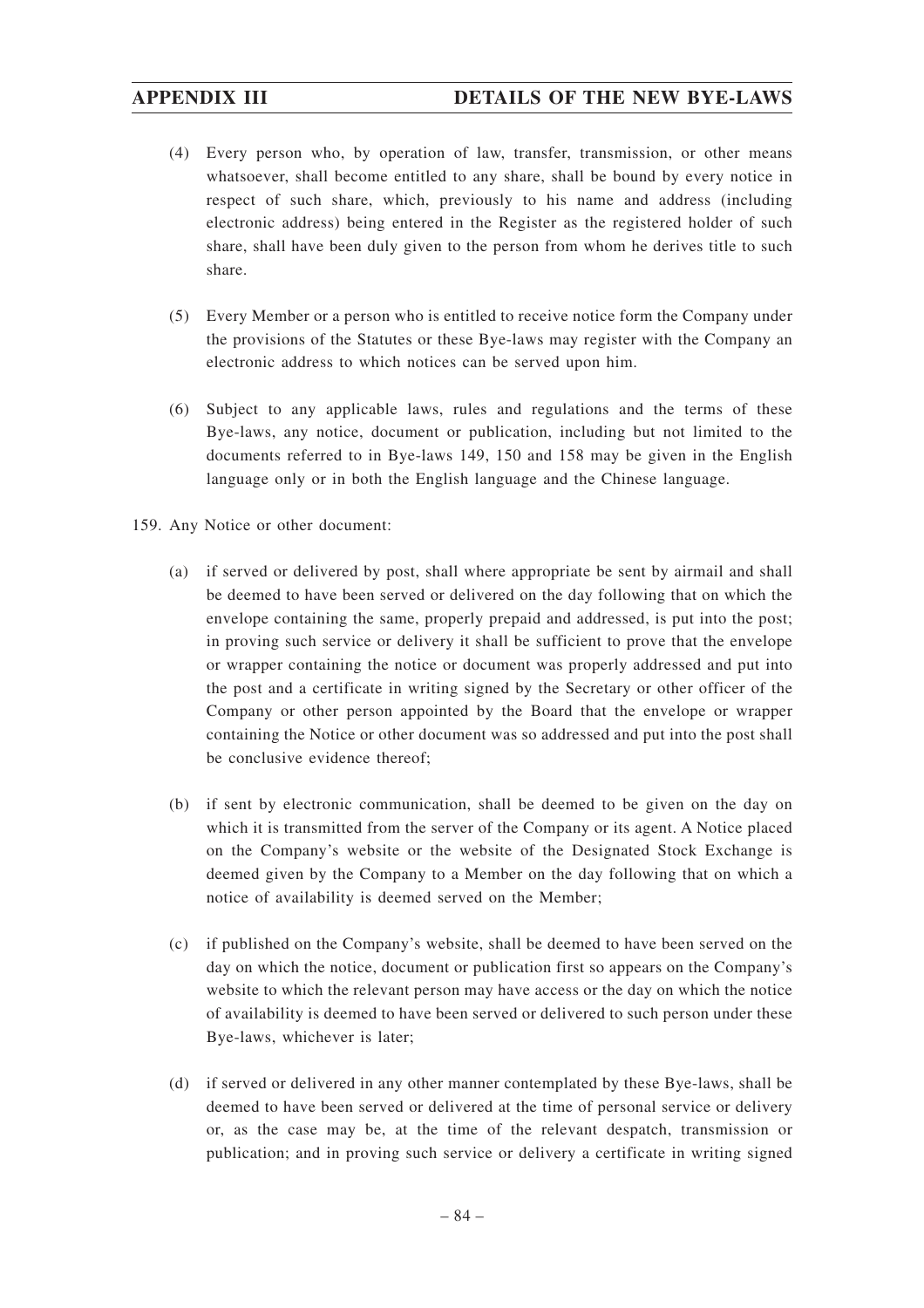- (4) Every person who, by operation of law, transfer, transmission, or other means whatsoever, shall become entitled to any share, shall be bound by every notice in respect of such share, which, previously to his name and address (including electronic address) being entered in the Register as the registered holder of such share, shall have been duly given to the person from whom he derives title to such share.
- (5) Every Member or a person who is entitled to receive notice form the Company under the provisions of the Statutes or these Bye-laws may register with the Company an electronic address to which notices can be served upon him.
- (6) Subject to any applicable laws, rules and regulations and the terms of these Bye-laws, any notice, document or publication, including but not limited to the documents referred to in Bye-laws 149, 150 and 158 may be given in the English language only or in both the English language and the Chinese language.
- 159. Any Notice or other document:
	- (a) if served or delivered by post, shall where appropriate be sent by airmail and shall be deemed to have been served or delivered on the day following that on which the envelope containing the same, properly prepaid and addressed, is put into the post; in proving such service or delivery it shall be sufficient to prove that the envelope or wrapper containing the notice or document was properly addressed and put into the post and a certificate in writing signed by the Secretary or other officer of the Company or other person appointed by the Board that the envelope or wrapper containing the Notice or other document was so addressed and put into the post shall be conclusive evidence thereof;
	- (b) if sent by electronic communication, shall be deemed to be given on the day on which it is transmitted from the server of the Company or its agent. A Notice placed on the Company's website or the website of the Designated Stock Exchange is deemed given by the Company to a Member on the day following that on which a notice of availability is deemed served on the Member;
	- (c) if published on the Company's website, shall be deemed to have been served on the day on which the notice, document or publication first so appears on the Company's website to which the relevant person may have access or the day on which the notice of availability is deemed to have been served or delivered to such person under these Bye-laws, whichever is later;
	- (d) if served or delivered in any other manner contemplated by these Bye-laws, shall be deemed to have been served or delivered at the time of personal service or delivery or, as the case may be, at the time of the relevant despatch, transmission or publication; and in proving such service or delivery a certificate in writing signed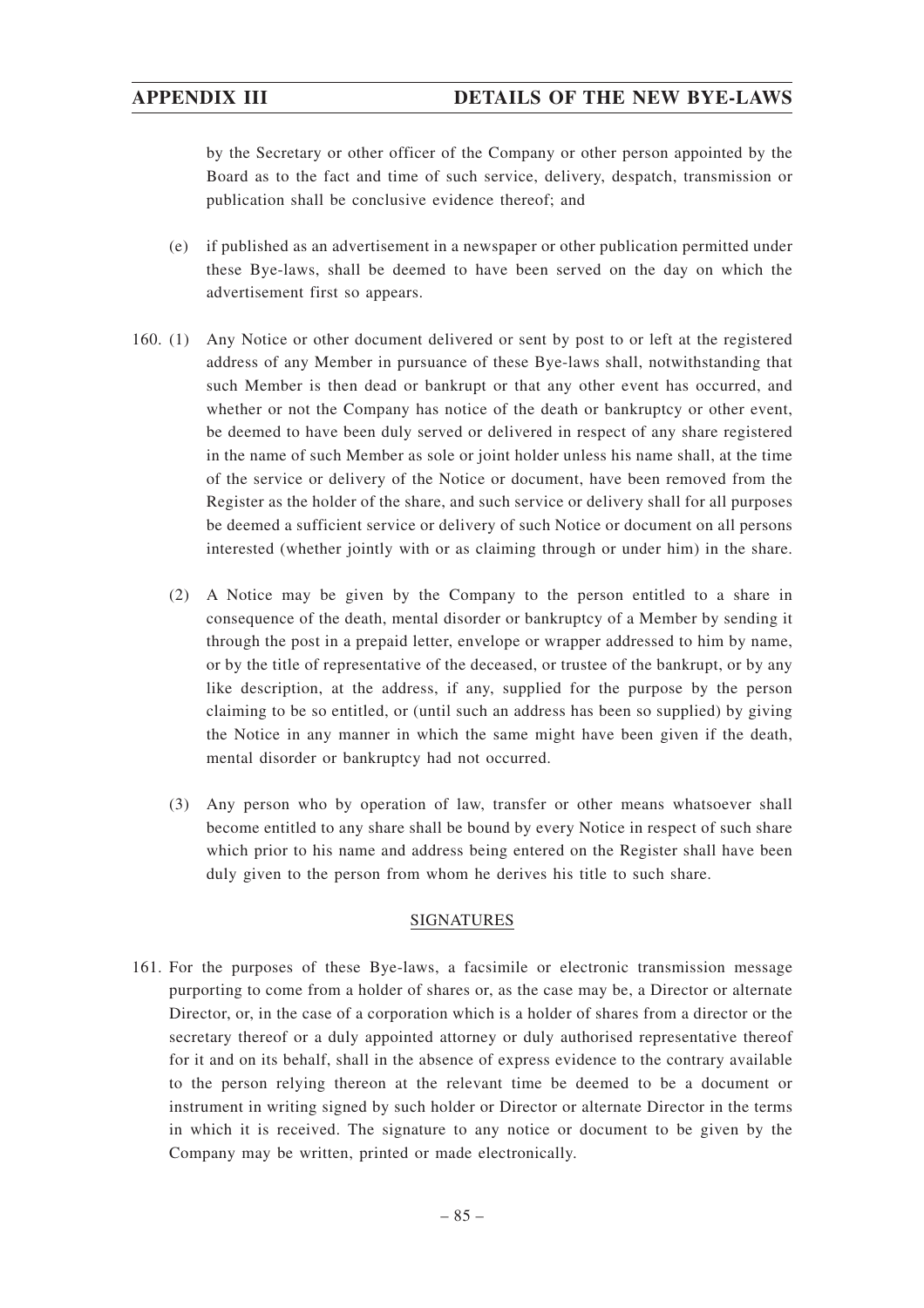by the Secretary or other officer of the Company or other person appointed by the Board as to the fact and time of such service, delivery, despatch, transmission or publication shall be conclusive evidence thereof; and

- (e) if published as an advertisement in a newspaper or other publication permitted under these Bye-laws, shall be deemed to have been served on the day on which the advertisement first so appears.
- 160. (1) Any Notice or other document delivered or sent by post to or left at the registered address of any Member in pursuance of these Bye-laws shall, notwithstanding that such Member is then dead or bankrupt or that any other event has occurred, and whether or not the Company has notice of the death or bankruptcy or other event, be deemed to have been duly served or delivered in respect of any share registered in the name of such Member as sole or joint holder unless his name shall, at the time of the service or delivery of the Notice or document, have been removed from the Register as the holder of the share, and such service or delivery shall for all purposes be deemed a sufficient service or delivery of such Notice or document on all persons interested (whether jointly with or as claiming through or under him) in the share.
	- (2) A Notice may be given by the Company to the person entitled to a share in consequence of the death, mental disorder or bankruptcy of a Member by sending it through the post in a prepaid letter, envelope or wrapper addressed to him by name, or by the title of representative of the deceased, or trustee of the bankrupt, or by any like description, at the address, if any, supplied for the purpose by the person claiming to be so entitled, or (until such an address has been so supplied) by giving the Notice in any manner in which the same might have been given if the death, mental disorder or bankruptcy had not occurred.
	- (3) Any person who by operation of law, transfer or other means whatsoever shall become entitled to any share shall be bound by every Notice in respect of such share which prior to his name and address being entered on the Register shall have been duly given to the person from whom he derives his title to such share.

### SIGNATURES

161. For the purposes of these Bye-laws, a facsimile or electronic transmission message purporting to come from a holder of shares or, as the case may be, a Director or alternate Director, or, in the case of a corporation which is a holder of shares from a director or the secretary thereof or a duly appointed attorney or duly authorised representative thereof for it and on its behalf, shall in the absence of express evidence to the contrary available to the person relying thereon at the relevant time be deemed to be a document or instrument in writing signed by such holder or Director or alternate Director in the terms in which it is received. The signature to any notice or document to be given by the Company may be written, printed or made electronically.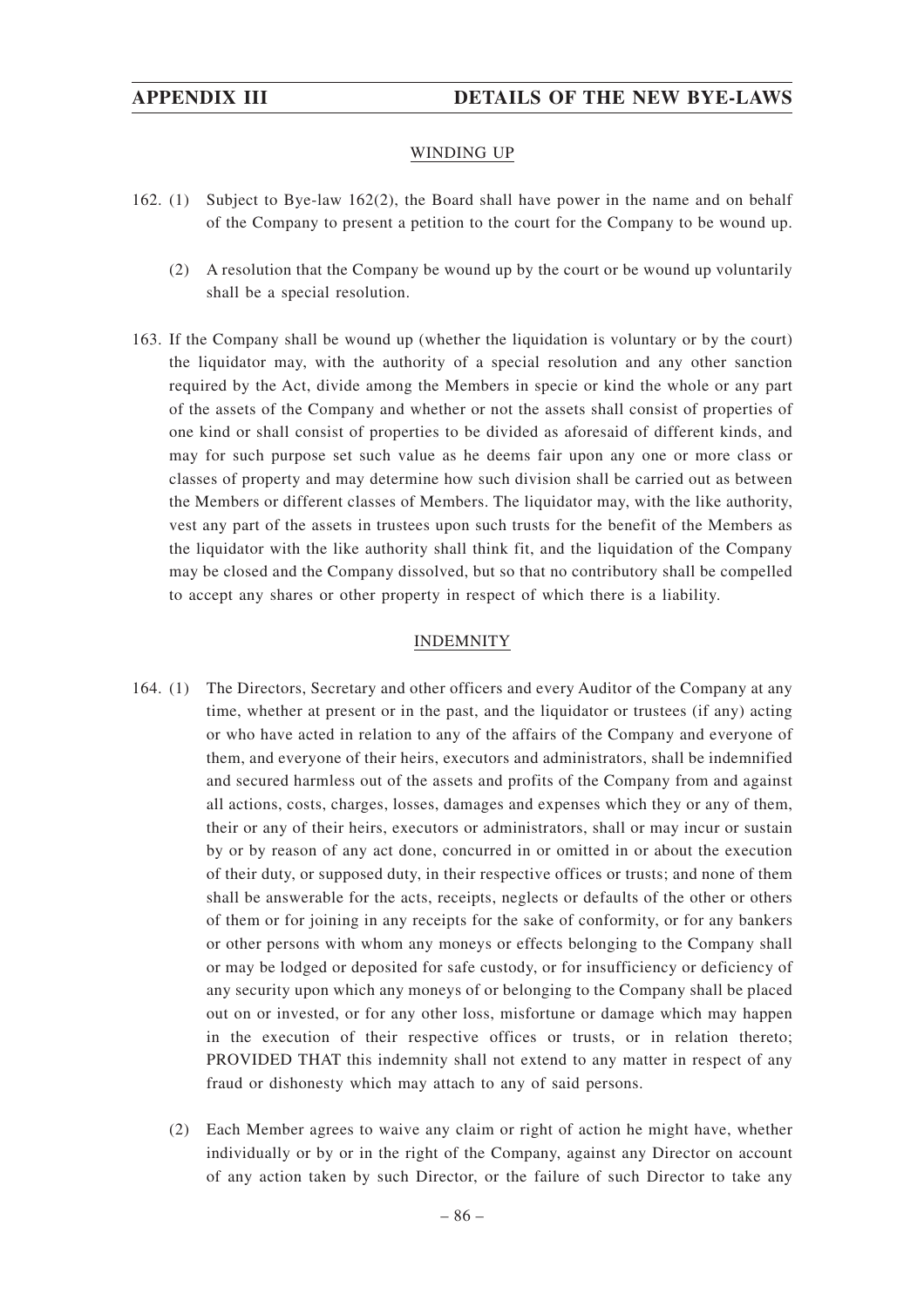### WINDING UP

- 162. (1) Subject to Bye-law 162(2), the Board shall have power in the name and on behalf of the Company to present a petition to the court for the Company to be wound up.
	- (2) A resolution that the Company be wound up by the court or be wound up voluntarily shall be a special resolution.
- 163. If the Company shall be wound up (whether the liquidation is voluntary or by the court) the liquidator may, with the authority of a special resolution and any other sanction required by the Act, divide among the Members in specie or kind the whole or any part of the assets of the Company and whether or not the assets shall consist of properties of one kind or shall consist of properties to be divided as aforesaid of different kinds, and may for such purpose set such value as he deems fair upon any one or more class or classes of property and may determine how such division shall be carried out as between the Members or different classes of Members. The liquidator may, with the like authority, vest any part of the assets in trustees upon such trusts for the benefit of the Members as the liquidator with the like authority shall think fit, and the liquidation of the Company may be closed and the Company dissolved, but so that no contributory shall be compelled to accept any shares or other property in respect of which there is a liability.

### INDEMNITY

- 164. (1) The Directors, Secretary and other officers and every Auditor of the Company at any time, whether at present or in the past, and the liquidator or trustees (if any) acting or who have acted in relation to any of the affairs of the Company and everyone of them, and everyone of their heirs, executors and administrators, shall be indemnified and secured harmless out of the assets and profits of the Company from and against all actions, costs, charges, losses, damages and expenses which they or any of them, their or any of their heirs, executors or administrators, shall or may incur or sustain by or by reason of any act done, concurred in or omitted in or about the execution of their duty, or supposed duty, in their respective offices or trusts; and none of them shall be answerable for the acts, receipts, neglects or defaults of the other or others of them or for joining in any receipts for the sake of conformity, or for any bankers or other persons with whom any moneys or effects belonging to the Company shall or may be lodged or deposited for safe custody, or for insufficiency or deficiency of any security upon which any moneys of or belonging to the Company shall be placed out on or invested, or for any other loss, misfortune or damage which may happen in the execution of their respective offices or trusts, or in relation thereto; PROVIDED THAT this indemnity shall not extend to any matter in respect of any fraud or dishonesty which may attach to any of said persons.
	- (2) Each Member agrees to waive any claim or right of action he might have, whether individually or by or in the right of the Company, against any Director on account of any action taken by such Director, or the failure of such Director to take any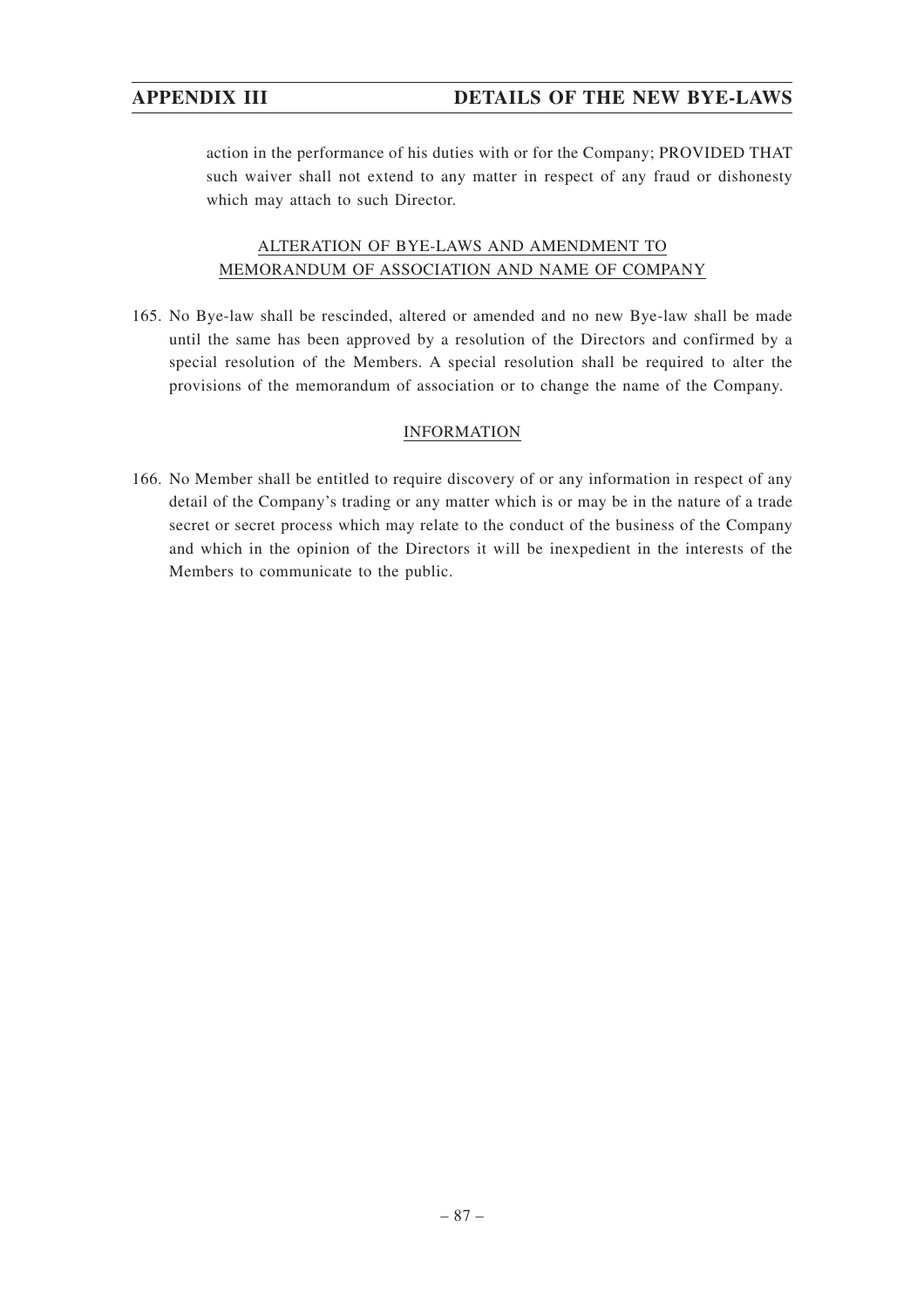action in the performance of his duties with or for the Company; PROVIDED THAT such waiver shall not extend to any matter in respect of any fraud or dishonesty which may attach to such Director.

# ALTERATION OF BYE-LAWS AND AMENDMENT TO MEMORANDUM OF ASSOCIATION AND NAME OF COMPANY

165. No Bye-law shall be rescinded, altered or amended and no new Bye-law shall be made until the same has been approved by a resolution of the Directors and confirmed by a special resolution of the Members. A special resolution shall be required to alter the provisions of the memorandum of association or to change the name of the Company.

### INFORMATION

166. No Member shall be entitled to require discovery of or any information in respect of any detail of the Company's trading or any matter which is or may be in the nature of a trade secret or secret process which may relate to the conduct of the business of the Company and which in the opinion of the Directors it will be inexpedient in the interests of the Members to communicate to the public.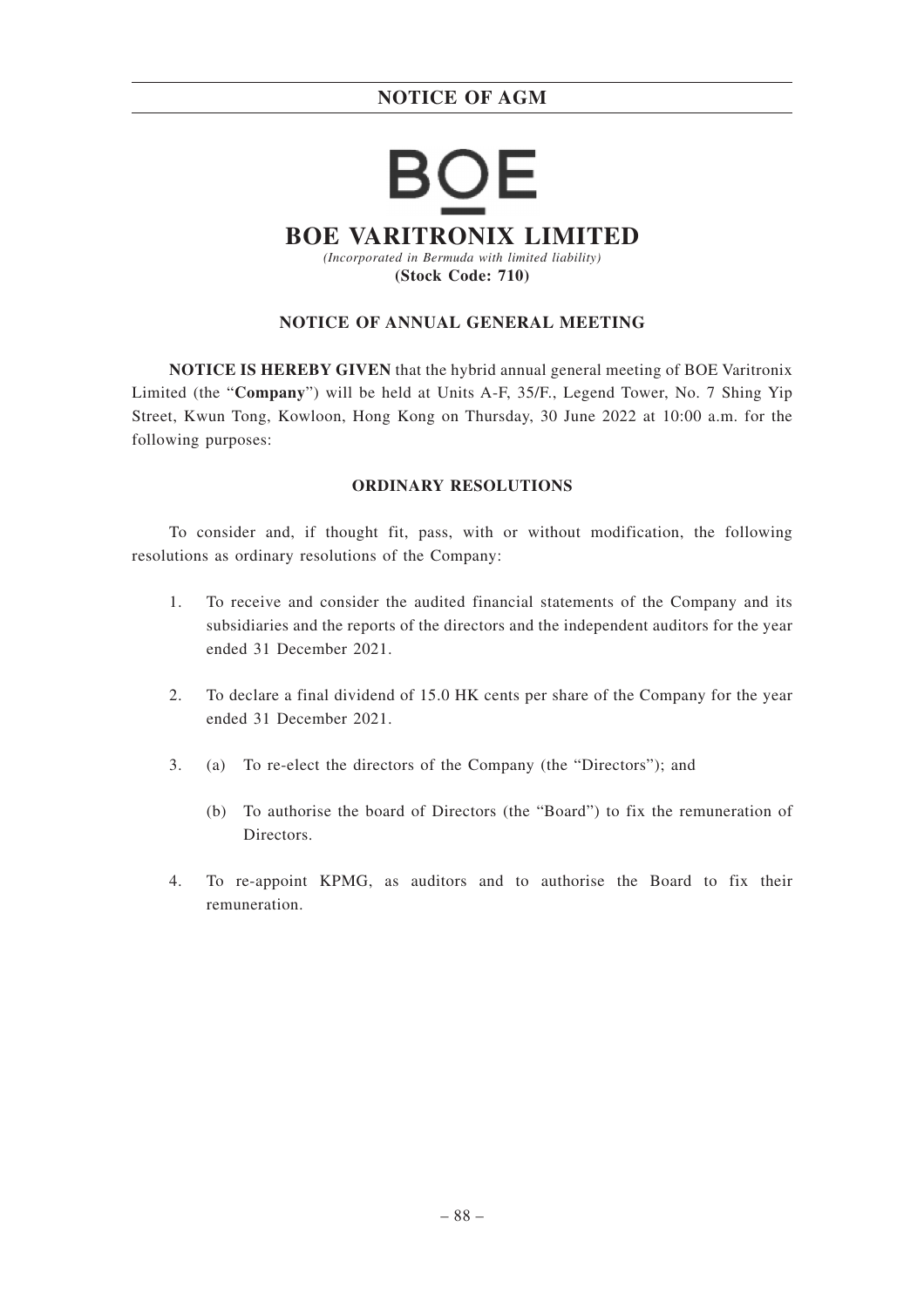# Е **BOE VARITRONIX LIMITED** *(Incorporated in Bermuda with limited liability)* **(Stock Code: 710)**

### **NOTICE OF ANNUAL GENERAL MEETING**

**NOTICE IS HEREBY GIVEN** that the hybrid annual general meeting of BOE Varitronix Limited (the "**Company**") will be held at Units A-F, 35/F., Legend Tower, No. 7 Shing Yip Street, Kwun Tong, Kowloon, Hong Kong on Thursday, 30 June 2022 at 10:00 a.m. for the following purposes:

### **ORDINARY RESOLUTIONS**

To consider and, if thought fit, pass, with or without modification, the following resolutions as ordinary resolutions of the Company:

- 1. To receive and consider the audited financial statements of the Company and its subsidiaries and the reports of the directors and the independent auditors for the year ended 31 December 2021.
- 2. To declare a final dividend of 15.0 HK cents per share of the Company for the year ended 31 December 2021.
- 3. (a) To re-elect the directors of the Company (the "Directors"); and
	- (b) To authorise the board of Directors (the "Board") to fix the remuneration of Directors.
- 4. To re-appoint KPMG, as auditors and to authorise the Board to fix their remuneration.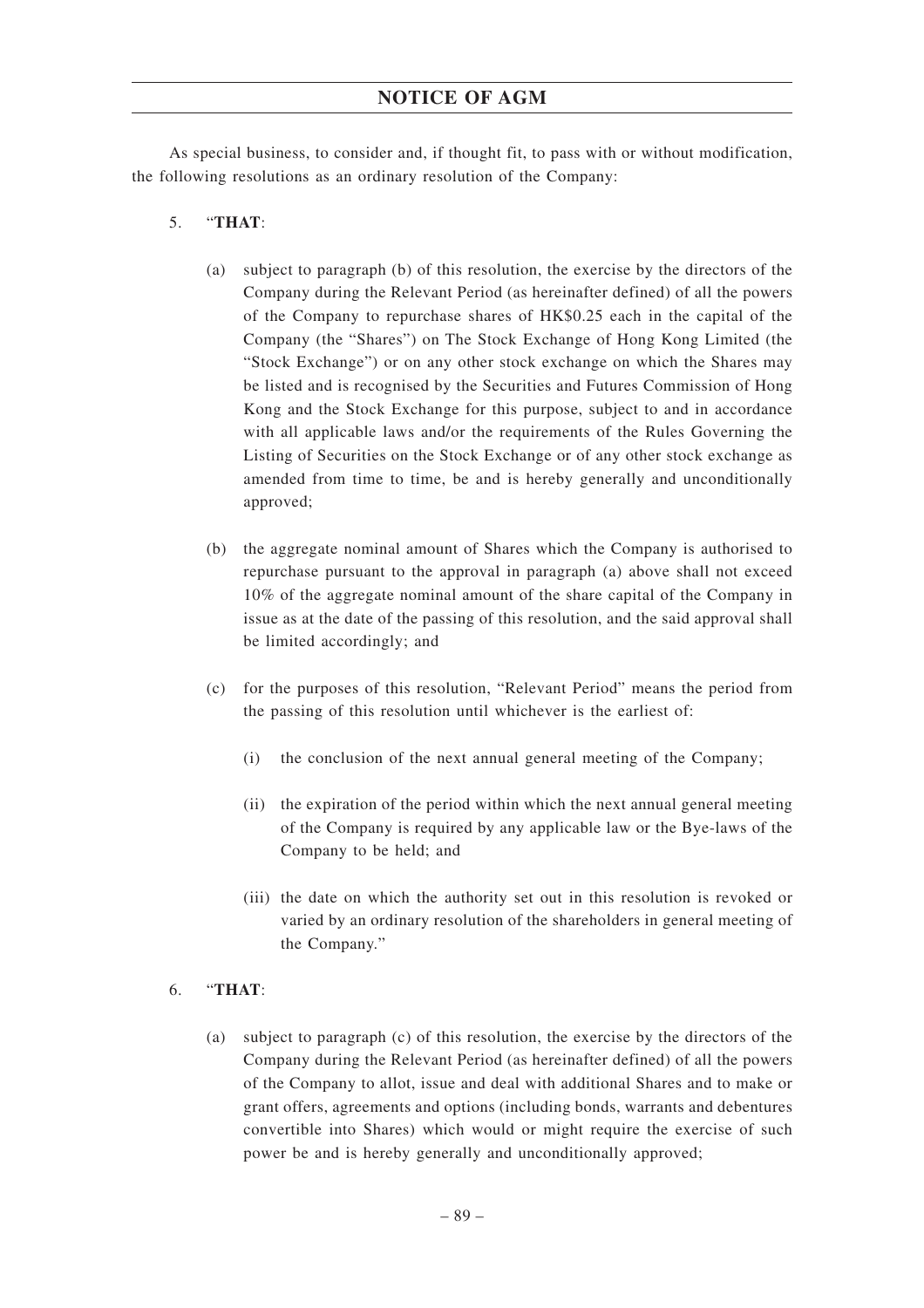As special business, to consider and, if thought fit, to pass with or without modification, the following resolutions as an ordinary resolution of the Company:

### 5. "**THAT**:

- (a) subject to paragraph (b) of this resolution, the exercise by the directors of the Company during the Relevant Period (as hereinafter defined) of all the powers of the Company to repurchase shares of HK\$0.25 each in the capital of the Company (the "Shares") on The Stock Exchange of Hong Kong Limited (the "Stock Exchange") or on any other stock exchange on which the Shares may be listed and is recognised by the Securities and Futures Commission of Hong Kong and the Stock Exchange for this purpose, subject to and in accordance with all applicable laws and/or the requirements of the Rules Governing the Listing of Securities on the Stock Exchange or of any other stock exchange as amended from time to time, be and is hereby generally and unconditionally approved;
- (b) the aggregate nominal amount of Shares which the Company is authorised to repurchase pursuant to the approval in paragraph (a) above shall not exceed 10% of the aggregate nominal amount of the share capital of the Company in issue as at the date of the passing of this resolution, and the said approval shall be limited accordingly; and
- (c) for the purposes of this resolution, "Relevant Period" means the period from the passing of this resolution until whichever is the earliest of:
	- (i) the conclusion of the next annual general meeting of the Company;
	- (ii) the expiration of the period within which the next annual general meeting of the Company is required by any applicable law or the Bye-laws of the Company to be held; and
	- (iii) the date on which the authority set out in this resolution is revoked or varied by an ordinary resolution of the shareholders in general meeting of the Company."

### 6. "**THAT**:

(a) subject to paragraph (c) of this resolution, the exercise by the directors of the Company during the Relevant Period (as hereinafter defined) of all the powers of the Company to allot, issue and deal with additional Shares and to make or grant offers, agreements and options (including bonds, warrants and debentures convertible into Shares) which would or might require the exercise of such power be and is hereby generally and unconditionally approved;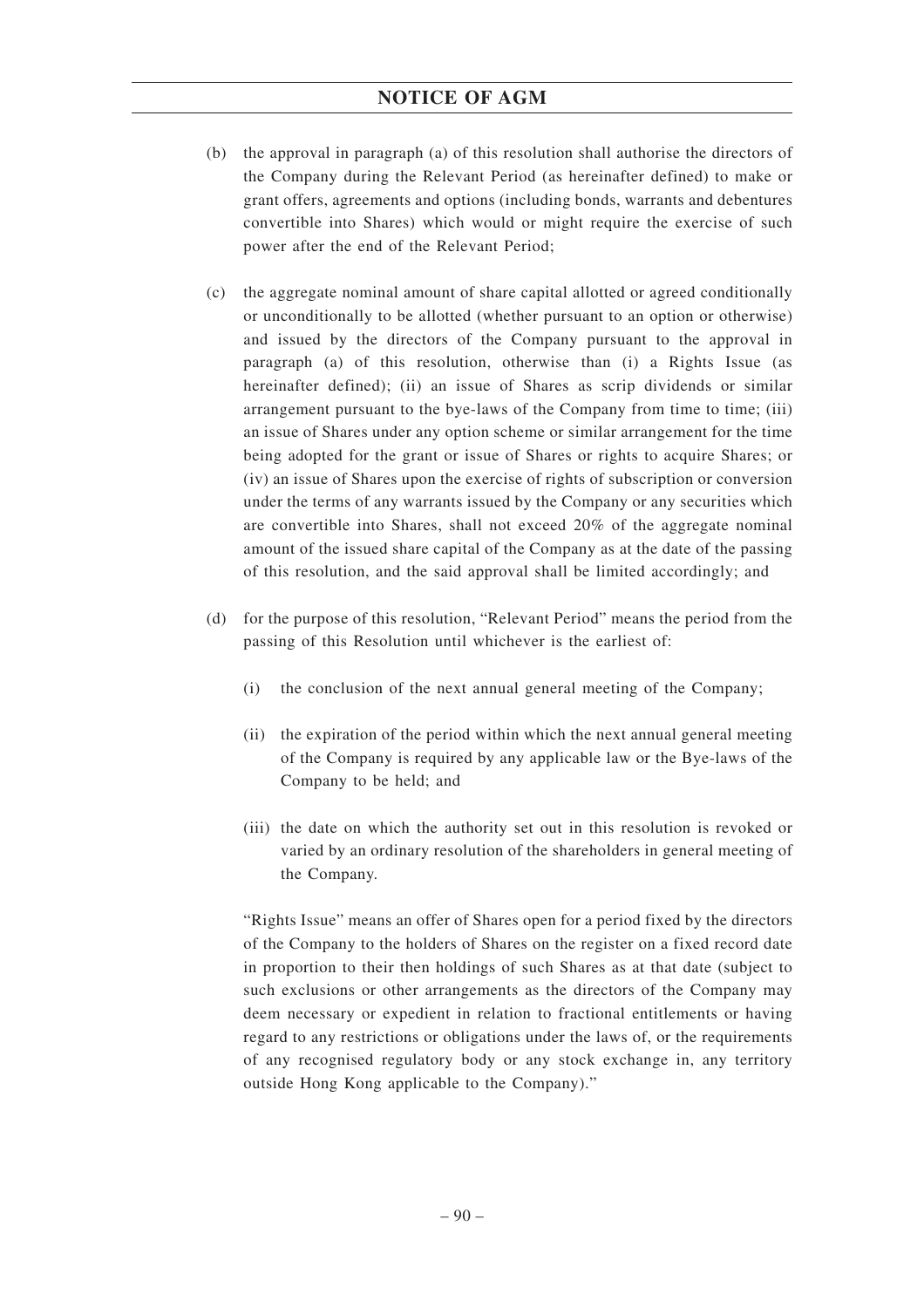- (b) the approval in paragraph (a) of this resolution shall authorise the directors of the Company during the Relevant Period (as hereinafter defined) to make or grant offers, agreements and options (including bonds, warrants and debentures convertible into Shares) which would or might require the exercise of such power after the end of the Relevant Period;
- (c) the aggregate nominal amount of share capital allotted or agreed conditionally or unconditionally to be allotted (whether pursuant to an option or otherwise) and issued by the directors of the Company pursuant to the approval in paragraph (a) of this resolution, otherwise than (i) a Rights Issue (as hereinafter defined); (ii) an issue of Shares as scrip dividends or similar arrangement pursuant to the bye-laws of the Company from time to time; (iii) an issue of Shares under any option scheme or similar arrangement for the time being adopted for the grant or issue of Shares or rights to acquire Shares; or (iv) an issue of Shares upon the exercise of rights of subscription or conversion under the terms of any warrants issued by the Company or any securities which are convertible into Shares, shall not exceed 20% of the aggregate nominal amount of the issued share capital of the Company as at the date of the passing of this resolution, and the said approval shall be limited accordingly; and
- (d) for the purpose of this resolution, "Relevant Period" means the period from the passing of this Resolution until whichever is the earliest of:
	- (i) the conclusion of the next annual general meeting of the Company;
	- (ii) the expiration of the period within which the next annual general meeting of the Company is required by any applicable law or the Bye-laws of the Company to be held; and
	- (iii) the date on which the authority set out in this resolution is revoked or varied by an ordinary resolution of the shareholders in general meeting of the Company.

"Rights Issue" means an offer of Shares open for a period fixed by the directors of the Company to the holders of Shares on the register on a fixed record date in proportion to their then holdings of such Shares as at that date (subject to such exclusions or other arrangements as the directors of the Company may deem necessary or expedient in relation to fractional entitlements or having regard to any restrictions or obligations under the laws of, or the requirements of any recognised regulatory body or any stock exchange in, any territory outside Hong Kong applicable to the Company)."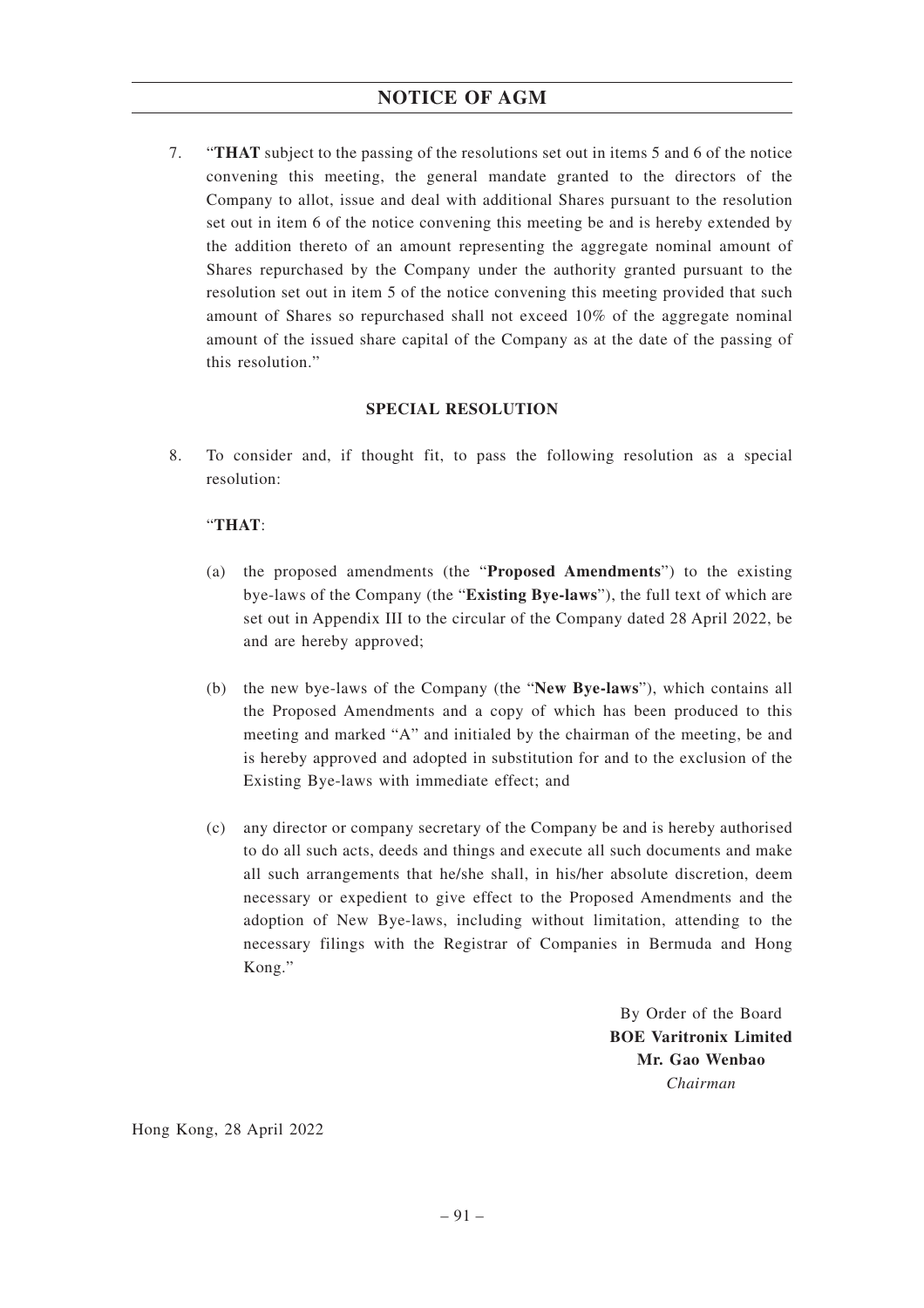7. "**THAT** subject to the passing of the resolutions set out in items 5 and 6 of the notice convening this meeting, the general mandate granted to the directors of the Company to allot, issue and deal with additional Shares pursuant to the resolution set out in item 6 of the notice convening this meeting be and is hereby extended by the addition thereto of an amount representing the aggregate nominal amount of Shares repurchased by the Company under the authority granted pursuant to the resolution set out in item 5 of the notice convening this meeting provided that such amount of Shares so repurchased shall not exceed 10% of the aggregate nominal amount of the issued share capital of the Company as at the date of the passing of this resolution."

### **SPECIAL RESOLUTION**

8. To consider and, if thought fit, to pass the following resolution as a special resolution:

# "**THAT**:

- (a) the proposed amendments (the "**Proposed Amendments**") to the existing bye-laws of the Company (the "**Existing Bye-laws**"), the full text of which are set out in Appendix III to the circular of the Company dated 28 April 2022, be and are hereby approved;
- (b) the new bye-laws of the Company (the "**New Bye-laws**"), which contains all the Proposed Amendments and a copy of which has been produced to this meeting and marked "A" and initialed by the chairman of the meeting, be and is hereby approved and adopted in substitution for and to the exclusion of the Existing Bye-laws with immediate effect; and
- (c) any director or company secretary of the Company be and is hereby authorised to do all such acts, deeds and things and execute all such documents and make all such arrangements that he/she shall, in his/her absolute discretion, deem necessary or expedient to give effect to the Proposed Amendments and the adoption of New Bye-laws, including without limitation, attending to the necessary filings with the Registrar of Companies in Bermuda and Hong Kong."

By Order of the Board **BOE Varitronix Limited Mr. Gao Wenbao** *Chairman*

Hong Kong, 28 April 2022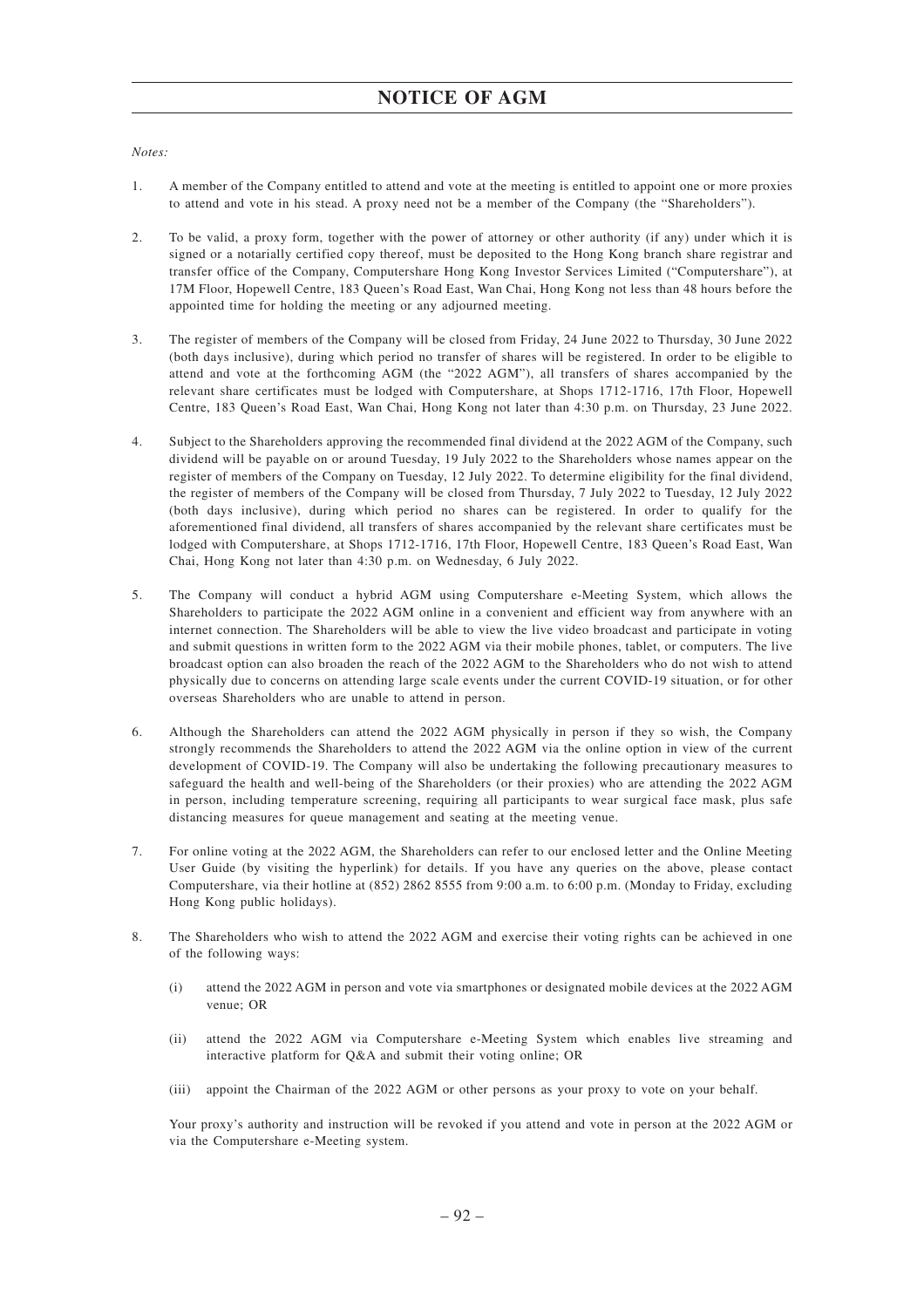*Notes:*

- 1. A member of the Company entitled to attend and vote at the meeting is entitled to appoint one or more proxies to attend and vote in his stead. A proxy need not be a member of the Company (the "Shareholders").
- 2. To be valid, a proxy form, together with the power of attorney or other authority (if any) under which it is signed or a notarially certified copy thereof, must be deposited to the Hong Kong branch share registrar and transfer office of the Company, Computershare Hong Kong Investor Services Limited ("Computershare"), at 17M Floor, Hopewell Centre, 183 Queen's Road East, Wan Chai, Hong Kong not less than 48 hours before the appointed time for holding the meeting or any adjourned meeting.
- 3. The register of members of the Company will be closed from Friday, 24 June 2022 to Thursday, 30 June 2022 (both days inclusive), during which period no transfer of shares will be registered. In order to be eligible to attend and vote at the forthcoming AGM (the "2022 AGM"), all transfers of shares accompanied by the relevant share certificates must be lodged with Computershare, at Shops 1712-1716, 17th Floor, Hopewell Centre, 183 Queen's Road East, Wan Chai, Hong Kong not later than 4:30 p.m. on Thursday, 23 June 2022.
- 4. Subject to the Shareholders approving the recommended final dividend at the 2022 AGM of the Company, such dividend will be payable on or around Tuesday, 19 July 2022 to the Shareholders whose names appear on the register of members of the Company on Tuesday, 12 July 2022. To determine eligibility for the final dividend, the register of members of the Company will be closed from Thursday, 7 July 2022 to Tuesday, 12 July 2022 (both days inclusive), during which period no shares can be registered. In order to qualify for the aforementioned final dividend, all transfers of shares accompanied by the relevant share certificates must be lodged with Computershare, at Shops 1712-1716, 17th Floor, Hopewell Centre, 183 Queen's Road East, Wan Chai, Hong Kong not later than 4:30 p.m. on Wednesday, 6 July 2022.
- 5. The Company will conduct a hybrid AGM using Computershare e-Meeting System, which allows the Shareholders to participate the 2022 AGM online in a convenient and efficient way from anywhere with an internet connection. The Shareholders will be able to view the live video broadcast and participate in voting and submit questions in written form to the 2022 AGM via their mobile phones, tablet, or computers. The live broadcast option can also broaden the reach of the 2022 AGM to the Shareholders who do not wish to attend physically due to concerns on attending large scale events under the current COVID-19 situation, or for other overseas Shareholders who are unable to attend in person.
- 6. Although the Shareholders can attend the 2022 AGM physically in person if they so wish, the Company strongly recommends the Shareholders to attend the 2022 AGM via the online option in view of the current development of COVID-19. The Company will also be undertaking the following precautionary measures to safeguard the health and well-being of the Shareholders (or their proxies) who are attending the 2022 AGM in person, including temperature screening, requiring all participants to wear surgical face mask, plus safe distancing measures for queue management and seating at the meeting venue.
- 7. For online voting at the 2022 AGM, the Shareholders can refer to our enclosed letter and the Online Meeting User Guide (by visiting the hyperlink) for details. If you have any queries on the above, please contact Computershare, via their hotline at (852) 2862 8555 from 9:00 a.m. to 6:00 p.m. (Monday to Friday, excluding Hong Kong public holidays).
- 8. The Shareholders who wish to attend the 2022 AGM and exercise their voting rights can be achieved in one of the following ways:
	- (i) attend the 2022 AGM in person and vote via smartphones or designated mobile devices at the 2022 AGM venue; OR
	- (ii) attend the 2022 AGM via Computershare e-Meeting System which enables live streaming and interactive platform for Q&A and submit their voting online; OR
	- (iii) appoint the Chairman of the 2022 AGM or other persons as your proxy to vote on your behalf.

Your proxy's authority and instruction will be revoked if you attend and vote in person at the 2022 AGM or via the Computershare e-Meeting system.